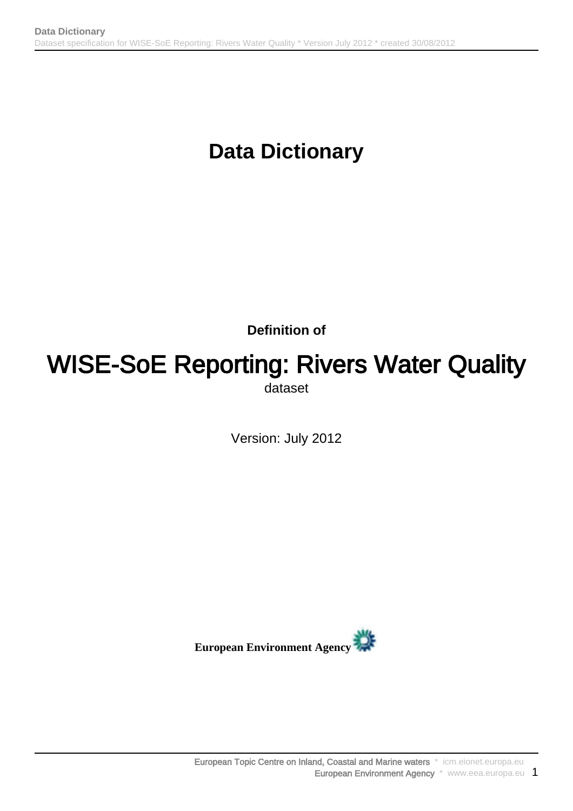**Definition of**

# WISE-SoE Reporting: Rivers Water Quality dataset

Version: July 2012

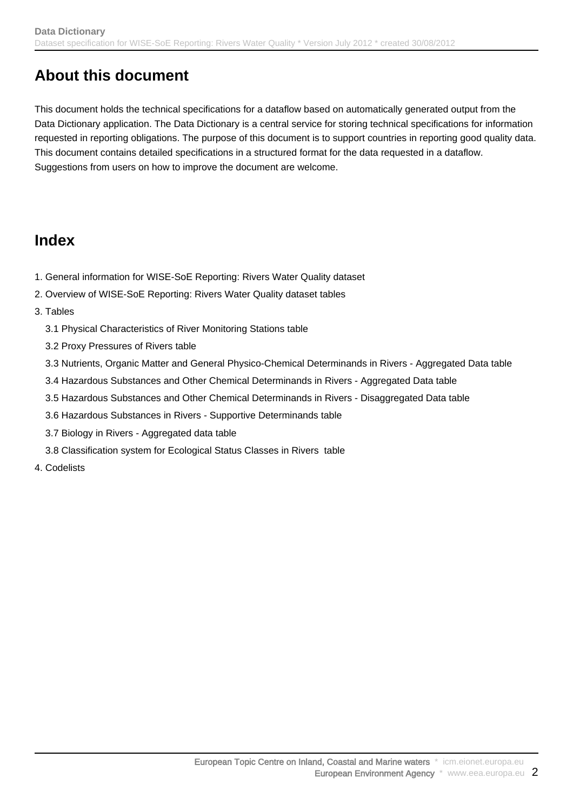# **About this document**

This document holds the technical specifications for a dataflow based on automatically generated output from the Data Dictionary application. The Data Dictionary is a central service for storing technical specifications for information requested in reporting obligations. The purpose of this document is to support countries in reporting good quality data. This document contains detailed specifications in a structured format for the data requested in a dataflow. Suggestions from users on how to improve the document are welcome.

# **Index**

- 1. General information for WISE-SoE Reporting: Rivers Water Quality dataset
- 2. Overview of WISE-SoE Reporting: Rivers Water Quality dataset tables
- 3. Tables
	- 3.1 Physical Characteristics of River Monitoring Stations table
	- 3.2 Proxy Pressures of Rivers table
	- 3.3 Nutrients, Organic Matter and General Physico-Chemical Determinands in Rivers Aggregated Data table
	- 3.4 Hazardous Substances and Other Chemical Determinands in Rivers Aggregated Data table
	- 3.5 Hazardous Substances and Other Chemical Determinands in Rivers Disaggregated Data table
	- 3.6 Hazardous Substances in Rivers Supportive Determinands table
	- 3.7 Biology in Rivers Aggregated data table
	- 3.8 Classification system for Ecological Status Classes in Rivers table
- 4. Codelists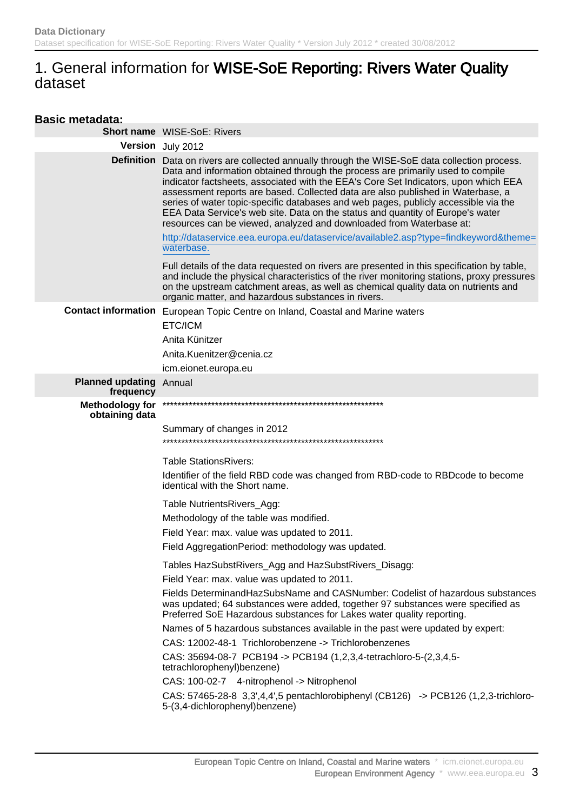# 1. General information for WISE-SoE Reporting: Rivers Water Quality dataset

| <b>Basic metadata:</b>                   |                                                                                                                                                                                                                                                                                                                                                                                                                                                                                                                                                                                                             |
|------------------------------------------|-------------------------------------------------------------------------------------------------------------------------------------------------------------------------------------------------------------------------------------------------------------------------------------------------------------------------------------------------------------------------------------------------------------------------------------------------------------------------------------------------------------------------------------------------------------------------------------------------------------|
|                                          | Short name WISE-SoE: Rivers                                                                                                                                                                                                                                                                                                                                                                                                                                                                                                                                                                                 |
|                                          | Version July 2012                                                                                                                                                                                                                                                                                                                                                                                                                                                                                                                                                                                           |
|                                          | Definition Data on rivers are collected annually through the WISE-SoE data collection process.<br>Data and information obtained through the process are primarily used to compile<br>indicator factsheets, associated with the EEA's Core Set Indicators, upon which EEA<br>assessment reports are based. Collected data are also published in Waterbase, a<br>series of water topic-specific databases and web pages, publicly accessible via the<br>EEA Data Service's web site. Data on the status and quantity of Europe's water<br>resources can be viewed, analyzed and downloaded from Waterbase at: |
|                                          | http://dataservice.eea.europa.eu/dataservice/available2.asp?type=findkeyword&theme=<br>waterbase.                                                                                                                                                                                                                                                                                                                                                                                                                                                                                                           |
|                                          | Full details of the data requested on rivers are presented in this specification by table,<br>and include the physical characteristics of the river monitoring stations, proxy pressures<br>on the upstream catchment areas, as well as chemical quality data on nutrients and<br>organic matter, and hazardous substances in rivers.                                                                                                                                                                                                                                                                       |
|                                          | Contact information European Topic Centre on Inland, Coastal and Marine waters                                                                                                                                                                                                                                                                                                                                                                                                                                                                                                                              |
|                                          | ETC/ICM                                                                                                                                                                                                                                                                                                                                                                                                                                                                                                                                                                                                     |
|                                          | Anita Künitzer                                                                                                                                                                                                                                                                                                                                                                                                                                                                                                                                                                                              |
|                                          | Anita.Kuenitzer@cenia.cz                                                                                                                                                                                                                                                                                                                                                                                                                                                                                                                                                                                    |
|                                          | icm.eionet.europa.eu                                                                                                                                                                                                                                                                                                                                                                                                                                                                                                                                                                                        |
| <b>Planned updating</b><br>frequency     | Annual                                                                                                                                                                                                                                                                                                                                                                                                                                                                                                                                                                                                      |
| <b>Methodology for</b><br>obtaining data |                                                                                                                                                                                                                                                                                                                                                                                                                                                                                                                                                                                                             |
|                                          | Summary of changes in 2012                                                                                                                                                                                                                                                                                                                                                                                                                                                                                                                                                                                  |
|                                          |                                                                                                                                                                                                                                                                                                                                                                                                                                                                                                                                                                                                             |
|                                          | <b>Table StationsRivers:</b>                                                                                                                                                                                                                                                                                                                                                                                                                                                                                                                                                                                |
|                                          | Identifier of the field RBD code was changed from RBD-code to RBDcode to become<br>identical with the Short name.                                                                                                                                                                                                                                                                                                                                                                                                                                                                                           |
|                                          | Table NutrientsRivers_Agg:                                                                                                                                                                                                                                                                                                                                                                                                                                                                                                                                                                                  |
|                                          | Methodology of the table was modified.                                                                                                                                                                                                                                                                                                                                                                                                                                                                                                                                                                      |
|                                          | Field Year: max. value was updated to 2011.                                                                                                                                                                                                                                                                                                                                                                                                                                                                                                                                                                 |
|                                          | Field AggregationPeriod: methodology was updated.                                                                                                                                                                                                                                                                                                                                                                                                                                                                                                                                                           |
|                                          | Tables HazSubstRivers_Agg and HazSubstRivers_Disagg:                                                                                                                                                                                                                                                                                                                                                                                                                                                                                                                                                        |
|                                          | Field Year: max. value was updated to 2011.                                                                                                                                                                                                                                                                                                                                                                                                                                                                                                                                                                 |
|                                          | Fields DeterminandHazSubsName and CASNumber: Codelist of hazardous substances<br>was updated; 64 substances were added, together 97 substances were specified as<br>Preferred SoE Hazardous substances for Lakes water quality reporting.                                                                                                                                                                                                                                                                                                                                                                   |
|                                          | Names of 5 hazardous substances available in the past were updated by expert:                                                                                                                                                                                                                                                                                                                                                                                                                                                                                                                               |
|                                          | CAS: 12002-48-1 Trichlorobenzene -> Trichlorobenzenes                                                                                                                                                                                                                                                                                                                                                                                                                                                                                                                                                       |
|                                          | CAS: 35694-08-7 PCB194 -> PCB194 (1,2,3,4-tetrachloro-5-(2,3,4,5-<br>tetrachlorophenyl)benzene)                                                                                                                                                                                                                                                                                                                                                                                                                                                                                                             |
|                                          | CAS: 100-02-7 4-nitrophenol -> Nitrophenol                                                                                                                                                                                                                                                                                                                                                                                                                                                                                                                                                                  |
|                                          | CAS: 57465-28-8 3,3',4,4',5 pentachlorobiphenyl (CB126) -> PCB126 (1,2,3-trichloro-<br>5-(3,4-dichlorophenyl)benzene)                                                                                                                                                                                                                                                                                                                                                                                                                                                                                       |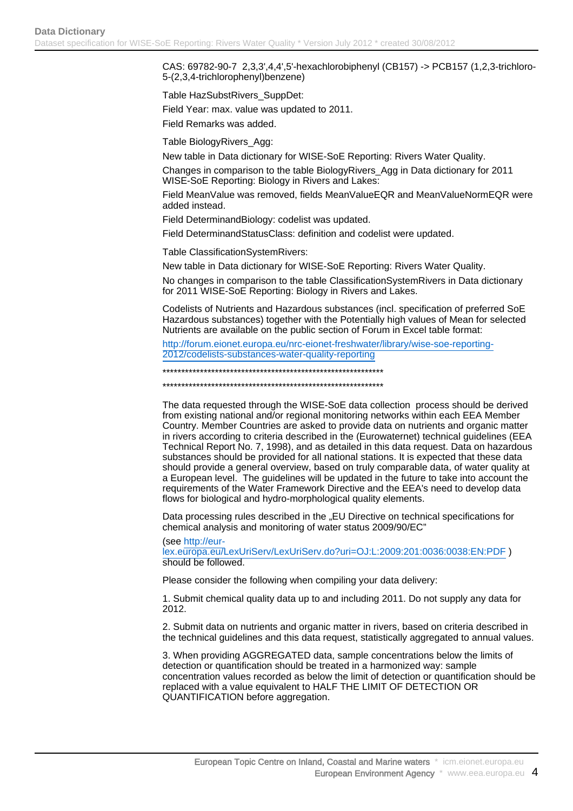CAS: 69782-90-7 2,3,3',4,4',5'-hexachlorobiphenyl (CB157) -> PCB157 (1,2,3-trichloro-5-(2,3,4-trichlorophenyl)benzene)

Table HazSubstRivers\_SuppDet:

Field Year: max. value was updated to 2011.

Field Remarks was added.

Table BiologyRivers\_Agg:

New table in Data dictionary for WISE-SoE Reporting: Rivers Water Quality.

Changes in comparison to the table BiologyRivers\_Agg in Data dictionary for 2011 WISE-SoE Reporting: Biology in Rivers and Lakes:

Field MeanValue was removed, fields MeanValueEQR and MeanValueNormEQR were added instead.

Field DeterminandBiology: codelist was updated.

Field DeterminandStatusClass: definition and codelist were updated.

Table ClassificationSystemRivers:

New table in Data dictionary for WISE-SoE Reporting: Rivers Water Quality.

No changes in comparison to the table ClassificationSystemRivers in Data dictionary for 2011 WISE-SoE Reporting: Biology in Rivers and Lakes.

Codelists of Nutrients and Hazardous substances (incl. specification of preferred SoE Hazardous substances) together with the Potentially high values of Mean for selected Nutrients are available on the public section of Forum in Excel table format:

[http://forum.eionet.europa.eu/nrc-eionet-freshwater/library/wise-soe-reporting-](http://forum.eionet.europa.eu/nrc-eionet-freshwater/library/wise-soe-reporting-2012/codelists-substances-water-quality-reporting)[2012/codelists-substances-water-quality-reporting](http://forum.eionet.europa.eu/nrc-eionet-freshwater/library/wise-soe-reporting-2012/codelists-substances-water-quality-reporting)

\*\*\*\*\*\*\*\*\*\*\*\*\*\*\*\*\*\*\*\*\*\*\*\*\*\*\*\*\*\*\*\*\*\*\*\*\*\*\*\*\*\*\*\*\*\*\*\*\*\*\*\*\*\*\*\*\*\*\*

\*\*\*\*\*\*\*\*\*\*\*\*\*\*\*\*\*\*\*\*\*\*\*\*\*\*\*\*\*\*\*\*\*\*\*\*\*\*\*\*\*\*\*\*\*\*\*\*\*\*\*\*\*\*\*\*\*\*\*

The data requested through the WISE-SoE data collection process should be derived from existing national and/or regional monitoring networks within each EEA Member Country. Member Countries are asked to provide data on nutrients and organic matter in rivers according to criteria described in the (Eurowaternet) technical guidelines (EEA Technical Report No. 7, 1998), and as detailed in this data request. Data on hazardous substances should be provided for all national stations. It is expected that these data should provide a general overview, based on truly comparable data, of water quality at a European level. The guidelines will be updated in the future to take into account the requirements of the Water Framework Directive and the EEA's need to develop data flows for biological and hydro-morphological quality elements.

Data processing rules described in the "EU Directive on technical specifications for chemical analysis and monitoring of water status 2009/90/EC"

(see [http://eur-](http://eur-lex.europa.eu/LexUriServ/LexUriServ.do?uri=OJ:L:2009:201:0036:0038:EN:PDF)

[lex.europa.eu/LexUriServ/LexUriServ.do?uri=OJ:L:2009:201:0036:0038:EN:PDF](http://eur-lex.europa.eu/LexUriServ/LexUriServ.do?uri=OJ:L:2009:201:0036:0038:EN:PDF) ) should be followed.

Please consider the following when compiling your data delivery:

1. Submit chemical quality data up to and including 2011. Do not supply any data for 2012.

2. Submit data on nutrients and organic matter in rivers, based on criteria described in the technical guidelines and this data request, statistically aggregated to annual values.

3. When providing AGGREGATED data, sample concentrations below the limits of detection or quantification should be treated in a harmonized way: sample concentration values recorded as below the limit of detection or quantification should be replaced with a value equivalent to HALF THE LIMIT OF DETECTION OR QUANTIFICATION before aggregation.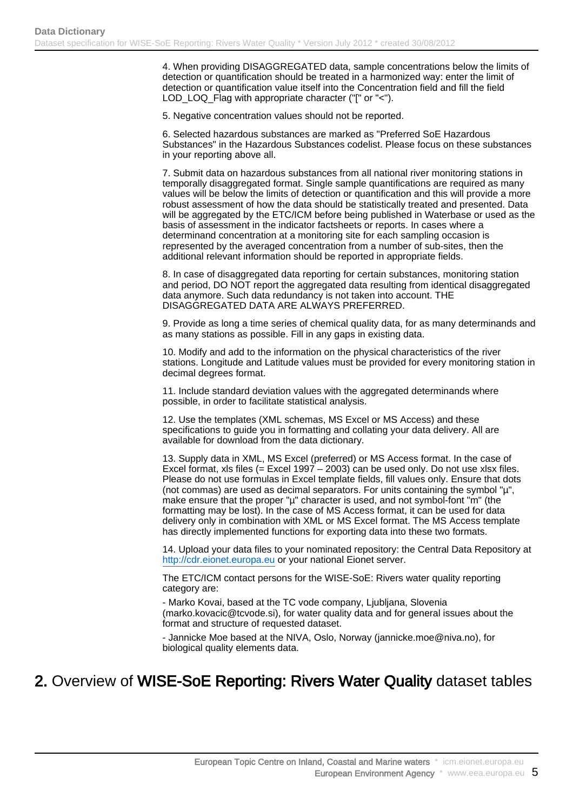4. When providing DISAGGREGATED data, sample concentrations below the limits of detection or quantification should be treated in a harmonized way: enter the limit of detection or quantification value itself into the Concentration field and fill the field LOD\_LOQ\_Flag with appropriate character ("[" or "<").

5. Negative concentration values should not be reported.

6. Selected hazardous substances are marked as "Preferred SoE Hazardous Substances" in the Hazardous Substances codelist. Please focus on these substances in your reporting above all.

7. Submit data on hazardous substances from all national river monitoring stations in temporally disaggregated format. Single sample quantifications are required as many values will be below the limits of detection or quantification and this will provide a more robust assessment of how the data should be statistically treated and presented. Data will be aggregated by the ETC/ICM before being published in Waterbase or used as the basis of assessment in the indicator factsheets or reports. In cases where a determinand concentration at a monitoring site for each sampling occasion is represented by the averaged concentration from a number of sub-sites, then the additional relevant information should be reported in appropriate fields.

8. In case of disaggregated data reporting for certain substances, monitoring station and period, DO NOT report the aggregated data resulting from identical disaggregated data anymore. Such data redundancy is not taken into account. THE DISAGGREGATED DATA ARE ALWAYS PREFERRED.

9. Provide as long a time series of chemical quality data, for as many determinands and as many stations as possible. Fill in any gaps in existing data.

10. Modify and add to the information on the physical characteristics of the river stations. Longitude and Latitude values must be provided for every monitoring station in decimal degrees format.

11. Include standard deviation values with the aggregated determinands where possible, in order to facilitate statistical analysis.

12. Use the templates (XML schemas, MS Excel or MS Access) and these specifications to guide you in formatting and collating your data delivery. All are available for download from the data dictionary.

13. Supply data in XML, MS Excel (preferred) or MS Access format. In the case of Excel format, xls files (= Excel 1997 – 2003) can be used only. Do not use xlsx files. Please do not use formulas in Excel template fields, fill values only. Ensure that dots (not commas) are used as decimal separators. For units containing the symbol "µ", make ensure that the proper "µ" character is used, and not symbol-font "m" (the formatting may be lost). In the case of MS Access format, it can be used for data delivery only in combination with XML or MS Excel format. The MS Access template has directly implemented functions for exporting data into these two formats.

14. Upload your data files to your nominated repository: the Central Data Repository at <http://cdr.eionet.europa.eu> or your national Eionet server.

The ETC/ICM contact persons for the WISE-SoE: Rivers water quality reporting category are:

- Marko Kovai, based at the TC vode company, Ljubljana, Slovenia (marko.kovacic@tcvode.si), for water quality data and for general issues about the format and structure of requested dataset.

- Jannicke Moe based at the NIVA, Oslo, Norway (jannicke.moe@niva.no), for biological quality elements data.

# 2. Overview of WISE-SoE Reporting: Rivers Water Quality dataset tables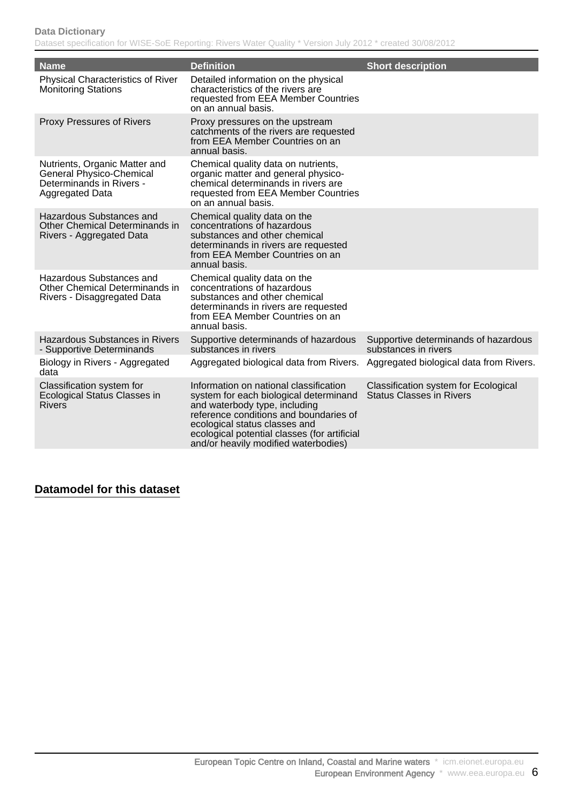Dataset specification for WISE-SoE Reporting: Rivers Water Quality \* Version July 2012 \* created 30/08/2012

| <b>Name</b>                                                                                                     | <b>Definition</b>                                                                                                                                                                                                                                                                    | <b>Short description</b>                                                       |
|-----------------------------------------------------------------------------------------------------------------|--------------------------------------------------------------------------------------------------------------------------------------------------------------------------------------------------------------------------------------------------------------------------------------|--------------------------------------------------------------------------------|
| <b>Physical Characteristics of River</b><br><b>Monitoring Stations</b>                                          | Detailed information on the physical<br>characteristics of the rivers are<br>requested from EEA Member Countries<br>on an annual basis.                                                                                                                                              |                                                                                |
| <b>Proxy Pressures of Rivers</b>                                                                                | Proxy pressures on the upstream<br>catchments of the rivers are requested<br>from EEA Member Countries on an<br>annual basis.                                                                                                                                                        |                                                                                |
| Nutrients, Organic Matter and<br><b>General Physico-Chemical</b><br>Determinands in Rivers -<br>Aggregated Data | Chemical quality data on nutrients,<br>organic matter and general physico-<br>chemical determinands in rivers are<br>requested from EEA Member Countries<br>on an annual basis.                                                                                                      |                                                                                |
| Hazardous Substances and<br>Other Chemical Determinands in<br>Rivers - Aggregated Data                          | Chemical quality data on the<br>concentrations of hazardous<br>substances and other chemical<br>determinands in rivers are requested<br>from EEA Member Countries on an<br>annual basis.                                                                                             |                                                                                |
| Hazardous Substances and<br>Other Chemical Determinands in<br>Rivers - Disaggregated Data                       | Chemical quality data on the<br>concentrations of hazardous<br>substances and other chemical<br>determinands in rivers are requested<br>from EEA Member Countries on an<br>annual basis.                                                                                             |                                                                                |
| Hazardous Substances in Rivers<br>- Supportive Determinands                                                     | Supportive determinands of hazardous<br>substances in rivers                                                                                                                                                                                                                         | Supportive determinands of hazardous<br>substances in rivers                   |
| Biology in Rivers - Aggregated<br>data                                                                          | Aggregated biological data from Rivers.                                                                                                                                                                                                                                              | Aggregated biological data from Rivers.                                        |
| Classification system for<br>Ecological Status Classes in<br><b>Rivers</b>                                      | Information on national classification<br>system for each biological determinand<br>and waterbody type, including<br>reference conditions and boundaries of<br>ecological status classes and<br>ecological potential classes (for artificial<br>and/or heavily modified waterbodies) | <b>Classification system for Ecological</b><br><b>Status Classes in Rivers</b> |

#### **Datamodel for this dataset**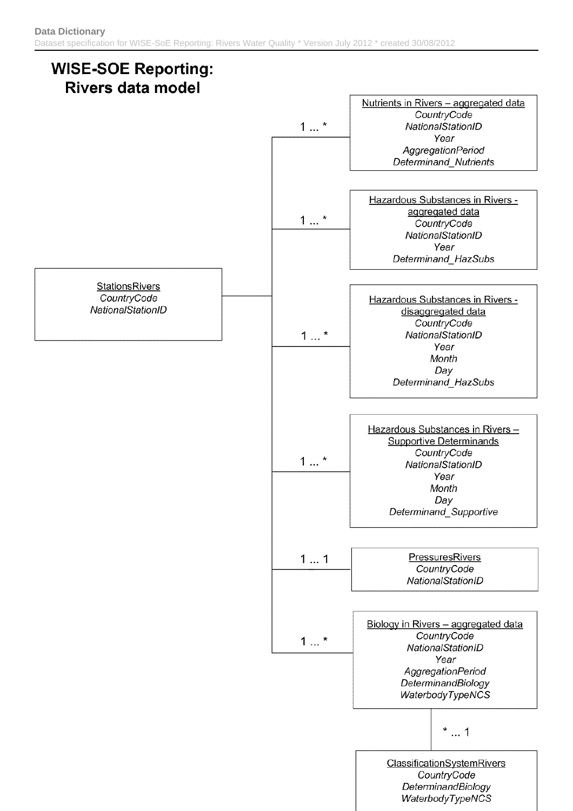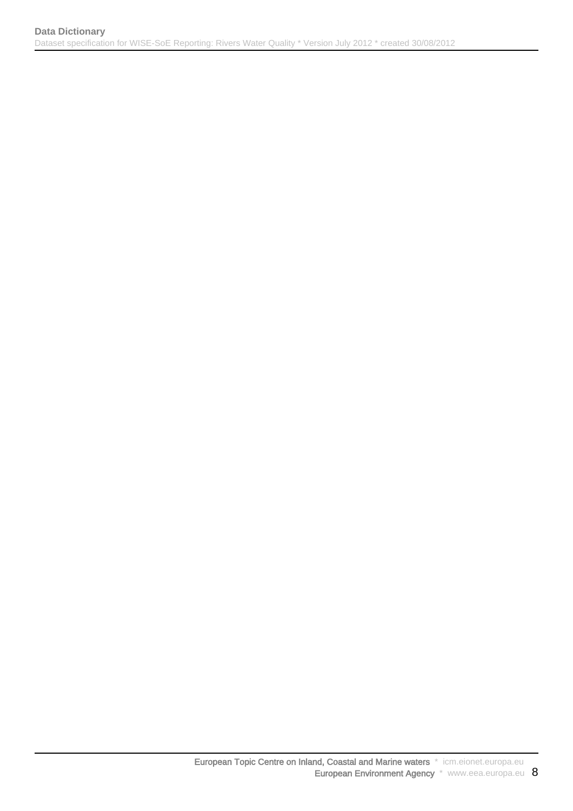European Topic Centre on Inland, Coastal and Marine waters \* icm.eionet.europa.eu European Environment Agency \* www.eea.europa.eu 8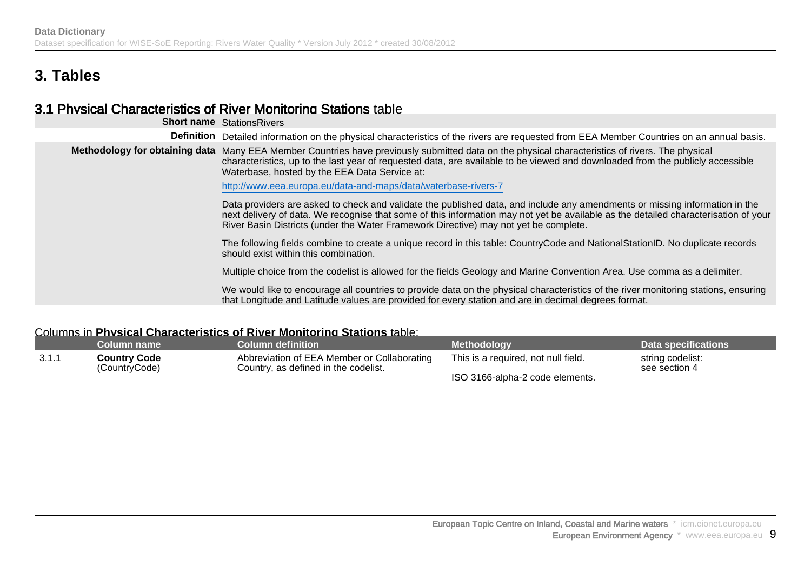# **3. Tables**

### 3.1 Physical Characteristics of River Monitoring Stations table

|                                | <b>Short name</b> Stations Rivers                                                                                                                                                                                                                                                                                                                          |
|--------------------------------|------------------------------------------------------------------------------------------------------------------------------------------------------------------------------------------------------------------------------------------------------------------------------------------------------------------------------------------------------------|
| Definition                     | Detailed information on the physical characteristics of the rivers are requested from EEA Member Countries on an annual basis.                                                                                                                                                                                                                             |
| Methodology for obtaining data | Many EEA Member Countries have previously submitted data on the physical characteristics of rivers. The physical<br>characteristics, up to the last year of requested data, are available to be viewed and downloaded from the publicly accessible<br>Waterbase, hosted by the EEA Data Service at:                                                        |
|                                | http://www.eea.europa.eu/data-and-maps/data/waterbase-rivers-7                                                                                                                                                                                                                                                                                             |
|                                | Data providers are asked to check and validate the published data, and include any amendments or missing information in the<br>next delivery of data. We recognise that some of this information may not yet be available as the detailed characterisation of your<br>River Basin Districts (under the Water Framework Directive) may not yet be complete. |
|                                | The following fields combine to create a unique record in this table: CountryCode and NationalStationID. No duplicate records<br>should exist within this combination.                                                                                                                                                                                     |
|                                | Multiple choice from the codelist is allowed for the fields Geology and Marine Convention Area. Use comma as a delimiter.                                                                                                                                                                                                                                  |
|                                | We would like to encourage all countries to provide data on the physical characteristics of the river monitoring stations, ensuring<br>that Longitude and Latitude values are provided for every station and are in decimal degrees format.                                                                                                                |

#### Columns in **Physical Characteristics of River Monitoring Stations** table:

|       | Column name         | <b>Column definition</b>                    | Methodoloav                         | Data specifications |
|-------|---------------------|---------------------------------------------|-------------------------------------|---------------------|
| 3.1.1 | <b>Country Code</b> | Abbreviation of EEA Member or Collaborating | This is a required, not null field. | string codelist:    |
|       | (CountryCode)       | Country, as defined in the codelist.        | ISO 3166-alpha-2 code elements.     | see section 4       |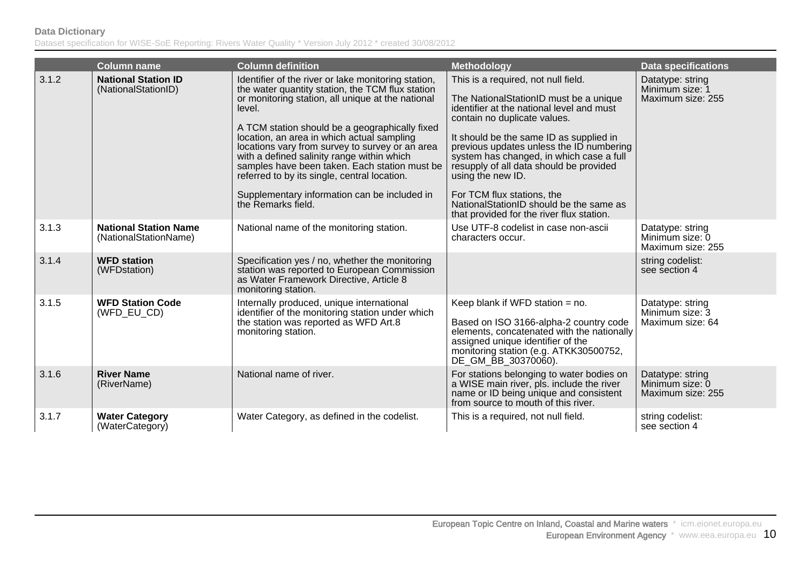|       | <b>Column name</b>                                    | <b>Column definition</b>                                                                                                                                                                                                                                                                                                                                                                                                                                                                                                                       | <b>Methodology</b>                                                                                                                                                                                                                                                                                                                                                                                                                                                                    | <b>Data specifications</b>                               |
|-------|-------------------------------------------------------|------------------------------------------------------------------------------------------------------------------------------------------------------------------------------------------------------------------------------------------------------------------------------------------------------------------------------------------------------------------------------------------------------------------------------------------------------------------------------------------------------------------------------------------------|---------------------------------------------------------------------------------------------------------------------------------------------------------------------------------------------------------------------------------------------------------------------------------------------------------------------------------------------------------------------------------------------------------------------------------------------------------------------------------------|----------------------------------------------------------|
| 3.1.2 | <b>National Station ID</b><br>(NationalStationID)     | Identifier of the river or lake monitoring station,<br>the water quantity station, the TCM flux station<br>or monitoring station, all unique at the national<br>level.<br>A TCM station should be a geographically fixed<br>location, an area in which actual sampling<br>locations vary from survey to survey or an area<br>with a defined salinity range within which<br>samples have been taken. Each station must be<br>referred to by its single, central location.<br>Supplementary information can be included in<br>the Remarks field. | This is a required, not null field.<br>The NationalStationID must be a unique<br>identifier at the national level and must<br>contain no duplicate values.<br>It should be the same ID as supplied in<br>previous updates unless the ID numbering<br>system has changed, in which case a full<br>resupply of all data should be provided<br>using the new ID.<br>For TCM flux stations, the<br>National Station ID should be the same as<br>that provided for the river flux station. | Datatype: string<br>Minimum size: 1<br>Maximum size: 255 |
| 3.1.3 | <b>National Station Name</b><br>(NationalStationName) | National name of the monitoring station.                                                                                                                                                                                                                                                                                                                                                                                                                                                                                                       | Use UTF-8 codelist in case non-ascii<br>characters occur.                                                                                                                                                                                                                                                                                                                                                                                                                             | Datatype: string<br>Minimum size: 0<br>Maximum size: 255 |
| 3.1.4 | <b>WFD station</b><br>(WFDstation)                    | Specification yes / no, whether the monitoring<br>station was reported to European Commission<br>as Water Framework Directive, Article 8<br>monitoring station.                                                                                                                                                                                                                                                                                                                                                                                |                                                                                                                                                                                                                                                                                                                                                                                                                                                                                       | string codelist:<br>see section 4                        |
| 3.1.5 | <b>WFD Station Code</b><br>(WFD_EU_CD)                | Internally produced, unique international<br>identifier of the monitoring station under which<br>the station was reported as WFD Art.8<br>monitoring station.                                                                                                                                                                                                                                                                                                                                                                                  | Keep blank if WFD station $=$ no.<br>Based on ISO 3166-alpha-2 country code<br>elements, concatenated with the nationally<br>assigned unique identifier of the<br>monitoring station (e.g. ATKK30500752,<br>DE_GM_BB_30370060).                                                                                                                                                                                                                                                       | Datatype: string<br>Minimum size: 3<br>Maximum size: 64  |
| 3.1.6 | <b>River Name</b><br>(RiverName)                      | National name of river.                                                                                                                                                                                                                                                                                                                                                                                                                                                                                                                        | For stations belonging to water bodies on<br>a WISE main river, pls. include the river<br>name or ID being unique and consistent<br>from source to mouth of this river.                                                                                                                                                                                                                                                                                                               | Datatype: string<br>Minimum size: 0<br>Maximum size: 255 |
| 3.1.7 | <b>Water Category</b><br>(WaterCategory)              | Water Category, as defined in the codelist.                                                                                                                                                                                                                                                                                                                                                                                                                                                                                                    | This is a required, not null field.                                                                                                                                                                                                                                                                                                                                                                                                                                                   | string codelist:<br>see section 4                        |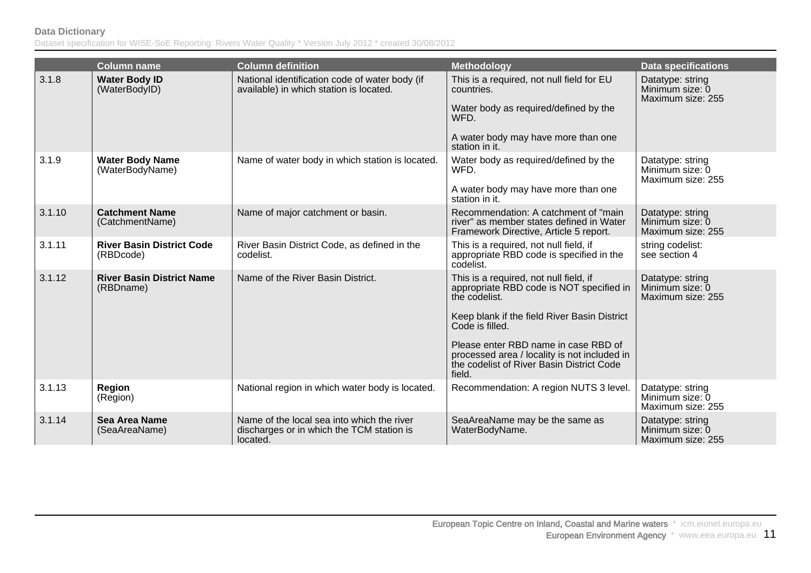|        | <b>Column name</b>                            | <b>Column definition</b>                                                                            | Methodology                                                                                                                                                                                                                                                                                                           | <b>Data specifications</b>                               |
|--------|-----------------------------------------------|-----------------------------------------------------------------------------------------------------|-----------------------------------------------------------------------------------------------------------------------------------------------------------------------------------------------------------------------------------------------------------------------------------------------------------------------|----------------------------------------------------------|
| 3.1.8  | <b>Water Body ID</b><br>(WaterBodyID)         | National identification code of water body (if<br>available) in which station is located.           | This is a required, not null field for EU<br>countries.<br>Water body as required/defined by the<br>WFD.<br>A water body may have more than one<br>station in it.                                                                                                                                                     | Datatype: string<br>Minimum size: 0<br>Maximum size: 255 |
| 3.1.9  | <b>Water Body Name</b><br>(WaterBodyName)     | Name of water body in which station is located.                                                     | Water body as required/defined by the<br>WFD.<br>A water body may have more than one<br>station in it.                                                                                                                                                                                                                | Datatype: string<br>Minimum size: 0<br>Maximum size: 255 |
| 3.1.10 | <b>Catchment Name</b><br>(CatchmentName)      | Name of major catchment or basin.                                                                   | Recommendation: A catchment of "main<br>river" as member states defined in Water<br>Framework Directive, Article 5 report.                                                                                                                                                                                            | Datatype: string<br>Minimum size: 0<br>Maximum size: 255 |
| 3.1.11 | <b>River Basin District Code</b><br>(RBDcode) | River Basin District Code, as defined in the<br>codelist.                                           | This is a required, not null field, if<br>appropriate RBD code is specified in the<br>codelist.                                                                                                                                                                                                                       | string codelist:<br>see section 4                        |
| 3.1.12 | <b>River Basin District Name</b><br>(RBDname) | Name of the River Basin District.                                                                   | This is a required, not null field, if<br>appropriate RBD code is NOT specified in<br>the codelist.<br>Keep blank if the field River Basin District<br>Code is filled.<br>Please enter RBD name in case RBD of<br>processed area / locality is not included in<br>the codelist of River Basin District Code<br>field. | Datatype: string<br>Minimum size: 0<br>Maximum size: 255 |
| 3.1.13 | <b>Region</b><br>(Region)                     | National region in which water body is located.                                                     | Recommendation: A region NUTS 3 level.                                                                                                                                                                                                                                                                                | Datatype: string<br>Minimum size: 0<br>Maximum size: 255 |
| 3.1.14 | <b>Sea Area Name</b><br>(SeaAreaName)         | Name of the local sea into which the river<br>discharges or in which the TCM station is<br>located. | SeaAreaName may be the same as<br>WaterBodyName.                                                                                                                                                                                                                                                                      | Datatype: string<br>Minimum size: 0<br>Maximum size: 255 |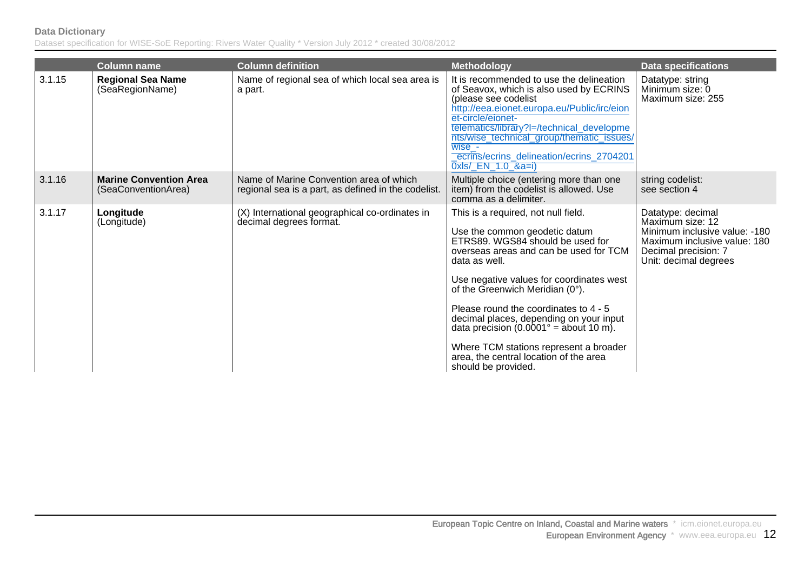|        | <b>Column name</b>                                   | <b>Column definition</b>                                                                       | <b>Methodology</b>                                                                                                                                                                                                                                                                                                                                                                                                                                                                                  | <b>Data specifications</b>                                                                                                                              |
|--------|------------------------------------------------------|------------------------------------------------------------------------------------------------|-----------------------------------------------------------------------------------------------------------------------------------------------------------------------------------------------------------------------------------------------------------------------------------------------------------------------------------------------------------------------------------------------------------------------------------------------------------------------------------------------------|---------------------------------------------------------------------------------------------------------------------------------------------------------|
| 3.1.15 | <b>Regional Sea Name</b><br>(SeaRegionName)          | Name of regional sea of which local sea area is<br>a part.                                     | It is recommended to use the delineation<br>of Seavox, which is also used by ECRINS<br>(please see codelist)<br>http://eea.eionet.europa.eu/Public/irc/eion<br>et-circle/eionet-<br>telematics/library?I=/technical_developme<br>nts/wise_technical_group/thematic_issues/<br>$WISE -$<br>ecrins/ecrins_delineation/ecrins_2704201<br>$0x\sqrt{5}$ EN 1.0 & $a=i$ )                                                                                                                                 | Datatype: string<br>Minimum size: 0<br>Maximum size: 255                                                                                                |
| 3.1.16 | <b>Marine Convention Area</b><br>(SeaConventionArea) | Name of Marine Convention area of which<br>regional sea is a part, as defined in the codelist. | Multiple choice (entering more than one<br>item) from the codelist is allowed. Use<br>comma as a delimiter.                                                                                                                                                                                                                                                                                                                                                                                         | string codelist:<br>see section 4                                                                                                                       |
| 3.1.17 | Longitude<br>(Longitude)                             | (X) International geographical co-ordinates in<br>decimal degrees format.                      | This is a required, not null field.<br>Use the common geodetic datum<br>ETRS89. WGS84 should be used for<br>overseas areas and can be used for TCM<br>data as well.<br>Use negative values for coordinates west<br>of the Greenwich Meridian (0°).<br>Please round the coordinates to 4 - 5<br>decimal places, depending on your input<br>data precision $(0.0001^\circ)$ = about 10 m).<br>Where TCM stations represent a broader<br>area, the central location of the area<br>should be provided. | Datatype: decimal<br>Maximum size: 12<br>Minimum inclusive value: -180<br>Maximum inclusive value: 180<br>Decimal precision: 7<br>Unit: decimal degrees |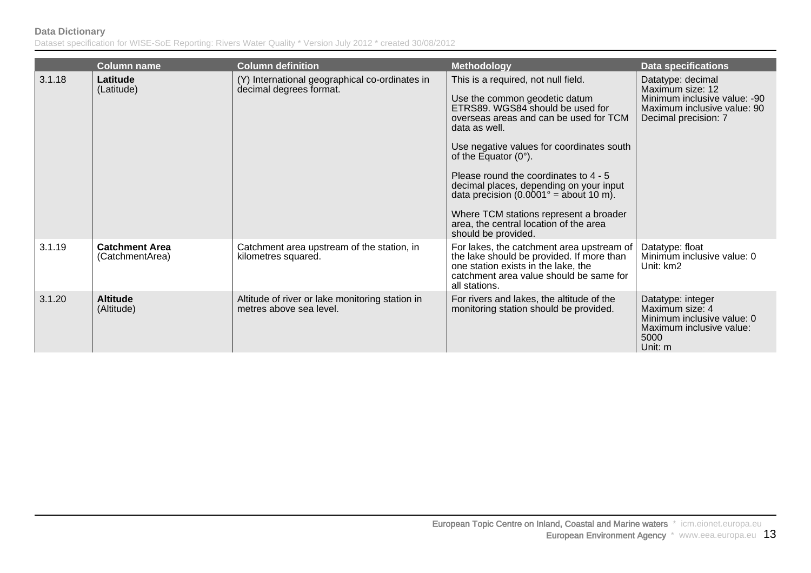|        | <b>Column name</b>                       | <b>Column definition</b>                                                   | <b>Methodology</b>                                                                                                                                                                                                                                                                                                                                                                                                                                                                                  | <b>Data specifications</b>                                                                                                   |
|--------|------------------------------------------|----------------------------------------------------------------------------|-----------------------------------------------------------------------------------------------------------------------------------------------------------------------------------------------------------------------------------------------------------------------------------------------------------------------------------------------------------------------------------------------------------------------------------------------------------------------------------------------------|------------------------------------------------------------------------------------------------------------------------------|
| 3.1.18 | Latitude<br>(Latitude)                   | (Y) International geographical co-ordinates in<br>decimal degrees format.  | This is a required, not null field.<br>Use the common geodetic datum<br>ETRS89. WGS84 should be used for<br>overseas areas and can be used for TCM<br>data as well.<br>Use negative values for coordinates south<br>of the Equator $(0^{\circ})$ .<br>Please round the coordinates to 4 - 5<br>decimal places, depending on your input<br>data precision $(0.0001^\circ)$ = about 10 m).<br>Where TCM stations represent a broader<br>area, the central location of the area<br>should be provided. | Datatype: decimal<br>Maximum size: 12<br>Minimum inclusive value: -90<br>Maximum inclusive value: 90<br>Decimal precision: 7 |
| 3.1.19 | <b>Catchment Area</b><br>(CatchmentArea) | Catchment area upstream of the station, in<br>kilometres squared.          | For lakes, the catchment area upstream of<br>the lake should be provided. If more than<br>one station exists in the lake, the<br>catchment area value should be same for<br>all stations.                                                                                                                                                                                                                                                                                                           | Datatype: float<br>Minimum inclusive value: 0<br>Unit: km2                                                                   |
| 3.1.20 | <b>Altitude</b><br>(Altitude)            | Altitude of river or lake monitoring station in<br>metres above sea level. | For rivers and lakes, the altitude of the<br>monitoring station should be provided.                                                                                                                                                                                                                                                                                                                                                                                                                 | Datatype: integer<br>Maximum size: 4<br>Minimum inclusive value: 0<br>Maximum inclusive value:<br>5000<br>Unit: m            |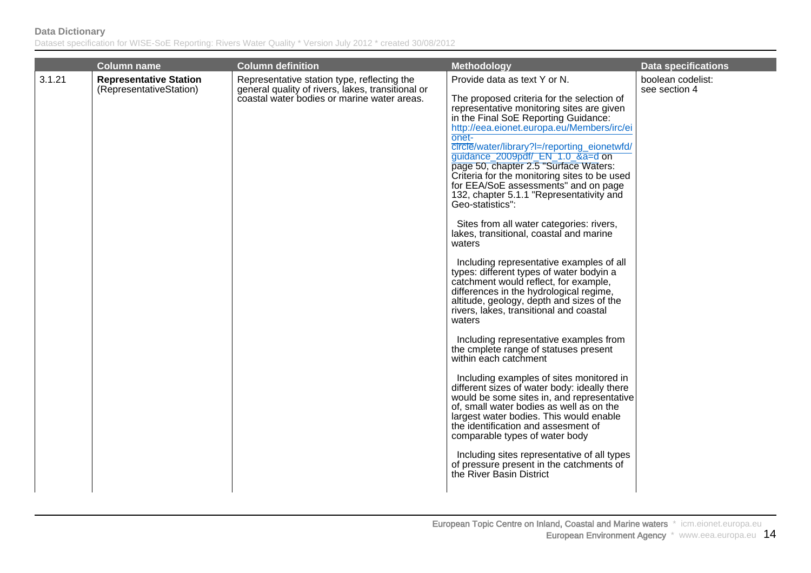|        | <b>Column name</b>                                       | <b>Column definition</b>                                                                                                                        | Methodology                                                                                                                                                                                                                                                                                                                                                                                                                                                                                                                                                                                                                                                                                                                                                                                                                                                                                                                                                                                                                                                                                                                                                                                                                                                                                                                                                                                                                                                                       | <b>Data specifications</b>         |
|--------|----------------------------------------------------------|-------------------------------------------------------------------------------------------------------------------------------------------------|-----------------------------------------------------------------------------------------------------------------------------------------------------------------------------------------------------------------------------------------------------------------------------------------------------------------------------------------------------------------------------------------------------------------------------------------------------------------------------------------------------------------------------------------------------------------------------------------------------------------------------------------------------------------------------------------------------------------------------------------------------------------------------------------------------------------------------------------------------------------------------------------------------------------------------------------------------------------------------------------------------------------------------------------------------------------------------------------------------------------------------------------------------------------------------------------------------------------------------------------------------------------------------------------------------------------------------------------------------------------------------------------------------------------------------------------------------------------------------------|------------------------------------|
| 3.1.21 | <b>Representative Station</b><br>(RepresentativeStation) | Representative station type, reflecting the<br>general quality of rivers, lakes, transitional or<br>coastal water bodies or marine water areas. | Provide data as text Y or N.<br>The proposed criteria for the selection of<br>representative monitoring sites are given<br>in the Final SoE Reporting Guidance:<br>http://eea.eionet.europa.eu/Members/irc/ei<br>onet-<br>circle/water/library?l=/reporting_eionetwfd/<br>$\overline{quidance_2009pdf_0}$ $\overline{EN_1.0}$ $\overline{8a} = d$ on<br>page 50, chapter 2.5 "Surface Waters:<br>Criteria for the monitoring sites to be used<br>for EEA/SoE assessments" and on page<br>132, chapter 5.1.1 "Representativity and<br>Geo-statistics":<br>Sites from all water categories: rivers,<br>lakes, transitional, coastal and marine<br>waters<br>Including representative examples of all<br>types: different types of water bodyin a<br>catchment would reflect, for example,<br>differences in the hydrological regime,<br>altitude, geology, depth and sizes of the<br>rivers, lakes, transitional and coastal<br>waters<br>Including representative examples from<br>the cmplete range of statuses present<br>within each catchment<br>Including examples of sites monitored in<br>different sizes of water body: ideally there<br>would be some sites in, and representative<br>of, small water bodies as well as on the<br>largest water bodies. This would enable<br>the identification and assesment of<br>comparable types of water body<br>Including sites representative of all types<br>of pressure present in the catchments of<br>the River Basin District | boolean codelist:<br>see section 4 |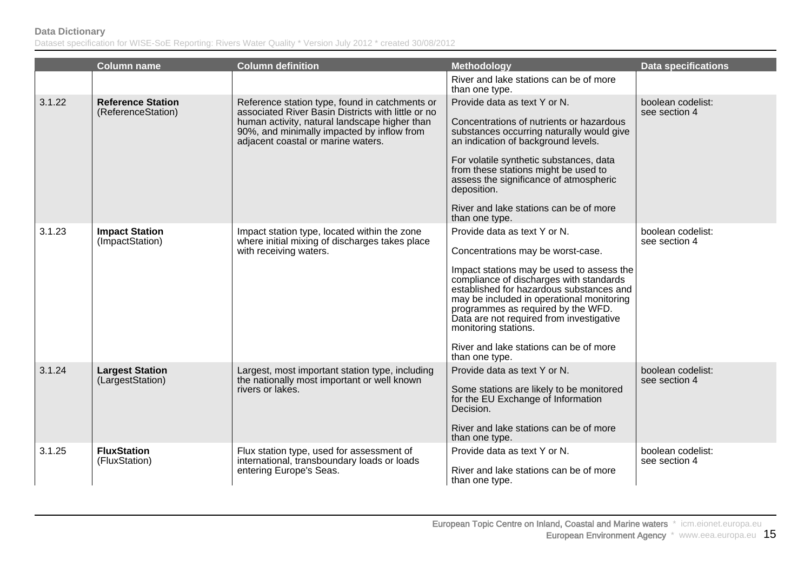|        | <b>Column name</b>                             | <b>Column definition</b>                                                                                                                                                                                                                  | Methodology                                                                                                                                                                                                                                                                                                                                                                                                              | <b>Data specifications</b>         |
|--------|------------------------------------------------|-------------------------------------------------------------------------------------------------------------------------------------------------------------------------------------------------------------------------------------------|--------------------------------------------------------------------------------------------------------------------------------------------------------------------------------------------------------------------------------------------------------------------------------------------------------------------------------------------------------------------------------------------------------------------------|------------------------------------|
|        |                                                |                                                                                                                                                                                                                                           | River and lake stations can be of more<br>than one type.                                                                                                                                                                                                                                                                                                                                                                 |                                    |
| 3.1.22 | <b>Reference Station</b><br>(ReferenceStation) | Reference station type, found in catchments or<br>associated River Basin Districts with little or no<br>human activity, natural landscape higher than<br>90%, and minimally impacted by inflow from<br>adjacent coastal or marine waters. | Provide data as text Y or N.<br>Concentrations of nutrients or hazardous<br>substances occurring naturally would give<br>an indication of background levels.<br>For volatile synthetic substances, data<br>from these stations might be used to<br>assess the significance of atmospheric<br>deposition.<br>River and lake stations can be of more<br>than one type.                                                     | boolean codelist:<br>see section 4 |
| 3.1.23 | <b>Impact Station</b><br>(ImpactStation)       | Impact station type, located within the zone<br>where initial mixing of discharges takes place<br>with receiving waters.                                                                                                                  | Provide data as text Y or N.<br>Concentrations may be worst-case.<br>Impact stations may be used to assess the<br>compliance of discharges with standards<br>established for hazardous substances and<br>may be included in operational monitoring<br>programmes as required by the WFD.<br>Data are not required from investigative<br>monitoring stations.<br>River and lake stations can be of more<br>than one type. | boolean codelist:<br>see section 4 |
| 3.1.24 | <b>Largest Station</b><br>(LargestStation)     | Largest, most important station type, including<br>the nationally most important or well known<br>rivers or lakes.                                                                                                                        | Provide data as text Y or N.<br>Some stations are likely to be monitored<br>for the EU Exchange of Information<br>Decision.<br>River and lake stations can be of more<br>than one type.                                                                                                                                                                                                                                  | boolean codelist:<br>see section 4 |
| 3.1.25 | <b>FluxStation</b><br>(FluxStation)            | Flux station type, used for assessment of<br>international, transboundary loads or loads<br>entering Europe's Seas.                                                                                                                       | Provide data as text Y or N.<br>River and lake stations can be of more<br>than one type.                                                                                                                                                                                                                                                                                                                                 | boolean codelist:<br>see section 4 |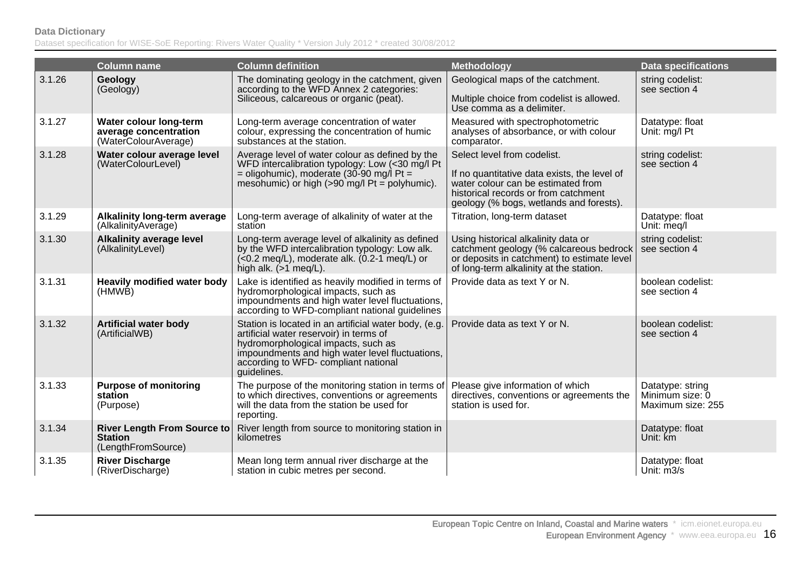|        | <b>Column name</b>                                                         | <b>Column definition</b>                                                                                                                                                                                                                          | <b>Methodology</b>                                                                                                                                                                                   | <b>Data specifications</b>                               |
|--------|----------------------------------------------------------------------------|---------------------------------------------------------------------------------------------------------------------------------------------------------------------------------------------------------------------------------------------------|------------------------------------------------------------------------------------------------------------------------------------------------------------------------------------------------------|----------------------------------------------------------|
| 3.1.26 | Geology<br>(Geology)                                                       | The dominating geology in the catchment, given<br>according to the WFD Annex 2 categories:<br>Siliceous, calcareous or organic (peat).                                                                                                            | Geological maps of the catchment.<br>Multiple choice from codelist is allowed.<br>Use comma as a delimiter.                                                                                          | string codelist:<br>see section 4                        |
| 3.1.27 | Water colour long-term<br>average concentration<br>(WaterColourAverage)    | Long-term average concentration of water<br>colour, expressing the concentration of humic<br>substances at the station.                                                                                                                           | Measured with spectrophotometric<br>analyses of absorbance, or with colour<br>comparator.                                                                                                            | Datatype: float<br>Unit: mg/l Pt                         |
| 3.1.28 | Water colour average level<br>(WaterColourLevel)                           | Average level of water colour as defined by the<br>WFD intercalibration typology: Low (<30 mg/l Pt<br>= oligohumic), moderate (30-90 mg/l Pt =<br>mesohumic) or high $(>90 \text{ mg/l} \text{ Pt} = \text{polyhumic}).$                          | Select level from codelist.<br>If no quantitative data exists, the level of<br>water colour can be estimated from<br>historical records or from catchment<br>geology (% bogs, wetlands and forests). | string codelist:<br>see section 4                        |
| 3.1.29 | <b>Alkalinity long-term average</b><br>(AlkalinityAverage)                 | Long-term average of alkalinity of water at the<br>station                                                                                                                                                                                        | Titration, long-term dataset                                                                                                                                                                         | Datatype: float<br>Unit: meg/l                           |
| 3.1.30 | <b>Alkalinity average level</b><br>(AlkalinityLevel)                       | Long-term average level of alkalinity as defined<br>by the WFD intercalibration typology: Low alk.<br>(<0.2 meq/L), moderate alk. (0.2-1 meq/L) or<br>high alk. (>1 meq/L).                                                                       | Using historical alkalinity data or<br>catchment geology (% calcareous bedrock<br>or deposits in catchment) to estimate level<br>of long-term alkalinity at the station.                             | string codelist:<br>see section 4                        |
| 3.1.31 | <b>Heavily modified water body</b><br>(HMWB)                               | Lake is identified as heavily modified in terms of<br>hydromorphological impacts, such as<br>impoundments and high water level fluctuations,<br>according to WFD-compliant national guidelines                                                    | Provide data as text Y or N.                                                                                                                                                                         | boolean codelist:<br>see section 4                       |
| 3.1.32 | <b>Artificial water body</b><br>(ArtificialWB)                             | Station is located in an artificial water body, (e.g.<br>artificial water reservoir) in terms of<br>hydromorphological impacts, such as<br>impoundments and high water level fluctuations,<br>according to WFD- compliant national<br>guidelines. | Provide data as text Y or N.                                                                                                                                                                         | boolean codelist:<br>see section 4                       |
| 3.1.33 | <b>Purpose of monitoring</b><br>station<br>(Purpose)                       | The purpose of the monitoring station in terms of<br>to which directives, conventions or agreements<br>will the data from the station be used for<br>reporting.                                                                                   | Please give information of which<br>directives, conventions or agreements the<br>station is used for.                                                                                                | Datatype: string<br>Minimum size: 0<br>Maximum size: 255 |
| 3.1.34 | <b>River Length From Source to</b><br><b>Station</b><br>(LengthFromSource) | River length from source to monitoring station in<br>kilometres                                                                                                                                                                                   |                                                                                                                                                                                                      | Datatype: float<br>Unit: km                              |
| 3.1.35 | <b>River Discharge</b><br>(RiverDischarge)                                 | Mean long term annual river discharge at the<br>station in cubic metres per second.                                                                                                                                                               |                                                                                                                                                                                                      | Datatype: float<br>Unit: m3/s                            |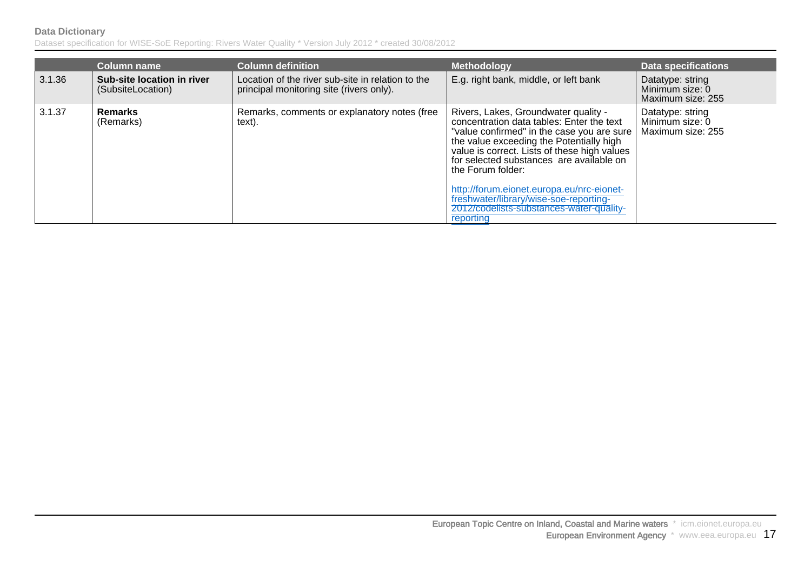|        | <b>Column name</b>                              | <b>Column definition</b>                                                                      | <b>Methodology</b>                                                                                                                                                                                                                                                                                                                                                                                                                           | <b>Data specifications</b>                               |
|--------|-------------------------------------------------|-----------------------------------------------------------------------------------------------|----------------------------------------------------------------------------------------------------------------------------------------------------------------------------------------------------------------------------------------------------------------------------------------------------------------------------------------------------------------------------------------------------------------------------------------------|----------------------------------------------------------|
| 3.1.36 | Sub-site location in river<br>(SubsiteLocation) | Location of the river sub-site in relation to the<br>principal monitoring site (rivers only). | E.g. right bank, middle, or left bank                                                                                                                                                                                                                                                                                                                                                                                                        | Datatype: string<br>Minimum size: 0<br>Maximum size: 255 |
| 3.1.37 | <b>Remarks</b><br>(Remarks)                     | Remarks, comments or explanatory notes (free<br>text).                                        | Rivers, Lakes, Groundwater quality -<br>concentration data tables: Enter the text<br>"value confirmed" in the case you are sure<br>the value exceeding the Potentially high<br>value is correct. Lists of these high values<br>for selected substances are available on<br>the Forum folder:<br>http://forum.eionet.europa.eu/nrc-eionet-<br>freshwater/library/wise-soe-reporting-<br>2012/codelists-substances-water-quality-<br>reporting | Datatype: string<br>Minimum size: 0<br>Maximum size: 255 |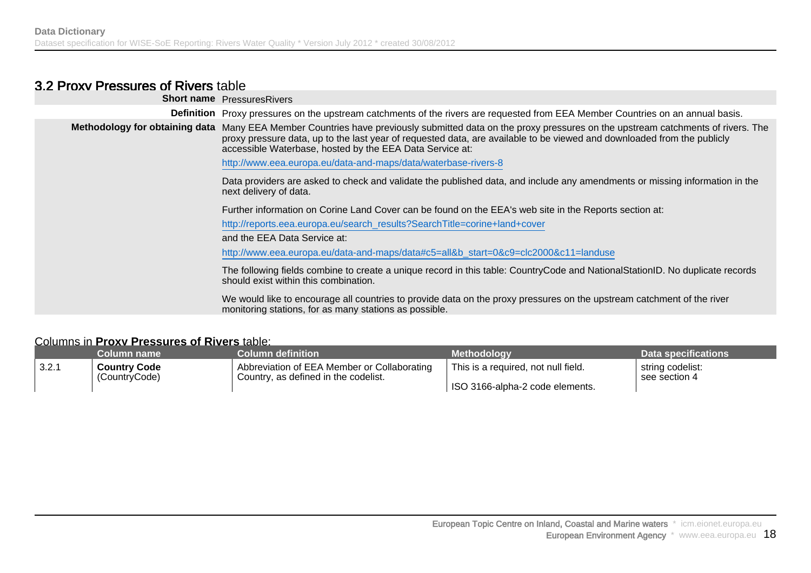### 3.2 Proxy Pressures of Rivers table

|                                                                                                                                                       | <b>Short name</b> Pressures Rivers                                                                                                                                                                                                                                                                                                              |  |  |  |
|-------------------------------------------------------------------------------------------------------------------------------------------------------|-------------------------------------------------------------------------------------------------------------------------------------------------------------------------------------------------------------------------------------------------------------------------------------------------------------------------------------------------|--|--|--|
|                                                                                                                                                       | Definition Proxy pressures on the upstream catchments of the rivers are requested from EEA Member Countries on an annual basis.                                                                                                                                                                                                                 |  |  |  |
|                                                                                                                                                       | Methodology for obtaining data Many EEA Member Countries have previously submitted data on the proxy pressures on the upstream catchments of rivers. The<br>proxy pressure data, up to the last year of requested data, are available to be viewed and downloaded from the publicly<br>accessible Waterbase, hosted by the EEA Data Service at: |  |  |  |
|                                                                                                                                                       | http://www.eea.europa.eu/data-and-maps/data/waterbase-rivers-8                                                                                                                                                                                                                                                                                  |  |  |  |
| Data providers are asked to check and validate the published data, and include any amendments or missing information in the<br>next delivery of data. |                                                                                                                                                                                                                                                                                                                                                 |  |  |  |
|                                                                                                                                                       | Further information on Corine Land Cover can be found on the EEA's web site in the Reports section at:                                                                                                                                                                                                                                          |  |  |  |
|                                                                                                                                                       | http://reports.eea.europa.eu/search_results?SearchTitle=corine+land+cover                                                                                                                                                                                                                                                                       |  |  |  |
|                                                                                                                                                       | and the EEA Data Service at:                                                                                                                                                                                                                                                                                                                    |  |  |  |
|                                                                                                                                                       | http://www.eea.europa.eu/data-and-maps/data#c5=all&b_start=0&c9=clc2000&c11=landuse                                                                                                                                                                                                                                                             |  |  |  |
|                                                                                                                                                       | The following fields combine to create a unique record in this table: CountryCode and NationalStationID. No duplicate records<br>should exist within this combination.                                                                                                                                                                          |  |  |  |
|                                                                                                                                                       | We would like to encourage all countries to provide data on the proxy pressures on the upstream catchment of the river<br>monitoring stations, for as many stations as possible.                                                                                                                                                                |  |  |  |

### Columns in **Proxy Pressures of Rivers** table:

|       | Column name         | <b>Column definition</b>                    | Methodoloav                         | Data specifications |
|-------|---------------------|---------------------------------------------|-------------------------------------|---------------------|
| 3.2.1 | <b>Country Code</b> | Abbreviation of EEA Member or Collaborating | This is a required, not null field. | string codelist:    |
|       | (CountryCode)       | Country, as defined in the codelist.        | ISO 3166-alpha-2 code elements.     | see section 4       |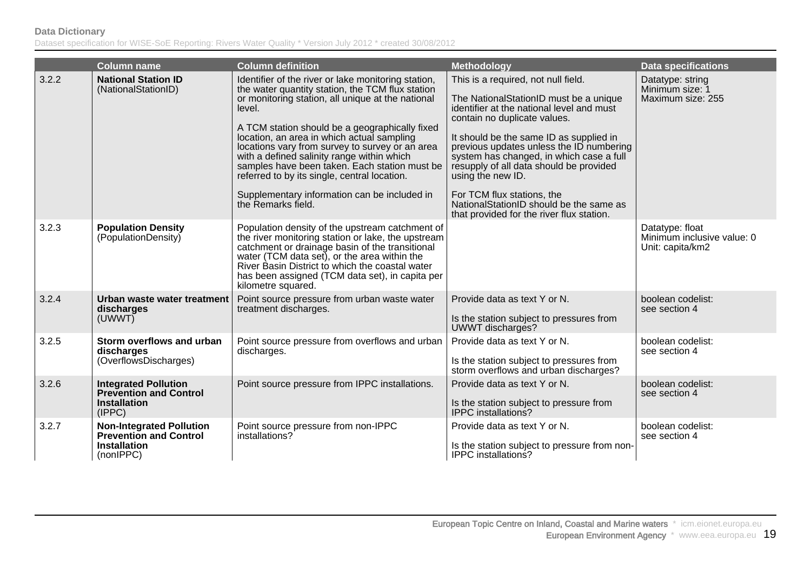|       | <b>Column name</b>                                                                                   | <b>Column definition</b>                                                                                                                                                                                                                                                                                                                                                                                                                                                                                                                       | <b>Methodology</b>                                                                                                                                                                                                                                                                                                                                                                                                                                                                  | <b>Data specifications</b>                                        |
|-------|------------------------------------------------------------------------------------------------------|------------------------------------------------------------------------------------------------------------------------------------------------------------------------------------------------------------------------------------------------------------------------------------------------------------------------------------------------------------------------------------------------------------------------------------------------------------------------------------------------------------------------------------------------|-------------------------------------------------------------------------------------------------------------------------------------------------------------------------------------------------------------------------------------------------------------------------------------------------------------------------------------------------------------------------------------------------------------------------------------------------------------------------------------|-------------------------------------------------------------------|
| 3.2.2 | <b>National Station ID</b><br>(NationalStationID)                                                    | Identifier of the river or lake monitoring station,<br>the water quantity station, the TCM flux station<br>or monitoring station, all unique at the national<br>level.<br>A TCM station should be a geographically fixed<br>location, an area in which actual sampling<br>locations vary from survey to survey or an area<br>with a defined salinity range within which<br>samples have been taken. Each station must be<br>referred to by its single, central location.<br>Supplementary information can be included in<br>the Remarks field. | This is a required, not null field.<br>The NationalStationID must be a unique<br>identifier at the national level and must<br>contain no duplicate values.<br>It should be the same ID as supplied in<br>previous updates unless the ID numbering<br>system has changed, in which case a full<br>resupply of all data should be provided<br>using the new ID.<br>For TCM flux stations, the<br>NationalStationID should be the same as<br>that provided for the river flux station. | Datatype: string<br>Minimum size: 1<br>Maximum size: 255          |
| 3.2.3 | <b>Population Density</b><br>(PopulationDensity)                                                     | Population density of the upstream catchment of<br>the river monitoring station or lake, the upstream<br>catchment or drainage basin of the transitional<br>water (TCM data set), or the area within the<br>River Basin District to which the coastal water<br>has been assigned (TCM data set), in capita per<br>kilometre squared.                                                                                                                                                                                                           |                                                                                                                                                                                                                                                                                                                                                                                                                                                                                     | Datatype: float<br>Minimum inclusive value: 0<br>Unit: capita/km2 |
| 3.2.4 | Urban waste water treatment<br>discharges<br>(UWWT)                                                  | Point source pressure from urban waste water<br>treatment discharges.                                                                                                                                                                                                                                                                                                                                                                                                                                                                          | Provide data as text Y or N.<br>Is the station subject to pressures from<br>UWWT discharges?                                                                                                                                                                                                                                                                                                                                                                                        | boolean codelist:<br>see section 4                                |
| 3.2.5 | Storm overflows and urban<br>discharges<br>(OverflowsDischarges)                                     | Point source pressure from overflows and urban<br>discharges.                                                                                                                                                                                                                                                                                                                                                                                                                                                                                  | Provide data as text Y or N.<br>Is the station subject to pressures from<br>storm overflows and urban discharges?                                                                                                                                                                                                                                                                                                                                                                   | boolean codelist:<br>see section 4                                |
| 3.2.6 | <b>Integrated Pollution</b><br><b>Prevention and Control</b><br><b>Installation</b><br>(IPPC)        | Point source pressure from IPPC installations.                                                                                                                                                                                                                                                                                                                                                                                                                                                                                                 | Provide data as text Y or N.<br>Is the station subject to pressure from<br><b>IPPC</b> installations?                                                                                                                                                                                                                                                                                                                                                                               | boolean codelist:<br>see section 4                                |
| 3.2.7 | <b>Non-Integrated Pollution</b><br><b>Prevention and Control</b><br><b>Installation</b><br>(nonIPPC) | Point source pressure from non-IPPC<br>installations?                                                                                                                                                                                                                                                                                                                                                                                                                                                                                          | Provide data as text Y or N.<br>Is the station subject to pressure from non-<br>IPPC installations?                                                                                                                                                                                                                                                                                                                                                                                 | boolean codelist:<br>see section 4                                |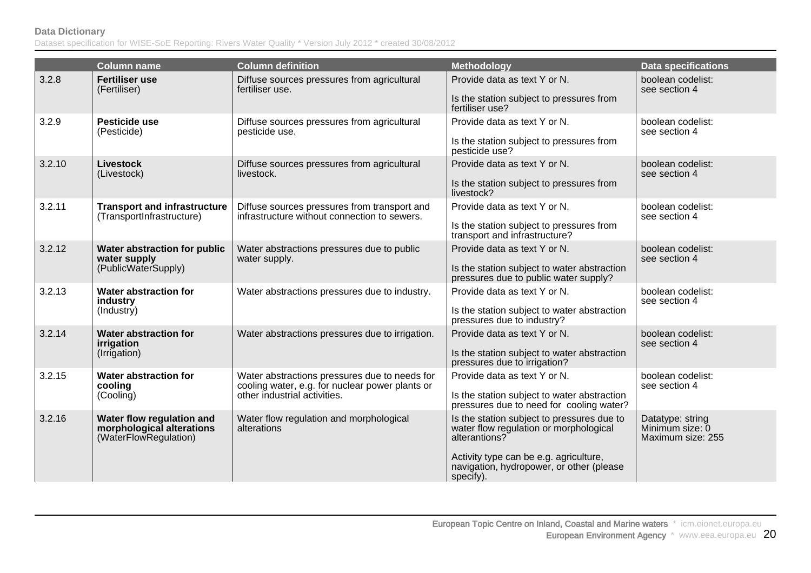|        | <b>Column name</b>                                                              | <b>Column definition</b>                                                                                                         | <b>Methodology</b>                                                                                                                                                                          | <b>Data specifications</b>                               |
|--------|---------------------------------------------------------------------------------|----------------------------------------------------------------------------------------------------------------------------------|---------------------------------------------------------------------------------------------------------------------------------------------------------------------------------------------|----------------------------------------------------------|
| 3.2.8  | <b>Fertiliser use</b><br>(Fertiliser)                                           | Diffuse sources pressures from agricultural<br>fertiliser use.                                                                   | Provide data as text Y or N.<br>Is the station subject to pressures from                                                                                                                    | boolean codelist:<br>see section 4                       |
|        |                                                                                 |                                                                                                                                  | fertiliser use?                                                                                                                                                                             |                                                          |
| 3.2.9  | Pesticide use<br>(Pesticide)                                                    | Diffuse sources pressures from agricultural<br>pesticide use.                                                                    | Provide data as text Y or N.<br>Is the station subject to pressures from<br>pesticide use?                                                                                                  | boolean codelist:<br>see section 4                       |
| 3.2.10 | <b>Livestock</b><br>(Livestock)                                                 | Diffuse sources pressures from agricultural<br>livestock.                                                                        | Provide data as text Y or N.<br>Is the station subject to pressures from<br>livestock?                                                                                                      | boolean codelist:<br>see section 4                       |
| 3.2.11 | <b>Transport and infrastructure</b><br>(TransportInfrastructure)                | Diffuse sources pressures from transport and<br>infrastructure without connection to sewers.                                     | Provide data as text Y or N.<br>Is the station subject to pressures from<br>transport and infrastructure?                                                                                   | boolean codelist:<br>see section 4                       |
| 3.2.12 | Water abstraction for public<br>water supply<br>(PublicWaterSupply)             | Water abstractions pressures due to public<br>water supply.                                                                      | Provide data as text Y or N.<br>Is the station subject to water abstraction<br>pressures due to public water supply?                                                                        | boolean codelist:<br>see section 4                       |
| 3.2.13 | <b>Water abstraction for</b><br>industry<br>(Industry)                          | Water abstractions pressures due to industry.                                                                                    | Provide data as text Y or N.<br>Is the station subject to water abstraction<br>pressures due to industry?                                                                                   | boolean codelist:<br>see section 4                       |
| 3.2.14 | <b>Water abstraction for</b><br>irrigation<br>(Irrigation)                      | Water abstractions pressures due to irrigation.                                                                                  | Provide data as text Y or N.<br>Is the station subject to water abstraction<br>pressures due to irrigation?                                                                                 | boolean codelist:<br>see section 4                       |
| 3.2.15 | <b>Water abstraction for</b><br>cooling<br>(Cooling)                            | Water abstractions pressures due to needs for<br>cooling water, e.g. for nuclear power plants or<br>other industrial activities. | Provide data as text Y or N.<br>Is the station subject to water abstraction<br>pressures due to need for cooling water?                                                                     | boolean codelist:<br>see section 4                       |
| 3.2.16 | Water flow regulation and<br>morphological alterations<br>(WaterFlowRegulation) | Water flow regulation and morphological<br>alterations                                                                           | Is the station subject to pressures due to<br>water flow regulation or morphological<br>alterantions?<br>Activity type can be e.g. agriculture,<br>navigation, hydropower, or other (please | Datatype: string<br>Minimum size: 0<br>Maximum size: 255 |
|        |                                                                                 |                                                                                                                                  | specify).                                                                                                                                                                                   |                                                          |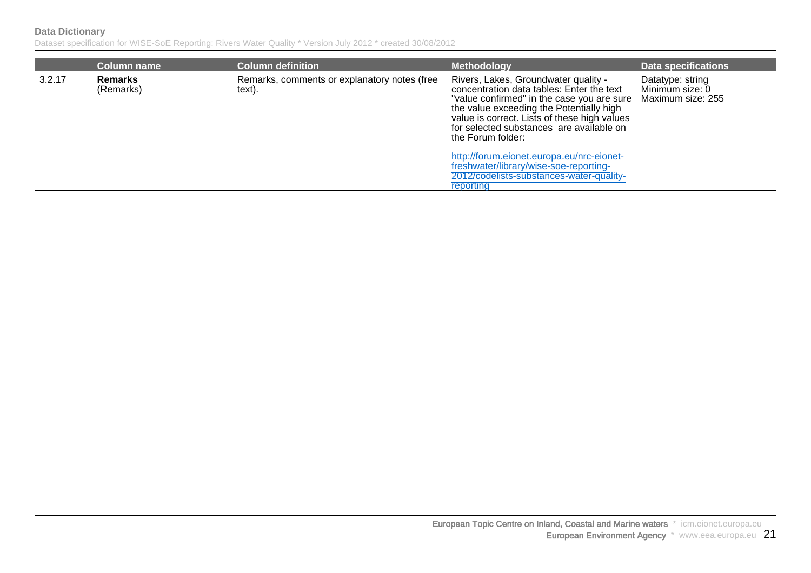|        | Column name                 | <b>Column definition</b>                               | <b>Methodology</b>                                                                                                                                                                                                                                                                           | <b>Data specifications</b>                               |
|--------|-----------------------------|--------------------------------------------------------|----------------------------------------------------------------------------------------------------------------------------------------------------------------------------------------------------------------------------------------------------------------------------------------------|----------------------------------------------------------|
| 3.2.17 | <b>Remarks</b><br>(Remarks) | Remarks, comments or explanatory notes (free<br>text). | Rivers, Lakes, Groundwater quality -<br>concentration data tables: Enter the text<br>"value confirmed" in the case you are sure<br>the value exceeding the Potentially high<br>value is correct. Lists of these high values<br>for selected substances are available on<br>the Forum folder: | Datatype: string<br>Minimum size: 0<br>Maximum size: 255 |
|        |                             |                                                        | http://forum.eionet.europa.eu/nrc-eionet-<br>freshwater/library/wise-soe-reporting-                                                                                                                                                                                                          |                                                          |
|        |                             |                                                        | 2012/codelists-substances-water-quality-<br>reporting                                                                                                                                                                                                                                        |                                                          |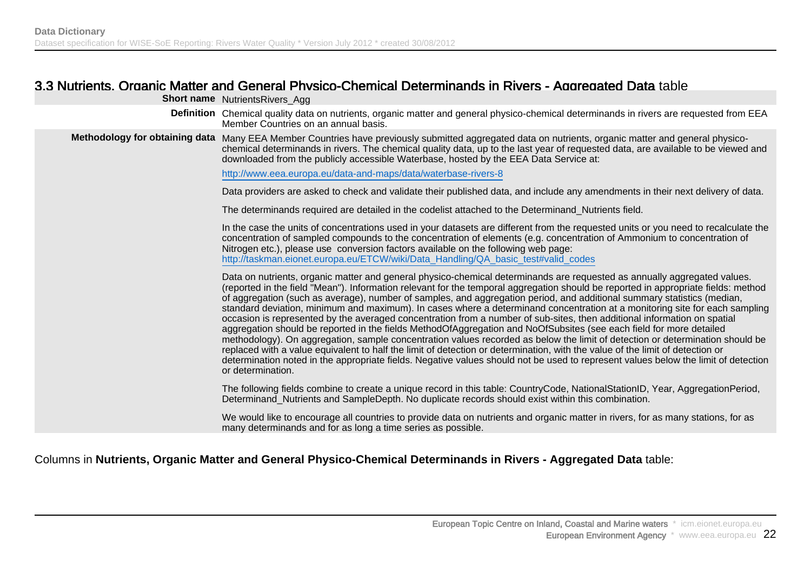### 3.3 Nutrients, Organic Matter and General Physico-Chemical Determinands in Rivers - Aggregated Data table

| <b>Short name</b> NutrientsRivers_Agg                                                                                                                                                                                                                                                                                                                                                                                                                                                                                                                                                                                                                                                                                                                                                                                                                                                                                                                                                                                                                                                                                                                                                                    |
|----------------------------------------------------------------------------------------------------------------------------------------------------------------------------------------------------------------------------------------------------------------------------------------------------------------------------------------------------------------------------------------------------------------------------------------------------------------------------------------------------------------------------------------------------------------------------------------------------------------------------------------------------------------------------------------------------------------------------------------------------------------------------------------------------------------------------------------------------------------------------------------------------------------------------------------------------------------------------------------------------------------------------------------------------------------------------------------------------------------------------------------------------------------------------------------------------------|
| Definition Chemical quality data on nutrients, organic matter and general physico-chemical determinands in rivers are requested from EEA<br>Member Countries on an annual basis.                                                                                                                                                                                                                                                                                                                                                                                                                                                                                                                                                                                                                                                                                                                                                                                                                                                                                                                                                                                                                         |
| Methodology for obtaining data Many EEA Member Countries have previously submitted aggregated data on nutrients, organic matter and general physico-<br>chemical determinands in rivers. The chemical quality data, up to the last year of requested data, are available to be viewed and<br>downloaded from the publicly accessible Waterbase, hosted by the EEA Data Service at:                                                                                                                                                                                                                                                                                                                                                                                                                                                                                                                                                                                                                                                                                                                                                                                                                       |
| http://www.eea.europa.eu/data-and-maps/data/waterbase-rivers-8                                                                                                                                                                                                                                                                                                                                                                                                                                                                                                                                                                                                                                                                                                                                                                                                                                                                                                                                                                                                                                                                                                                                           |
| Data providers are asked to check and validate their published data, and include any amendments in their next delivery of data.                                                                                                                                                                                                                                                                                                                                                                                                                                                                                                                                                                                                                                                                                                                                                                                                                                                                                                                                                                                                                                                                          |
| The determinands required are detailed in the codelist attached to the Determinand_Nutrients field.                                                                                                                                                                                                                                                                                                                                                                                                                                                                                                                                                                                                                                                                                                                                                                                                                                                                                                                                                                                                                                                                                                      |
| In the case the units of concentrations used in your datasets are different from the requested units or you need to recalculate the<br>concentration of sampled compounds to the concentration of elements (e.g. concentration of Ammonium to concentration of<br>Nitrogen etc.), please use conversion factors available on the following web page:<br>http://taskman.eionet.europa.eu/ETCW/wiki/Data_Handling/QA_basic_test#valid_codes                                                                                                                                                                                                                                                                                                                                                                                                                                                                                                                                                                                                                                                                                                                                                                |
| Data on nutrients, organic matter and general physico-chemical determinands are requested as annually aggregated values.<br>(reported in the field "Mean"). Information relevant for the temporal aggregation should be reported in appropriate fields: method<br>of aggregation (such as average), number of samples, and aggregation period, and additional summary statistics (median,<br>standard deviation, minimum and maximum). In cases where a determinand concentration at a monitoring site for each sampling<br>occasion is represented by the averaged concentration from a number of sub-sites, then additional information on spatial<br>aggregation should be reported in the fields MethodOfAggregation and NoOfSubsites (see each field for more detailed<br>methodology). On aggregation, sample concentration values recorded as below the limit of detection or determination should be<br>replaced with a value equivalent to half the limit of detection or determination, with the value of the limit of detection or<br>determination noted in the appropriate fields. Negative values should not be used to represent values below the limit of detection<br>or determination. |
| The following fields combine to create a unique record in this table: CountryCode, NationalStationID, Year, AggregationPeriod,<br>Determinand_Nutrients and SampleDepth. No duplicate records should exist within this combination.                                                                                                                                                                                                                                                                                                                                                                                                                                                                                                                                                                                                                                                                                                                                                                                                                                                                                                                                                                      |
| We would like to encourage all countries to provide data on nutrients and organic matter in rivers, for as many stations, for as<br>many determinands and for as long a time series as possible.                                                                                                                                                                                                                                                                                                                                                                                                                                                                                                                                                                                                                                                                                                                                                                                                                                                                                                                                                                                                         |
|                                                                                                                                                                                                                                                                                                                                                                                                                                                                                                                                                                                                                                                                                                                                                                                                                                                                                                                                                                                                                                                                                                                                                                                                          |

#### Columns in **Nutrients, Organic Matter and General Physico-Chemical Determinands in Rivers - Aggregated Data** table: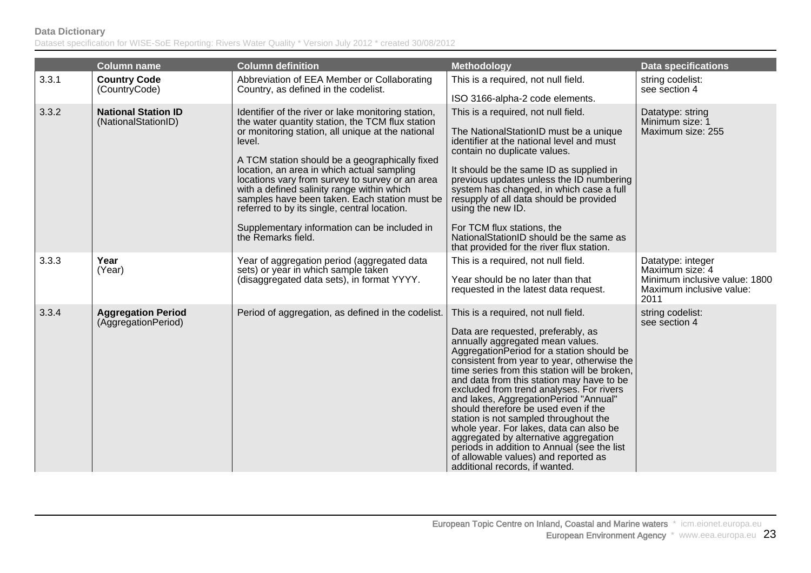|       | <b>Column name</b>                                | <b>Column definition</b>                                                                                                                                                                                                                                                                                                                                                                                                                                                                                                                       | <b>Methodology</b>                                                                                                                                                                                                                                                                                                                                                                                                                                                                                                                                                                                                                                                                          | <b>Data specifications</b>                                                                                |
|-------|---------------------------------------------------|------------------------------------------------------------------------------------------------------------------------------------------------------------------------------------------------------------------------------------------------------------------------------------------------------------------------------------------------------------------------------------------------------------------------------------------------------------------------------------------------------------------------------------------------|---------------------------------------------------------------------------------------------------------------------------------------------------------------------------------------------------------------------------------------------------------------------------------------------------------------------------------------------------------------------------------------------------------------------------------------------------------------------------------------------------------------------------------------------------------------------------------------------------------------------------------------------------------------------------------------------|-----------------------------------------------------------------------------------------------------------|
| 3.3.1 | <b>Country Code</b><br>(CountryCode)              | Abbreviation of EEA Member or Collaborating<br>Country, as defined in the codelist.                                                                                                                                                                                                                                                                                                                                                                                                                                                            | This is a required, not null field.<br>ISO 3166-alpha-2 code elements.                                                                                                                                                                                                                                                                                                                                                                                                                                                                                                                                                                                                                      | string codelist:<br>see section 4                                                                         |
| 3.3.2 | <b>National Station ID</b><br>(NationalStationID) | Identifier of the river or lake monitoring station,<br>the water quantity station, the TCM flux station<br>or monitoring station, all unique at the national<br>level.<br>A TCM station should be a geographically fixed<br>location, an area in which actual sampling<br>locations vary from survey to survey or an area<br>with a defined salinity range within which<br>samples have been taken. Each station must be<br>referred to by its single, central location.<br>Supplementary information can be included in<br>the Remarks field. | This is a required, not null field.<br>The NationalStationID must be a unique<br>identifier at the national level and must<br>contain no duplicate values.<br>It should be the same ID as supplied in<br>previous updates unless the ID numbering<br>system has changed, in which case a full<br>resupply of all data should be provided<br>using the new ID.<br>For TCM flux stations, the<br>NationalStationID should be the same as<br>that provided for the river flux station.                                                                                                                                                                                                         | Datatype: string<br>Minimum size: 1<br>Maximum size: 255                                                  |
| 3.3.3 | Year<br>(Year)                                    | Year of aggregation period (aggregated data<br>sets) or year in which sample taken<br>(disaggregated data sets), in format YYYY.                                                                                                                                                                                                                                                                                                                                                                                                               | This is a required, not null field.<br>Year should be no later than that<br>requested in the latest data request.                                                                                                                                                                                                                                                                                                                                                                                                                                                                                                                                                                           | Datatype: integer<br>Maximum size: 4<br>Minimum inclusive value: 1800<br>Maximum inclusive value:<br>2011 |
| 3.3.4 | <b>Aggregation Period</b><br>(AggregationPeriod)  | Period of aggregation, as defined in the codelist.                                                                                                                                                                                                                                                                                                                                                                                                                                                                                             | This is a required, not null field.<br>Data are requested, preferably, as<br>annually aggregated mean values.<br>Aggregation Period for a station should be<br>consistent from year to year, otherwise the<br>time series from this station will be broken,<br>and data from this station may have to be<br>excluded from trend analyses. For rivers<br>and lakes, AggregationPeriod "Annual"<br>should therefore be used even if the<br>station is not sampled throughout the<br>whole year. For lakes, data can also be<br>aggregated by alternative aggregation<br>periods in addition to Annual (see the list<br>of allowable values) and reported as<br>additional records, if wanted. | string codelist:<br>see section 4                                                                         |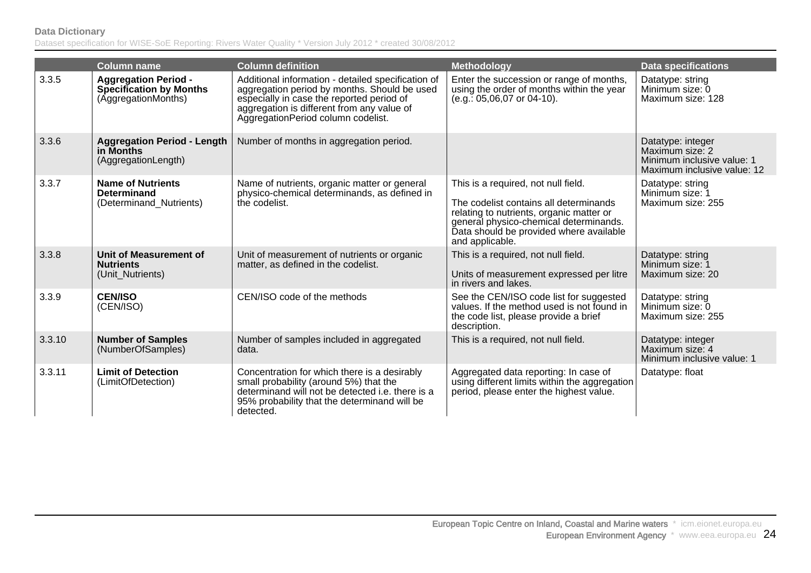|        | <b>Column name</b>                                                                   | <b>Column definition</b>                                                                                                                                                                                                            | <b>Methodology</b>                                                                                                                                                                                                                | <b>Data specifications</b>                                                                        |
|--------|--------------------------------------------------------------------------------------|-------------------------------------------------------------------------------------------------------------------------------------------------------------------------------------------------------------------------------------|-----------------------------------------------------------------------------------------------------------------------------------------------------------------------------------------------------------------------------------|---------------------------------------------------------------------------------------------------|
| 3.3.5  | <b>Aggregation Period -</b><br><b>Specification by Months</b><br>(AggregationMonths) | Additional information - detailed specification of<br>aggregation period by months. Should be used<br>especially in case the reported period of<br>aggregation is different from any value of<br>AggregationPeriod column codelist. | Enter the succession or range of months,<br>using the order of months within the year<br>$(e.g.: 05,06,07$ or 04-10).                                                                                                             | Datatype: string<br>Minimum size: 0<br>Maximum size: 128                                          |
| 3.3.6  | <b>Aggregation Period - Length</b><br>in Months<br>(AggregationLength)               | Number of months in aggregation period.                                                                                                                                                                                             |                                                                                                                                                                                                                                   | Datatype: integer<br>Maximum size: 2<br>Minimum inclusive value: 1<br>Maximum inclusive value: 12 |
| 3.3.7  | <b>Name of Nutrients</b><br><b>Determinand</b><br>(Determinand_Nutrients)            | Name of nutrients, organic matter or general<br>physico-chemical determinands, as defined in<br>the codelist.                                                                                                                       | This is a required, not null field.<br>The codelist contains all determinands<br>relating to nutrients, organic matter or<br>general physico-chemical determinands.<br>Data should be provided where available<br>and applicable. | Datatype: string<br>Minimum size: 1<br>Maximum size: 255                                          |
| 3.3.8  | Unit of Measurement of<br><b>Nutrients</b><br>(Unit Nutrients)                       | Unit of measurement of nutrients or organic<br>matter, as defined in the codelist.                                                                                                                                                  | This is a required, not null field.<br>Units of measurement expressed per litre<br>in rivers and lakes.                                                                                                                           | Datatype: string<br>Minimum size: 1<br>Maximum size: 20                                           |
| 3.3.9  | <b>CEN/ISO</b><br>(CEN/ISO)                                                          | CEN/ISO code of the methods                                                                                                                                                                                                         | See the CEN/ISO code list for suggested<br>values. If the method used is not found in<br>the code list, please provide a brief<br>description.                                                                                    | Datatype: string<br>Minimum size: 0<br>Maximum size: 255                                          |
| 3.3.10 | <b>Number of Samples</b><br>(NumberOfSamples)                                        | Number of samples included in aggregated<br>data.                                                                                                                                                                                   | This is a required, not null field.                                                                                                                                                                                               | Datatype: integer<br>Maximum size: 4<br>Minimum inclusive value: 1                                |
| 3.3.11 | <b>Limit of Detection</b><br>(LimitOfDetection)                                      | Concentration for which there is a desirably<br>small probability (around 5%) that the<br>determinand will not be detected i.e. there is a<br>95% probability that the determinand will be<br>detected.                             | Aggregated data reporting: In case of<br>using different limits within the aggregation<br>period, please enter the highest value.                                                                                                 | Datatype: float                                                                                   |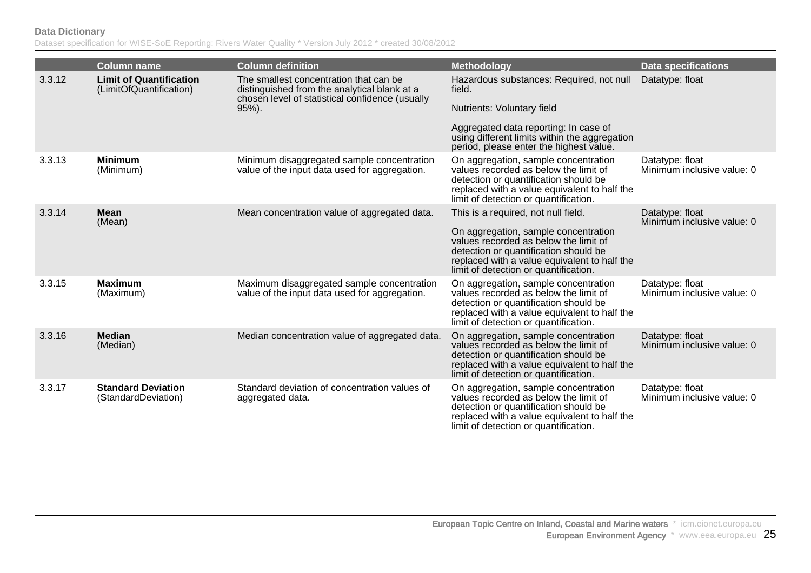|        | <b>Column name</b>                                        | <b>Column definition</b>                                                                                                                              | <b>Methodology</b>                                                                                                                                                                                                                                     | Data specifications                           |
|--------|-----------------------------------------------------------|-------------------------------------------------------------------------------------------------------------------------------------------------------|--------------------------------------------------------------------------------------------------------------------------------------------------------------------------------------------------------------------------------------------------------|-----------------------------------------------|
| 3.3.12 | <b>Limit of Quantification</b><br>(LimitOfQuantification) | The smallest concentration that can be<br>distinguished from the analytical blank at a<br>chosen level of statistical confidence (usually<br>$95%$ ). | Hazardous substances: Required, not null<br>field.<br>Nutrients: Voluntary field<br>Aggregated data reporting: In case of<br>using different limits within the aggregation<br>period, please enter the highest value.                                  | Datatype: float                               |
| 3.3.13 | <b>Minimum</b><br>(Minimum)                               | Minimum disaggregated sample concentration<br>value of the input data used for aggregation.                                                           | On aggregation, sample concentration<br>values recorded as below the limit of<br>detection or quantification should be<br>replaced with a value equivalent to half the<br>limit of detection or quantification.                                        | Datatype: float<br>Minimum inclusive value: 0 |
| 3.3.14 | <b>Mean</b><br>(Mean)                                     | Mean concentration value of aggregated data.                                                                                                          | This is a required, not null field.<br>On aggregation, sample concentration<br>values recorded as below the limit of<br>detection or quantification should be<br>replaced with a value equivalent to half the<br>limit of detection or quantification. | Datatype: float<br>Minimum inclusive value: 0 |
| 3.3.15 | <b>Maximum</b><br>(Maximum)                               | Maximum disaggregated sample concentration<br>value of the input data used for aggregation.                                                           | On aggregation, sample concentration<br>values recorded as below the limit of<br>detection or quantification should be<br>replaced with a value equivalent to half the<br>limit of detection or quantification.                                        | Datatype: float<br>Minimum inclusive value: 0 |
| 3.3.16 | <b>Median</b><br>(Median)                                 | Median concentration value of aggregated data.                                                                                                        | On aggregation, sample concentration<br>values recorded as below the limit of<br>detection or quantification should be<br>replaced with a value equivalent to half the<br>limit of detection or quantification.                                        | Datatype: float<br>Minimum inclusive value: 0 |
| 3.3.17 | <b>Standard Deviation</b><br>(StandardDeviation)          | Standard deviation of concentration values of<br>aggregated data.                                                                                     | On aggregation, sample concentration<br>values recorded as below the limit of<br>detection or quantification should be<br>replaced with a value equivalent to half the<br>limit of detection or quantification.                                        | Datatype: float<br>Minimum inclusive value: 0 |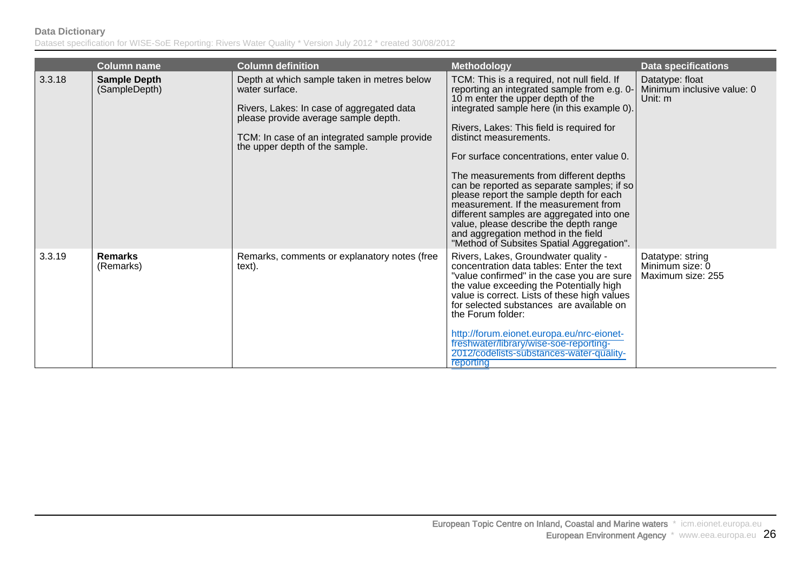|        | <b>Column name</b>                   | <b>Column definition</b>                                                                                                                                                                                                             | <b>Methodology</b>                                                                                                                                                                                                                                                                                                                                                                                                                                                                                                                                                                                                                                        | <b>Data specifications</b>                               |
|--------|--------------------------------------|--------------------------------------------------------------------------------------------------------------------------------------------------------------------------------------------------------------------------------------|-----------------------------------------------------------------------------------------------------------------------------------------------------------------------------------------------------------------------------------------------------------------------------------------------------------------------------------------------------------------------------------------------------------------------------------------------------------------------------------------------------------------------------------------------------------------------------------------------------------------------------------------------------------|----------------------------------------------------------|
| 3.3.18 | <b>Sample Depth</b><br>(SampleDepth) | Depth at which sample taken in metres below<br>water surface.<br>Rivers, Lakes: In case of aggregated data<br>please provide average sample depth.<br>TCM: In case of an integrated sample provide<br>the upper depth of the sample. | TCM: This is a required, not null field. If<br>reporting an integrated sample from e.g. 0-<br>10 m enter the upper depth of the<br>integrated sample here (in this example 0).<br>Rivers, Lakes: This field is required for<br>distinct measurements.<br>For surface concentrations, enter value 0.<br>The measurements from different depths<br>can be reported as separate samples; if so<br>please report the sample depth for each<br>measurement. If the measurement from<br>different samples are aggregated into one<br>value, please describe the depth range<br>and aggregation method in the field<br>"Method of Subsites Spatial Aggregation". | Datatype: float<br>Minimum inclusive value: 0<br>Unit: m |
| 3.3.19 | <b>Remarks</b><br>(Remarks)          | Remarks, comments or explanatory notes (free<br>text).                                                                                                                                                                               | Rivers, Lakes, Groundwater quality -<br>concentration data tables: Enter the text<br>"value confirmed" in the case you are sure<br>the value exceeding the Potentially high<br>value is correct. Lists of these high values<br>for selected substances are available on<br>the Forum folder:<br>http://forum.eionet.europa.eu/nrc-eionet-<br>freshwater/library/wise-soe-reporting-<br>2012/codelists-substances-water-quality-<br>reporting                                                                                                                                                                                                              | Datatype: string<br>Minimum size: 0<br>Maximum size: 255 |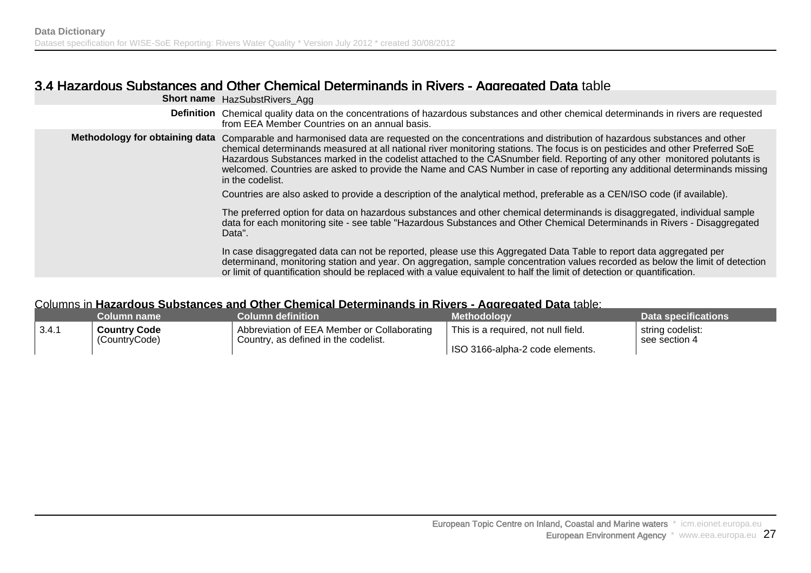## 3.4 Hazardous Substances and Other Chemical Determinands in Rivers - Aggregated Data table

| <b>Short name</b> HazSubstRivers_Agg                                                                                                                                                                                                                                                                                                                                                                                                                                                                                                                                |
|---------------------------------------------------------------------------------------------------------------------------------------------------------------------------------------------------------------------------------------------------------------------------------------------------------------------------------------------------------------------------------------------------------------------------------------------------------------------------------------------------------------------------------------------------------------------|
| Definition Chemical quality data on the concentrations of hazardous substances and other chemical determinands in rivers are requested<br>from EEA Member Countries on an annual basis.                                                                                                                                                                                                                                                                                                                                                                             |
| Methodology for obtaining data Comparable and harmonised data are requested on the concentrations and distribution of hazardous substances and other<br>chemical determinands measured at all national river monitoring stations. The focus is on pesticides and other Preferred SoE<br>Hazardous Substances marked in the codelist attached to the CASnumber field. Reporting of any other monitored polutants is<br>welcomed. Countries are asked to provide the Name and CAS Number in case of reporting any additional determinands missing<br>in the codelist. |
| Countries are also asked to provide a description of the analytical method, preferable as a CEN/ISO code (if available).                                                                                                                                                                                                                                                                                                                                                                                                                                            |
| The preferred option for data on hazardous substances and other chemical determinands is disaggregated, individual sample<br>data for each monitoring site - see table "Hazardous Substances and Other Chemical Determinands in Rivers - Disaggregated<br>Data".                                                                                                                                                                                                                                                                                                    |
| In case disaggregated data can not be reported, please use this Aggregated Data Table to report data aggregated per<br>determinand, monitoring station and year. On aggregation, sample concentration values recorded as below the limit of detection<br>or limit of quantification should be replaced with a value equivalent to half the limit of detection or quantification.                                                                                                                                                                                    |

### Columns in **Hazardous Substances and Other Chemical Determinands in Rivers - Aggregated Data** table:

|       | Column name         | <b>Column definition</b>                    | Methodoloav                         | Data specifications |
|-------|---------------------|---------------------------------------------|-------------------------------------|---------------------|
| 3.4.1 | <b>Country Code</b> | Abbreviation of EEA Member or Collaborating | This is a required, not null field. | string codelist:    |
|       | (CountryCode)       | Country, as defined in the codelist.        | ISO 3166-alpha-2 code elements.     | see section 4       |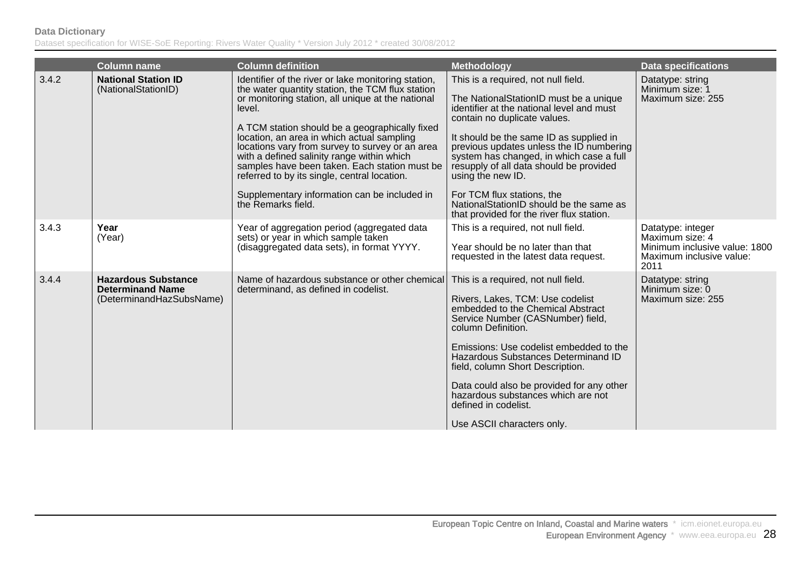|       | <b>Column name</b>                                                                | <b>Column definition</b>                                                                                                                                                                                                                                                                                                                                                                                                                                                                                                                       | <b>Methodology</b>                                                                                                                                                                                                                                                                                                                                                                                                                                                                  | <b>Data specifications</b>                                                                                |
|-------|-----------------------------------------------------------------------------------|------------------------------------------------------------------------------------------------------------------------------------------------------------------------------------------------------------------------------------------------------------------------------------------------------------------------------------------------------------------------------------------------------------------------------------------------------------------------------------------------------------------------------------------------|-------------------------------------------------------------------------------------------------------------------------------------------------------------------------------------------------------------------------------------------------------------------------------------------------------------------------------------------------------------------------------------------------------------------------------------------------------------------------------------|-----------------------------------------------------------------------------------------------------------|
| 3.4.2 | <b>National Station ID</b><br>(NationalStationID)                                 | Identifier of the river or lake monitoring station,<br>the water quantity station, the TCM flux station<br>or monitoring station, all unique at the national<br>level.<br>A TCM station should be a geographically fixed<br>location, an area in which actual sampling<br>locations vary from survey to survey or an area<br>with a defined salinity range within which<br>samples have been taken. Each station must be<br>referred to by its single, central location.<br>Supplementary information can be included in<br>the Remarks field. | This is a required, not null field.<br>The NationalStationID must be a unique<br>identifier at the national level and must<br>contain no duplicate values.<br>It should be the same ID as supplied in<br>previous updates unless the ID numbering<br>system has changed, in which case a full<br>resupply of all data should be provided<br>using the new ID.<br>For TCM flux stations, the<br>NationalStationID should be the same as<br>that provided for the river flux station. | Datatype: string<br>Minimum size: 1<br>Maximum size: 255                                                  |
| 3.4.3 | Year<br>(Year)                                                                    | Year of aggregation period (aggregated data<br>sets) or year in which sample taken<br>(disaggregated data sets), in format YYYY.                                                                                                                                                                                                                                                                                                                                                                                                               | This is a required, not null field.<br>Year should be no later than that<br>requested in the latest data request.                                                                                                                                                                                                                                                                                                                                                                   | Datatype: integer<br>Maximum size: 4<br>Minimum inclusive value: 1800<br>Maximum inclusive value:<br>2011 |
| 3.4.4 | <b>Hazardous Substance</b><br><b>Determinand Name</b><br>(DeterminandHazSubsName) | Name of hazardous substance or other chemical<br>determinand, as defined in codelist.                                                                                                                                                                                                                                                                                                                                                                                                                                                          | This is a required, not null field.<br>Rivers, Lakes, TCM: Use codelist<br>embedded to the Chemical Abstract<br>Service Number (CASNumber) field,<br>column Definition.<br>Emissions: Use codelist embedded to the<br>Hazardous Substances Determinand ID<br>field, column Short Description.<br>Data could also be provided for any other<br>hazardous substances which are not<br>defined in codelist.<br>Use ASCII characters only.                                              | Datatype: string<br>Minimum size: 0<br>Maximum size: 255                                                  |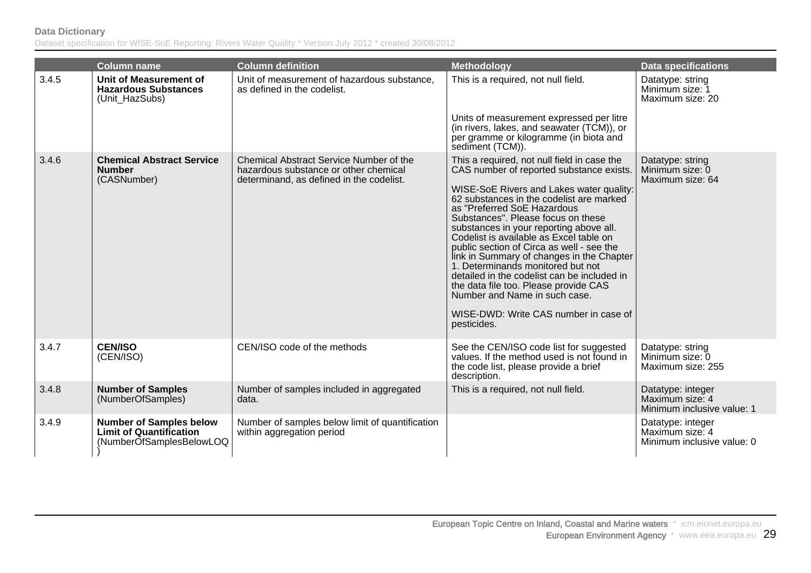|       | <b>Column name</b>                                                                           | <b>Column definition</b>                                                                                                     | <b>Methodology</b>                                                                                                                                                                                                                                                                                                                                                                                                                                                                                                                                                                                                                                          | <b>Data specifications</b>                                         |
|-------|----------------------------------------------------------------------------------------------|------------------------------------------------------------------------------------------------------------------------------|-------------------------------------------------------------------------------------------------------------------------------------------------------------------------------------------------------------------------------------------------------------------------------------------------------------------------------------------------------------------------------------------------------------------------------------------------------------------------------------------------------------------------------------------------------------------------------------------------------------------------------------------------------------|--------------------------------------------------------------------|
| 3.4.5 | <b>Unit of Measurement of</b><br><b>Hazardous Substances</b><br>(Unit_HazSubs)               | Unit of measurement of hazardous substance,<br>as defined in the codelist.                                                   | This is a required, not null field.                                                                                                                                                                                                                                                                                                                                                                                                                                                                                                                                                                                                                         | Datatype: string<br>Minimum size: 1<br>Maximum size: 20            |
|       |                                                                                              |                                                                                                                              | Units of measurement expressed per litre<br>(in rivers, lakes, and seawater (TCM)), or<br>per gramme or kilogramme (in biota and<br>sediment (TCM)).                                                                                                                                                                                                                                                                                                                                                                                                                                                                                                        |                                                                    |
| 3.4.6 | <b>Chemical Abstract Service</b><br><b>Number</b><br>(CASNumber)                             | Chemical Abstract Service Number of the<br>hazardous substance or other chemical<br>determinand, as defined in the codelist. | This a required, not null field in case the<br>CAS number of reported substance exists.<br>WISE-SoE Rivers and Lakes water quality:<br>62 substances in the codelist are marked<br>as "Preferred SoE Hazardous"<br>Substances". Please focus on these<br>substances in your reporting above all.<br>Codelist is available as Excel table on<br>public section of Circa as well - see the<br>link in Summary of changes in the Chapter<br>1. Determinands monitored but not<br>detailed in the codelist can be included in<br>the data file too. Please provide CAS<br>Number and Name in such case.<br>WISE-DWD: Write CAS number in case of<br>pesticides. | Datatype: string<br>Minimum size: 0<br>Maximum size: 64            |
| 3.4.7 | <b>CEN/ISO</b><br>(CEN/ISO)                                                                  | CEN/ISO code of the methods                                                                                                  | See the CEN/ISO code list for suggested<br>values. If the method used is not found in<br>the code list, please provide a brief<br>description.                                                                                                                                                                                                                                                                                                                                                                                                                                                                                                              | Datatype: string<br>Minimum size: 0<br>Maximum size: 255           |
| 3.4.8 | <b>Number of Samples</b><br>(NumberOfSamples)                                                | Number of samples included in aggregated<br>data.                                                                            | This is a required, not null field.                                                                                                                                                                                                                                                                                                                                                                                                                                                                                                                                                                                                                         | Datatype: integer<br>Maximum size: 4<br>Minimum inclusive value: 1 |
| 3.4.9 | <b>Number of Samples below</b><br><b>Limit of Quantification</b><br>(NumberOfSamplesBelowLOQ | Number of samples below limit of quantification<br>within aggregation period                                                 |                                                                                                                                                                                                                                                                                                                                                                                                                                                                                                                                                                                                                                                             | Datatype: integer<br>Maximum size: 4<br>Minimum inclusive value: 0 |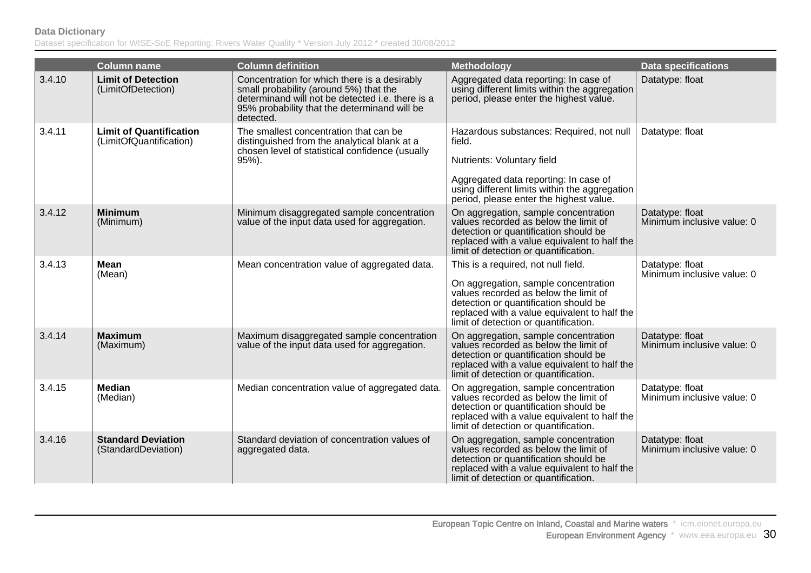|        | <b>Column name</b>                                        | <b>Column definition</b>                                                                                                                                                                                | <b>Methodology</b>                                                                                                                                                                                                                                     | <b>Data specifications</b>                    |
|--------|-----------------------------------------------------------|---------------------------------------------------------------------------------------------------------------------------------------------------------------------------------------------------------|--------------------------------------------------------------------------------------------------------------------------------------------------------------------------------------------------------------------------------------------------------|-----------------------------------------------|
| 3.4.10 | <b>Limit of Detection</b><br>(LimitOfDetection)           | Concentration for which there is a desirably<br>small probability (around 5%) that the<br>determinand will not be detected i.e. there is a<br>95% probability that the determinand will be<br>detected. | Aggregated data reporting: In case of<br>using different limits within the aggregation<br>period, please enter the highest value.                                                                                                                      | Datatype: float                               |
| 3.4.11 | <b>Limit of Quantification</b><br>(LimitOfQuantification) | The smallest concentration that can be<br>distinguished from the analytical blank at a<br>chosen level of statistical confidence (usually<br>$95%$ ).                                                   | Hazardous substances: Required, not null<br>field.<br>Nutrients: Voluntary field<br>Aggregated data reporting: In case of<br>using different limits within the aggregation<br>period, please enter the highest value.                                  | Datatype: float                               |
| 3.4.12 | <b>Minimum</b><br>(Minimum)                               | Minimum disaggregated sample concentration<br>value of the input data used for aggregation.                                                                                                             | On aggregation, sample concentration<br>values recorded as below the limit of<br>detection or quantification should be<br>replaced with a value equivalent to half the<br>limit of detection or quantification.                                        | Datatype: float<br>Minimum inclusive value: 0 |
| 3.4.13 | <b>Mean</b><br>(Mean)                                     | Mean concentration value of aggregated data.                                                                                                                                                            | This is a required, not null field.<br>On aggregation, sample concentration<br>values recorded as below the limit of<br>detection or quantification should be<br>replaced with a value equivalent to half the<br>limit of detection or quantification. | Datatype: float<br>Minimum inclusive value: 0 |
| 3.4.14 | <b>Maximum</b><br>(Maximum)                               | Maximum disaggregated sample concentration<br>value of the input data used for aggregation.                                                                                                             | On aggregation, sample concentration<br>values recorded as below the limit of<br>detection or quantification should be<br>replaced with a value equivalent to half the<br>limit of detection or quantification.                                        | Datatype: float<br>Minimum inclusive value: 0 |
| 3.4.15 | <b>Median</b><br>(Median)                                 | Median concentration value of aggregated data.                                                                                                                                                          | On aggregation, sample concentration<br>values recorded as below the limit of<br>detection or quantification should be<br>replaced with a value equivalent to half the<br>limit of detection or quantification.                                        | Datatype: float<br>Minimum inclusive value: 0 |
| 3.4.16 | <b>Standard Deviation</b><br>(StandardDeviation)          | Standard deviation of concentration values of<br>aggregated data.                                                                                                                                       | On aggregation, sample concentration<br>values recorded as below the limit of<br>detection or quantification should be<br>replaced with a value equivalent to half the<br>limit of detection or quantification.                                        | Datatype: float<br>Minimum inclusive value: 0 |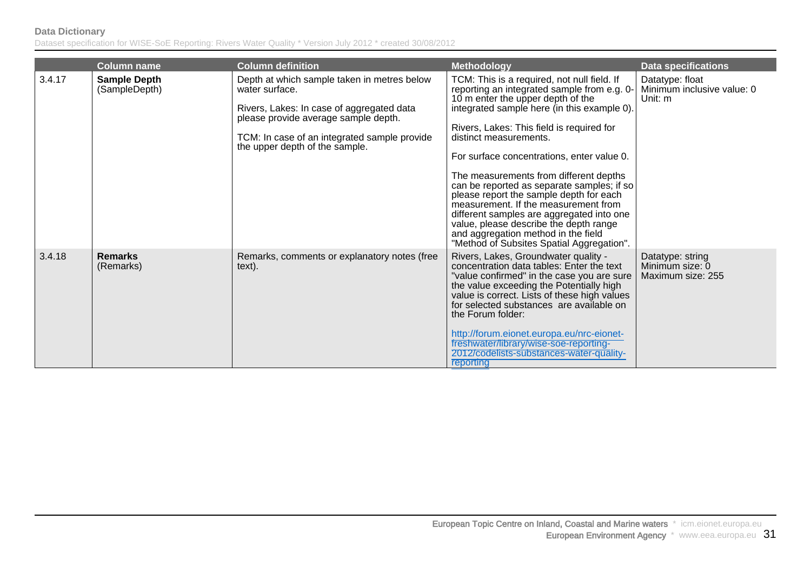|        | <b>Column name</b>                   | <b>Column definition</b>                                                                                                                                                                                                             | <b>Methodology</b>                                                                                                                                                                                                                                                                                                                                                                                                                                                                                                                                                                                                                                        | <b>Data specifications</b>                               |
|--------|--------------------------------------|--------------------------------------------------------------------------------------------------------------------------------------------------------------------------------------------------------------------------------------|-----------------------------------------------------------------------------------------------------------------------------------------------------------------------------------------------------------------------------------------------------------------------------------------------------------------------------------------------------------------------------------------------------------------------------------------------------------------------------------------------------------------------------------------------------------------------------------------------------------------------------------------------------------|----------------------------------------------------------|
| 3.4.17 | <b>Sample Depth</b><br>(SampleDepth) | Depth at which sample taken in metres below<br>water surface.<br>Rivers, Lakes: In case of aggregated data<br>please provide average sample depth.<br>TCM: In case of an integrated sample provide<br>the upper depth of the sample. | TCM: This is a required, not null field. If<br>reporting an integrated sample from e.g. 0-<br>10 m enter the upper depth of the<br>integrated sample here (in this example 0).<br>Rivers, Lakes: This field is required for<br>distinct measurements.<br>For surface concentrations, enter value 0.<br>The measurements from different depths<br>can be reported as separate samples; if so<br>please report the sample depth for each<br>measurement. If the measurement from<br>different samples are aggregated into one<br>value, please describe the depth range<br>and aggregation method in the field<br>"Method of Subsites Spatial Aggregation". | Datatype: float<br>Minimum inclusive value: 0<br>Unit: m |
| 3.4.18 | <b>Remarks</b><br>(Remarks)          | Remarks, comments or explanatory notes (free<br>text).                                                                                                                                                                               | Rivers, Lakes, Groundwater quality -<br>concentration data tables: Enter the text<br>"value confirmed" in the case you are sure<br>the value exceeding the Potentially high<br>value is correct. Lists of these high values<br>for selected substances are available on<br>the Forum folder:<br>http://forum.eionet.europa.eu/nrc-eionet-<br>freshwater/library/wise-soe-reporting-<br>2012/codelists-substances-water-quality-<br>reporting                                                                                                                                                                                                              | Datatype: string<br>Minimum size: 0<br>Maximum size: 255 |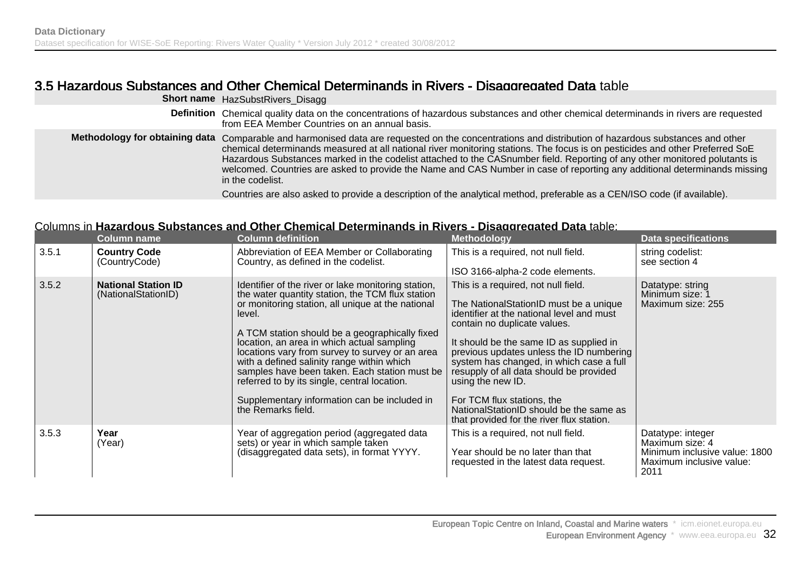### 3.5 Hazardous Substances and Other Chemical Determinands in Rivers - Disaggregated Data table

|                                | <b>Short name</b> HazSubstRivers_Disagg                                                                                                                                                                                                                                                                                                                                                                                                                                                                                                                                                                                                                          |
|--------------------------------|------------------------------------------------------------------------------------------------------------------------------------------------------------------------------------------------------------------------------------------------------------------------------------------------------------------------------------------------------------------------------------------------------------------------------------------------------------------------------------------------------------------------------------------------------------------------------------------------------------------------------------------------------------------|
|                                | Definition Chemical quality data on the concentrations of hazardous substances and other chemical determinands in rivers are requested<br>from EEA Member Countries on an annual basis.                                                                                                                                                                                                                                                                                                                                                                                                                                                                          |
| Methodology for obtaining data | Comparable and harmonised data are requested on the concentrations and distribution of hazardous substances and other<br>chemical determinands measured at all national river monitoring stations. The focus is on pesticides and other Preferred SoE<br>Hazardous Substances marked in the codelist attached to the CASnumber field. Reporting of any other monitored polutants is<br>welcomed. Countries are asked to provide the Name and CAS Number in case of reporting any additional determinands missing<br>in the codelist.<br>Countries are also asked to provide a description of the analytical method, preferable as a CEN/ISO code (if available). |
|                                |                                                                                                                                                                                                                                                                                                                                                                                                                                                                                                                                                                                                                                                                  |

#### Columns in **Hazardous Substances and Other Chemical Determinands in Rivers - Disaggregated Data** table:

|       | <b>Column name</b>                                | <b>Column definition</b>                                                                                                                                                                                                                                                                                                                                                                                                                                                                                                                       | <b>Methodology</b>                                                                                                                                                                                                                                                                                                                                                                                                                                                                    | <b>Data specifications</b>                                                                                |
|-------|---------------------------------------------------|------------------------------------------------------------------------------------------------------------------------------------------------------------------------------------------------------------------------------------------------------------------------------------------------------------------------------------------------------------------------------------------------------------------------------------------------------------------------------------------------------------------------------------------------|---------------------------------------------------------------------------------------------------------------------------------------------------------------------------------------------------------------------------------------------------------------------------------------------------------------------------------------------------------------------------------------------------------------------------------------------------------------------------------------|-----------------------------------------------------------------------------------------------------------|
| 3.5.1 | <b>Country Code</b><br>(CountryCode)              | Abbreviation of EEA Member or Collaborating<br>Country, as defined in the codelist.                                                                                                                                                                                                                                                                                                                                                                                                                                                            | This is a required, not null field.<br>ISO 3166-alpha-2 code elements.                                                                                                                                                                                                                                                                                                                                                                                                                | string codelist:<br>see section 4                                                                         |
| 3.5.2 | <b>National Station ID</b><br>(NationalStationID) | Identifier of the river or lake monitoring station,<br>the water quantity station, the TCM flux station<br>or monitoring station, all unique at the national<br>level.<br>A TCM station should be a geographically fixed<br>location, an area in which actual sampling<br>locations vary from survey to survey or an area<br>with a defined salinity range within which<br>samples have been taken. Each station must be<br>referred to by its single, central location.<br>Supplementary information can be included in<br>the Remarks field. | This is a required, not null field.<br>The NationalStationID must be a unique<br>identifier at the national level and must<br>contain no duplicate values.<br>It should be the same ID as supplied in<br>previous updates unless the ID numbering<br>system has changed, in which case a full<br>resupply of all data should be provided<br>using the new ID.<br>For TCM flux stations, the<br>National Station ID should be the same as<br>that provided for the river flux station. | Datatype: string<br>Minimum size: 1<br>Maximum size: 255                                                  |
| 3.5.3 | Year<br>(Year)                                    | Year of aggregation period (aggregated data<br>sets) or year in which sample taken<br>(disaggregated data sets), in format YYYY.                                                                                                                                                                                                                                                                                                                                                                                                               | This is a required, not null field.<br>Year should be no later than that<br>requested in the latest data request.                                                                                                                                                                                                                                                                                                                                                                     | Datatype: integer<br>Maximum size: 4<br>Minimum inclusive value: 1800<br>Maximum inclusive value:<br>2011 |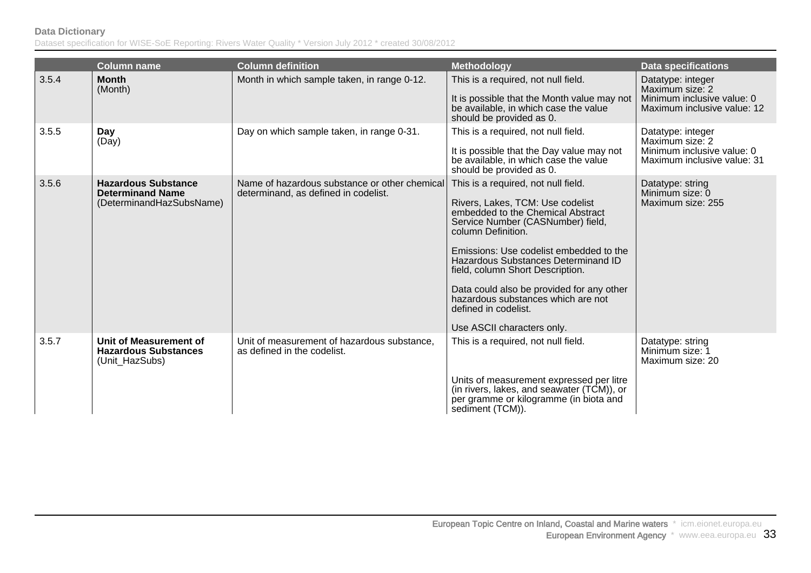|       | <b>Column name</b>                                                                | <b>Column definition</b>                                                              | Methodology                                                                                                                                                                                                                                                                                                                                                                                                                            | <b>Data specifications</b>                                                                        |
|-------|-----------------------------------------------------------------------------------|---------------------------------------------------------------------------------------|----------------------------------------------------------------------------------------------------------------------------------------------------------------------------------------------------------------------------------------------------------------------------------------------------------------------------------------------------------------------------------------------------------------------------------------|---------------------------------------------------------------------------------------------------|
| 3.5.4 | <b>Month</b><br>(Month)                                                           | Month in which sample taken, in range 0-12.                                           | This is a required, not null field.<br>It is possible that the Month value may not<br>be available, in which case the value<br>should be provided as 0.                                                                                                                                                                                                                                                                                | Datatype: integer<br>Maximum size: 2<br>Minimum inclusive value: 0<br>Maximum inclusive value: 12 |
| 3.5.5 | Day<br>(Day)                                                                      | Day on which sample taken, in range 0-31.                                             | This is a required, not null field.<br>It is possible that the Day value may not<br>be available, in which case the value<br>should be provided as 0.                                                                                                                                                                                                                                                                                  | Datatype: integer<br>Maximum size: 2<br>Minimum inclusive value: 0<br>Maximum inclusive value: 31 |
| 3.5.6 | <b>Hazardous Substance</b><br><b>Determinand Name</b><br>(DeterminandHazSubsName) | Name of hazardous substance or other chemical<br>determinand, as defined in codelist. | This is a required, not null field.<br>Rivers, Lakes, TCM: Use codelist<br>embedded to the Chemical Abstract<br>Service Number (CASNumber) field,<br>column Definition.<br>Emissions: Use codelist embedded to the<br>Hazardous Substances Determinand ID<br>field, column Short Description.<br>Data could also be provided for any other<br>hazardous substances which are not<br>defined in codelist.<br>Use ASCII characters only. | Datatype: string<br>Minimum size: 0<br>Maximum size: 255                                          |
| 3.5.7 | <b>Unit of Measurement of</b><br><b>Hazardous Substances</b><br>(Unit_HazSubs)    | Unit of measurement of hazardous substance,<br>as defined in the codelist.            | This is a required, not null field.<br>Units of measurement expressed per litre<br>(in rivers, lakes, and seawater (TCM)), or<br>per gramme or kilogramme (in biota and<br>sediment (TCM)).                                                                                                                                                                                                                                            | Datatype: string<br>Minimum size: 1<br>Maximum size: 20                                           |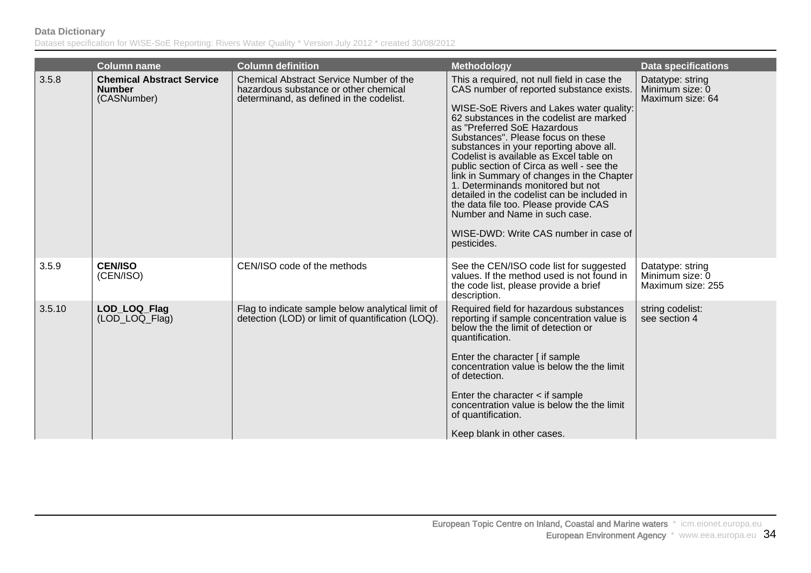|        | <b>Column name</b>                                               | <b>Column definition</b>                                                                                                     | <b>Methodology</b>                                                                                                                                                                                                                                                                                                                                                                                                                                                                                                                                                                                                                                         | <b>Data specifications</b>                               |
|--------|------------------------------------------------------------------|------------------------------------------------------------------------------------------------------------------------------|------------------------------------------------------------------------------------------------------------------------------------------------------------------------------------------------------------------------------------------------------------------------------------------------------------------------------------------------------------------------------------------------------------------------------------------------------------------------------------------------------------------------------------------------------------------------------------------------------------------------------------------------------------|----------------------------------------------------------|
| 3.5.8  | <b>Chemical Abstract Service</b><br><b>Number</b><br>(CASNumber) | Chemical Abstract Service Number of the<br>hazardous substance or other chemical<br>determinand, as defined in the codelist. | This a required, not null field in case the<br>CAS number of reported substance exists.<br>WISE-SoE Rivers and Lakes water quality:<br>62 substances in the codelist are marked<br>as "Preferred SoE Hazardous<br>Substances". Please focus on these<br>substances in your reporting above all.<br>Codelist is available as Excel table on<br>public section of Circa as well - see the<br>link in Summary of changes in the Chapter<br>1. Determinands monitored but not<br>detailed in the codelist can be included in<br>the data file too. Please provide CAS<br>Number and Name in such case.<br>WISE-DWD: Write CAS number in case of<br>pesticides. | Datatype: string<br>Minimum size: 0<br>Maximum size: 64  |
| 3.5.9  | <b>CEN/ISO</b><br>(CEN/ISO)                                      | CEN/ISO code of the methods                                                                                                  | See the CEN/ISO code list for suggested<br>values. If the method used is not found in<br>the code list, please provide a brief<br>description.                                                                                                                                                                                                                                                                                                                                                                                                                                                                                                             | Datatype: string<br>Minimum size: 0<br>Maximum size: 255 |
| 3.5.10 | LOD LOQ Flag<br>(LOD_LOQ_Flag)                                   | Flag to indicate sample below analytical limit of<br>detection (LOD) or limit of quantification (LOQ).                       | Required field for hazardous substances<br>reporting if sample concentration value is<br>below the the limit of detection or<br>quantification.<br>Enter the character [ if sample<br>concentration value is below the the limit<br>of detection.<br>Enter the character $\lt$ if sample<br>concentration value is below the the limit<br>of quantification.<br>Keep blank in other cases.                                                                                                                                                                                                                                                                 | string codelist:<br>see section 4                        |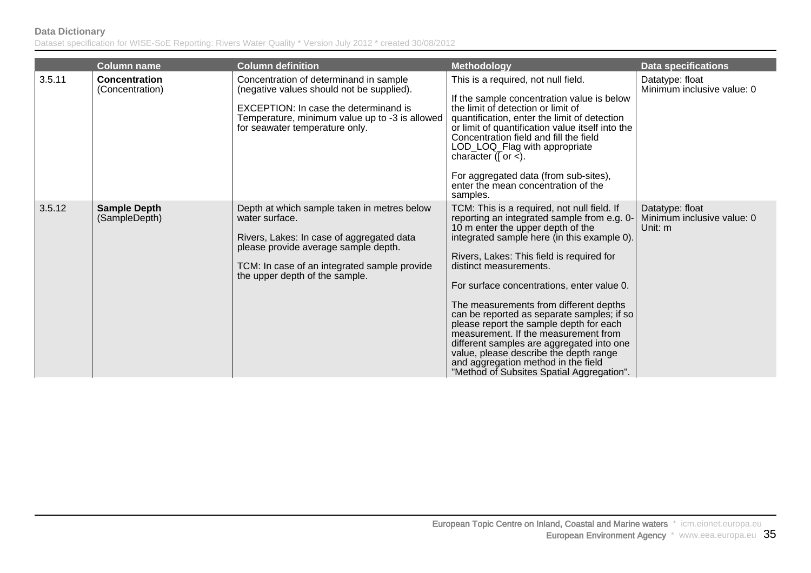|        | <b>Column name</b>                      | <b>Column definition</b>                                                                                                                                                                                                             | <b>Methodology</b>                                                                                                                                                                                                                                                                                                                                                                                                                                                                                                                                                                                                                                        | <b>Data specifications</b>                               |
|--------|-----------------------------------------|--------------------------------------------------------------------------------------------------------------------------------------------------------------------------------------------------------------------------------------|-----------------------------------------------------------------------------------------------------------------------------------------------------------------------------------------------------------------------------------------------------------------------------------------------------------------------------------------------------------------------------------------------------------------------------------------------------------------------------------------------------------------------------------------------------------------------------------------------------------------------------------------------------------|----------------------------------------------------------|
| 3.5.11 | <b>Concentration</b><br>(Concentration) | Concentration of determinand in sample<br>(negative values should not be supplied).<br>EXCEPTION: In case the determinand is<br>Temperature, minimum value up to -3 is allowed<br>for seawater temperature only.                     | This is a required, not null field.<br>If the sample concentration value is below<br>the limit of detection or limit of<br>quantification, enter the limit of detection<br>or limit of quantification value itself into the<br>Concentration field and fill the field<br>LOD_LOQ_Flag with appropriate<br>character ( $\lceil$ or $\overline{z}$ ).<br>For aggregated data (from sub-sites),<br>enter the mean concentration of the<br>samples.                                                                                                                                                                                                           | Datatype: float<br>Minimum inclusive value: 0            |
| 3.5.12 | <b>Sample Depth</b><br>(SampleDepth)    | Depth at which sample taken in metres below<br>water surface.<br>Rivers, Lakes: In case of aggregated data<br>please provide average sample depth.<br>TCM: In case of an integrated sample provide<br>the upper depth of the sample. | TCM: This is a required, not null field. If<br>reporting an integrated sample from e.g. 0-<br>10 m enter the upper depth of the<br>integrated sample here (in this example 0).<br>Rivers, Lakes: This field is required for<br>distinct measurements.<br>For surface concentrations, enter value 0.<br>The measurements from different depths<br>can be reported as separate samples; if so<br>please report the sample depth for each<br>measurement. If the measurement from<br>different samples are aggregated into one<br>value, please describe the depth range<br>and aggregation method in the field<br>"Method of Subsites Spatial Aggregation". | Datatype: float<br>Minimum inclusive value: 0<br>Unit: m |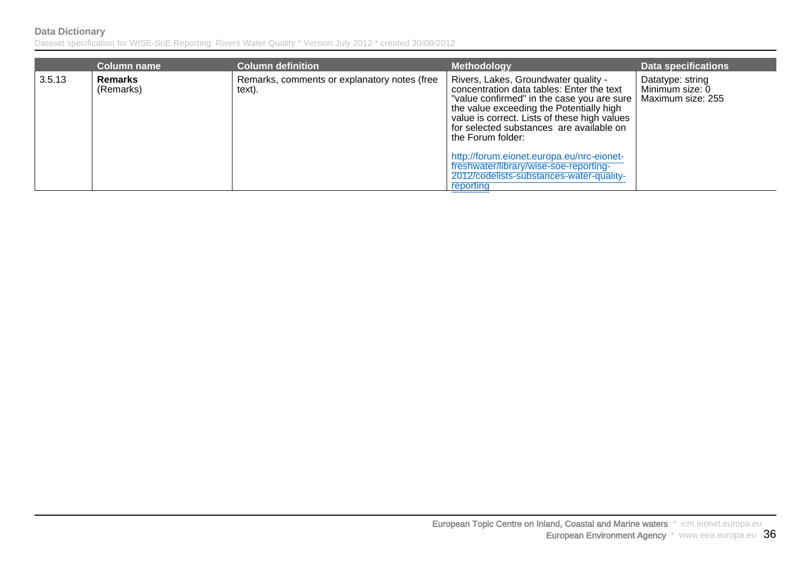|        | Column name                 | <b>Column definition</b>                               | <b>Methodology</b>                                                                                                                                                                                                                                                                           | <b>Data specifications</b>                               |
|--------|-----------------------------|--------------------------------------------------------|----------------------------------------------------------------------------------------------------------------------------------------------------------------------------------------------------------------------------------------------------------------------------------------------|----------------------------------------------------------|
| 3.5.13 | <b>Remarks</b><br>(Remarks) | Remarks, comments or explanatory notes (free<br>text). | Rivers, Lakes, Groundwater quality -<br>concentration data tables: Enter the text<br>"value confirmed" in the case you are sure<br>the value exceeding the Potentially high<br>value is correct. Lists of these high values<br>for selected substances are available on<br>the Forum folder: | Datatype: string<br>Minimum size: 0<br>Maximum size: 255 |
|        |                             |                                                        | http://forum.eionet.europa.eu/nrc-eionet-<br>freshwater/library/wise-soe-reporting-                                                                                                                                                                                                          |                                                          |
|        |                             |                                                        | 2012/codelists-substances-water-quality-<br>reporting                                                                                                                                                                                                                                        |                                                          |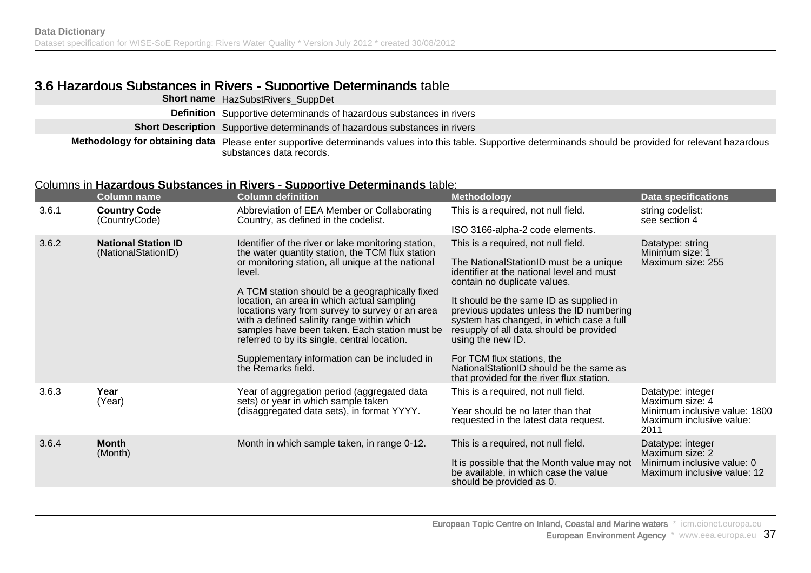### 3.6 Hazardous Substances in Rivers - Supportive Determinands table

| <b>Short name</b> HazSubstRivers_SuppDet                                                                                                                                                  |
|-------------------------------------------------------------------------------------------------------------------------------------------------------------------------------------------|
| <b>Definition</b> Supportive determinands of hazardous substances in rivers                                                                                                               |
| <b>Short Description</b> Supportive determinands of hazardous substances in rivers                                                                                                        |
| Methodology for obtaining data Please enter supportive determinands values into this table. Supportive determinands should be provided for relevant hazardous<br>substances data records. |

#### Columns in **Hazardous Substances in Rivers - Supportive Determinands** table:

|       | <b>Column name</b>                                | <b>Column definition</b>                                                                                                                                                                                                                                                                                                                                                                                                                                                                                                                       | <b>Methodology</b>                                                                                                                                                                                                                                                                                                                                                                                                                                                                    | <b>Data specifications</b>                                                                                |
|-------|---------------------------------------------------|------------------------------------------------------------------------------------------------------------------------------------------------------------------------------------------------------------------------------------------------------------------------------------------------------------------------------------------------------------------------------------------------------------------------------------------------------------------------------------------------------------------------------------------------|---------------------------------------------------------------------------------------------------------------------------------------------------------------------------------------------------------------------------------------------------------------------------------------------------------------------------------------------------------------------------------------------------------------------------------------------------------------------------------------|-----------------------------------------------------------------------------------------------------------|
| 3.6.1 | <b>Country Code</b><br>(CountryCode)              | Abbreviation of EEA Member or Collaborating<br>Country, as defined in the codelist.                                                                                                                                                                                                                                                                                                                                                                                                                                                            | This is a required, not null field.<br>ISO 3166-alpha-2 code elements.                                                                                                                                                                                                                                                                                                                                                                                                                | string codelist:<br>see section 4                                                                         |
| 3.6.2 | <b>National Station ID</b><br>(NationalStationID) | Identifier of the river or lake monitoring station,<br>the water quantity station, the TCM flux station<br>or monitoring station, all unique at the national<br>level.<br>A TCM station should be a geographically fixed<br>location, an area in which actual sampling<br>locations vary from survey to survey or an area<br>with a defined salinity range within which<br>samples have been taken. Each station must be<br>referred to by its single, central location.<br>Supplementary information can be included in<br>the Remarks field. | This is a required, not null field.<br>The NationalStationID must be a unique<br>identifier at the national level and must<br>contain no duplicate values.<br>It should be the same ID as supplied in<br>previous updates unless the ID numbering<br>system has changed, in which case a full<br>resupply of all data should be provided<br>using the new ID.<br>For TCM flux stations, the<br>National Station ID should be the same as<br>that provided for the river flux station. | Datatype: string<br>Minimum size: 1<br>Maximum size: 255                                                  |
| 3.6.3 | Year<br>(Year)                                    | Year of aggregation period (aggregated data<br>sets) or year in which sample taken<br>(disaggregated data sets), in format YYYY.                                                                                                                                                                                                                                                                                                                                                                                                               | This is a required, not null field.<br>Year should be no later than that<br>requested in the latest data request.                                                                                                                                                                                                                                                                                                                                                                     | Datatype: integer<br>Maximum size: 4<br>Minimum inclusive value: 1800<br>Maximum inclusive value:<br>2011 |
| 3.6.4 | <b>Month</b><br>(Month)                           | Month in which sample taken, in range 0-12.                                                                                                                                                                                                                                                                                                                                                                                                                                                                                                    | This is a required, not null field.<br>It is possible that the Month value may not<br>be available, in which case the value<br>should be provided as 0.                                                                                                                                                                                                                                                                                                                               | Datatype: integer<br>Maximum size: 2<br>Minimum inclusive value: 0<br>Maximum inclusive value: 12         |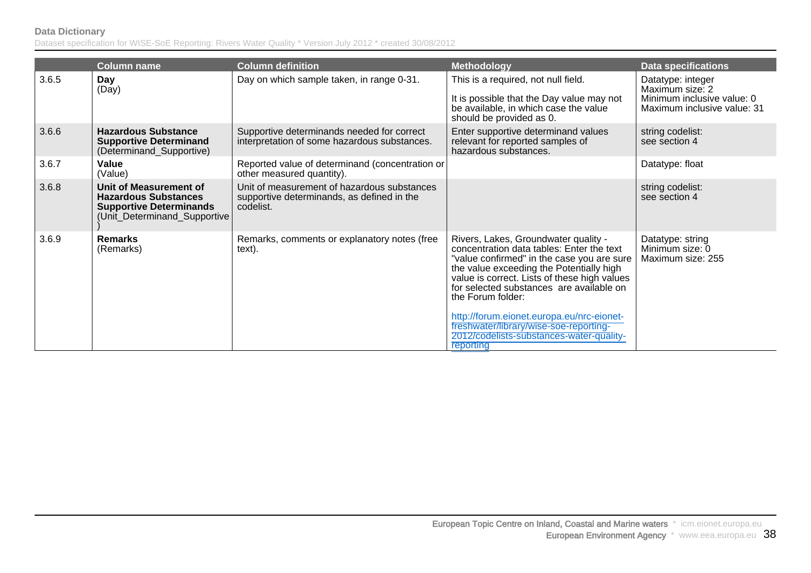|       | <b>Column name</b>                                                                                                      | <b>Column definition</b>                                                                               | <b>Methodology</b>                                                                                                                                                                                                                                                                                                                                                                                                                           | <b>Data specifications</b>                                                                        |
|-------|-------------------------------------------------------------------------------------------------------------------------|--------------------------------------------------------------------------------------------------------|----------------------------------------------------------------------------------------------------------------------------------------------------------------------------------------------------------------------------------------------------------------------------------------------------------------------------------------------------------------------------------------------------------------------------------------------|---------------------------------------------------------------------------------------------------|
| 3.6.5 | Day<br>(Day)                                                                                                            | Day on which sample taken, in range 0-31.                                                              | This is a required, not null field.<br>It is possible that the Day value may not<br>be available, in which case the value<br>should be provided as 0.                                                                                                                                                                                                                                                                                        | Datatype: integer<br>Maximum size: 2<br>Minimum inclusive value: 0<br>Maximum inclusive value: 31 |
| 3.6.6 | <b>Hazardous Substance</b><br><b>Supportive Determinand</b><br>(Determinand_Supportive)                                 | Supportive determinands needed for correct<br>interpretation of some hazardous substances.             | Enter supportive determinand values<br>relevant for reported samples of<br>hazardous substances.                                                                                                                                                                                                                                                                                                                                             | string codelist:<br>see section 4                                                                 |
| 3.6.7 | Value<br>(Value)                                                                                                        | Reported value of determinand (concentration or<br>other measured quantity).                           |                                                                                                                                                                                                                                                                                                                                                                                                                                              | Datatype: float                                                                                   |
| 3.6.8 | Unit of Measurement of<br><b>Hazardous Substances</b><br><b>Supportive Determinands</b><br>(Unit_Determinand_Supportive | Unit of measurement of hazardous substances<br>supportive determinands, as defined in the<br>codelist. |                                                                                                                                                                                                                                                                                                                                                                                                                                              | string codelist:<br>see section 4                                                                 |
| 3.6.9 | <b>Remarks</b><br>(Remarks)                                                                                             | Remarks, comments or explanatory notes (free<br>text).                                                 | Rivers, Lakes, Groundwater quality -<br>concentration data tables: Enter the text<br>"value confirmed" in the case you are sure<br>the value exceeding the Potentially high<br>value is correct. Lists of these high values<br>for selected substances are available on<br>the Forum folder:<br>http://forum.eionet.europa.eu/nrc-eionet-<br>freshwater/library/wise-soe-reporting-<br>2012/codelists-substances-water-quality-<br>reporting | Datatype: string<br>Minimum size: 0<br>Maximum size: 255                                          |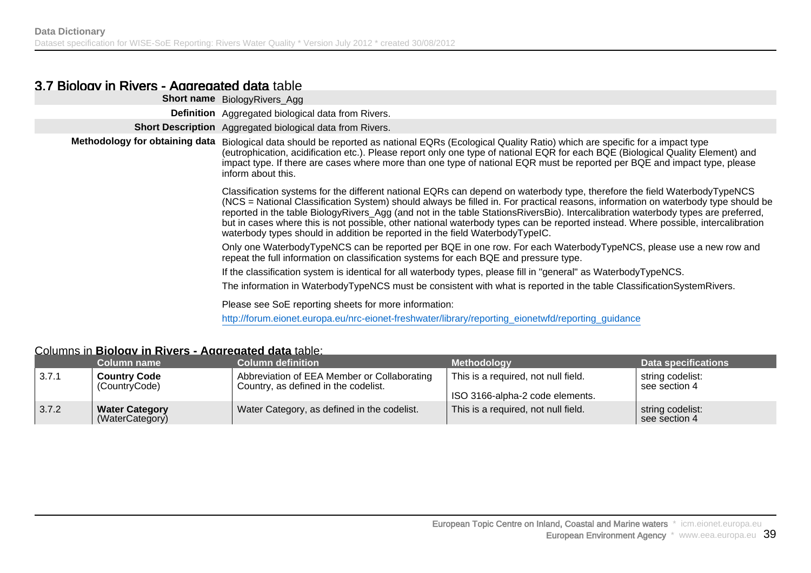#### 3.7 Biology in Rivers - Aggregated data table

| <b>Short name</b> BiologyRivers_Agg                                                                                                                                                                                                                                                                                                                                                                                                                                                                                                                                                                                      |
|--------------------------------------------------------------------------------------------------------------------------------------------------------------------------------------------------------------------------------------------------------------------------------------------------------------------------------------------------------------------------------------------------------------------------------------------------------------------------------------------------------------------------------------------------------------------------------------------------------------------------|
| <b>Definition</b> Aggregated biological data from Rivers.                                                                                                                                                                                                                                                                                                                                                                                                                                                                                                                                                                |
| Short Description Aggregated biological data from Rivers.                                                                                                                                                                                                                                                                                                                                                                                                                                                                                                                                                                |
| Methodology for obtaining data Biological data should be reported as national EQRs (Ecological Quality Ratio) which are specific for a impact type<br>(eutrophication, acidification etc.). Please report only one type of national EQR for each BQE (Biological Quality Element) and<br>impact type. If there are cases where more than one type of national EQR must be reported per BQE and impact type, please<br>inform about this.                                                                                                                                                                                 |
| Classification systems for the different national EQRs can depend on waterbody type, therefore the field WaterbodyTypeNCS<br>(NCS = National Classification System) should always be filled in. For practical reasons, information on waterbody type should be<br>reported in the table BiologyRivers_Agg (and not in the table StationsRiversBio). Intercalibration waterbody types are preferred,<br>but in cases where this is not possible, other national waterbody types can be reported instead. Where possible, intercalibration<br>waterbody types should in addition be reported in the field WaterbodyTypeIC. |
| Only one WaterbodyTypeNCS can be reported per BQE in one row. For each WaterbodyTypeNCS, please use a new row and<br>repeat the full information on classification systems for each BQE and pressure type.                                                                                                                                                                                                                                                                                                                                                                                                               |
| If the classification system is identical for all waterbody types, please fill in "general" as WaterbodyTypeNCS.                                                                                                                                                                                                                                                                                                                                                                                                                                                                                                         |
| The information in WaterbodyTypeNCS must be consistent with what is reported in the table ClassificationSystemRivers.                                                                                                                                                                                                                                                                                                                                                                                                                                                                                                    |
| Please see SoE reporting sheets for more information:                                                                                                                                                                                                                                                                                                                                                                                                                                                                                                                                                                    |

[http://forum.eionet.europa.eu/nrc-eionet-freshwater/library/reporting](http://forum.eionet.europa.eu/nrc-eionet-freshwater/library/reporting_eionetwfd/reporting_guidance)\_[eionetwfd/reporting](http://forum.eionet.europa.eu/nrc-eionet-freshwater/library/reporting_eionetwfd/reporting_guidance)\_[guidance](http://forum.eionet.europa.eu/nrc-eionet-freshwater/library/reporting_eionetwfd/reporting_guidance)

|       | Column name                              | <b>Column definition</b>                                                            | <b>Methodology</b>                                                     | Data specifications               |
|-------|------------------------------------------|-------------------------------------------------------------------------------------|------------------------------------------------------------------------|-----------------------------------|
| 3.7.1 | <b>Country Code</b><br>(CountryCode)     | Abbreviation of EEA Member or Collaborating<br>Country, as defined in the codelist. | This is a required, not null field.<br>ISO 3166-alpha-2 code elements. | string codelist:<br>see section 4 |
| 3.7.2 | <b>Water Category</b><br>(WaterCategory) | Water Category, as defined in the codelist.                                         | This is a required, not null field.                                    | string codelist:<br>see section 4 |

#### Columns in **Biology in Rivers - Aggregated data** table: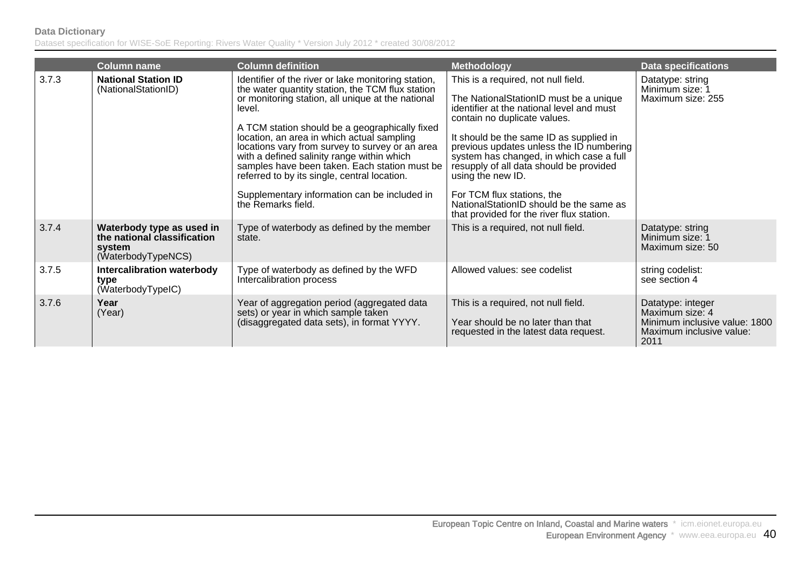|       | <b>Column name</b>                                                                       | <b>Column definition</b>                                                                                                                                                                                                                                                                                                                                                                                                                                                                                                                       | <b>Methodology</b>                                                                                                                                                                                                                                                                                                                                                                                                                                                                  | <b>Data specifications</b>                                                                                |
|-------|------------------------------------------------------------------------------------------|------------------------------------------------------------------------------------------------------------------------------------------------------------------------------------------------------------------------------------------------------------------------------------------------------------------------------------------------------------------------------------------------------------------------------------------------------------------------------------------------------------------------------------------------|-------------------------------------------------------------------------------------------------------------------------------------------------------------------------------------------------------------------------------------------------------------------------------------------------------------------------------------------------------------------------------------------------------------------------------------------------------------------------------------|-----------------------------------------------------------------------------------------------------------|
| 3.7.3 | <b>National Station ID</b><br>(NationalStationID)                                        | Identifier of the river or lake monitoring station,<br>the water quantity station, the TCM flux station<br>or monitoring station, all unique at the national<br>level.<br>A TCM station should be a geographically fixed<br>location, an area in which actual sampling<br>locations vary from survey to survey or an area<br>with a defined salinity range within which<br>samples have been taken. Each station must be<br>referred to by its single, central location.<br>Supplementary information can be included in<br>the Remarks field. | This is a required, not null field.<br>The NationalStationID must be a unique<br>identifier at the national level and must<br>contain no duplicate values.<br>It should be the same ID as supplied in<br>previous updates unless the ID numbering<br>system has changed, in which case a full<br>resupply of all data should be provided<br>using the new ID.<br>For TCM flux stations, the<br>NationalStationID should be the same as<br>that provided for the river flux station. | Datatype: string<br>Minimum size: 1<br>Maximum size: 255                                                  |
| 3.7.4 | Waterbody type as used in<br>the national classification<br>system<br>(WaterbodyTypeNCS) | Type of waterbody as defined by the member<br>state.                                                                                                                                                                                                                                                                                                                                                                                                                                                                                           | This is a required, not null field.                                                                                                                                                                                                                                                                                                                                                                                                                                                 | Datatype: string<br>Minimum size: 1<br>Maximum size: 50                                                   |
| 3.7.5 | <b>Intercalibration waterbody</b><br>type<br>(WaterbodyTypeIC)                           | Type of waterbody as defined by the WFD<br>Intercalibration process                                                                                                                                                                                                                                                                                                                                                                                                                                                                            | Allowed values: see codelist                                                                                                                                                                                                                                                                                                                                                                                                                                                        | string codelist:<br>see section 4                                                                         |
| 3.7.6 | Year<br>(Year)                                                                           | Year of aggregation period (aggregated data<br>sets) or year in which sample taken<br>(disaggregated data sets), in format YYYY.                                                                                                                                                                                                                                                                                                                                                                                                               | This is a required, not null field.<br>Year should be no later than that<br>requested in the latest data request.                                                                                                                                                                                                                                                                                                                                                                   | Datatype: integer<br>Maximum size: 4<br>Minimum inclusive value: 1800<br>Maximum inclusive value:<br>2011 |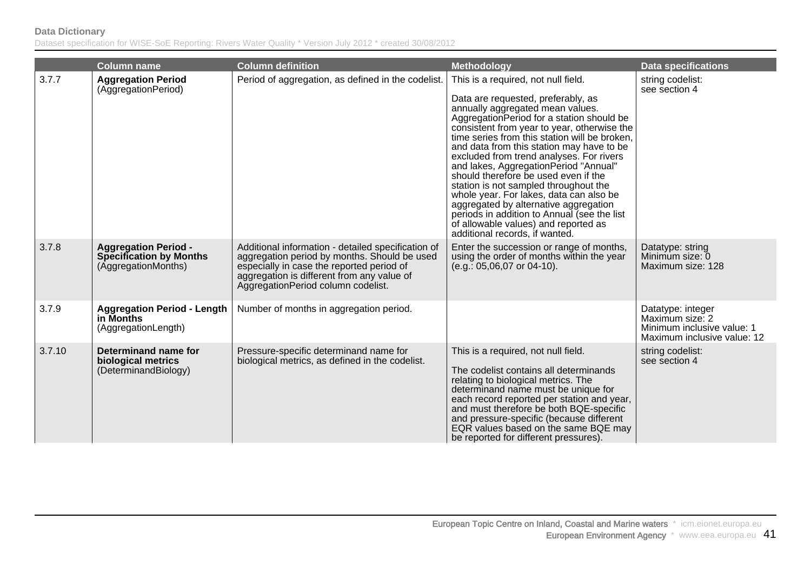|        | <b>Column name</b>                                                                   | <b>Column definition</b>                                                                                                                                                                                                            | Methodology                                                                                                                                                                                                                                                                                                                                                                                                                                                                                                                                                                                                                                                                                 | <b>Data specifications</b>                                                                        |
|--------|--------------------------------------------------------------------------------------|-------------------------------------------------------------------------------------------------------------------------------------------------------------------------------------------------------------------------------------|---------------------------------------------------------------------------------------------------------------------------------------------------------------------------------------------------------------------------------------------------------------------------------------------------------------------------------------------------------------------------------------------------------------------------------------------------------------------------------------------------------------------------------------------------------------------------------------------------------------------------------------------------------------------------------------------|---------------------------------------------------------------------------------------------------|
| 3.7.7  | <b>Aggregation Period</b><br>(AggregationPeriod)                                     | Period of aggregation, as defined in the codelist.                                                                                                                                                                                  | This is a required, not null field.<br>Data are requested, preferably, as<br>annually aggregated mean values.<br>Aggregation Period for a station should be<br>consistent from year to year, otherwise the<br>time series from this station will be broken,<br>and data from this station may have to be<br>excluded from trend analyses. For rivers<br>and lakes, AggregationPeriod "Annual"<br>should therefore be used even if the<br>station is not sampled throughout the<br>whole year. For lakes, data can also be<br>aggregated by alternative aggregation<br>periods in addition to Annual (see the list<br>of allowable values) and reported as<br>additional records, if wanted. | string codelist:<br>see section 4                                                                 |
| 3.7.8  | <b>Aggregation Period -</b><br><b>Specification by Months</b><br>(AggregationMonths) | Additional information - detailed specification of<br>aggregation period by months. Should be used<br>especially in case the reported period of<br>aggregation is different from any value of<br>AggregationPeriod column codelist. | Enter the succession or range of months,<br>using the order of months within the year<br>(e.g.: 05,06,07 or 04-10).                                                                                                                                                                                                                                                                                                                                                                                                                                                                                                                                                                         | Datatype: string<br>Minimum size: 0<br>Maximum size: 128                                          |
| 3.7.9  | <b>Aggregation Period - Length</b><br>in Months<br>(AggregationLength)               | Number of months in aggregation period.                                                                                                                                                                                             |                                                                                                                                                                                                                                                                                                                                                                                                                                                                                                                                                                                                                                                                                             | Datatype: integer<br>Maximum size: 2<br>Minimum inclusive value: 1<br>Maximum inclusive value: 12 |
| 3.7.10 | Determinand name for<br>biological metrics<br>(DeterminandBiology)                   | Pressure-specific determinand name for<br>biological metrics, as defined in the codelist.                                                                                                                                           | This is a required, not null field.<br>The codelist contains all determinands<br>relating to biological metrics. The<br>determinand name must be unique for<br>each record reported per station and year,<br>and must therefore be both BQE-specific<br>and pressure-specific (because different<br>EQR values based on the same BQE may<br>be reported for different pressures).                                                                                                                                                                                                                                                                                                           | string codelist:<br>see section 4                                                                 |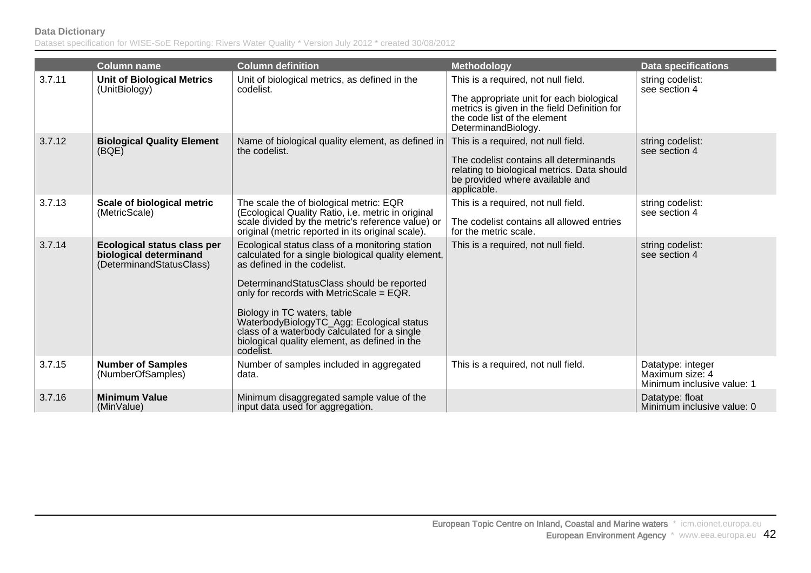|        | <b>Column name</b>                                                                | <b>Column definition</b>                                                                                                                                                                                                                                                                                                                                                                                                 | <b>Methodology</b>                                                                                                                                                                     | <b>Data specifications</b>                                         |
|--------|-----------------------------------------------------------------------------------|--------------------------------------------------------------------------------------------------------------------------------------------------------------------------------------------------------------------------------------------------------------------------------------------------------------------------------------------------------------------------------------------------------------------------|----------------------------------------------------------------------------------------------------------------------------------------------------------------------------------------|--------------------------------------------------------------------|
| 3.7.11 | <b>Unit of Biological Metrics</b><br>(UnitBiology)                                | Unit of biological metrics, as defined in the<br>codelist.                                                                                                                                                                                                                                                                                                                                                               | This is a required, not null field.<br>The appropriate unit for each biological<br>metrics is given in the field Definition for<br>the code list of the element<br>DeterminandBiology. | string codelist:<br>see section 4                                  |
| 3.7.12 | <b>Biological Quality Element</b><br>(BQE)                                        | Name of biological quality element, as defined in<br>the codelist.                                                                                                                                                                                                                                                                                                                                                       | This is a required, not null field.<br>The codelist contains all determinands<br>relating to biological metrics. Data should<br>be provided where available and<br>applicable.         | string codelist:<br>see section 4                                  |
| 3.7.13 | Scale of biological metric<br>(MetricScale)                                       | The scale the of biological metric: EQR<br>(Ecological Quality Ratio, i.e. metric in original<br>scale divided by the metric's reference value) or<br>original (metric reported in its original scale).                                                                                                                                                                                                                  | This is a required, not null field.<br>The codelist contains all allowed entries<br>for the metric scale.                                                                              | string codelist:<br>see section 4                                  |
| 3.7.14 | Ecological status class per<br>biological determinand<br>(DeterminandStatusClass) | Ecological status class of a monitoring station<br>calculated for a single biological quality element,<br>as defined in the codelist.<br>DeterminandStatusClass should be reported<br>only for records with MetricScale = EQR.<br>Biology in TC waters, table<br>WaterbodyBiologyTC_Agg: Ecological status<br>class of a waterbody calculated for a single<br>biological quality element, as defined in the<br>codelist. | This is a required, not null field.                                                                                                                                                    | string codelist:<br>see section 4                                  |
| 3.7.15 | <b>Number of Samples</b><br>(NumberOfSamples)                                     | Number of samples included in aggregated<br>data.                                                                                                                                                                                                                                                                                                                                                                        | This is a required, not null field.                                                                                                                                                    | Datatype: integer<br>Maximum size: 4<br>Minimum inclusive value: 1 |
| 3.7.16 | <b>Minimum Value</b><br>(MinValue)                                                | Minimum disaggregated sample value of the<br>input data used for aggregation.                                                                                                                                                                                                                                                                                                                                            |                                                                                                                                                                                        | Datatype: float<br>Minimum inclusive value: 0                      |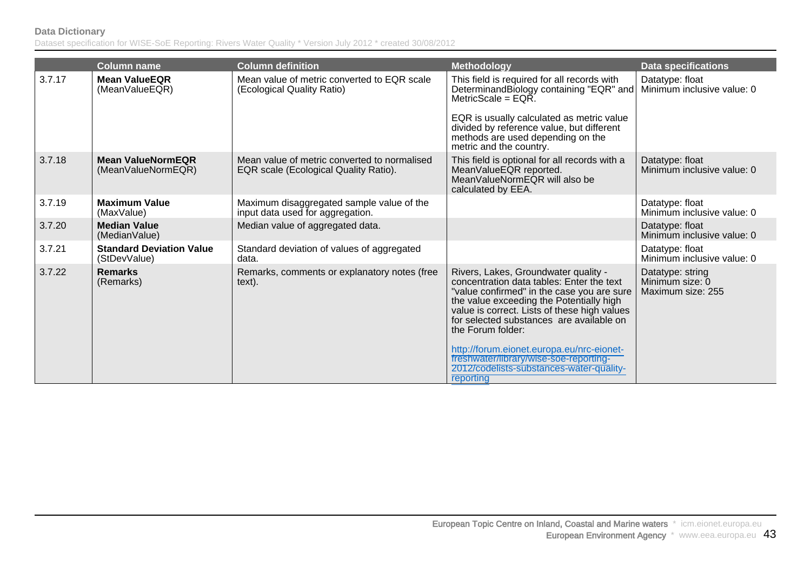|        | <b>Column name</b>                              | <b>Column definition</b>                                                              | <b>Methodology</b>                                                                                                                                                                                                                                                                                                                                                                                                                           | <b>Data specifications</b>                               |
|--------|-------------------------------------------------|---------------------------------------------------------------------------------------|----------------------------------------------------------------------------------------------------------------------------------------------------------------------------------------------------------------------------------------------------------------------------------------------------------------------------------------------------------------------------------------------------------------------------------------------|----------------------------------------------------------|
| 3.7.17 | <b>Mean ValueEQR</b><br>(MeanValueEQR)          | Mean value of metric converted to EQR scale<br>(Ecological Quality Ratio)             | This field is required for all records with<br>DeterminandBiology containing "EQR" and<br>MetricScale = $E\overline{OR}$ .<br>EQR is usually calculated as metric value<br>divided by reference value, but different<br>methods are used depending on the<br>metric and the country.                                                                                                                                                         | Datatype: float<br>Minimum inclusive value: 0            |
| 3.7.18 | <b>Mean ValueNormEQR</b><br>(MeanValueNormEQR)  | Mean value of metric converted to normalised<br>EQR scale (Ecological Quality Ratio). | This field is optional for all records with a<br>MeanValueEQR reported.<br>MeanValueNormEQR will also be<br>calculated by EEA.                                                                                                                                                                                                                                                                                                               | Datatype: float<br>Minimum inclusive value: 0            |
| 3.7.19 | <b>Maximum Value</b><br>(MaxValue)              | Maximum disaggregated sample value of the<br>input data used for aggregation.         |                                                                                                                                                                                                                                                                                                                                                                                                                                              | Datatype: float<br>Minimum inclusive value: 0            |
| 3.7.20 | <b>Median Value</b><br>(MedianValue)            | Median value of aggregated data.                                                      |                                                                                                                                                                                                                                                                                                                                                                                                                                              | Datatype: float<br>Minimum inclusive value: 0            |
| 3.7.21 | <b>Standard Deviation Value</b><br>(StDevValue) | Standard deviation of values of aggregated<br>data.                                   |                                                                                                                                                                                                                                                                                                                                                                                                                                              | Datatype: float<br>Minimum inclusive value: 0            |
| 3.7.22 | <b>Remarks</b><br>(Remarks)                     | Remarks, comments or explanatory notes (free<br>text).                                | Rivers, Lakes, Groundwater quality -<br>concentration data tables: Enter the text<br>"value confirmed" in the case you are sure<br>the value exceeding the Potentially high<br>value is correct. Lists of these high values<br>for selected substances are available on<br>the Forum folder:<br>http://forum.eionet.europa.eu/nrc-eionet-<br>freshwater/library/wise-soe-reporting-<br>2012/codelists-substances-water-quality-<br>reporting | Datatype: string<br>Minimum size: 0<br>Maximum size: 255 |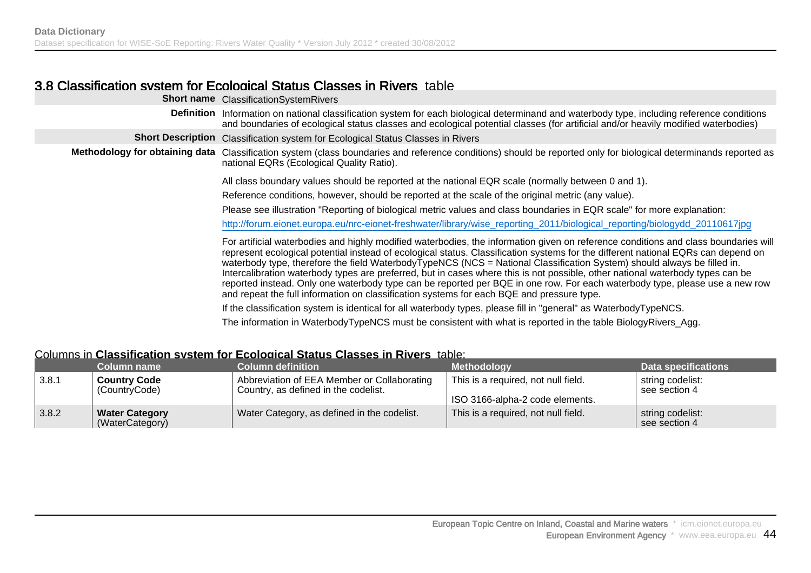### 3.8 Classification system for Ecological Status Classes in Rivers table

| <b>Short name</b> ClassificationSystemRivers                                                                                                                                                                                                                                                                                                                                                                                                                                                                                                                                                                                                                                                                                                                                                                                                                                                                                                                                                          |  |  |
|-------------------------------------------------------------------------------------------------------------------------------------------------------------------------------------------------------------------------------------------------------------------------------------------------------------------------------------------------------------------------------------------------------------------------------------------------------------------------------------------------------------------------------------------------------------------------------------------------------------------------------------------------------------------------------------------------------------------------------------------------------------------------------------------------------------------------------------------------------------------------------------------------------------------------------------------------------------------------------------------------------|--|--|
| Definition Information on national classification system for each biological determinand and waterbody type, including reference conditions<br>and boundaries of ecological status classes and ecological potential classes (for artificial and/or heavily modified waterbodies)                                                                                                                                                                                                                                                                                                                                                                                                                                                                                                                                                                                                                                                                                                                      |  |  |
| Short Description Classification system for Ecological Status Classes in Rivers                                                                                                                                                                                                                                                                                                                                                                                                                                                                                                                                                                                                                                                                                                                                                                                                                                                                                                                       |  |  |
| Methodology for obtaining data Classification system (class boundaries and reference conditions) should be reported only for biological determinands reported as<br>national EQRs (Ecological Quality Ratio).                                                                                                                                                                                                                                                                                                                                                                                                                                                                                                                                                                                                                                                                                                                                                                                         |  |  |
| All class boundary values should be reported at the national EQR scale (normally between 0 and 1).                                                                                                                                                                                                                                                                                                                                                                                                                                                                                                                                                                                                                                                                                                                                                                                                                                                                                                    |  |  |
| Reference conditions, however, should be reported at the scale of the original metric (any value).                                                                                                                                                                                                                                                                                                                                                                                                                                                                                                                                                                                                                                                                                                                                                                                                                                                                                                    |  |  |
| Please see illustration "Reporting of biological metric values and class boundaries in EQR scale" for more explanation:                                                                                                                                                                                                                                                                                                                                                                                                                                                                                                                                                                                                                                                                                                                                                                                                                                                                               |  |  |
| http://forum.eionet.europa.eu/nrc-eionet-freshwater/library/wise_reporting_2011/biological_reporting/biologydd_20110617jpg                                                                                                                                                                                                                                                                                                                                                                                                                                                                                                                                                                                                                                                                                                                                                                                                                                                                            |  |  |
| For artificial waterbodies and highly modified waterbodies, the information given on reference conditions and class boundaries will<br>represent ecological potential instead of ecological status. Classification systems for the different national EQRs can depend on<br>waterbody type, therefore the field WaterbodyTypeNCS (NCS = National Classification System) should always be filled in.<br>Intercalibration waterbody types are preferred, but in cases where this is not possible, other national waterbody types can be<br>reported instead. Only one waterbody type can be reported per BQE in one row. For each waterbody type, please use a new row<br>and repeat the full information on classification systems for each BQE and pressure type.<br>If the classification system is identical for all waterbody types, please fill in "general" as WaterbodyTypeNCS.<br>The information in WaterbodyTypeNCS must be consistent with what is reported in the table BiologyRivers_Agg. |  |  |

#### Columns in **Classification system for Ecological Status Classes in Rivers** table:

|       | <b>Column name</b>                       | Column definition                                                                   | <b>Methodology</b>                                                     | Data specifications               |
|-------|------------------------------------------|-------------------------------------------------------------------------------------|------------------------------------------------------------------------|-----------------------------------|
| 3.8.1 | <b>Country Code</b><br>(CountryCode)     | Abbreviation of EEA Member or Collaborating<br>Country, as defined in the codelist. | This is a required, not null field.<br>ISO 3166-alpha-2 code elements. | string codelist:<br>see section 4 |
| 3.8.2 | <b>Water Category</b><br>(WaterCategory) | Water Category, as defined in the codelist.                                         | This is a required, not null field.                                    | string codelist:<br>see section 4 |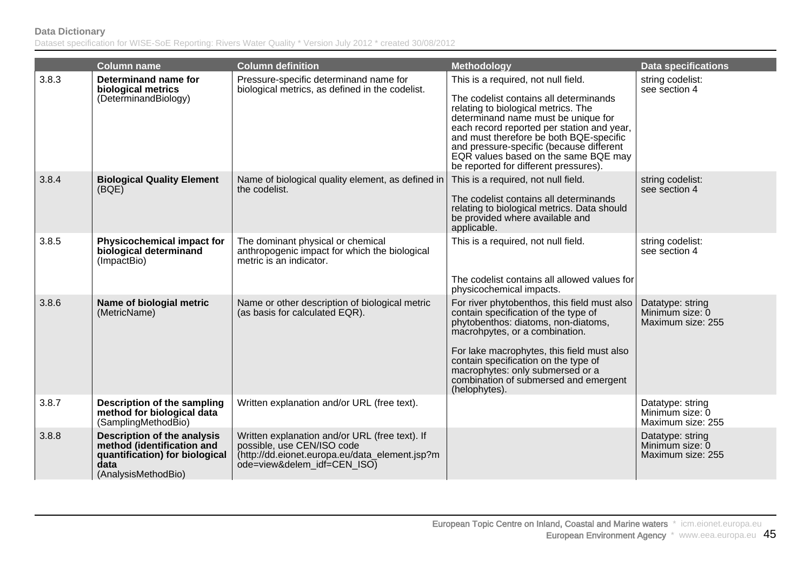|       | <b>Column name</b>                                                                                                                | <b>Column definition</b>                                                                                                                                      | <b>Methodology</b>                                                                                                                                                                                                                                                                                                                                                                | <b>Data specifications</b>                               |
|-------|-----------------------------------------------------------------------------------------------------------------------------------|---------------------------------------------------------------------------------------------------------------------------------------------------------------|-----------------------------------------------------------------------------------------------------------------------------------------------------------------------------------------------------------------------------------------------------------------------------------------------------------------------------------------------------------------------------------|----------------------------------------------------------|
| 3.8.3 | Determinand name for<br>biological metrics<br>(DeterminandBiology)                                                                | Pressure-specific determinand name for<br>biological metrics, as defined in the codelist.                                                                     | This is a required, not null field.<br>The codelist contains all determinands<br>relating to biological metrics. The<br>determinand name must be unique for<br>each record reported per station and year,<br>and must therefore be both BQE-specific<br>and pressure-specific (because different<br>EQR values based on the same BQE may<br>be reported for different pressures). | string codelist:<br>see section 4                        |
| 3.8.4 | <b>Biological Quality Element</b><br>(BOE)                                                                                        | Name of biological quality element, as defined in<br>the codelist.                                                                                            | This is a required, not null field.<br>The codelist contains all determinands<br>relating to biological metrics. Data should<br>be provided where available and<br>applicable.                                                                                                                                                                                                    | string codelist:<br>see section 4                        |
| 3.8.5 | Physicochemical impact for<br>biological determinand<br>(ImpactBio)                                                               | The dominant physical or chemical<br>anthropogenic impact for which the biological<br>metric is an indicator.                                                 | This is a required, not null field.<br>The codelist contains all allowed values for<br>physicochemical impacts.                                                                                                                                                                                                                                                                   | string codelist:<br>see section 4                        |
| 3.8.6 | Name of biologial metric<br>(MetricName)                                                                                          | Name or other description of biological metric<br>(as basis for calculated EQR).                                                                              | For river phytobenthos, this field must also<br>contain specification of the type of<br>phytobenthos: diatoms, non-diatoms,<br>macrohpytes, or a combination.<br>For lake macrophytes, this field must also<br>contain specification on the type of<br>macrophytes: only submersed or a<br>combination of submersed and emergent<br>(helophytes).                                 | Datatype: string<br>Minimum size: 0<br>Maximum size: 255 |
| 3.8.7 | Description of the sampling<br>method for biological data<br>(SamplingMethodBio)                                                  | Written explanation and/or URL (free text).                                                                                                                   |                                                                                                                                                                                                                                                                                                                                                                                   | Datatype: string<br>Minimum size: 0<br>Maximum size: 255 |
| 3.8.8 | <b>Description of the analysis</b><br>method (identification and<br>quantification) for biological<br>data<br>(AnalysisMethodBio) | Written explanation and/or URL (free text). If<br>possible, use CEN/ISO code<br>(http://dd.eionet.europa.eu/data element.jsp?m<br>ode=view&delem_idf=CEN_ISO) |                                                                                                                                                                                                                                                                                                                                                                                   | Datatype: string<br>Minimum size: 0<br>Maximum size: 255 |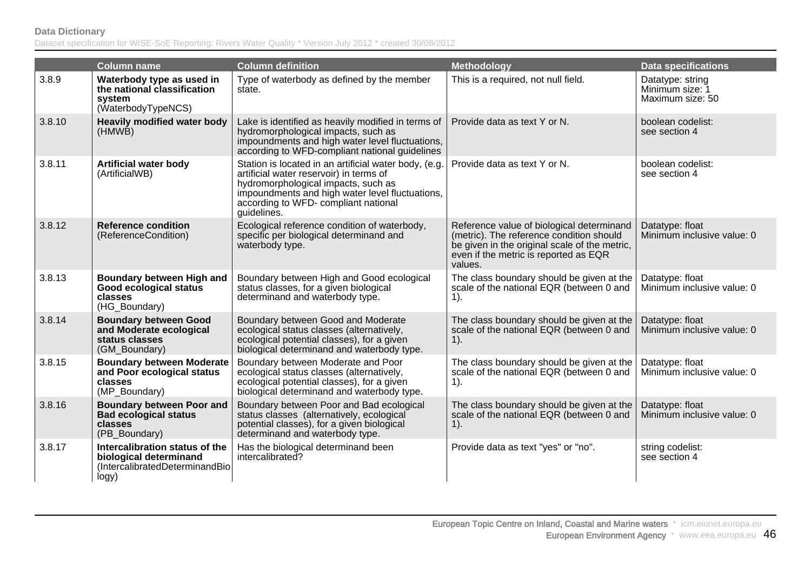|        | <b>Column name</b>                                                                                  | <b>Column definition</b>                                                                                                                                                                                                                          | <b>Methodology</b>                                                                                                                                                                         | <b>Data specifications</b>                              |
|--------|-----------------------------------------------------------------------------------------------------|---------------------------------------------------------------------------------------------------------------------------------------------------------------------------------------------------------------------------------------------------|--------------------------------------------------------------------------------------------------------------------------------------------------------------------------------------------|---------------------------------------------------------|
| 3.8.9  | Waterbody type as used in<br>the national classification<br>system<br>(WaterbodyTypeNCS)            | Type of waterbody as defined by the member<br>state.                                                                                                                                                                                              | This is a required, not null field.                                                                                                                                                        | Datatype: string<br>Minimum size: 1<br>Maximum size: 50 |
| 3.8.10 | <b>Heavily modified water body</b><br>(HMWB)                                                        | Lake is identified as heavily modified in terms of<br>hydromorphological impacts, such as<br>impoundments and high water level fluctuations,<br>according to WFD-compliant national guidelines                                                    | Provide data as text Y or N.                                                                                                                                                               | boolean codelist:<br>see section 4                      |
| 3.8.11 | <b>Artificial water body</b><br>(ArtificialWB)                                                      | Station is located in an artificial water body, (e.g.<br>artificial water reservoir) in terms of<br>hydromorphological impacts, such as<br>impoundments and high water level fluctuations,<br>according to WFD- compliant national<br>guidelines. | Provide data as text Y or N.                                                                                                                                                               | boolean codelist:<br>see section 4                      |
| 3.8.12 | <b>Reference condition</b><br>(ReferenceCondition)                                                  | Ecological reference condition of waterbody,<br>specific per biological determinand and<br>waterbody type.                                                                                                                                        | Reference value of biological determinand<br>(metric). The reference condition should<br>be given in the original scale of the metric,<br>even if the metric is reported as EQR<br>values. | Datatype: float<br>Minimum inclusive value: 0           |
| 3.8.13 | Boundary between High and<br>Good ecological status<br>classes<br>(HG_Boundary)                     | Boundary between High and Good ecological<br>status classes, for a given biological<br>determinand and waterbody type.                                                                                                                            | The class boundary should be given at the<br>scale of the national EQR (between 0 and<br>$1$ ).                                                                                            | Datatype: float<br>Minimum inclusive value: 0           |
| 3.8.14 | <b>Boundary between Good</b><br>and Moderate ecological<br>status classes<br>(GM_Boundary)          | Boundary between Good and Moderate<br>ecological status classes (alternatively,<br>ecological potential classes), for a given<br>biological determinand and waterbody type.                                                                       | The class boundary should be given at the<br>scale of the national EQR (between 0 and<br>$1$ ).                                                                                            | Datatype: float<br>Minimum inclusive value: 0           |
| 3.8.15 | <b>Boundary between Moderate</b><br>and Poor ecological status<br>classes<br>(MP_Boundary)          | Boundary between Moderate and Poor<br>ecological status classes (alternatively,<br>ecological potential classes), for a given<br>biological determinand and waterbody type.                                                                       | The class boundary should be given at the<br>scale of the national EQR (between 0 and<br>$1$ ).                                                                                            | Datatype: float<br>Minimum inclusive value: 0           |
| 3.8.16 | <b>Boundary between Poor and</b><br><b>Bad ecological status</b><br>classes<br>(PB_Boundary)        | Boundary between Poor and Bad ecological<br>status classes (alternatively, ecological<br>potential classes), for a given biological<br>determinand and waterbody type.                                                                            | The class boundary should be given at the<br>scale of the national EQR (between 0 and<br>$1$ ).                                                                                            | Datatype: float<br>Minimum inclusive value: 0           |
| 3.8.17 | Intercalibration status of the<br>biological determinand<br>(IntercalibratedDeterminandBio<br>logy) | Has the biological determinand been<br>intercalibrated?                                                                                                                                                                                           | Provide data as text "yes" or "no".                                                                                                                                                        | string codelist:<br>see section 4                       |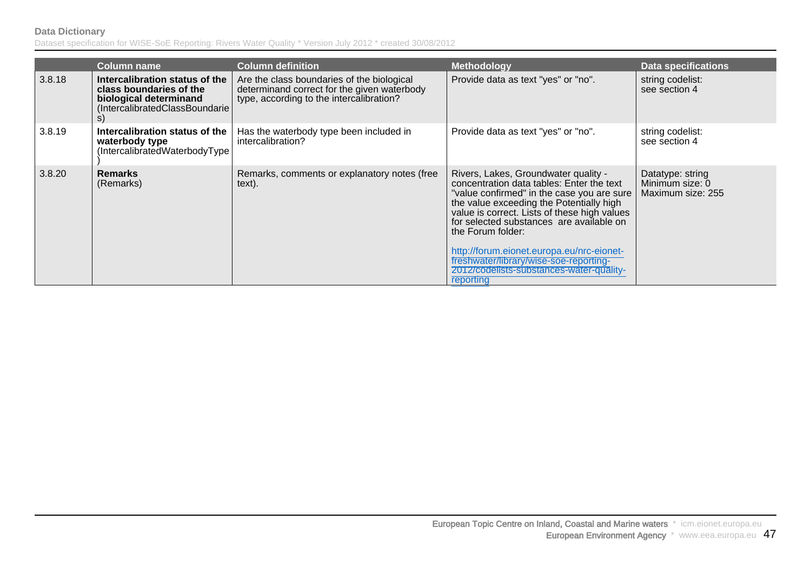|        | <b>Column name</b>                                                                                                          | <b>Column definition</b>                                                                                                              | <b>Methodology</b>                                                                                                                                                                                                                                                                                                                                                                                                                           | <b>Data specifications</b>                               |
|--------|-----------------------------------------------------------------------------------------------------------------------------|---------------------------------------------------------------------------------------------------------------------------------------|----------------------------------------------------------------------------------------------------------------------------------------------------------------------------------------------------------------------------------------------------------------------------------------------------------------------------------------------------------------------------------------------------------------------------------------------|----------------------------------------------------------|
| 3.8.18 | Intercalibration status of the<br>class boundaries of the<br>biological determinand<br>(IntercalibratedClassBoundarie<br>S) | Are the class boundaries of the biological<br>determinand correct for the given waterbody<br>type, according to the intercalibration? | Provide data as text "yes" or "no".                                                                                                                                                                                                                                                                                                                                                                                                          | string codelist:<br>see section 4                        |
| 3.8.19 | Intercalibration status of the<br>waterbody type<br>(IntercalibratedWaterbodyType                                           | Has the waterbody type been included in<br>intercalibration?                                                                          | Provide data as text "yes" or "no".                                                                                                                                                                                                                                                                                                                                                                                                          | string codelist:<br>see section 4                        |
| 3.8.20 | <b>Remarks</b><br>(Remarks)                                                                                                 | Remarks, comments or explanatory notes (free<br>text).                                                                                | Rivers, Lakes, Groundwater quality -<br>concentration data tables: Enter the text<br>"value confirmed" in the case you are sure<br>the value exceeding the Potentially high<br>value is correct. Lists of these high values<br>for selected substances are available on<br>the Forum folder:<br>http://forum.eionet.europa.eu/nrc-eionet-<br>freshwater/library/wise-soe-reporting-<br>2012/codelists-substances-water-quality-<br>reporting | Datatype: string<br>Minimum size: 0<br>Maximum size: 255 |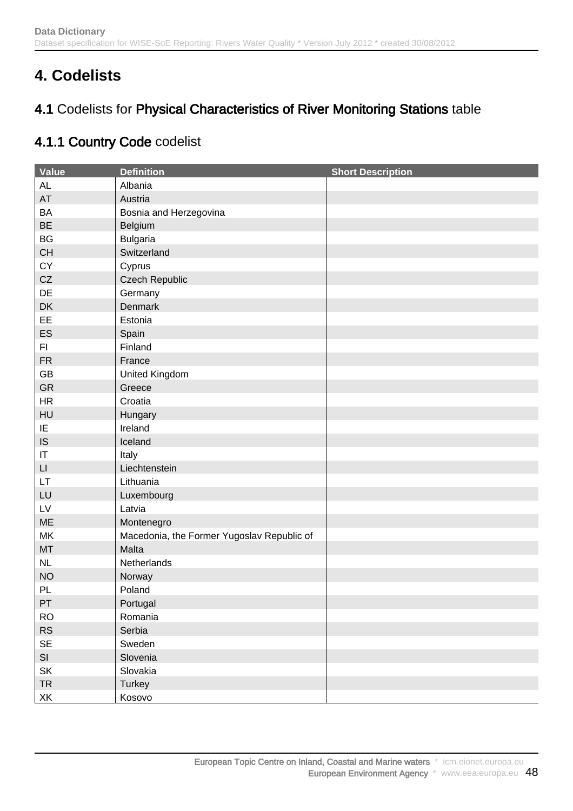# **4. Codelists**

# 4.1 Codelists for Physical Characteristics of River Monitoring Stations table

# 4.1.1 Country Code codelist

| Value                  | <b>Definition</b>                          | <b>Short Description</b> |
|------------------------|--------------------------------------------|--------------------------|
| <b>AL</b>              | Albania                                    |                          |
| AT                     | Austria                                    |                          |
| <b>BA</b>              | Bosnia and Herzegovina                     |                          |
| <b>BE</b>              | Belgium                                    |                          |
| BG                     | <b>Bulgaria</b>                            |                          |
| CH                     | Switzerland                                |                          |
| ${\sf CY}$             | Cyprus                                     |                          |
| CZ                     | <b>Czech Republic</b>                      |                          |
| DE                     | Germany                                    |                          |
| DK                     | <b>Denmark</b>                             |                          |
| EE                     | Estonia                                    |                          |
| ES                     | Spain                                      |                          |
| FI.                    | Finland                                    |                          |
| <b>FR</b>              | France                                     |                          |
| GB                     | United Kingdom                             |                          |
| GR                     | Greece                                     |                          |
| <b>HR</b>              | Croatia                                    |                          |
| HU                     | Hungary                                    |                          |
| ΙE                     | Ireland                                    |                          |
| IS                     | Iceland                                    |                          |
| $\sf IT$               | Italy                                      |                          |
| $\mathsf{L}\mathsf{I}$ | Liechtenstein                              |                          |
| LT.                    | Lithuania                                  |                          |
| LU                     | Luxembourg                                 |                          |
| LV                     | Latvia                                     |                          |
| ME                     | Montenegro                                 |                          |
| <b>MK</b>              | Macedonia, the Former Yugoslav Republic of |                          |
| MT                     | Malta                                      |                          |
| NL                     | Netherlands                                |                          |
| <b>NO</b>              | Norway                                     |                          |
| PL                     | Poland                                     |                          |
| PT                     | Portugal                                   |                          |
| <b>RO</b>              | Romania                                    |                          |
| RS                     | Serbia                                     |                          |
| <b>SE</b>              | Sweden                                     |                          |
| SI                     | Slovenia                                   |                          |
| SK                     | Slovakia                                   |                          |
| ${\sf TR}$             | Turkey                                     |                          |
| XK                     | Kosovo                                     |                          |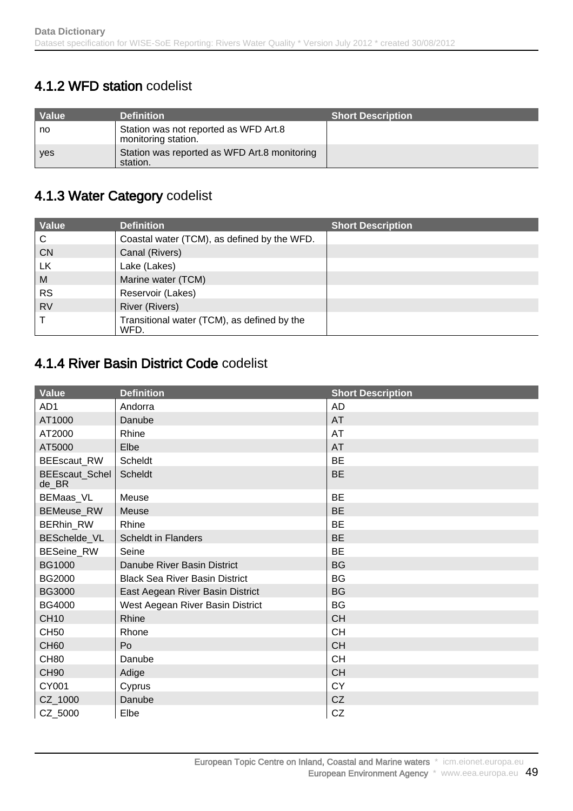# 4.1.2 WFD station codelist

| Value      | <b>Definition</b>                                            | <b>Short Description</b> |
|------------|--------------------------------------------------------------|--------------------------|
| no.        | Station was not reported as WFD Art.8<br>monitoring station. |                          |
| <b>ves</b> | Station was reported as WFD Art.8 monitoring<br>station.     |                          |

# 4.1.3 Water Category codelist

| Value     | <b>Definition</b>                                   | <b>Short Description</b> |
|-----------|-----------------------------------------------------|--------------------------|
| C         | Coastal water (TCM), as defined by the WFD.         |                          |
| <b>CN</b> | Canal (Rivers)                                      |                          |
| <b>LK</b> | Lake (Lakes)                                        |                          |
| M         | Marine water (TCM)                                  |                          |
| <b>RS</b> | Reservoir (Lakes)                                   |                          |
| <b>RV</b> | <b>River (Rivers)</b>                               |                          |
|           | Transitional water (TCM), as defined by the<br>WFD. |                          |

## 4.1.4 River Basin District Code codelist

| Value                   | <b>Definition</b>                     | <b>Short Description</b> |
|-------------------------|---------------------------------------|--------------------------|
| AD1                     | Andorra                               | <b>AD</b>                |
| AT1000                  | Danube                                | <b>AT</b>                |
| AT2000                  | Rhine                                 | AT                       |
| AT5000                  | Elbe                                  | <b>AT</b>                |
| <b>BEEscaut RW</b>      | Scheldt                               | <b>BE</b>                |
| BEEscaut_Schel<br>de BR | Scheldt                               | <b>BE</b>                |
| BEMaas_VL               | Meuse                                 | <b>BE</b>                |
| <b>BEMeuse_RW</b>       | Meuse                                 | <b>BE</b>                |
| BERhin_RW               | Rhine                                 | <b>BE</b>                |
| BESchelde_VL            | <b>Scheldt in Flanders</b>            | <b>BE</b>                |
| BESeine_RW              | Seine                                 | <b>BE</b>                |
| <b>BG1000</b>           | Danube River Basin District           | <b>BG</b>                |
| <b>BG2000</b>           | <b>Black Sea River Basin District</b> | <b>BG</b>                |
| <b>BG3000</b>           | East Aegean River Basin District      | <b>BG</b>                |
| <b>BG4000</b>           | West Aegean River Basin District      | <b>BG</b>                |
| <b>CH10</b>             | Rhine                                 | <b>CH</b>                |
| <b>CH50</b>             | Rhone                                 | <b>CH</b>                |
| <b>CH60</b>             | Po                                    | <b>CH</b>                |
| <b>CH80</b>             | Danube                                | <b>CH</b>                |
| <b>CH90</b>             | Adige                                 | <b>CH</b>                |
| CY001                   | Cyprus                                | <b>CY</b>                |
| CZ_1000                 | Danube                                | CZ                       |
| CZ_5000                 | Elbe                                  | CZ                       |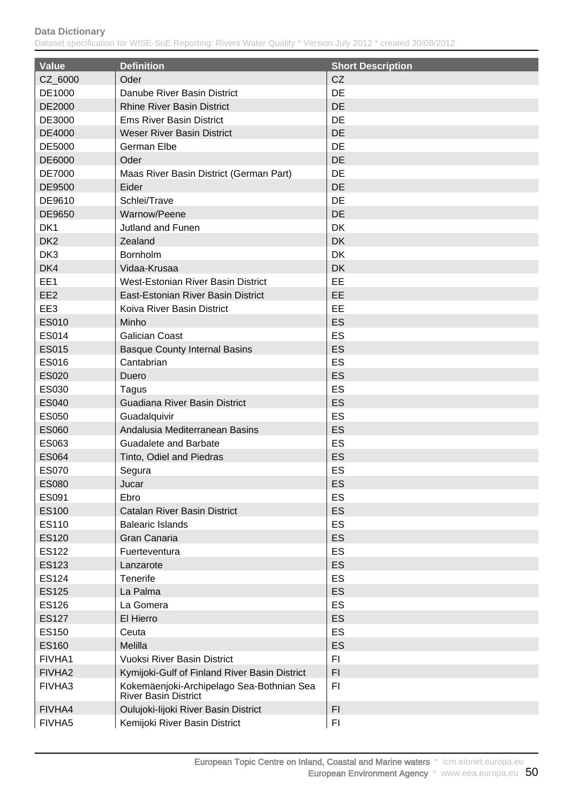| <b>Value</b>       | <b>Definition</b>                                                 | <b>Short Description</b> |
|--------------------|-------------------------------------------------------------------|--------------------------|
| CZ_6000            | Oder                                                              | CZ                       |
| DE1000             | Danube River Basin District                                       | DE                       |
| DE2000             | <b>Rhine River Basin District</b>                                 | DE                       |
| DE3000             | <b>Ems River Basin District</b>                                   | DE                       |
| DE4000             | <b>Weser River Basin District</b>                                 | <b>DE</b>                |
| DE5000             | <b>German Elbe</b>                                                | DE                       |
| DE6000             | Oder                                                              | DE                       |
| DE7000             | Maas River Basin District (German Part)                           | DE                       |
| DE9500             | Eider                                                             | DE                       |
| DE9610             | Schlei/Trave                                                      | DE                       |
| DE9650             | Warnow/Peene                                                      | <b>DE</b>                |
| DK <sub>1</sub>    | Jutland and Funen                                                 | DK                       |
| DK <sub>2</sub>    | Zealand                                                           | <b>DK</b>                |
| DK3                | Bornholm                                                          | DK                       |
| DK4                | Vidaa-Krusaa                                                      | <b>DK</b>                |
| EE1                | West-Estonian River Basin District                                | EE                       |
| EE <sub>2</sub>    | East-Estonian River Basin District                                | EE                       |
| EE3                | Koiva River Basin District                                        | EE                       |
| <b>ES010</b>       | Minho                                                             | <b>ES</b>                |
| ES014              | <b>Galician Coast</b>                                             | ES                       |
| <b>ES015</b>       | <b>Basque County Internal Basins</b>                              | ES                       |
| ES016              | Cantabrian                                                        | ES                       |
| <b>ES020</b>       | Duero                                                             | ES                       |
| ES030              | Tagus                                                             | ES                       |
| <b>ES040</b>       | Guadiana River Basin District                                     | <b>ES</b>                |
| <b>ES050</b>       | Guadalquivir                                                      | ES                       |
| <b>ES060</b>       | Andalusia Mediterranean Basins                                    | ES                       |
| ES063              | <b>Guadalete and Barbate</b>                                      | ES                       |
| <b>ES064</b>       | Tinto, Odiel and Piedras                                          | ES                       |
| <b>ES070</b>       | Segura                                                            | ES                       |
| <b>ES080</b>       | Jucar                                                             | ES                       |
| ES091              | Ebro                                                              | ES                       |
| <b>ES100</b>       | <b>Catalan River Basin District</b>                               | <b>ES</b>                |
| ES110              | <b>Balearic Islands</b>                                           | <b>ES</b>                |
| <b>ES120</b>       | Gran Canaria                                                      | <b>ES</b>                |
| ES122              | Fuerteventura                                                     | <b>ES</b>                |
| <b>ES123</b>       | Lanzarote                                                         | <b>ES</b>                |
| ES124              | Tenerife                                                          | ES                       |
| <b>ES125</b>       | La Palma                                                          | <b>ES</b>                |
| <b>ES126</b>       | La Gomera                                                         | <b>ES</b>                |
| <b>ES127</b>       | El Hierro                                                         | ES                       |
| ES150              | Ceuta                                                             | ES                       |
| <b>ES160</b>       | Melilla                                                           | <b>ES</b>                |
| FIVHA1             | <b>Vuoksi River Basin District</b>                                | F1                       |
| FIVHA <sub>2</sub> | Kymijoki-Gulf of Finland River Basin District                     | F1                       |
| FIVHA3             | Kokemäenjoki-Archipelago Sea-Bothnian Sea<br>River Basin District | F <sub>1</sub>           |
| FIVHA4             | Oulujoki-lijoki River Basin District                              | F1                       |
| FIVHA5             | Kemijoki River Basin District                                     | F <sub>1</sub>           |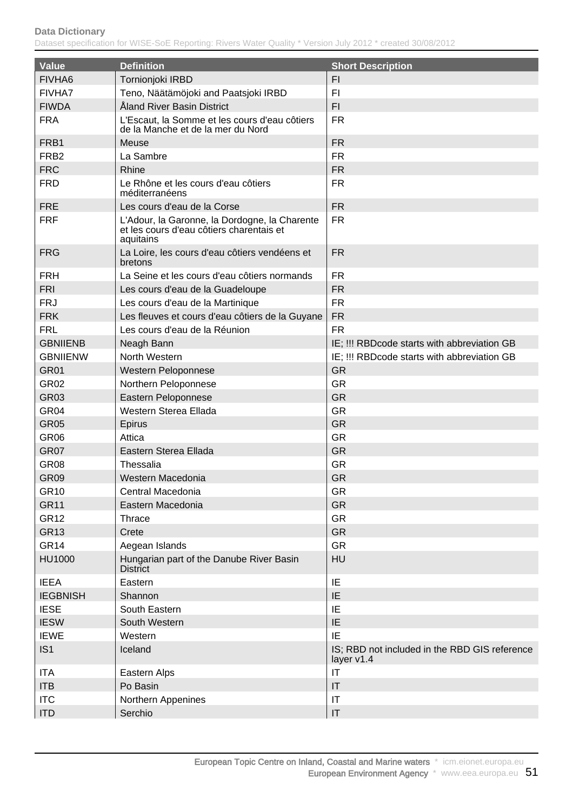| Value              | <b>Definition</b>                                                                                      | <b>Short Description</b>                                    |
|--------------------|--------------------------------------------------------------------------------------------------------|-------------------------------------------------------------|
| FIVHA <sub>6</sub> | Tornionjoki IRBD                                                                                       | F1                                                          |
| FIVHA7             | Teno, Näätämöjoki and Paatsjoki IRBD                                                                   | FI.                                                         |
| <b>FIWDA</b>       | Åland River Basin District                                                                             | FI                                                          |
| <b>FRA</b>         | L'Escaut, la Somme et les cours d'eau côtiers<br>de la Manche et de la mer du Nord                     | <b>FR</b>                                                   |
| FRB1               | Meuse                                                                                                  | <b>FR</b>                                                   |
| FRB <sub>2</sub>   | La Sambre                                                                                              | <b>FR</b>                                                   |
| <b>FRC</b>         | <b>Rhine</b>                                                                                           | <b>FR</b>                                                   |
| <b>FRD</b>         | Le Rhône et les cours d'eau côtiers<br>méditerranéens                                                  | <b>FR</b>                                                   |
| <b>FRE</b>         | Les cours d'eau de la Corse                                                                            | <b>FR</b>                                                   |
| <b>FRF</b>         | L'Adour, la Garonne, la Dordogne, la Charente<br>et les cours d'eau côtiers charentais et<br>aquitains | <b>FR</b>                                                   |
| <b>FRG</b>         | La Loire, les cours d'eau côtiers vendéens et<br>bretons                                               | <b>FR</b>                                                   |
| <b>FRH</b>         | La Seine et les cours d'eau côtiers normands                                                           | <b>FR</b>                                                   |
| <b>FRI</b>         | Les cours d'eau de la Guadeloupe                                                                       | <b>FR</b>                                                   |
| <b>FRJ</b>         | Les cours d'eau de la Martinique                                                                       | <b>FR</b>                                                   |
| <b>FRK</b>         | Les fleuves et cours d'eau côtiers de la Guyane                                                        | <b>FR</b>                                                   |
| <b>FRL</b>         | Les cours d'eau de la Réunion                                                                          | <b>FR</b>                                                   |
| <b>GBNIIENB</b>    | Neagh Bann                                                                                             | IE; !!! RBDcode starts with abbreviation GB                 |
| <b>GBNIIENW</b>    | North Western                                                                                          | IE; !!! RBDcode starts with abbreviation GB                 |
| <b>GR01</b>        | Western Peloponnese                                                                                    | <b>GR</b>                                                   |
| <b>GR02</b>        | Northern Peloponnese                                                                                   | <b>GR</b>                                                   |
| <b>GR03</b>        | Eastern Peloponnese                                                                                    | <b>GR</b>                                                   |
| GR <sub>04</sub>   | Western Sterea Ellada                                                                                  | <b>GR</b>                                                   |
| <b>GR05</b>        | Epirus                                                                                                 | <b>GR</b>                                                   |
| GR <sub>06</sub>   | Attica                                                                                                 | <b>GR</b>                                                   |
| GR07               | Eastern Sterea Ellada                                                                                  | <b>GR</b>                                                   |
| <b>GR08</b>        | Thessalia                                                                                              | <b>GR</b>                                                   |
| GR <sub>09</sub>   | Western Macedonia                                                                                      | <b>GR</b>                                                   |
| <b>GR10</b>        | Central Macedonia                                                                                      | <b>GR</b>                                                   |
| <b>GR11</b>        | Eastern Macedonia                                                                                      | <b>GR</b>                                                   |
| <b>GR12</b>        | <b>Thrace</b>                                                                                          | <b>GR</b>                                                   |
| <b>GR13</b>        | Crete                                                                                                  | <b>GR</b>                                                   |
| GR <sub>14</sub>   | Aegean Islands                                                                                         | <b>GR</b>                                                   |
| <b>HU1000</b>      | Hungarian part of the Danube River Basin<br><b>District</b>                                            | HU                                                          |
| <b>IEEA</b>        | Eastern                                                                                                | IE                                                          |
| <b>IEGBNISH</b>    | Shannon                                                                                                | IE                                                          |
| <b>IESE</b>        | South Eastern                                                                                          | IE                                                          |
| <b>IESW</b>        | South Western                                                                                          | IE                                                          |
| <b>IEWE</b>        | Western                                                                                                | IE                                                          |
| IS <sub>1</sub>    | Iceland                                                                                                | IS; RBD not included in the RBD GIS reference<br>layer v1.4 |
| <b>ITA</b>         | Eastern Alps                                                                                           | $\mathsf{I}\mathsf{T}$                                      |
| <b>ITB</b>         | Po Basin                                                                                               | IT                                                          |
| <b>ITC</b>         | Northern Appenines                                                                                     | $\mathsf{I}\mathsf{T}$                                      |
| <b>ITD</b>         | Serchio                                                                                                | $\mathsf{I}\mathsf{T}$                                      |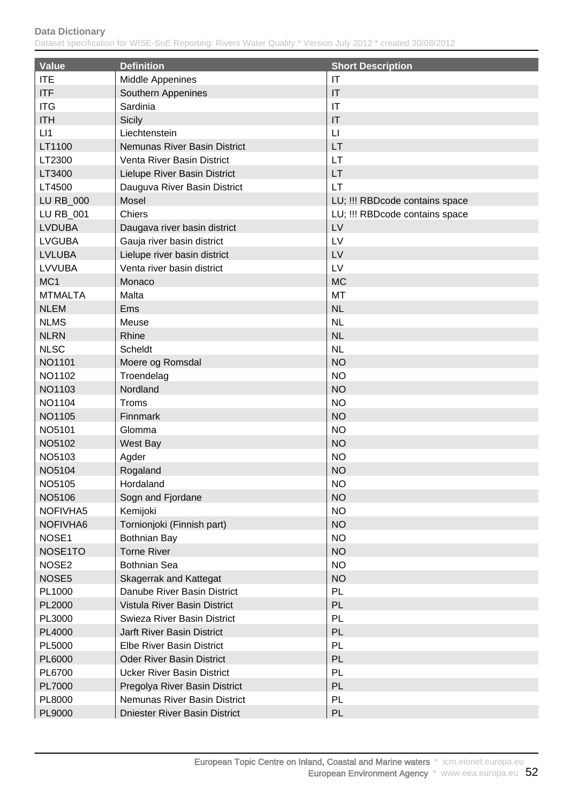| Value            | <b>Definition</b>                    | <b>Short Description</b>       |
|------------------|--------------------------------------|--------------------------------|
| <b>ITE</b>       | <b>Middle Appenines</b>              | $\mathsf{I}\mathsf{T}$         |
| <b>ITF</b>       | Southern Appenines                   | $\mathsf{I}\mathsf{T}$         |
| <b>ITG</b>       | Sardinia                             | $\mathsf{I}\mathsf{T}$         |
| <b>ITH</b>       | <b>Sicily</b>                        | $\mathsf{I}\mathsf{T}$         |
| LI1              | Liechtenstein                        | $\mathsf{L}\mathsf{I}$         |
| LT1100           | Nemunas River Basin District         | LT                             |
| LT2300           | Venta River Basin District           | LT                             |
| LT3400           | Lielupe River Basin District         | LT                             |
| LT4500           | Dauguva River Basin District         | LT                             |
| LU RB_000        | Mosel                                | LU; !!! RBDcode contains space |
| LU RB_001        | <b>Chiers</b>                        | LU; !!! RBDcode contains space |
| <b>LVDUBA</b>    | Daugava river basin district         | LV                             |
| <b>LVGUBA</b>    | Gauja river basin district           | LV                             |
| <b>LVLUBA</b>    | Lielupe river basin district         | LV                             |
| <b>LVVUBA</b>    | Venta river basin district           | LV                             |
| MC <sub>1</sub>  | Monaco                               | <b>MC</b>                      |
| <b>MTMALTA</b>   | Malta                                | MT                             |
| <b>NLEM</b>      | Ems                                  | <b>NL</b>                      |
| <b>NLMS</b>      | Meuse                                | <b>NL</b>                      |
| <b>NLRN</b>      | Rhine                                | <b>NL</b>                      |
| <b>NLSC</b>      | Scheldt                              | <b>NL</b>                      |
| NO1101           | Moere og Romsdal                     | <b>NO</b>                      |
| NO1102           | Troendelag                           | <b>NO</b>                      |
| NO1103           | Nordland                             | <b>NO</b>                      |
| NO1104           | Troms                                | <b>NO</b>                      |
| NO1105           | Finnmark                             | <b>NO</b>                      |
| NO5101           | Glomma                               | <b>NO</b>                      |
| NO5102           |                                      | <b>NO</b>                      |
| NO5103           | West Bay                             | <b>NO</b>                      |
| NO5104           | Agder<br>Rogaland                    | <b>NO</b>                      |
|                  |                                      | NO                             |
| NO5105<br>NO5106 | Hordaland                            | <b>NO</b>                      |
| NOFIVHA5         | Sogn and Fjordane                    | <b>NO</b>                      |
|                  | Kemijoki                             |                                |
| NOFIVHA6         | Tornionjoki (Finnish part)           | <b>NO</b>                      |
| NOSE1            | <b>Bothnian Bay</b>                  | <b>NO</b>                      |
| NOSE1TO          | <b>Torne River</b>                   | <b>NO</b>                      |
| NOSE2            | <b>Bothnian Sea</b>                  | <b>NO</b>                      |
| NOSE5            | <b>Skagerrak and Kattegat</b>        | <b>NO</b>                      |
| PL1000           | Danube River Basin District          | PL                             |
| PL2000           | Vistula River Basin District         | PL                             |
| PL3000           | Swieza River Basin District          | PL                             |
| PL4000           | <b>Jarft River Basin District</b>    | PL                             |
| PL5000           | Elbe River Basin District            | PL                             |
| PL6000           | <b>Oder River Basin District</b>     | PL                             |
| PL6700           | <b>Ucker River Basin District</b>    | PL                             |
| PL7000           | Pregolya River Basin District        | PL                             |
| PL8000           | Nemunas River Basin District         | PL                             |
| PL9000           | <b>Dniester River Basin District</b> | PL                             |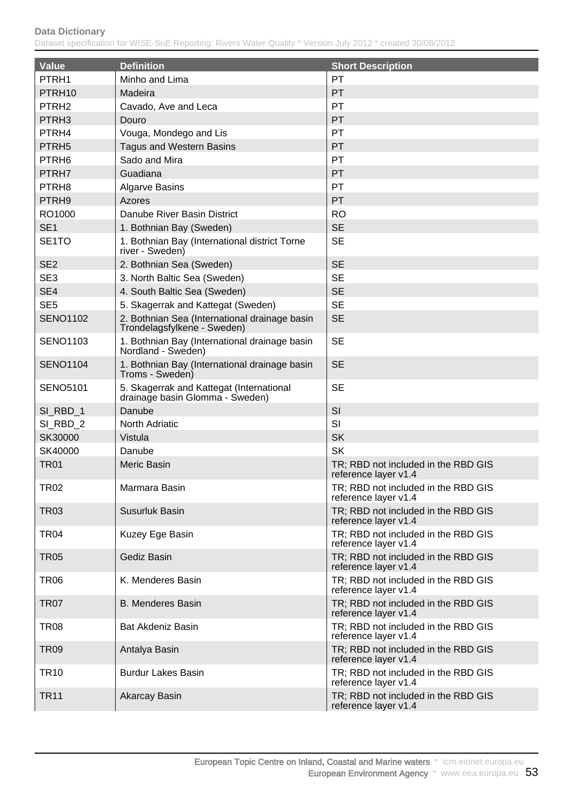| <b>Value</b>      | <b>Definition</b>                                                            | <b>Short Description</b>                                    |
|-------------------|------------------------------------------------------------------------------|-------------------------------------------------------------|
| PTRH1             | Minho and Lima                                                               | PT                                                          |
| PTRH10            | Madeira                                                                      | PT                                                          |
| PTRH <sub>2</sub> | Cavado, Ave and Leca                                                         | <b>PT</b>                                                   |
| PTRH <sub>3</sub> | Douro                                                                        | PT                                                          |
| PTRH4             | Vouga, Mondego and Lis                                                       | PT                                                          |
| PTRH <sub>5</sub> | <b>Tagus and Western Basins</b>                                              | PT                                                          |
| PTRH <sub>6</sub> | Sado and Mira                                                                | PT                                                          |
| PTRH7             | Guadiana                                                                     | PT                                                          |
| PTRH <sub>8</sub> | <b>Algarve Basins</b>                                                        | PT                                                          |
| PTRH9             | <b>Azores</b>                                                                | PT                                                          |
| RO1000            | Danube River Basin District                                                  | <b>RO</b>                                                   |
| SE <sub>1</sub>   | 1. Bothnian Bay (Sweden)                                                     | <b>SE</b>                                                   |
| SE1TO             | 1. Bothnian Bay (International district Torne<br>river - Sweden)             | <b>SE</b>                                                   |
| SE <sub>2</sub>   | 2. Bothnian Sea (Sweden)                                                     | <b>SE</b>                                                   |
| SE <sub>3</sub>   | 3. North Baltic Sea (Sweden)                                                 | <b>SE</b>                                                   |
| SE4               | 4. South Baltic Sea (Sweden)                                                 | <b>SE</b>                                                   |
| SE <sub>5</sub>   | 5. Skagerrak and Kattegat (Sweden)                                           | <b>SE</b>                                                   |
| <b>SENO1102</b>   | 2. Bothnian Sea (International drainage basin<br>Trondelagsfylkene - Sweden) | <b>SE</b>                                                   |
| <b>SENO1103</b>   | 1. Bothnian Bay (International drainage basin<br>Nordland - Sweden)          | <b>SE</b>                                                   |
| <b>SENO1104</b>   | 1. Bothnian Bay (International drainage basin<br>Troms - Sweden)             | <b>SE</b>                                                   |
| <b>SENO5101</b>   | 5. Skagerrak and Kattegat (International<br>drainage basin Glomma - Sweden)  | <b>SE</b>                                                   |
| SI_RBD_1          | Danube                                                                       | SI                                                          |
| SI_RBD_2          | <b>North Adriatic</b>                                                        | SI                                                          |
| SK30000           | Vistula                                                                      | <b>SK</b>                                                   |
| SK40000           | Danube                                                                       | <b>SK</b>                                                   |
| <b>TR01</b>       | Meric Basin                                                                  | TR; RBD not included in the RBD GIS<br>reference layer v1.4 |
| <b>TR02</b>       | Marmara Basin                                                                | TR; RBD not included in the RBD GIS<br>reference layer v1.4 |
| <b>TR03</b>       | Susurluk Basin                                                               | TR; RBD not included in the RBD GIS<br>reference layer v1.4 |
| <b>TR04</b>       | Kuzey Ege Basin                                                              | TR; RBD not included in the RBD GIS<br>reference layer v1.4 |
| <b>TR05</b>       | Gediz Basin                                                                  | TR; RBD not included in the RBD GIS<br>reference layer v1.4 |
| TR06              | K. Menderes Basin                                                            | TR; RBD not included in the RBD GIS<br>reference layer v1.4 |
| <b>TR07</b>       | <b>B. Menderes Basin</b>                                                     | TR; RBD not included in the RBD GIS<br>reference layer v1.4 |
| TR <sub>08</sub>  | <b>Bat Akdeniz Basin</b>                                                     | TR; RBD not included in the RBD GIS<br>reference layer v1.4 |
| <b>TR09</b>       | Antalya Basin                                                                | TR; RBD not included in the RBD GIS<br>reference layer v1.4 |
| <b>TR10</b>       | <b>Burdur Lakes Basin</b>                                                    | TR; RBD not included in the RBD GIS<br>reference layer v1.4 |
| <b>TR11</b>       | Akarcay Basin                                                                | TR; RBD not included in the RBD GIS<br>reference layer v1.4 |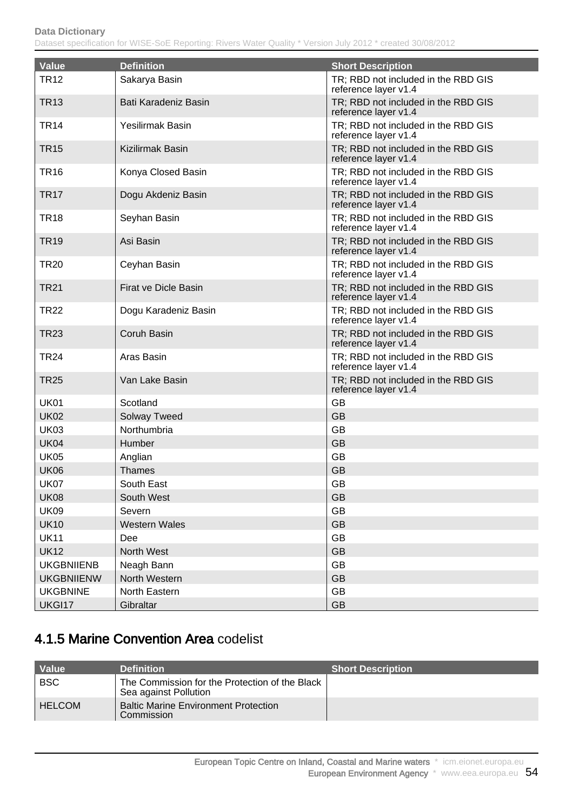#### **Data Dictionary** Dataset specification for WISE-SoE Reporting: Rivers Water Quality \* Version July 2012 \* created 30/08/2012

| <b>Value</b>      | <b>Definition</b>    | <b>Short Description</b>                                    |
|-------------------|----------------------|-------------------------------------------------------------|
| <b>TR12</b>       | Sakarya Basin        | TR; RBD not included in the RBD GIS<br>reference layer v1.4 |
| <b>TR13</b>       | Bati Karadeniz Basin | TR; RBD not included in the RBD GIS<br>reference layer v1.4 |
| <b>TR14</b>       | Yesilirmak Basin     | TR; RBD not included in the RBD GIS<br>reference layer v1.4 |
| <b>TR15</b>       | Kizilirmak Basin     | TR; RBD not included in the RBD GIS<br>reference layer v1.4 |
| <b>TR16</b>       | Konya Closed Basin   | TR; RBD not included in the RBD GIS<br>reference layer v1.4 |
| TR <sub>17</sub>  | Dogu Akdeniz Basin   | TR; RBD not included in the RBD GIS<br>reference layer v1.4 |
| <b>TR18</b>       | Seyhan Basin         | TR; RBD not included in the RBD GIS<br>reference layer v1.4 |
| <b>TR19</b>       | Asi Basin            | TR; RBD not included in the RBD GIS<br>reference layer v1.4 |
| <b>TR20</b>       | Ceyhan Basin         | TR; RBD not included in the RBD GIS<br>reference layer v1.4 |
| <b>TR21</b>       | Firat ve Dicle Basin | TR; RBD not included in the RBD GIS<br>reference layer v1.4 |
| <b>TR22</b>       | Dogu Karadeniz Basin | TR; RBD not included in the RBD GIS<br>reference layer v1.4 |
| <b>TR23</b>       | Coruh Basin          | TR; RBD not included in the RBD GIS<br>reference layer v1.4 |
| <b>TR24</b>       | Aras Basin           | TR; RBD not included in the RBD GIS<br>reference layer v1.4 |
| <b>TR25</b>       | Van Lake Basin       | TR; RBD not included in the RBD GIS<br>reference layer v1.4 |
| <b>UK01</b>       | Scotland             | <b>GB</b>                                                   |
| <b>UK02</b>       | <b>Solway Tweed</b>  | <b>GB</b>                                                   |
| <b>UK03</b>       | Northumbria          | <b>GB</b>                                                   |
| <b>UK04</b>       | Humber               | <b>GB</b>                                                   |
| <b>UK05</b>       | Anglian              | <b>GB</b>                                                   |
| <b>UK06</b>       | <b>Thames</b>        | <b>GB</b>                                                   |
| <b>UK07</b>       | South East           | <b>GB</b>                                                   |
| <b>UK08</b>       | South West           | <b>GB</b>                                                   |
| <b>UK09</b>       | Severn               | <b>GB</b>                                                   |
| <b>UK10</b>       | <b>Western Wales</b> | <b>GB</b>                                                   |
| <b>UK11</b>       | Dee                  | <b>GB</b>                                                   |
| <b>UK12</b>       | North West           | <b>GB</b>                                                   |
| <b>UKGBNIIENB</b> | Neagh Bann           | <b>GB</b>                                                   |
| <b>UKGBNIIENW</b> | North Western        | <b>GB</b>                                                   |
| <b>UKGBNINE</b>   | North Eastern        | <b>GB</b>                                                   |
| UKGI17            | Gibraltar            | GB                                                          |

# 4.1.5 Marine Convention Area codelist

| <b>Value</b> | <b>Definition</b>                                                       | <b>Short Description</b> |
|--------------|-------------------------------------------------------------------------|--------------------------|
| <b>BSC</b>   | The Commission for the Protection of the Black<br>Sea against Pollution |                          |
| HELCOM       | <b>Baltic Marine Environment Protection</b><br>Commission               |                          |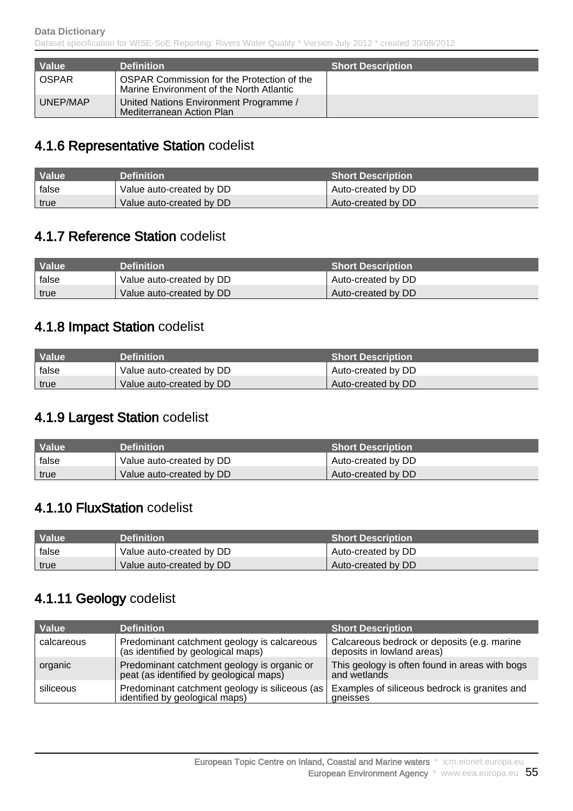| Value        | <b>Definition</b>                                                                      | <b>Short Description</b> |
|--------------|----------------------------------------------------------------------------------------|--------------------------|
| <b>OSPAR</b> | OSPAR Commission for the Protection of the<br>Marine Environment of the North Atlantic |                          |
| UNEP/MAP     | United Nations Environment Programme /<br>Mediterranean Action Plan                    |                          |

## 4.1.6 Representative Station codelist

| Value | <b>Definition</b>        | <b>Short Description</b> |
|-------|--------------------------|--------------------------|
| false | Value auto-created by DD | Auto-created by DD       |
| true  | Value auto-created by DD | Auto-created by DD       |

## 4.1.7 Reference Station codelist

| Value | <b>Definition</b>        | <b>Short Description</b> |
|-------|--------------------------|--------------------------|
| false | Value auto-created by DD | Auto-created by DD       |
| true  | Value auto-created by DD | Auto-created by DD       |

# 4.1.8 Impact Station codelist

| <b>Value</b> | <b>Definition</b>        | <b>Short Description</b> |
|--------------|--------------------------|--------------------------|
| false        | Value auto-created by DD | Auto-created by DD       |
| true         | Value auto-created by DD | Auto-created by DD       |

# 4.1.9 Largest Station codelist

| Value | <b>Definition</b>        | <b>Short Description</b> |
|-------|--------------------------|--------------------------|
| false | Value auto-created by DD | Auto-created by DD       |
| true  | Value auto-created by DD | Auto-created by DD       |

# 4.1.10 FluxStation codelist

| <b>Value</b> | <b>Definition</b>        | <b>Short Description</b> |
|--------------|--------------------------|--------------------------|
| false        | Value auto-created by DD | Auto-created by DD       |
| true         | Value auto-created by DD | Auto-created by DD       |

# 4.1.11 Geology codelist

| Value      | <b>Definition</b>                                                                      | <b>Short Description</b>                                                  |
|------------|----------------------------------------------------------------------------------------|---------------------------------------------------------------------------|
| calcareous | Predominant catchment geology is calcareous<br>(as identified by geological maps)      | Calcareous bedrock or deposits (e.g. marine<br>deposits in lowland areas) |
| organic    | Predominant catchment geology is organic or<br>peat (as identified by geological maps) | This geology is often found in areas with bogs<br>and wetlands            |
| siliceous  | Predominant catchment geology is siliceous (as  <br>identified by geological maps)     | Examples of siliceous bedrock is granites and<br>gneisses                 |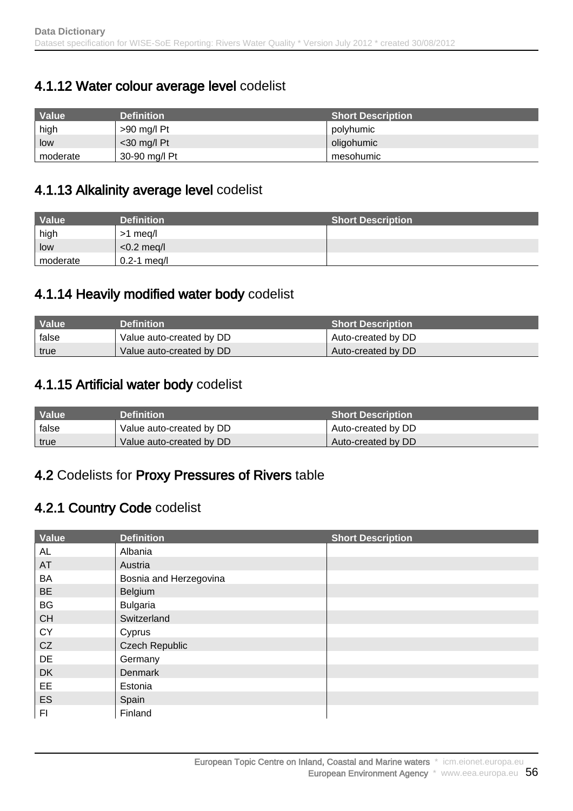# 4.1.12 Water colour average level codelist

| <b>Value</b> | <b>Definition</b> | <b>Short Description</b> |
|--------------|-------------------|--------------------------|
| high         | $>90$ mg/l Pt     | polyhumic                |
| low          | $<$ 30 mg/l Pt    | oligohumic               |
| moderate     | 30-90 mg/l Pt     | mesohumic                |

### 4.1.13 Alkalinity average level codelist

| <b>Value</b> | <b>Definition</b> | <b>Short Description</b> |
|--------------|-------------------|--------------------------|
| high         | $>1$ meg/l        |                          |
| low          | $<$ 0.2 meg/l     |                          |
| moderate     | 0.2-1 mea/l       |                          |

## 4.1.14 Heavily modified water body codelist

| <b>Value</b> | <b>Definition</b>        | <b>Short Description</b> |
|--------------|--------------------------|--------------------------|
| false        | Value auto-created by DD | Auto-created by DD       |
| true         | Value auto-created by DD | Auto-created by DD       |

### 4.1.15 Artificial water body codelist

| Value | <b>Definition</b>        | <b>Short Description</b> |
|-------|--------------------------|--------------------------|
| false | Value auto-created by DD | Auto-created by DD       |
| true  | Value auto-created by DD | Auto-created by DD       |

## 4.2 Codelists for Proxy Pressures of Rivers table

## 4.2.1 Country Code codelist

| Value          | <b>Definition</b>      | <b>Short Description</b> |
|----------------|------------------------|--------------------------|
| AL             | Albania                |                          |
| AT             | Austria                |                          |
| <b>BA</b>      | Bosnia and Herzegovina |                          |
| <b>BE</b>      | Belgium                |                          |
| <b>BG</b>      | <b>Bulgaria</b>        |                          |
| <b>CH</b>      | Switzerland            |                          |
| <b>CY</b>      | Cyprus                 |                          |
| CZ             | <b>Czech Republic</b>  |                          |
| DE             | Germany                |                          |
| <b>DK</b>      | Denmark                |                          |
| EE             | Estonia                |                          |
| ES             | Spain                  |                          |
| F <sub>1</sub> | Finland                |                          |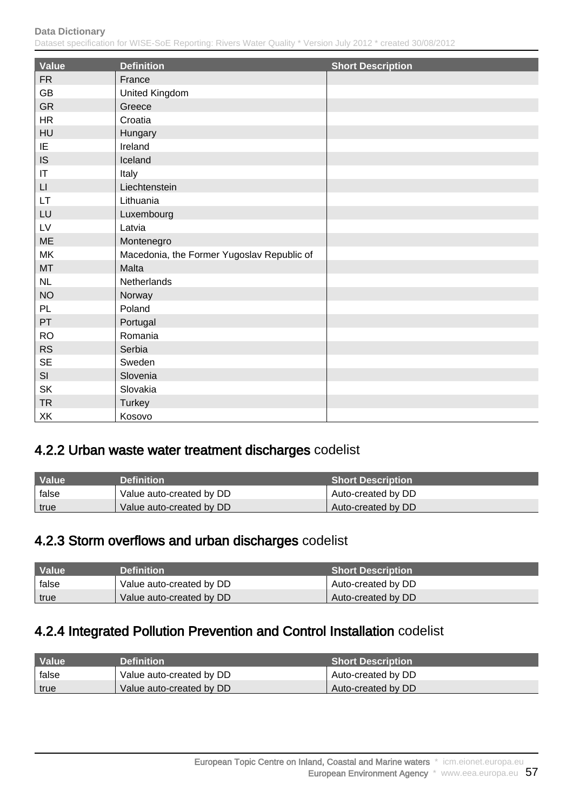Dataset specification for WISE-SoE Reporting: Rivers Water Quality \* Version July 2012 \* created 30/08/2012

| Value                  | <b>Definition</b>                          | <b>Short Description</b> |
|------------------------|--------------------------------------------|--------------------------|
| <b>FR</b>              | France                                     |                          |
| GB                     | <b>United Kingdom</b>                      |                          |
| GR                     | Greece                                     |                          |
| HR                     | Croatia                                    |                          |
| HU                     | Hungary                                    |                          |
| IE                     | Ireland                                    |                          |
| <b>IS</b>              | Iceland                                    |                          |
| $\mathsf{I}\mathsf{T}$ | Italy                                      |                          |
| $\mathsf{L}\mathsf{I}$ | Liechtenstein                              |                          |
| <b>LT</b>              | Lithuania                                  |                          |
| LU                     | Luxembourg                                 |                          |
| $\mathsf{L}\mathsf{V}$ | Latvia                                     |                          |
| ME                     | Montenegro                                 |                          |
| MK                     | Macedonia, the Former Yugoslav Republic of |                          |
| <b>MT</b>              | Malta                                      |                          |
| NL                     | Netherlands                                |                          |
| <b>NO</b>              | Norway                                     |                          |
| PL                     | Poland                                     |                          |
| PT                     | Portugal                                   |                          |
| <b>RO</b>              | Romania                                    |                          |
| <b>RS</b>              | Serbia                                     |                          |
| <b>SE</b>              | Sweden                                     |                          |
| SI                     | Slovenia                                   |                          |
| SK                     | Slovakia                                   |                          |
| <b>TR</b>              | Turkey                                     |                          |
| XK                     | Kosovo                                     |                          |

### 4.2.2 Urban waste water treatment discharges codelist

| <b>Value</b> | <b>Definition</b>        | <b>Short Description</b> |
|--------------|--------------------------|--------------------------|
| false        | Value auto-created by DD | Auto-created by DD       |
| true         | Value auto-created by DD | Auto-created by DD       |

### 4.2.3 Storm overflows and urban discharges codelist

| Value | <b>Definition</b> '      | <b>Short Description</b> |
|-------|--------------------------|--------------------------|
| false | Value auto-created by DD | Auto-created by DD       |
| true  | Value auto-created by DD | Auto-created by DD       |

# 4.2.4 Integrated Pollution Prevention and Control Installation codelist

| Value | <b>Definition</b>        | <b>Short Description</b> |
|-------|--------------------------|--------------------------|
| false | Value auto-created by DD | Auto-created by DD       |
| true  | Value auto-created by DD | Auto-created by DD       |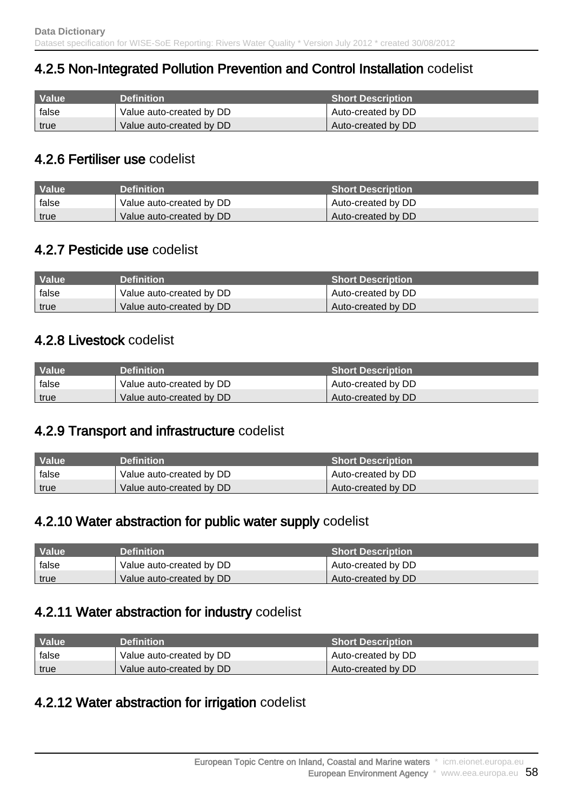## 4.2.5 Non-Integrated Pollution Prevention and Control Installation codelist

| <b>Value</b> | <b>Definition</b>        | <b>Short Description</b> |
|--------------|--------------------------|--------------------------|
| false        | Value auto-created by DD | Auto-created by DD       |
| true         | Value auto-created by DD | Auto-created by DD       |

### 4.2.6 Fertiliser use codelist

| Value | <b>Definition</b>        | <b>Short Description</b> |
|-------|--------------------------|--------------------------|
| false | Value auto-created by DD | Auto-created by DD       |
| true  | Value auto-created by DD | Auto-created by DD       |

### 4.2.7 Pesticide use codelist

| l Value <sup>t</sup> | <b>Definition</b>        | <b>Short Description</b> |
|----------------------|--------------------------|--------------------------|
| false                | Value auto-created by DD | Auto-created by DD       |
| true                 | Value auto-created by DD | Auto-created by DD       |

#### 4.2.8 Livestock codelist

| <b>Value</b> | <b>Definition</b>        | <b>Short Description</b> |
|--------------|--------------------------|--------------------------|
| false        | Value auto-created by DD | Auto-created by DD       |
| true         | Value auto-created by DD | Auto-created by DD       |

### 4.2.9 Transport and infrastructure codelist

| <b>Value</b> | <b>Definition</b>        | <b>Short Description</b> |
|--------------|--------------------------|--------------------------|
| false        | Value auto-created by DD | Auto-created by DD       |
| true         | Value auto-created by DD | Auto-created by DD       |

### 4.2.10 Water abstraction for public water supply codelist

| <b>Value</b> | <b>Definition</b>        | <b>Short Description</b> |
|--------------|--------------------------|--------------------------|
| false        | Value auto-created by DD | Auto-created by DD       |
| true         | Value auto-created by DD | Auto-created by DD       |

### 4.2.11 Water abstraction for industry codelist

| <b>Value</b> | <b>Definition</b>        | <b>Short Description</b> |
|--------------|--------------------------|--------------------------|
| false        | Value auto-created by DD | Auto-created by DD       |
| true         | Value auto-created by DD | Auto-created by DD       |

## 4.2.12 Water abstraction for irrigation codelist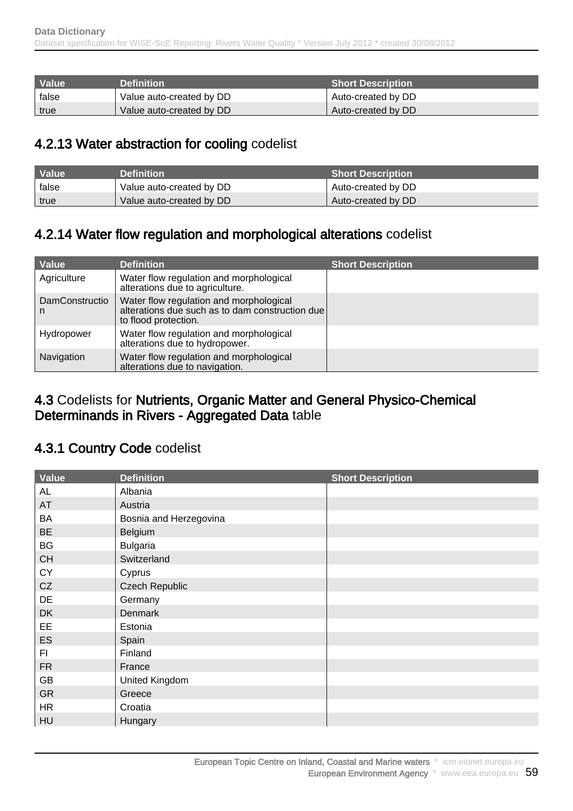| <b>Value</b> | <b>Definition</b>        | <b>Short Description</b> |
|--------------|--------------------------|--------------------------|
| false        | Value auto-created by DD | Auto-created by DD       |
| true         | Value auto-created by DD | Auto-created by DD       |

# 4.2.13 Water abstraction for cooling codelist

| Value <sup>1</sup> | <b>Definition</b>        | <b>Short Description</b> |
|--------------------|--------------------------|--------------------------|
| false              | Value auto-created by DD | Auto-created by DD       |
| true               | Value auto-created by DD | Auto-created by DD       |

### 4.2.14 Water flow regulation and morphological alterations codelist

| <b>Value</b>        | <b>Definition</b>                                                                                                  | <b>Short Description</b> |
|---------------------|--------------------------------------------------------------------------------------------------------------------|--------------------------|
| Agriculture         | Water flow regulation and morphological<br>alterations due to agriculture.                                         |                          |
| DamConstructio<br>n | Water flow regulation and morphological<br>alterations due such as to dam construction due<br>to flood protection. |                          |
| Hydropower          | Water flow regulation and morphological<br>alterations due to hydropower.                                          |                          |
| Navigation          | Water flow regulation and morphological<br>alterations due to navigation.                                          |                          |

## 4.3 Codelists for Nutrients, Organic Matter and General Physico-Chemical Determinands in Rivers - Aggregated Data table

## 4.3.1 Country Code codelist

| Value     | <b>Definition</b>      | <b>Short Description</b> |
|-----------|------------------------|--------------------------|
| AL        | Albania                |                          |
| AT        | Austria                |                          |
| BA        | Bosnia and Herzegovina |                          |
| <b>BE</b> | Belgium                |                          |
| BG        | <b>Bulgaria</b>        |                          |
| CH        | Switzerland            |                          |
| <b>CY</b> | Cyprus                 |                          |
| CZ        | <b>Czech Republic</b>  |                          |
| DE        | Germany                |                          |
| DK        | <b>Denmark</b>         |                          |
| EE        | Estonia                |                          |
| ES        | Spain                  |                          |
| F1        | Finland                |                          |
| <b>FR</b> | France                 |                          |
| GB        | United Kingdom         |                          |
| GR        | Greece                 |                          |
| HR        | Croatia                |                          |
| HU        | Hungary                |                          |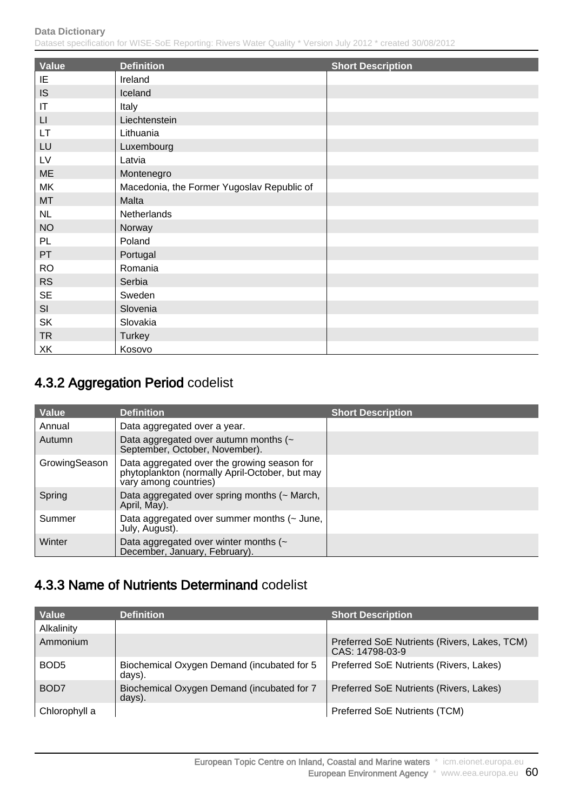Dataset specification for WISE-SoE Reporting: Rivers Water Quality \* Version July 2012 \* created 30/08/2012

| <b>Value</b>           | <b>Definition</b>                          | <b>Short Description</b> |
|------------------------|--------------------------------------------|--------------------------|
| IE                     | Ireland                                    |                          |
| <b>IS</b>              | Iceland                                    |                          |
| $\mathsf{I}\mathsf{T}$ | Italy                                      |                          |
| $\mathsf{L}\mathsf{I}$ | Liechtenstein                              |                          |
| <b>LT</b>              | Lithuania                                  |                          |
| LU                     | Luxembourg                                 |                          |
| LV                     | Latvia                                     |                          |
| <b>ME</b>              | Montenegro                                 |                          |
| MK                     | Macedonia, the Former Yugoslav Republic of |                          |
| MT                     | Malta                                      |                          |
| NL                     | Netherlands                                |                          |
| <b>NO</b>              | Norway                                     |                          |
| PL                     | Poland                                     |                          |
| PT                     | Portugal                                   |                          |
| <b>RO</b>              | Romania                                    |                          |
| <b>RS</b>              | Serbia                                     |                          |
| <b>SE</b>              | Sweden                                     |                          |
| SI                     | Slovenia                                   |                          |
| SK                     | Slovakia                                   |                          |
| <b>TR</b>              | <b>Turkey</b>                              |                          |
| XK                     | Kosovo                                     |                          |

# 4.3.2 Aggregation Period codelist

| <b>Value</b>  | <b>Definition</b>                                                                                                      | <b>Short Description</b> |
|---------------|------------------------------------------------------------------------------------------------------------------------|--------------------------|
| Annual        | Data aggregated over a year.                                                                                           |                          |
| Autumn        | Data aggregated over autumn months $($<br>September, October, November).                                               |                          |
| GrowingSeason | Data aggregated over the growing season for<br>phytoplankton (normally April-October, but may<br>vary among countries) |                          |
| Spring        | Data aggregated over spring months (~ March,<br>April, May).                                                           |                          |
| Summer        | Data aggregated over summer months (~ June,<br>July, August).                                                          |                          |
| Winter        | Data aggregated over winter months (~<br>December, January, February).                                                 |                          |

## 4.3.3 Name of Nutrients Determinand codelist

| Value            | <b>Definition</b>                                    | <b>Short Description</b>                                        |
|------------------|------------------------------------------------------|-----------------------------------------------------------------|
| Alkalinity       |                                                      |                                                                 |
| Ammonium         |                                                      | Preferred SoE Nutrients (Rivers, Lakes, TCM)<br>CAS: 14798-03-9 |
| BOD <sub>5</sub> | Biochemical Oxygen Demand (incubated for 5<br>days). | Preferred SoE Nutrients (Rivers, Lakes)                         |
| BOD <sub>7</sub> | Biochemical Oxygen Demand (incubated for 7<br>days). | Preferred SoE Nutrients (Rivers, Lakes)                         |
| Chlorophyll a    |                                                      | Preferred SoE Nutrients (TCM)                                   |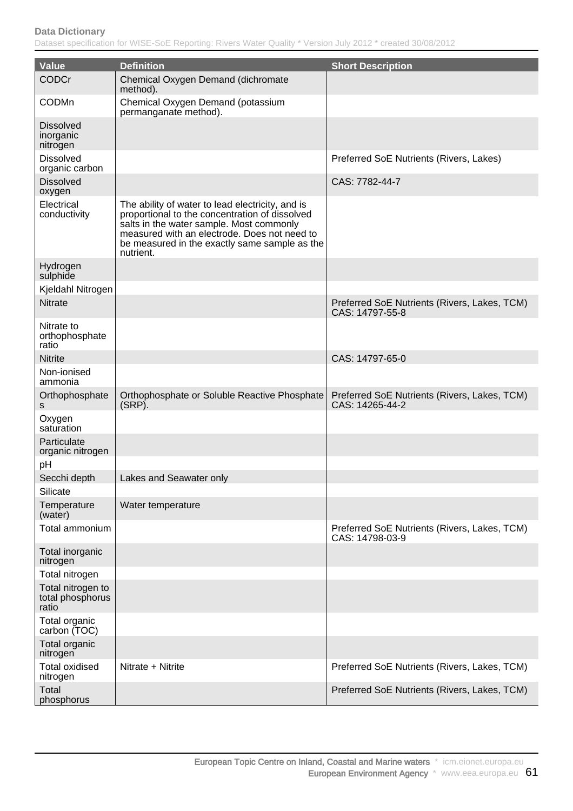| <b>Value</b>                                   | <b>Definition</b>                                                                                                                                                                                                                                            | <b>Short Description</b>                                        |
|------------------------------------------------|--------------------------------------------------------------------------------------------------------------------------------------------------------------------------------------------------------------------------------------------------------------|-----------------------------------------------------------------|
| <b>CODCr</b>                                   | Chemical Oxygen Demand (dichromate<br>method).                                                                                                                                                                                                               |                                                                 |
| CODMn                                          | Chemical Oxygen Demand (potassium<br>permanganate method).                                                                                                                                                                                                   |                                                                 |
| <b>Dissolved</b><br>inorganic<br>nitrogen      |                                                                                                                                                                                                                                                              |                                                                 |
| <b>Dissolved</b><br>organic carbon             |                                                                                                                                                                                                                                                              | Preferred SoE Nutrients (Rivers, Lakes)                         |
| <b>Dissolved</b><br>oxygen                     |                                                                                                                                                                                                                                                              | CAS: 7782-44-7                                                  |
| Electrical<br>conductivity                     | The ability of water to lead electricity, and is<br>proportional to the concentration of dissolved<br>salts in the water sample. Most commonly<br>measured with an electrode. Does not need to<br>be measured in the exactly same sample as the<br>nutrient. |                                                                 |
| Hydrogen<br>sulphide                           |                                                                                                                                                                                                                                                              |                                                                 |
| Kjeldahl Nitrogen                              |                                                                                                                                                                                                                                                              |                                                                 |
| <b>Nitrate</b>                                 |                                                                                                                                                                                                                                                              | Preferred SoE Nutrients (Rivers, Lakes, TCM)<br>CAS: 14797-55-8 |
| Nitrate to<br>orthophosphate<br>ratio          |                                                                                                                                                                                                                                                              |                                                                 |
| <b>Nitrite</b>                                 |                                                                                                                                                                                                                                                              | CAS: 14797-65-0                                                 |
| Non-ionised<br>ammonia                         |                                                                                                                                                                                                                                                              |                                                                 |
| Orthophosphate<br>s                            | Orthophosphate or Soluble Reactive Phosphate<br>(SRP).                                                                                                                                                                                                       | Preferred SoE Nutrients (Rivers, Lakes, TCM)<br>CAS: 14265-44-2 |
| Oxygen<br>saturation                           |                                                                                                                                                                                                                                                              |                                                                 |
| Particulate<br>organic nitrogen                |                                                                                                                                                                                                                                                              |                                                                 |
| pH                                             |                                                                                                                                                                                                                                                              |                                                                 |
| Secchi depth<br>Silicate                       | Lakes and Seawater only                                                                                                                                                                                                                                      |                                                                 |
| Temperature<br>(water)                         | Water temperature                                                                                                                                                                                                                                            |                                                                 |
| Total ammonium                                 |                                                                                                                                                                                                                                                              | Preferred SoE Nutrients (Rivers, Lakes, TCM)<br>CAS: 14798-03-9 |
| Total inorganic<br>nitrogen                    |                                                                                                                                                                                                                                                              |                                                                 |
| Total nitrogen                                 |                                                                                                                                                                                                                                                              |                                                                 |
| Total nitrogen to<br>total phosphorus<br>ratio |                                                                                                                                                                                                                                                              |                                                                 |
| Total organic<br>carbon (TOC)                  |                                                                                                                                                                                                                                                              |                                                                 |
| Total organic<br>nitrogen                      |                                                                                                                                                                                                                                                              |                                                                 |
| <b>Total oxidised</b><br>nitrogen              | Nitrate + Nitrite                                                                                                                                                                                                                                            | Preferred SoE Nutrients (Rivers, Lakes, TCM)                    |
| Total<br>phosphorus                            |                                                                                                                                                                                                                                                              | Preferred SoE Nutrients (Rivers, Lakes, TCM)                    |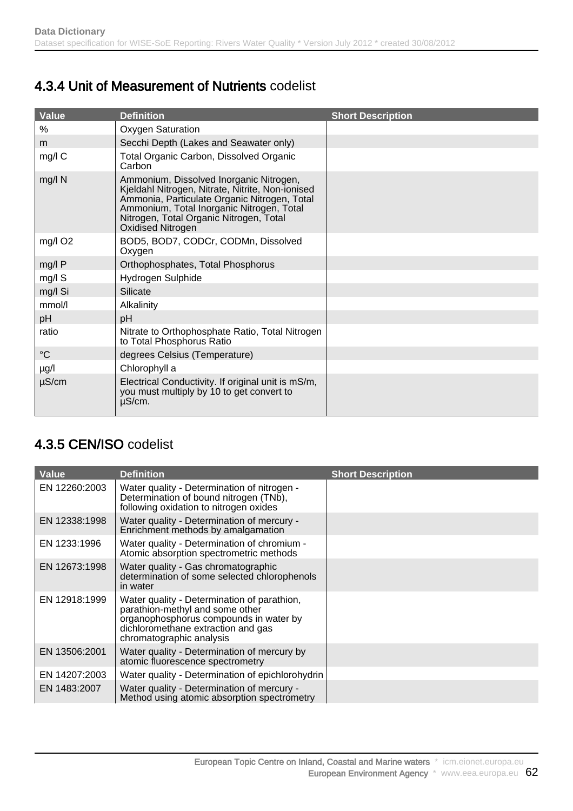# 4.3.4 Unit of Measurement of Nutrients codelist

| <b>Value</b>        | <b>Definition</b>                                                                                                                                                                                                                                        | <b>Short Description</b> |
|---------------------|----------------------------------------------------------------------------------------------------------------------------------------------------------------------------------------------------------------------------------------------------------|--------------------------|
| %                   | Oxygen Saturation                                                                                                                                                                                                                                        |                          |
| m                   | Secchi Depth (Lakes and Seawater only)                                                                                                                                                                                                                   |                          |
| mg/l C              | Total Organic Carbon, Dissolved Organic<br>Carbon                                                                                                                                                                                                        |                          |
| mg/l N              | Ammonium, Dissolved Inorganic Nitrogen,<br>Kjeldahl Nitrogen, Nitrate, Nitrite, Non-ionised<br>Ammonia, Particulate Organic Nitrogen, Total<br>Ammonium, Total Inorganic Nitrogen, Total<br>Nitrogen, Total Organic Nitrogen, Total<br>Oxidised Nitrogen |                          |
| mg/l O <sub>2</sub> | BOD5, BOD7, CODCr, CODMn, Dissolved<br>Oxygen                                                                                                                                                                                                            |                          |
| mg/l P              | Orthophosphates, Total Phosphorus                                                                                                                                                                                                                        |                          |
| mg/l S              | Hydrogen Sulphide                                                                                                                                                                                                                                        |                          |
| mg/l Si             | Silicate                                                                                                                                                                                                                                                 |                          |
| mmol/l              | Alkalinity                                                                                                                                                                                                                                               |                          |
| pH                  | pH                                                                                                                                                                                                                                                       |                          |
| ratio               | Nitrate to Orthophosphate Ratio, Total Nitrogen<br>to Total Phosphorus Ratio                                                                                                                                                                             |                          |
| $^{\circ}C$         | degrees Celsius (Temperature)                                                                                                                                                                                                                            |                          |
| µg/l                | Chlorophyll a                                                                                                                                                                                                                                            |                          |
| $\mu$ S/cm          | Electrical Conductivity. If original unit is mS/m,<br>you must multiply by 10 to get convert to<br>µS/cm.                                                                                                                                                |                          |

# 4.3.5 CEN/ISO codelist

| <b>Value</b>  | <b>Definition</b>                                                                                                                                                                          | <b>Short Description</b> |
|---------------|--------------------------------------------------------------------------------------------------------------------------------------------------------------------------------------------|--------------------------|
| EN 12260:2003 | Water quality - Determination of nitrogen -<br>Determination of bound nitrogen (TNb),<br>following oxidation to nitrogen oxides                                                            |                          |
| EN 12338:1998 | Water quality - Determination of mercury -<br>Enrichment methods by amalgamation                                                                                                           |                          |
| EN 1233:1996  | Water quality - Determination of chromium -<br>Atomic absorption spectrometric methods                                                                                                     |                          |
| EN 12673:1998 | Water quality - Gas chromatographic<br>determination of some selected chlorophenols<br>in water                                                                                            |                          |
| EN 12918:1999 | Water quality - Determination of parathion,<br>parathion-methyl and some other<br>organophosphorus compounds in water by<br>dichloromethane extraction and gas<br>chromatographic analysis |                          |
| EN 13506:2001 | Water quality - Determination of mercury by<br>atomic fluorescence spectrometry                                                                                                            |                          |
| EN 14207:2003 | Water quality - Determination of epichlorohydrin                                                                                                                                           |                          |
| EN 1483:2007  | Water quality - Determination of mercury -<br>Method using atomic absorption spectrometry                                                                                                  |                          |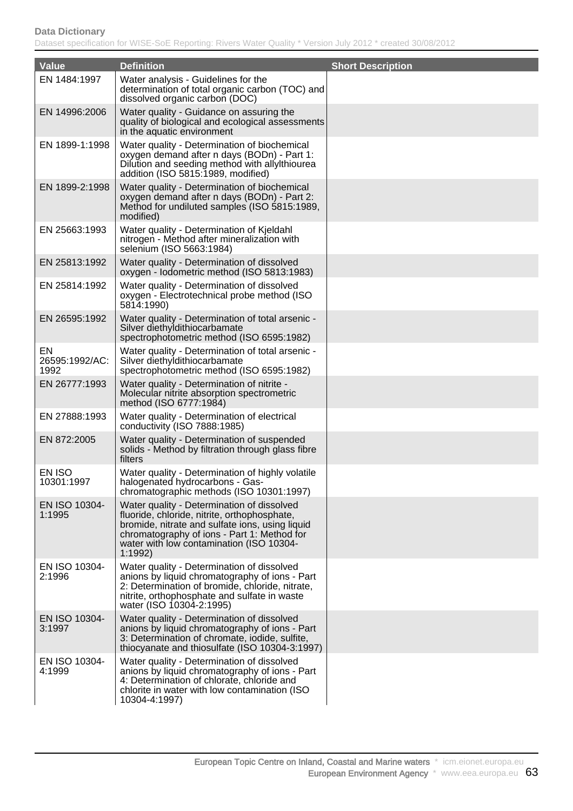| <b>Value</b>                 | <b>Definition</b>                                                                                                                                                                                                                                   | <b>Short Description</b> |
|------------------------------|-----------------------------------------------------------------------------------------------------------------------------------------------------------------------------------------------------------------------------------------------------|--------------------------|
| EN 1484:1997                 | Water analysis - Guidelines for the<br>determination of total organic carbon (TOC) and<br>dissolved organic carbon (DOC)                                                                                                                            |                          |
| EN 14996:2006                | Water quality - Guidance on assuring the<br>quality of biological and ecological assessments<br>in the aquatic environment                                                                                                                          |                          |
| EN 1899-1:1998               | Water quality - Determination of biochemical<br>oxygen demand after n days (BODn) - Part 1:<br>Dilution and seeding method with ally thiourea<br>addition (ISO 5815:1989, modified)                                                                 |                          |
| EN 1899-2:1998               | Water quality - Determination of biochemical<br>oxygen demand after n days (BODn) - Part 2:<br>Method for undiluted samples (ISO 5815:1989,<br>modified)                                                                                            |                          |
| EN 25663:1993                | Water quality - Determination of Kjeldahl<br>nitrogen - Method after mineralization with<br>selenium (ISO 5663:1984)                                                                                                                                |                          |
| EN 25813:1992                | Water quality - Determination of dissolved<br>oxygen - Iodometric method (ISO 5813:1983)                                                                                                                                                            |                          |
| EN 25814:1992                | Water quality - Determination of dissolved<br>oxygen - Electrotechnical probe method (ISO<br>5814:1990)                                                                                                                                             |                          |
| EN 26595:1992                | Water quality - Determination of total arsenic -<br>Silver diethyldithiocarbamate<br>spectrophotometric method (ISO 6595:1982)                                                                                                                      |                          |
| EN<br>26595:1992/AC:<br>1992 | Water quality - Determination of total arsenic -<br>Silver diethyldithiocarbamate<br>spectrophotometric method (ISO 6595:1982)                                                                                                                      |                          |
| EN 26777:1993                | Water quality - Determination of nitrite -<br>Molecular nitrite absorption spectrometric<br>method (ISO 6777:1984)                                                                                                                                  |                          |
| EN 27888:1993                | Water quality - Determination of electrical<br>conductivity (ISO 7888:1985)                                                                                                                                                                         |                          |
| EN 872:2005                  | Water quality - Determination of suspended<br>solids - Method by filtration through glass fibre<br>filters                                                                                                                                          |                          |
| EN ISO<br>10301:1997         | Water quality - Determination of highly volatile<br>halogenated hydrocarbons - Gas-<br>chromatographic methods (ISO 10301:1997)                                                                                                                     |                          |
| EN ISO 10304-<br>1:1995      | Water quality - Determination of dissolved<br>fluoride, chloride, nitrite, orthophosphate,<br>bromide, nitrate and sulfate ions, using liquid<br>chromatography of ions - Part 1: Method for<br>water with low contamination (ISO 10304-<br>1:1992) |                          |
| EN ISO 10304-<br>2:1996      | Water quality - Determination of dissolved<br>anions by liquid chromatography of ions - Part<br>2: Determination of bromide, chloride, nitrate,<br>nitrite, orthophosphate and sulfate in waste<br>water (ISO 10304-2:1995)                         |                          |
| EN ISO 10304-<br>3:1997      | Water quality - Determination of dissolved<br>anions by liquid chromatography of ions - Part<br>3: Determination of chromate, iodide, sulfite,<br>thiocyanate and thiosulfate (ISO 10304-3:1997)                                                    |                          |
| EN ISO 10304-<br>4:1999      | Water quality - Determination of dissolved<br>anions by liquid chromatography of ions - Part<br>4: Determination of chlorate, chloride and<br>chlorite in water with low contamination (ISO<br>10304-4:1997)                                        |                          |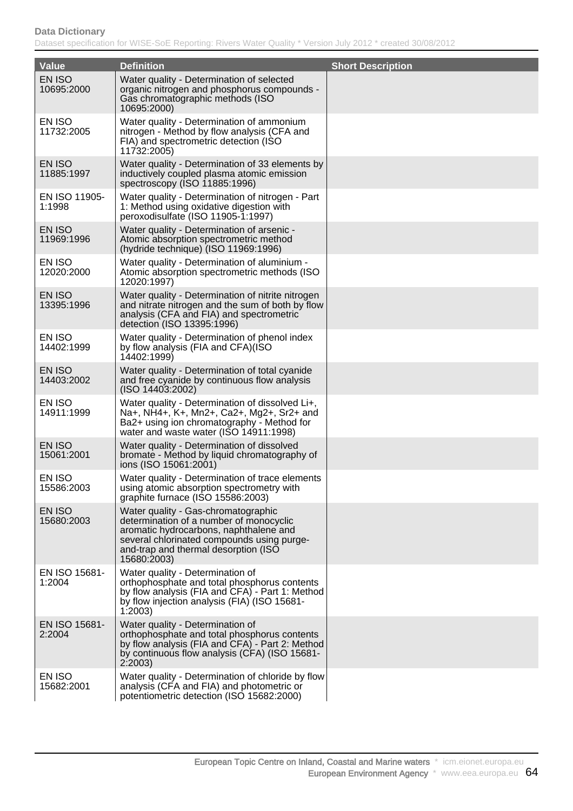| <b>Value</b>                | <b>Definition</b>                                                                                                                                                                                                             | <b>Short Description</b> |
|-----------------------------|-------------------------------------------------------------------------------------------------------------------------------------------------------------------------------------------------------------------------------|--------------------------|
| <b>EN ISO</b><br>10695:2000 | Water quality - Determination of selected<br>organic nitrogen and phosphorus compounds -<br>Gas chromatographic methods (ISO<br>10695:2000)                                                                                   |                          |
| EN ISO<br>11732:2005        | Water quality - Determination of ammonium<br>nitrogen - Method by flow analysis (CFA and<br>FIA) and spectrometric detection (ISO<br>11732:2005)                                                                              |                          |
| EN ISO<br>11885:1997        | Water quality - Determination of 33 elements by<br>inductively coupled plasma atomic emission<br>spectroscopy (ISO 11885:1996)                                                                                                |                          |
| EN ISO 11905-<br>1:1998     | Water quality - Determination of nitrogen - Part<br>1: Method using oxidative digestion with<br>peroxodisulfate (ISO 11905-1:1997)                                                                                            |                          |
| <b>EN ISO</b><br>11969:1996 | Water quality - Determination of arsenic -<br>Atomic absorption spectrometric method<br>(hydride technique) (ISO 11969:1996)                                                                                                  |                          |
| EN ISO<br>12020:2000        | Water quality - Determination of aluminium -<br>Atomic absorption spectrometric methods (ISO)<br>12020:1997)                                                                                                                  |                          |
| EN ISO<br>13395:1996        | Water quality - Determination of nitrite nitrogen<br>and nitrate nitrogen and the sum of both by flow<br>analysis (CFA and FIA) and spectrometric<br>detection (ISO 13395:1996)                                               |                          |
| EN ISO<br>14402:1999        | Water quality - Determination of phenol index<br>by flow analysis (FIA and CFA)(ISO<br>14402:1999)                                                                                                                            |                          |
| EN ISO<br>14403:2002        | Water quality - Determination of total cyanide<br>and free cyanide by continuous flow analysis<br>(ISO 14403:2002)                                                                                                            |                          |
| EN ISO<br>14911:1999        | Water quality - Determination of dissolved Li+,<br>Na+, NH4+, K+, Mn2+, Ca2+, Mg2+, Sr2+ and<br>Ba2+ using ion chromatography - Method for<br>water and waste water (ISO 14911:1998)                                          |                          |
| EN ISO<br>15061:2001        | Water quality - Determination of dissolved<br>bromate - Method by liquid chromatography of<br>ions (ISO 15061:2001)                                                                                                           |                          |
| EN ISO<br>15586:2003        | Water quality - Determination of trace elements<br>using atomic absorption spectrometry with<br>graphite furnace (ISO 15586:2003)                                                                                             |                          |
| <b>EN ISO</b><br>15680:2003 | Water quality - Gas-chromatographic<br>determination of a number of monocyclic<br>aromatic hydrocarbons, naphthalene and<br>several chlorinated compounds using purge-<br>and-trap and thermal desorption (ISO<br>15680:2003) |                          |
| EN ISO 15681-<br>1:2004     | Water quality - Determination of<br>orthophosphate and total phosphorus contents<br>by flow analysis (FIA and CFA) - Part 1: Method<br>by flow injection analysis (FIA) (ISO 15681-<br>1:2003                                 |                          |
| EN ISO 15681-<br>2:2004     | Water quality - Determination of<br>orthophosphate and total phosphorus contents<br>by flow analysis (FIA and CFA) - Part 2: Method<br>by continuous flow analysis (CFA) (ISO 15681-<br>2:2003                                |                          |
| EN ISO<br>15682:2001        | Water quality - Determination of chloride by flow<br>analysis (CFA and FIA) and photometric or<br>potentiometric detection (ISO 15682:2000)                                                                                   |                          |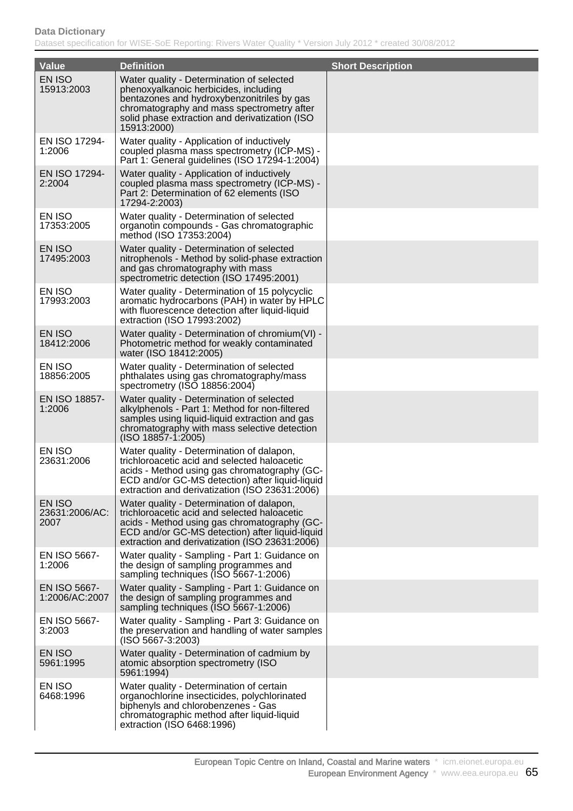| Value                                 | <b>Definition</b>                                                                                                                                                                                                                               | <b>Short Description</b> |
|---------------------------------------|-------------------------------------------------------------------------------------------------------------------------------------------------------------------------------------------------------------------------------------------------|--------------------------|
| <b>EN ISO</b><br>15913:2003           | Water quality - Determination of selected<br>phenoxyalkanoic herbicides, including<br>bentazones and hydroxybenzonitriles by gas<br>chromatography and mass spectrometry after<br>solid phase extraction and derivatization (ISO<br>15913:2000) |                          |
| EN ISO 17294-<br>1:2006               | Water quality - Application of inductively<br>coupled plasma mass spectrometry (ICP-MS) -<br>Part 1: General guidelines (ISO 17294-1:2004)                                                                                                      |                          |
| EN ISO 17294-<br>2:2004               | Water quality - Application of inductively<br>coupled plasma mass spectrometry (ICP-MS) -<br>Part 2: Determination of 62 elements (ISO<br>17294-2:2003)                                                                                         |                          |
| EN ISO<br>17353:2005                  | Water quality - Determination of selected<br>organotin compounds - Gas chromatographic<br>method (ISO 17353:2004)                                                                                                                               |                          |
| EN ISO<br>17495:2003                  | Water quality - Determination of selected<br>nitrophenols - Method by solid-phase extraction<br>and gas chromatography with mass<br>spectrometric detection (ISO 17495:2001)                                                                    |                          |
| EN ISO<br>17993:2003                  | Water quality - Determination of 15 polycyclic<br>aromatic hydrocarbons (PAH) in water by HPLC<br>with fluorescence detection after liquid-liquid<br>extraction (ISO 17993:2002)                                                                |                          |
| <b>EN ISO</b><br>18412:2006           | Water quality - Determination of chromium(VI) -<br>Photometric method for weakly contaminated<br>water (ISO 18412:2005)                                                                                                                         |                          |
| EN ISO<br>18856:2005                  | Water quality - Determination of selected<br>phthalates using gas chromatography/mass<br>spectrometry (ISO 18856:2004)                                                                                                                          |                          |
| EN ISO 18857-<br>1:2006               | Water quality - Determination of selected<br>alkylphenols - Part 1: Method for non-filtered<br>samples using liquid-liquid extraction and gas<br>chromatography with mass selective detection<br>$(ISO 18857-1:2005)$                           |                          |
| EN ISO<br>23631:2006                  | Water quality - Determination of dalapon,<br>trichloroacetic acid and selected haloacetic<br>acids - Method using gas chromatography (GC-<br>ECD and/or GC-MS detection) after liquid-liquid<br>extraction and derivatization (ISO 23631:2006)  |                          |
| EN ISO<br>23631:2006/AC:<br>2007      | Water quality - Determination of dalapon,<br>trichloroacetic acid and selected haloacetic<br>acids - Method using gas chromatography (GC-<br>ECD and/or GC-MS detection) after liquid-liquid<br>extraction and derivatization (ISO 23631:2006)  |                          |
| EN ISO 5667-<br>1:2006                | Water quality - Sampling - Part 1: Guidance on<br>the design of sampling programmes and<br>sampling techniques (ISO 5667-1:2006)                                                                                                                |                          |
| <b>EN ISO 5667-</b><br>1:2006/AC:2007 | Water quality - Sampling - Part 1: Guidance on<br>the design of sampling programmes and<br>sampling techniques (ISO 5667-1:2006)                                                                                                                |                          |
| EN ISO 5667-<br>3:2003                | Water quality - Sampling - Part 3: Guidance on<br>the preservation and handling of water samples<br>$(ISO 5667-3:2003)$                                                                                                                         |                          |
| EN ISO<br>5961:1995                   | Water quality - Determination of cadmium by<br>atomic absorption spectrometry (ISO<br>5961:1994)                                                                                                                                                |                          |
| EN ISO<br>6468:1996                   | Water quality - Determination of certain<br>organochlorine insecticides, polychlorinated<br>biphenyls and chlorobenzenes - Gas<br>chromatographic method after liquid-liquid<br>extraction (ISO 6468:1996)                                      |                          |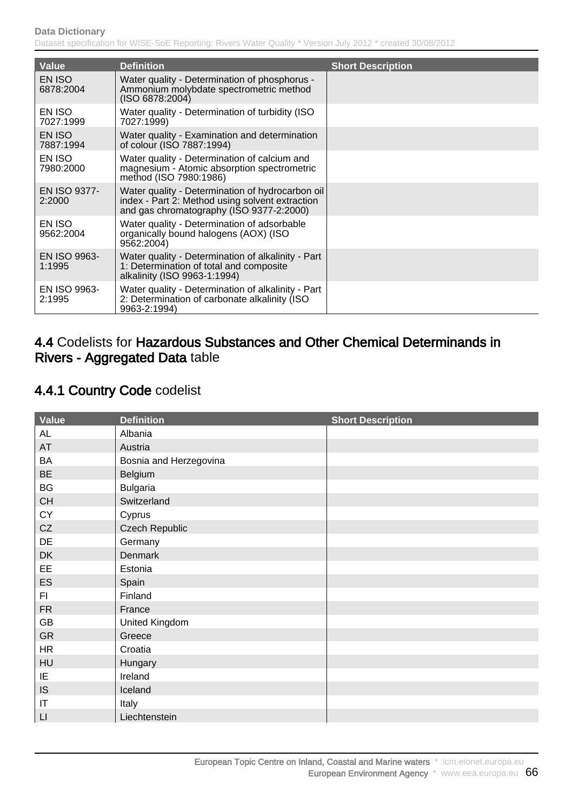| Value                         | <b>Definition</b>                                                                                                                               | <b>Short Description</b> |
|-------------------------------|-------------------------------------------------------------------------------------------------------------------------------------------------|--------------------------|
| EN ISO<br>6878:2004           | Water quality - Determination of phosphorus -<br>Ammonium molybdate spectrometric method<br>(ISO 6878:2004)                                     |                          |
| EN ISO<br>7027:1999           | Water quality - Determination of turbidity (ISO<br>7027:1999)                                                                                   |                          |
| EN ISO<br>7887:1994           | Water quality - Examination and determination<br>of colour (ISO 7887:1994)                                                                      |                          |
| EN ISO<br>7980:2000           | Water quality - Determination of calcium and<br>magnesium - Atomic absorption spectrometric<br>method (ISO 7980:1986)                           |                          |
| <b>EN ISO 9377-</b><br>2:2000 | Water quality - Determination of hydrocarbon oil<br>index - Part 2: Method using solvent extraction<br>and gas chromatography (ISO 9377-2:2000) |                          |
| EN ISO<br>9562:2004           | Water quality - Determination of adsorbable<br>organically bound halogens (AOX) (ISO<br>9562:2004)                                              |                          |
| <b>EN ISO 9963-</b><br>1:1995 | Water quality - Determination of alkalinity - Part<br>1: Determination of total and composite<br>alkalinity (ISO 9963-1:1994)                   |                          |
| EN ISO 9963-<br>2:1995        | Water quality - Determination of alkalinity - Part<br>2: Determination of carbonate alkalinity (ISO<br>9963-2:1994)                             |                          |

### 4.4 Codelists for Hazardous Substances and Other Chemical Determinands in Rivers - Aggregated Data table

# 4.4.1 Country Code codelist

| Value                  | <b>Definition</b>      | <b>Short Description</b> |
|------------------------|------------------------|--------------------------|
| AL                     | Albania                |                          |
| AT                     | Austria                |                          |
| BA                     | Bosnia and Herzegovina |                          |
| <b>BE</b>              | Belgium                |                          |
| BG                     | <b>Bulgaria</b>        |                          |
| CH                     | Switzerland            |                          |
| CY                     | Cyprus                 |                          |
| CZ                     | <b>Czech Republic</b>  |                          |
| $\mathsf{DE}% _{T}$    | Germany                |                          |
| DK                     | Denmark                |                          |
| EE                     | Estonia                |                          |
| ES                     | Spain                  |                          |
| FI.                    | Finland                |                          |
| <b>FR</b>              | France                 |                          |
| GB                     | United Kingdom         |                          |
| GR                     | Greece                 |                          |
| <b>HR</b>              | Croatia                |                          |
| HU                     | Hungary                |                          |
| IE                     | Ireland                |                          |
| IS                     | Iceland                |                          |
| $\mathsf{I}\mathsf{T}$ | Italy                  |                          |
| $\mathsf{L}\mathsf{I}$ | Liechtenstein          |                          |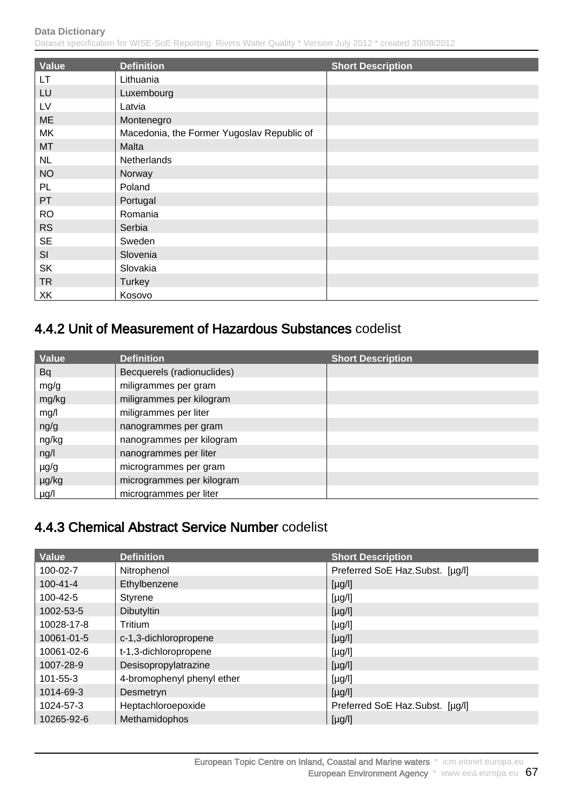Dataset specification for WISE-SoE Reporting: Rivers Water Quality \* Version July 2012 \* created 30/08/2012

| Value     | <b>Definition</b>                          | <b>Short Description</b> |
|-----------|--------------------------------------------|--------------------------|
| LT        | Lithuania                                  |                          |
| LU        | Luxembourg                                 |                          |
| LV        | Latvia                                     |                          |
| <b>ME</b> | Montenegro                                 |                          |
| MK        | Macedonia, the Former Yugoslav Republic of |                          |
| <b>MT</b> | Malta                                      |                          |
| <b>NL</b> | Netherlands                                |                          |
| <b>NO</b> | Norway                                     |                          |
| PL        | Poland                                     |                          |
| PT        | Portugal                                   |                          |
| <b>RO</b> | Romania                                    |                          |
| <b>RS</b> | Serbia                                     |                          |
| <b>SE</b> | Sweden                                     |                          |
| SI        | Slovenia                                   |                          |
| <b>SK</b> | Slovakia                                   |                          |
| <b>TR</b> | <b>Turkey</b>                              |                          |
| XK        | Kosovo                                     |                          |

### 4.4.2 Unit of Measurement of Hazardous Substances codelist

| Value     | <b>Definition</b>          | <b>Short Description</b> |
|-----------|----------------------------|--------------------------|
| <b>Bq</b> | Becquerels (radionuclides) |                          |
| mg/g      | miligrammes per gram       |                          |
| mg/kg     | miligrammes per kilogram   |                          |
| mg/l      | miligrammes per liter      |                          |
| ng/g      | nanogrammes per gram       |                          |
| ng/kg     | nanogrammes per kilogram   |                          |
| ng/l      | nanogrammes per liter      |                          |
| $\mu$ g/g | microgrammes per gram      |                          |
| µg/kg     | microgrammes per kilogram  |                          |
| $\mu$ g/l | microgrammes per liter     |                          |

# 4.4.3 Chemical Abstract Service Number codelist

| <b>Value</b>   | <b>Definition</b>          | <b>Short Description</b>        |
|----------------|----------------------------|---------------------------------|
| 100-02-7       | Nitrophenol                | Preferred SoE Haz.Subst. [µg/l] |
| $100 - 41 - 4$ | Ethylbenzene               | $[\mu g/l]$                     |
| 100-42-5       | <b>Styrene</b>             | $[\mu g/l]$                     |
| 1002-53-5      | <b>Dibutyltin</b>          | $[\mu g/l]$                     |
| 10028-17-8     | Tritium                    | $[\mu g/l]$                     |
| 10061-01-5     | c-1,3-dichloropropene      | $[\mu g/l]$                     |
| 10061-02-6     | t-1,3-dichloropropene      | $[\mu g/l]$                     |
| 1007-28-9      | Desisopropylatrazine       | $[\mu g/l]$                     |
| 101-55-3       | 4-bromophenyl phenyl ether | $[\mu g/l]$                     |
| 1014-69-3      | Desmetryn                  | $[\mu g/l]$                     |
| 1024-57-3      | Heptachloroepoxide         | Preferred SoE Haz.Subst. [µg/l] |
| 10265-92-6     | Methamidophos              | $[\mu g/l]$                     |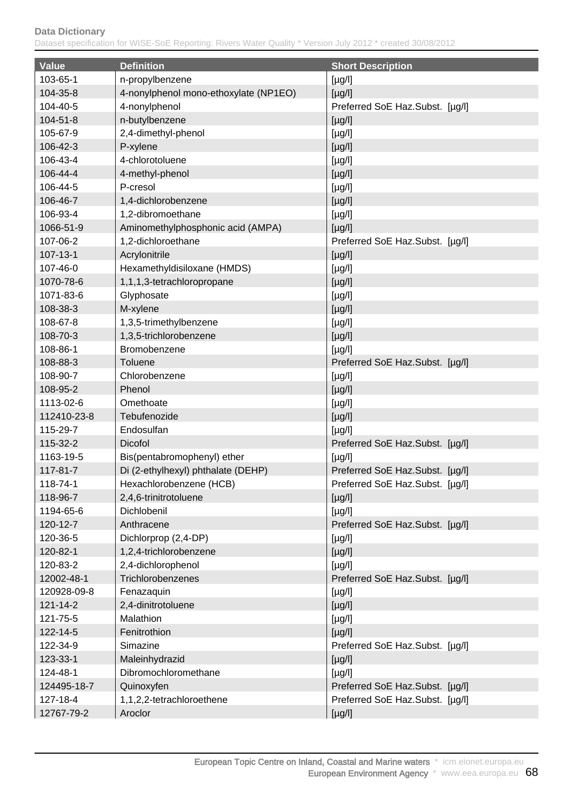| <b>Value</b>          |                                       |                                 |
|-----------------------|---------------------------------------|---------------------------------|
| 103-65-1              | <b>Definition</b>                     | <b>Short Description</b>        |
| 104-35-8              | n-propylbenzene                       | $[\mu g/l]$                     |
| 104-40-5              | 4-nonylphenol mono-ethoxylate (NP1EO) | $[\mu g/l]$                     |
| $104 - 51 - 8$        | 4-nonylphenol                         | Preferred SoE Haz.Subst. [µg/l] |
| 105-67-9              | n-butylbenzene                        | $[\mu g/l]$                     |
| 106-42-3              | 2,4-dimethyl-phenol                   | $[\mu g/l]$                     |
| 106-43-4              | P-xylene<br>4-chlorotoluene           | $[\mu g/l]$                     |
| 106-44-4              |                                       | $[\mu g/l]$                     |
| 106-44-5              | 4-methyl-phenol<br>P-cresol           | $[\mu g/l]$                     |
|                       |                                       | $[\mu g/l]$                     |
| 106-46-7              | 1,4-dichlorobenzene                   | $[\mu g/l]$                     |
| 106-93-4<br>1066-51-9 | 1,2-dibromoethane                     | $[\mu g/l]$                     |
| 107-06-2              | Aminomethylphosphonic acid (AMPA)     | $[\mu g/l]$                     |
|                       | 1,2-dichloroethane                    | Preferred SoE Haz.Subst. [µg/l] |
| 107-13-1              | Acrylonitrile                         | $[\mu g/l]$                     |
| 107-46-0              | Hexamethyldisiloxane (HMDS)           | $[\mu g/l]$                     |
| 1070-78-6             | 1,1,1,3-tetrachloropropane            | $[\mu g/l]$                     |
| 1071-83-6             | Glyphosate                            | $[\mu g/l]$                     |
| 108-38-3              | M-xylene                              | $[\mu g/l]$                     |
| 108-67-8              | 1,3,5-trimethylbenzene                | $[\mu g/l]$                     |
| 108-70-3              | 1,3,5-trichlorobenzene                | $[\mu g/l]$                     |
| 108-86-1              | Bromobenzene                          | $[\mu g/l]$                     |
| 108-88-3              | Toluene                               | Preferred SoE Haz.Subst. [µg/l] |
| 108-90-7              | Chlorobenzene                         | $[\mu g/l]$                     |
| 108-95-2              | Phenol                                | $[\mu g/l]$                     |
| 1113-02-6             | Omethoate                             | $[\mu g/l]$                     |
| 112410-23-8           | Tebufenozide                          | $[\mu g/l]$                     |
| 115-29-7              | Endosulfan                            | $[\mu g/l]$                     |
| 115-32-2              | Dicofol                               | Preferred SoE Haz.Subst. [µg/l] |
| 1163-19-5             | Bis(pentabromophenyl) ether           | $\lceil \mu g / I \rceil$       |
| 117-81-7              | Di (2-ethylhexyl) phthalate (DEHP)    | Preferred SoE Haz.Subst. [µg/l] |
| 118-74-1              | Hexachlorobenzene (HCB)               | Preferred SoE Haz.Subst. [µg/l] |
| 118-96-7              | 2,4,6-trinitrotoluene                 | $[\mu g/l]$                     |
| 1194-65-6             | Dichlobenil                           | $[\mu g/l]$                     |
| 120-12-7              | Anthracene                            | Preferred SoE Haz.Subst. [µg/l] |
| 120-36-5              | Dichlorprop (2,4-DP)                  | $[\mu g/l]$                     |
| 120-82-1              | 1,2,4-trichlorobenzene                | $[\mu g/l]$                     |
| 120-83-2              | 2,4-dichlorophenol                    | $[\mu g/l]$                     |
| 12002-48-1            | Trichlorobenzenes                     | Preferred SoE Haz.Subst. [µg/l] |
| 120928-09-8           | Fenazaquin                            | $[\mu g/l]$                     |
| $121 - 14 - 2$        | 2,4-dinitrotoluene                    | $[\mu g/l]$                     |
| 121-75-5              | Malathion                             | $[\mu g/l]$                     |
| 122-14-5              | Fenitrothion                          | $[\mu g/l]$                     |
| 122-34-9              | Simazine                              | Preferred SoE Haz.Subst. [µg/l] |
| 123-33-1              | Maleinhydrazid                        | $[\mu g/l]$                     |
| 124-48-1              | Dibromochloromethane                  | $[\mu g/l]$                     |
| 124495-18-7           | Quinoxyfen                            | Preferred SoE Haz.Subst. [µg/l] |
| 127-18-4              | 1,1,2,2-tetrachloroethene             | Preferred SoE Haz.Subst. [µg/l] |
| 12767-79-2            | Aroclor                               | $[\mu g/l]$                     |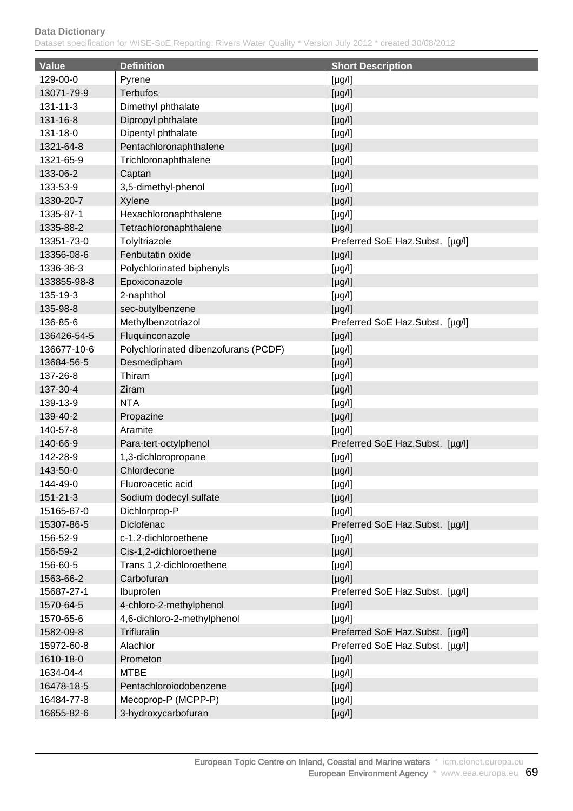| 129-00-0<br>Pyrene<br>$[\mu g/l]$<br><b>Terbufos</b><br>13071-79-9<br>$[\mu g/l]$<br>$131 - 11 - 3$<br>Dimethyl phthalate<br>$[\mu g/l]$<br>131-16-8<br>Dipropyl phthalate<br>$[\mu g/l]$<br>131-18-0<br>Dipentyl phthalate<br>$[\mu g/l]$<br>Pentachloronaphthalene<br>1321-64-8<br>$[\mu g/l]$<br>1321-65-9<br>Trichloronaphthalene<br>$[\mu g/l]$<br>133-06-2<br>Captan<br>$[\mu g/l]$<br>3,5-dimethyl-phenol<br>133-53-9<br>$[\mu g/l]$<br>Xylene<br>1330-20-7<br>$[\mu g/l]$<br>1335-87-1<br>Hexachloronaphthalene<br>$[\mu g/l]$<br>1335-88-2<br>Tetrachloronaphthalene<br>$[\mu g/l]$<br>13351-73-0<br>Tolyltriazole<br>Preferred SoE Haz.Subst. [µg/l]<br>Fenbutatin oxide<br>13356-08-6<br>$[\mu g/l]$<br>Polychlorinated biphenyls<br>1336-36-3<br>$[\mu g/l]$<br>133855-98-8<br>$[\mu g/l]$<br>Epoxiconazole<br>135-19-3<br>2-naphthol<br>$[\mu g/l]$<br>135-98-8<br>sec-butylbenzene<br>$[\mu g/l]$<br>136-85-6<br>Methylbenzotriazol<br>Preferred SoE Haz.Subst. [µg/l]<br>Fluquinconazole<br>136426-54-5<br>$[\mu g/l]$<br>Polychlorinated dibenzofurans (PCDF)<br>136677-10-6<br>$[\mu g/l]$<br>Desmedipham<br>$[\mu g/l]$<br>13684-56-5<br>137-26-8<br>Thiram<br>$[\mu g/l]$<br>137-30-4<br>Ziram<br>$[\mu g/l]$<br><b>NTA</b><br>139-13-9<br>$[\mu g/l]$<br>139-40-2<br>Propazine<br>$[\mu g/l]$<br>140-57-8<br>Aramite<br>$[\mu g/l]$<br>140-66-9<br>Para-tert-octylphenol<br>Preferred SoE Haz.Subst. [µg/l]<br>142-28-9<br>1,3-dichloropropane<br>$[\mu g/l]$<br>Chlordecone<br>143-50-0<br>$[\mu g/l]$<br>$[\mu g/l]$<br>144-49-0<br>Fluoroacetic acid<br>151-21-3<br>Sodium dodecyl sulfate<br>$[\mu g/l]$<br>Dichlorprop-P<br>15165-67-0<br>$[\mu g/l]$<br>Diclofenac<br>Preferred SoE Haz.Subst. [µg/l]<br>15307-86-5<br>c-1,2-dichloroethene<br>156-52-9<br>$[\mu g/l]$<br>Cis-1,2-dichloroethene<br>156-59-2<br>$[\mu g/l]$<br>156-60-5<br>Trans 1,2-dichloroethene<br>$[\mu g/l]$<br>Carbofuran<br>1563-66-2<br>[µg/l]<br>Ibuprofen<br>15687-27-1<br>Preferred SoE Haz.Subst. [µg/l]<br>4-chloro-2-methylphenol<br>1570-64-5<br>$[\mu g/l]$<br>4,6-dichloro-2-methylphenol<br>1570-65-6<br>$[\mu g/l]$<br>1582-09-8<br>Trifluralin<br>Preferred SoE Haz.Subst. [µg/l]<br>15972-60-8<br>Alachlor<br>Preferred SoE Haz.Subst. [µg/l]<br>1610-18-0<br>Prometon<br>$[\mu g/l]$<br>1634-04-4<br><b>MTBE</b><br>$[\mu g/l]$<br>Pentachloroiodobenzene<br>16478-18-5<br>$[\mu g/l]$<br>16484-77-8<br>Mecoprop-P (MCPP-P)<br>$[\mu g/l]$ | <b>Value</b> | <b>Definition</b> | <b>Short Description</b> |
|-------------------------------------------------------------------------------------------------------------------------------------------------------------------------------------------------------------------------------------------------------------------------------------------------------------------------------------------------------------------------------------------------------------------------------------------------------------------------------------------------------------------------------------------------------------------------------------------------------------------------------------------------------------------------------------------------------------------------------------------------------------------------------------------------------------------------------------------------------------------------------------------------------------------------------------------------------------------------------------------------------------------------------------------------------------------------------------------------------------------------------------------------------------------------------------------------------------------------------------------------------------------------------------------------------------------------------------------------------------------------------------------------------------------------------------------------------------------------------------------------------------------------------------------------------------------------------------------------------------------------------------------------------------------------------------------------------------------------------------------------------------------------------------------------------------------------------------------------------------------------------------------------------------------------------------------------------------------------------------------------------------------------------------------------------------------------------------------------------------------------------------------------------------------------------------------------------------------------------------------------------------------------------------------------------------------------------------------------------------------------------------------------------------------------------------------------------------|--------------|-------------------|--------------------------|
|                                                                                                                                                                                                                                                                                                                                                                                                                                                                                                                                                                                                                                                                                                                                                                                                                                                                                                                                                                                                                                                                                                                                                                                                                                                                                                                                                                                                                                                                                                                                                                                                                                                                                                                                                                                                                                                                                                                                                                                                                                                                                                                                                                                                                                                                                                                                                                                                                                                             |              |                   |                          |
|                                                                                                                                                                                                                                                                                                                                                                                                                                                                                                                                                                                                                                                                                                                                                                                                                                                                                                                                                                                                                                                                                                                                                                                                                                                                                                                                                                                                                                                                                                                                                                                                                                                                                                                                                                                                                                                                                                                                                                                                                                                                                                                                                                                                                                                                                                                                                                                                                                                             |              |                   |                          |
|                                                                                                                                                                                                                                                                                                                                                                                                                                                                                                                                                                                                                                                                                                                                                                                                                                                                                                                                                                                                                                                                                                                                                                                                                                                                                                                                                                                                                                                                                                                                                                                                                                                                                                                                                                                                                                                                                                                                                                                                                                                                                                                                                                                                                                                                                                                                                                                                                                                             |              |                   |                          |
|                                                                                                                                                                                                                                                                                                                                                                                                                                                                                                                                                                                                                                                                                                                                                                                                                                                                                                                                                                                                                                                                                                                                                                                                                                                                                                                                                                                                                                                                                                                                                                                                                                                                                                                                                                                                                                                                                                                                                                                                                                                                                                                                                                                                                                                                                                                                                                                                                                                             |              |                   |                          |
|                                                                                                                                                                                                                                                                                                                                                                                                                                                                                                                                                                                                                                                                                                                                                                                                                                                                                                                                                                                                                                                                                                                                                                                                                                                                                                                                                                                                                                                                                                                                                                                                                                                                                                                                                                                                                                                                                                                                                                                                                                                                                                                                                                                                                                                                                                                                                                                                                                                             |              |                   |                          |
|                                                                                                                                                                                                                                                                                                                                                                                                                                                                                                                                                                                                                                                                                                                                                                                                                                                                                                                                                                                                                                                                                                                                                                                                                                                                                                                                                                                                                                                                                                                                                                                                                                                                                                                                                                                                                                                                                                                                                                                                                                                                                                                                                                                                                                                                                                                                                                                                                                                             |              |                   |                          |
|                                                                                                                                                                                                                                                                                                                                                                                                                                                                                                                                                                                                                                                                                                                                                                                                                                                                                                                                                                                                                                                                                                                                                                                                                                                                                                                                                                                                                                                                                                                                                                                                                                                                                                                                                                                                                                                                                                                                                                                                                                                                                                                                                                                                                                                                                                                                                                                                                                                             |              |                   |                          |
|                                                                                                                                                                                                                                                                                                                                                                                                                                                                                                                                                                                                                                                                                                                                                                                                                                                                                                                                                                                                                                                                                                                                                                                                                                                                                                                                                                                                                                                                                                                                                                                                                                                                                                                                                                                                                                                                                                                                                                                                                                                                                                                                                                                                                                                                                                                                                                                                                                                             |              |                   |                          |
|                                                                                                                                                                                                                                                                                                                                                                                                                                                                                                                                                                                                                                                                                                                                                                                                                                                                                                                                                                                                                                                                                                                                                                                                                                                                                                                                                                                                                                                                                                                                                                                                                                                                                                                                                                                                                                                                                                                                                                                                                                                                                                                                                                                                                                                                                                                                                                                                                                                             |              |                   |                          |
|                                                                                                                                                                                                                                                                                                                                                                                                                                                                                                                                                                                                                                                                                                                                                                                                                                                                                                                                                                                                                                                                                                                                                                                                                                                                                                                                                                                                                                                                                                                                                                                                                                                                                                                                                                                                                                                                                                                                                                                                                                                                                                                                                                                                                                                                                                                                                                                                                                                             |              |                   |                          |
|                                                                                                                                                                                                                                                                                                                                                                                                                                                                                                                                                                                                                                                                                                                                                                                                                                                                                                                                                                                                                                                                                                                                                                                                                                                                                                                                                                                                                                                                                                                                                                                                                                                                                                                                                                                                                                                                                                                                                                                                                                                                                                                                                                                                                                                                                                                                                                                                                                                             |              |                   |                          |
|                                                                                                                                                                                                                                                                                                                                                                                                                                                                                                                                                                                                                                                                                                                                                                                                                                                                                                                                                                                                                                                                                                                                                                                                                                                                                                                                                                                                                                                                                                                                                                                                                                                                                                                                                                                                                                                                                                                                                                                                                                                                                                                                                                                                                                                                                                                                                                                                                                                             |              |                   |                          |
|                                                                                                                                                                                                                                                                                                                                                                                                                                                                                                                                                                                                                                                                                                                                                                                                                                                                                                                                                                                                                                                                                                                                                                                                                                                                                                                                                                                                                                                                                                                                                                                                                                                                                                                                                                                                                                                                                                                                                                                                                                                                                                                                                                                                                                                                                                                                                                                                                                                             |              |                   |                          |
|                                                                                                                                                                                                                                                                                                                                                                                                                                                                                                                                                                                                                                                                                                                                                                                                                                                                                                                                                                                                                                                                                                                                                                                                                                                                                                                                                                                                                                                                                                                                                                                                                                                                                                                                                                                                                                                                                                                                                                                                                                                                                                                                                                                                                                                                                                                                                                                                                                                             |              |                   |                          |
|                                                                                                                                                                                                                                                                                                                                                                                                                                                                                                                                                                                                                                                                                                                                                                                                                                                                                                                                                                                                                                                                                                                                                                                                                                                                                                                                                                                                                                                                                                                                                                                                                                                                                                                                                                                                                                                                                                                                                                                                                                                                                                                                                                                                                                                                                                                                                                                                                                                             |              |                   |                          |
|                                                                                                                                                                                                                                                                                                                                                                                                                                                                                                                                                                                                                                                                                                                                                                                                                                                                                                                                                                                                                                                                                                                                                                                                                                                                                                                                                                                                                                                                                                                                                                                                                                                                                                                                                                                                                                                                                                                                                                                                                                                                                                                                                                                                                                                                                                                                                                                                                                                             |              |                   |                          |
|                                                                                                                                                                                                                                                                                                                                                                                                                                                                                                                                                                                                                                                                                                                                                                                                                                                                                                                                                                                                                                                                                                                                                                                                                                                                                                                                                                                                                                                                                                                                                                                                                                                                                                                                                                                                                                                                                                                                                                                                                                                                                                                                                                                                                                                                                                                                                                                                                                                             |              |                   |                          |
|                                                                                                                                                                                                                                                                                                                                                                                                                                                                                                                                                                                                                                                                                                                                                                                                                                                                                                                                                                                                                                                                                                                                                                                                                                                                                                                                                                                                                                                                                                                                                                                                                                                                                                                                                                                                                                                                                                                                                                                                                                                                                                                                                                                                                                                                                                                                                                                                                                                             |              |                   |                          |
|                                                                                                                                                                                                                                                                                                                                                                                                                                                                                                                                                                                                                                                                                                                                                                                                                                                                                                                                                                                                                                                                                                                                                                                                                                                                                                                                                                                                                                                                                                                                                                                                                                                                                                                                                                                                                                                                                                                                                                                                                                                                                                                                                                                                                                                                                                                                                                                                                                                             |              |                   |                          |
|                                                                                                                                                                                                                                                                                                                                                                                                                                                                                                                                                                                                                                                                                                                                                                                                                                                                                                                                                                                                                                                                                                                                                                                                                                                                                                                                                                                                                                                                                                                                                                                                                                                                                                                                                                                                                                                                                                                                                                                                                                                                                                                                                                                                                                                                                                                                                                                                                                                             |              |                   |                          |
|                                                                                                                                                                                                                                                                                                                                                                                                                                                                                                                                                                                                                                                                                                                                                                                                                                                                                                                                                                                                                                                                                                                                                                                                                                                                                                                                                                                                                                                                                                                                                                                                                                                                                                                                                                                                                                                                                                                                                                                                                                                                                                                                                                                                                                                                                                                                                                                                                                                             |              |                   |                          |
|                                                                                                                                                                                                                                                                                                                                                                                                                                                                                                                                                                                                                                                                                                                                                                                                                                                                                                                                                                                                                                                                                                                                                                                                                                                                                                                                                                                                                                                                                                                                                                                                                                                                                                                                                                                                                                                                                                                                                                                                                                                                                                                                                                                                                                                                                                                                                                                                                                                             |              |                   |                          |
|                                                                                                                                                                                                                                                                                                                                                                                                                                                                                                                                                                                                                                                                                                                                                                                                                                                                                                                                                                                                                                                                                                                                                                                                                                                                                                                                                                                                                                                                                                                                                                                                                                                                                                                                                                                                                                                                                                                                                                                                                                                                                                                                                                                                                                                                                                                                                                                                                                                             |              |                   |                          |
|                                                                                                                                                                                                                                                                                                                                                                                                                                                                                                                                                                                                                                                                                                                                                                                                                                                                                                                                                                                                                                                                                                                                                                                                                                                                                                                                                                                                                                                                                                                                                                                                                                                                                                                                                                                                                                                                                                                                                                                                                                                                                                                                                                                                                                                                                                                                                                                                                                                             |              |                   |                          |
|                                                                                                                                                                                                                                                                                                                                                                                                                                                                                                                                                                                                                                                                                                                                                                                                                                                                                                                                                                                                                                                                                                                                                                                                                                                                                                                                                                                                                                                                                                                                                                                                                                                                                                                                                                                                                                                                                                                                                                                                                                                                                                                                                                                                                                                                                                                                                                                                                                                             |              |                   |                          |
|                                                                                                                                                                                                                                                                                                                                                                                                                                                                                                                                                                                                                                                                                                                                                                                                                                                                                                                                                                                                                                                                                                                                                                                                                                                                                                                                                                                                                                                                                                                                                                                                                                                                                                                                                                                                                                                                                                                                                                                                                                                                                                                                                                                                                                                                                                                                                                                                                                                             |              |                   |                          |
|                                                                                                                                                                                                                                                                                                                                                                                                                                                                                                                                                                                                                                                                                                                                                                                                                                                                                                                                                                                                                                                                                                                                                                                                                                                                                                                                                                                                                                                                                                                                                                                                                                                                                                                                                                                                                                                                                                                                                                                                                                                                                                                                                                                                                                                                                                                                                                                                                                                             |              |                   |                          |
|                                                                                                                                                                                                                                                                                                                                                                                                                                                                                                                                                                                                                                                                                                                                                                                                                                                                                                                                                                                                                                                                                                                                                                                                                                                                                                                                                                                                                                                                                                                                                                                                                                                                                                                                                                                                                                                                                                                                                                                                                                                                                                                                                                                                                                                                                                                                                                                                                                                             |              |                   |                          |
|                                                                                                                                                                                                                                                                                                                                                                                                                                                                                                                                                                                                                                                                                                                                                                                                                                                                                                                                                                                                                                                                                                                                                                                                                                                                                                                                                                                                                                                                                                                                                                                                                                                                                                                                                                                                                                                                                                                                                                                                                                                                                                                                                                                                                                                                                                                                                                                                                                                             |              |                   |                          |
|                                                                                                                                                                                                                                                                                                                                                                                                                                                                                                                                                                                                                                                                                                                                                                                                                                                                                                                                                                                                                                                                                                                                                                                                                                                                                                                                                                                                                                                                                                                                                                                                                                                                                                                                                                                                                                                                                                                                                                                                                                                                                                                                                                                                                                                                                                                                                                                                                                                             |              |                   |                          |
|                                                                                                                                                                                                                                                                                                                                                                                                                                                                                                                                                                                                                                                                                                                                                                                                                                                                                                                                                                                                                                                                                                                                                                                                                                                                                                                                                                                                                                                                                                                                                                                                                                                                                                                                                                                                                                                                                                                                                                                                                                                                                                                                                                                                                                                                                                                                                                                                                                                             |              |                   |                          |
|                                                                                                                                                                                                                                                                                                                                                                                                                                                                                                                                                                                                                                                                                                                                                                                                                                                                                                                                                                                                                                                                                                                                                                                                                                                                                                                                                                                                                                                                                                                                                                                                                                                                                                                                                                                                                                                                                                                                                                                                                                                                                                                                                                                                                                                                                                                                                                                                                                                             |              |                   |                          |
|                                                                                                                                                                                                                                                                                                                                                                                                                                                                                                                                                                                                                                                                                                                                                                                                                                                                                                                                                                                                                                                                                                                                                                                                                                                                                                                                                                                                                                                                                                                                                                                                                                                                                                                                                                                                                                                                                                                                                                                                                                                                                                                                                                                                                                                                                                                                                                                                                                                             |              |                   |                          |
|                                                                                                                                                                                                                                                                                                                                                                                                                                                                                                                                                                                                                                                                                                                                                                                                                                                                                                                                                                                                                                                                                                                                                                                                                                                                                                                                                                                                                                                                                                                                                                                                                                                                                                                                                                                                                                                                                                                                                                                                                                                                                                                                                                                                                                                                                                                                                                                                                                                             |              |                   |                          |
|                                                                                                                                                                                                                                                                                                                                                                                                                                                                                                                                                                                                                                                                                                                                                                                                                                                                                                                                                                                                                                                                                                                                                                                                                                                                                                                                                                                                                                                                                                                                                                                                                                                                                                                                                                                                                                                                                                                                                                                                                                                                                                                                                                                                                                                                                                                                                                                                                                                             |              |                   |                          |
|                                                                                                                                                                                                                                                                                                                                                                                                                                                                                                                                                                                                                                                                                                                                                                                                                                                                                                                                                                                                                                                                                                                                                                                                                                                                                                                                                                                                                                                                                                                                                                                                                                                                                                                                                                                                                                                                                                                                                                                                                                                                                                                                                                                                                                                                                                                                                                                                                                                             |              |                   |                          |
|                                                                                                                                                                                                                                                                                                                                                                                                                                                                                                                                                                                                                                                                                                                                                                                                                                                                                                                                                                                                                                                                                                                                                                                                                                                                                                                                                                                                                                                                                                                                                                                                                                                                                                                                                                                                                                                                                                                                                                                                                                                                                                                                                                                                                                                                                                                                                                                                                                                             |              |                   |                          |
|                                                                                                                                                                                                                                                                                                                                                                                                                                                                                                                                                                                                                                                                                                                                                                                                                                                                                                                                                                                                                                                                                                                                                                                                                                                                                                                                                                                                                                                                                                                                                                                                                                                                                                                                                                                                                                                                                                                                                                                                                                                                                                                                                                                                                                                                                                                                                                                                                                                             |              |                   |                          |
|                                                                                                                                                                                                                                                                                                                                                                                                                                                                                                                                                                                                                                                                                                                                                                                                                                                                                                                                                                                                                                                                                                                                                                                                                                                                                                                                                                                                                                                                                                                                                                                                                                                                                                                                                                                                                                                                                                                                                                                                                                                                                                                                                                                                                                                                                                                                                                                                                                                             |              |                   |                          |
|                                                                                                                                                                                                                                                                                                                                                                                                                                                                                                                                                                                                                                                                                                                                                                                                                                                                                                                                                                                                                                                                                                                                                                                                                                                                                                                                                                                                                                                                                                                                                                                                                                                                                                                                                                                                                                                                                                                                                                                                                                                                                                                                                                                                                                                                                                                                                                                                                                                             |              |                   |                          |
|                                                                                                                                                                                                                                                                                                                                                                                                                                                                                                                                                                                                                                                                                                                                                                                                                                                                                                                                                                                                                                                                                                                                                                                                                                                                                                                                                                                                                                                                                                                                                                                                                                                                                                                                                                                                                                                                                                                                                                                                                                                                                                                                                                                                                                                                                                                                                                                                                                                             |              |                   |                          |
|                                                                                                                                                                                                                                                                                                                                                                                                                                                                                                                                                                                                                                                                                                                                                                                                                                                                                                                                                                                                                                                                                                                                                                                                                                                                                                                                                                                                                                                                                                                                                                                                                                                                                                                                                                                                                                                                                                                                                                                                                                                                                                                                                                                                                                                                                                                                                                                                                                                             |              |                   |                          |
|                                                                                                                                                                                                                                                                                                                                                                                                                                                                                                                                                                                                                                                                                                                                                                                                                                                                                                                                                                                                                                                                                                                                                                                                                                                                                                                                                                                                                                                                                                                                                                                                                                                                                                                                                                                                                                                                                                                                                                                                                                                                                                                                                                                                                                                                                                                                                                                                                                                             |              |                   |                          |
|                                                                                                                                                                                                                                                                                                                                                                                                                                                                                                                                                                                                                                                                                                                                                                                                                                                                                                                                                                                                                                                                                                                                                                                                                                                                                                                                                                                                                                                                                                                                                                                                                                                                                                                                                                                                                                                                                                                                                                                                                                                                                                                                                                                                                                                                                                                                                                                                                                                             |              |                   |                          |
|                                                                                                                                                                                                                                                                                                                                                                                                                                                                                                                                                                                                                                                                                                                                                                                                                                                                                                                                                                                                                                                                                                                                                                                                                                                                                                                                                                                                                                                                                                                                                                                                                                                                                                                                                                                                                                                                                                                                                                                                                                                                                                                                                                                                                                                                                                                                                                                                                                                             |              |                   |                          |
|                                                                                                                                                                                                                                                                                                                                                                                                                                                                                                                                                                                                                                                                                                                                                                                                                                                                                                                                                                                                                                                                                                                                                                                                                                                                                                                                                                                                                                                                                                                                                                                                                                                                                                                                                                                                                                                                                                                                                                                                                                                                                                                                                                                                                                                                                                                                                                                                                                                             |              |                   |                          |
|                                                                                                                                                                                                                                                                                                                                                                                                                                                                                                                                                                                                                                                                                                                                                                                                                                                                                                                                                                                                                                                                                                                                                                                                                                                                                                                                                                                                                                                                                                                                                                                                                                                                                                                                                                                                                                                                                                                                                                                                                                                                                                                                                                                                                                                                                                                                                                                                                                                             |              |                   |                          |
| 3-hydroxycarbofuran<br>16655-82-6<br>$[\mu g/l]$                                                                                                                                                                                                                                                                                                                                                                                                                                                                                                                                                                                                                                                                                                                                                                                                                                                                                                                                                                                                                                                                                                                                                                                                                                                                                                                                                                                                                                                                                                                                                                                                                                                                                                                                                                                                                                                                                                                                                                                                                                                                                                                                                                                                                                                                                                                                                                                                            |              |                   |                          |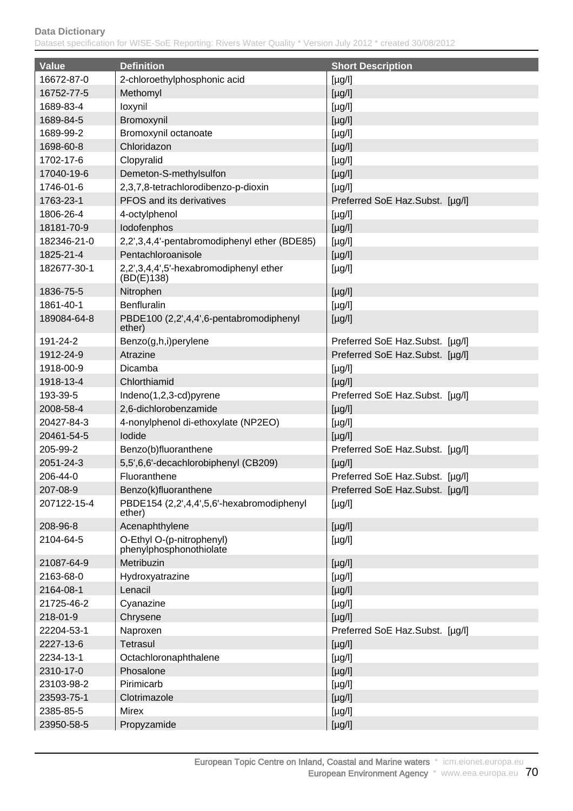| <b>Value</b><br>16672-87-0 | <b>Definition</b>                                    | <b>Short Description</b>        |
|----------------------------|------------------------------------------------------|---------------------------------|
|                            | 2-chloroethylphosphonic acid                         | $[\mu g/l]$                     |
| 16752-77-5                 | Methomyl                                             | $[\mu g/l]$                     |
| 1689-83-4                  | loxynil                                              | $[\mu g/l]$                     |
| 1689-84-5                  | Bromoxynil                                           | $[\mu g/l]$                     |
| 1689-99-2                  | Bromoxynil octanoate                                 | $[\mu g/l]$                     |
| 1698-60-8                  | Chloridazon                                          | $[\mu g/l]$                     |
| 1702-17-6                  | Clopyralid                                           | $[\mu g/l]$                     |
| 17040-19-6                 | Demeton-S-methylsulfon                               | $[\mu g/l]$                     |
| 1746-01-6                  | 2,3,7,8-tetrachlorodibenzo-p-dioxin                  | $[\mu g/l]$                     |
| 1763-23-1                  | PFOS and its derivatives                             | Preferred SoE Haz.Subst. [µg/l] |
| 1806-26-4                  | 4-octylphenol                                        | $[\mu g/l]$                     |
| 18181-70-9                 | lodofenphos                                          | [µg/l]                          |
| 182346-21-0                | 2,2',3,4,4'-pentabromodiphenyl ether (BDE85)         | $[\mu g/l]$                     |
| 1825-21-4                  | Pentachloroanisole                                   | $[\mu g/l]$                     |
| 182677-30-1                | 2,2',3,4,4',5'-hexabromodiphenyl ether<br>(BD(E)138) | $[\mu g/l]$                     |
| 1836-75-5                  | Nitrophen                                            | $[\mu g/l]$                     |
| 1861-40-1                  | <b>Benfluralin</b>                                   | [yg/l]                          |
| 189084-64-8                | PBDE100 (2,2',4,4',6-pentabromodiphenyl<br>ether)    | $[\mu g/l]$                     |
| 191-24-2                   | Benzo(g,h,i)perylene                                 | Preferred SoE Haz.Subst. [µg/l] |
| 1912-24-9                  | Atrazine                                             | Preferred SoE Haz.Subst. [µg/l] |
| 1918-00-9                  | Dicamba                                              | $[\mu g/l]$                     |
| 1918-13-4                  | Chlorthiamid                                         | $[\mu g/l]$                     |
| 193-39-5                   | Indeno(1,2,3-cd)pyrene                               | Preferred SoE Haz.Subst. [µg/l] |
| 2008-58-4                  | 2,6-dichlorobenzamide                                | $[\mu g/l]$                     |
| 20427-84-3                 | 4-nonylphenol di-ethoxylate (NP2EO)                  | $[\mu g/l]$                     |
| 20461-54-5                 | lodide                                               | $[\mu g/l]$                     |
| 205-99-2                   | Benzo(b)fluoranthene                                 | Preferred SoE Haz.Subst. [µg/l] |
| 2051-24-3                  | 5,5',6,6'-decachlorobiphenyl (CB209)                 | $[\mu g/l]$                     |
| 206-44-0                   | Fluoranthene                                         | Preferred SoE Haz.Subst. [µg/l] |
| 207-08-9                   | Benzo(k)fluoranthene                                 | Preferred SoE Haz.Subst. [µg/l] |
| 207122-15-4                | PBDE154 (2,2',4,4',5,6'-hexabromodiphenyl<br>ether)  | $[\mu g/l]$                     |
| 208-96-8                   | Acenaphthylene                                       | $[\mu g/l]$                     |
| 2104-64-5                  | O-Ethyl O-(p-nitrophenyl)<br>phenylphosphonothiolate | $[\mu g/l]$                     |
| 21087-64-9                 | Metribuzin                                           | $[\mu g/l]$                     |
| 2163-68-0                  | Hydroxyatrazine                                      | $[\mu g/l]$                     |
| 2164-08-1                  | Lenacil                                              | $[\mu g/l]$                     |
| 21725-46-2                 | Cyanazine                                            | $[\mu g/l]$                     |
| 218-01-9                   | Chrysene                                             | $[\mu g/l]$                     |
| 22204-53-1                 | Naproxen                                             | Preferred SoE Haz.Subst. [µg/l] |
| 2227-13-6                  | Tetrasul                                             | $[\mu g/l]$                     |
| 2234-13-1                  | Octachloronaphthalene                                | $[\mu g/l]$                     |
| 2310-17-0                  | Phosalone                                            | $[\mu g/l]$                     |
| 23103-98-2                 | Pirimicarb                                           | $[\mu g/l]$                     |
| 23593-75-1                 | Clotrimazole                                         | $[\mu g/l]$                     |
| 2385-85-5                  | Mirex                                                | $[\mu g/l]$                     |
| 23950-58-5                 | Propyzamide                                          | $[\mu g/l]$                     |
|                            |                                                      |                                 |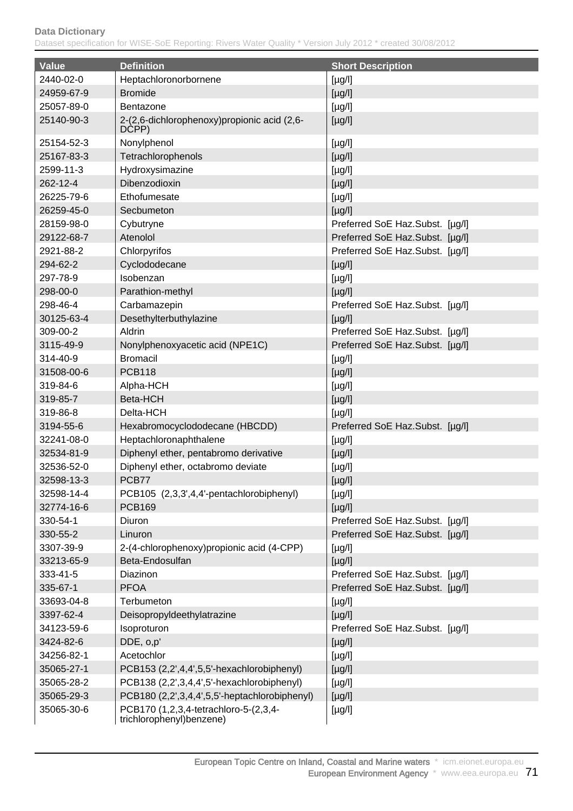| <b>Value</b> | <b>Definition</b>                                                 | <b>Short Description</b>        |
|--------------|-------------------------------------------------------------------|---------------------------------|
| 2440-02-0    | Heptachloronorbornene                                             | $[\mu g/l]$                     |
| 24959-67-9   | <b>Bromide</b>                                                    | $[\mu g/l]$                     |
| 25057-89-0   | Bentazone                                                         | $[\mu g/l]$                     |
| 25140-90-3   | 2-(2,6-dichlorophenoxy) propionic acid (2,6-<br>DCPP)             | $[\mu g/l]$                     |
| 25154-52-3   | Nonylphenol                                                       | $[\mu g/l]$                     |
| 25167-83-3   | Tetrachlorophenols                                                | $[\mu g/l]$                     |
| 2599-11-3    | Hydroxysimazine                                                   | $[\mu g/l]$                     |
| 262-12-4     | Dibenzodioxin                                                     | $[\mu g/l]$                     |
| 26225-79-6   | Ethofumesate                                                      | $[\mu g/l]$                     |
| 26259-45-0   | Secbumeton                                                        | $[\mu g/l]$                     |
| 28159-98-0   | Cybutryne                                                         | Preferred SoE Haz.Subst. [µg/l] |
| 29122-68-7   | Atenolol                                                          | Preferred SoE Haz.Subst. [µg/l] |
| 2921-88-2    | Chlorpyrifos                                                      | Preferred SoE Haz.Subst. [µg/l] |
| 294-62-2     | Cyclododecane                                                     | $[\mu g/l]$                     |
| 297-78-9     | Isobenzan                                                         | $[\mu g/l]$                     |
| 298-00-0     | Parathion-methyl                                                  | $[\mu g/l]$                     |
| 298-46-4     | Carbamazepin                                                      | Preferred SoE Haz.Subst. [µg/l] |
| 30125-63-4   | Desethylterbuthylazine                                            | $[\mu g/l]$                     |
| 309-00-2     | Aldrin                                                            | Preferred SoE Haz.Subst. [µg/l] |
| 3115-49-9    | Nonylphenoxyacetic acid (NPE1C)                                   | Preferred SoE Haz.Subst. [µg/l] |
| 314-40-9     | <b>Bromacil</b>                                                   | $[\mu g/l]$                     |
| 31508-00-6   | <b>PCB118</b>                                                     | $[\mu g/l]$                     |
| 319-84-6     | Alpha-HCH                                                         | $[\mu g/l]$                     |
| 319-85-7     | Beta-HCH                                                          | $[\mu g/l]$                     |
| 319-86-8     | Delta-HCH                                                         | $[\mu g/l]$                     |
| 3194-55-6    | Hexabromocyclododecane (HBCDD)                                    | Preferred SoE Haz.Subst. [µg/l] |
| 32241-08-0   | Heptachloronaphthalene                                            | $[\mu g/l]$                     |
| 32534-81-9   | Diphenyl ether, pentabromo derivative                             | $[\mu g/l]$                     |
| 32536-52-0   | Diphenyl ether, octabromo deviate                                 | $[\mu g/l]$                     |
| 32598-13-3   | PCB77                                                             | $[\mu g/l]$                     |
| 32598-14-4   | PCB105 (2,3,3',4,4'-pentachlorobiphenyl)                          | $[\mu g/l]$                     |
| 32774-16-6   | <b>PCB169</b>                                                     | $[\mu g/l]$                     |
| 330-54-1     | Diuron                                                            | Preferred SoE Haz.Subst. [µg/l] |
| 330-55-2     | Linuron                                                           | Preferred SoE Haz.Subst. [µg/l] |
| 3307-39-9    | 2-(4-chlorophenoxy) propionic acid (4-CPP)                        | $[\mu g/l]$                     |
| 33213-65-9   | Beta-Endosulfan                                                   | $[\mu g/l]$                     |
| 333-41-5     | Diazinon                                                          | Preferred SoE Haz.Subst. [µg/l] |
| 335-67-1     | <b>PFOA</b>                                                       | Preferred SoE Haz.Subst. [µg/l] |
| 33693-04-8   | Terbumeton                                                        | [µg/l]                          |
| 3397-62-4    | Deisopropyldeethylatrazine                                        | $[\mu g/l]$                     |
| 34123-59-6   | Isoproturon                                                       | Preferred SoE Haz.Subst. [µg/l] |
| 3424-82-6    | DDE, o,p'                                                         | $[\mu g/l]$                     |
| 34256-82-1   | Acetochlor                                                        | [µg/l]                          |
| 35065-27-1   | PCB153 (2,2',4,4',5,5'-hexachlorobiphenyl)                        | $[\mu g/l]$                     |
| 35065-28-2   | PCB138 (2,2',3,4,4',5'-hexachlorobiphenyl)                        | $[\mu g/l]$                     |
| 35065-29-3   | PCB180 (2,2',3,4,4',5,5'-heptachlorobiphenyl)                     | $[\mu g/l]$                     |
| 35065-30-6   | PCB170 (1,2,3,4-tetrachloro-5-(2,3,4-<br>trichlorophenyl)benzene) | $[\mu g/l]$                     |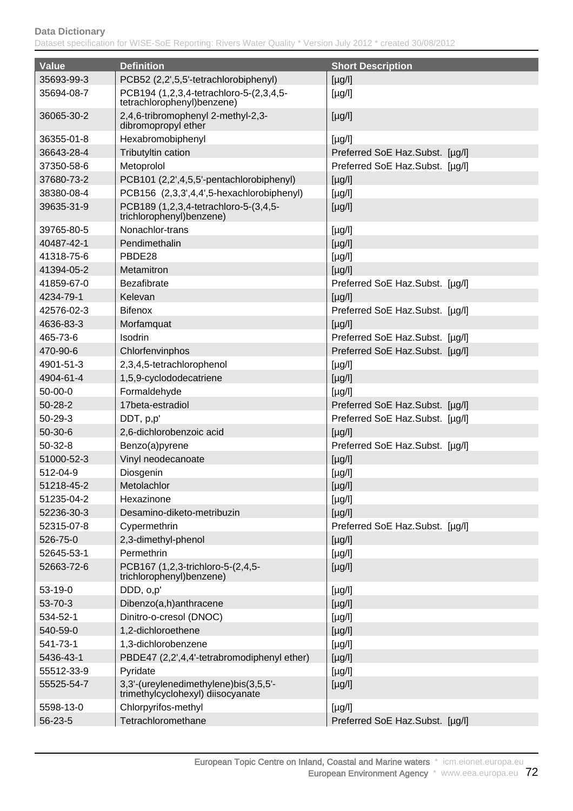| <b>Value</b>  | <b>Definition</b>                                                          | <b>Short Description</b>        |
|---------------|----------------------------------------------------------------------------|---------------------------------|
| 35693-99-3    | PCB52 (2,2',5,5'-tetrachlorobiphenyl)                                      | $[\mu g/l]$                     |
| 35694-08-7    | PCB194 (1,2,3,4-tetrachloro-5-(2,3,4,5-<br>tetrachlorophenyl) benzene)     | $[\mu g/l]$                     |
| 36065-30-2    | 2,4,6-tribromophenyl 2-methyl-2,3-<br>dibromopropyl ether                  | $[\mu g/l]$                     |
| 36355-01-8    | Hexabromobiphenyl                                                          | $[\mu g/l]$                     |
| 36643-28-4    | Tributyltin cation                                                         | Preferred SoE Haz.Subst. [µg/l] |
| 37350-58-6    | Metoprolol                                                                 | Preferred SoE Haz.Subst. [µg/l] |
| 37680-73-2    | PCB101 (2,2',4,5,5'-pentachlorobiphenyl)                                   | $[\mu g/l]$                     |
| 38380-08-4    | PCB156 (2,3,3',4,4',5-hexachlorobiphenyl)                                  | $[\mu g/l]$                     |
| 39635-31-9    | PCB189 (1,2,3,4-tetrachloro-5-(3,4,5-<br>trichlorophenyl)benzene)          | $[\mu g/l]$                     |
| 39765-80-5    | Nonachlor-trans                                                            | $[\mu g/l]$                     |
| 40487-42-1    | Pendimethalin                                                              | $[\mu g/l]$                     |
| 41318-75-6    | PBDE28                                                                     | $[\mu g/l]$                     |
| 41394-05-2    | Metamitron                                                                 | $[\mu g/l]$                     |
| 41859-67-0    | <b>Bezafibrate</b>                                                         | Preferred SoE Haz.Subst. [µg/l] |
| 4234-79-1     | Kelevan                                                                    | $[\mu g/l]$                     |
| 42576-02-3    | <b>Bifenox</b>                                                             | Preferred SoE Haz.Subst. [µg/l] |
| 4636-83-3     | Morfamquat                                                                 | $\lceil \mu g / I \rceil$       |
| 465-73-6      | Isodrin                                                                    | Preferred SoE Haz.Subst. [µg/l] |
| 470-90-6      | Chlorfenvinphos                                                            | Preferred SoE Haz.Subst. [µg/l] |
| 4901-51-3     | 2,3,4,5-tetrachlorophenol                                                  | $[\mu g/l]$                     |
| 4904-61-4     | 1,5,9-cyclododecatriene                                                    | $[\mu g/l]$                     |
| $50 - 00 - 0$ | Formaldehyde                                                               | $[\mu g/l]$                     |
| $50 - 28 - 2$ | 17beta-estradiol                                                           | Preferred SoE Haz.Subst. [µg/l] |
| 50-29-3       | DDT, p,p'                                                                  | Preferred SoE Haz.Subst. [µg/l] |
| $50-30-6$     | 2,6-dichlorobenzoic acid                                                   | $[\mu g/l]$                     |
| $50 - 32 - 8$ | Benzo(a)pyrene                                                             | Preferred SoE Haz.Subst. [µg/l] |
| 51000-52-3    | Vinyl neodecanoate                                                         | $[\mu g/l]$                     |
| 512-04-9      | Diosgenin                                                                  | [µg/l]                          |
| 51218-45-2    | Metolachlor                                                                | $[\mu g/l]$                     |
| 51235-04-2    | Hexazinone                                                                 | [µg/l]                          |
| 52236-30-3    | Desamino-diketo-metribuzin                                                 | $[\mu g/l]$                     |
| 52315-07-8    | Cypermethrin                                                               | Preferred SoE Haz.Subst. [µg/l] |
| 526-75-0      | 2,3-dimethyl-phenol                                                        | $[\mu g/l]$                     |
| 52645-53-1    | Permethrin                                                                 | [µg/l]                          |
| 52663-72-6    | PCB167 (1,2,3-trichloro-5-(2,4,5-<br>trichlorophenyl) benzene)             | $[\mu g/l]$                     |
| 53-19-0       | DDD, o,p'                                                                  | $[\mu g/l]$                     |
| 53-70-3       | Dibenzo(a,h)anthracene                                                     | $[\mu g/l]$                     |
| 534-52-1      | Dinitro-o-cresol (DNOC)                                                    | [µg/l]                          |
| 540-59-0      | 1,2-dichloroethene                                                         | $[\mu g/l]$                     |
| 541-73-1      | 1,3-dichlorobenzene                                                        | $[\mu g/l]$                     |
| 5436-43-1     | PBDE47 (2,2',4,4'-tetrabromodiphenyl ether)                                | $[\mu g/l]$                     |
| 55512-33-9    | Pyridate                                                                   | $[\mu g/l]$                     |
| 55525-54-7    | 3,3'-(ureylenedimethylene)bis(3,5,5'-<br>trimethylcyclohexyl) diisocyanate | $[\mu g/l]$                     |
| 5598-13-0     | Chlorpyrifos-methyl                                                        | $[\mu g/l]$                     |
| 56-23-5       | Tetrachloromethane                                                         | Preferred SoE Haz.Subst. [µg/l] |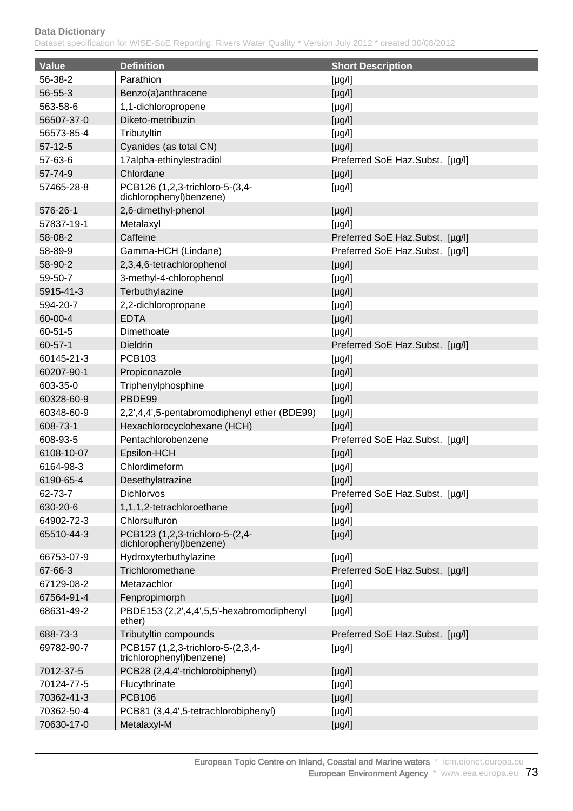| <b>Value</b>  | <b>Definition</b>                                             | <b>Short Description</b>        |
|---------------|---------------------------------------------------------------|---------------------------------|
| 56-38-2       | Parathion                                                     | $[\mu g/l]$                     |
| 56-55-3       | Benzo(a)anthracene                                            | $[\mu g/l]$                     |
| 563-58-6      | 1,1-dichloropropene                                           | $[\mu g/l]$                     |
| 56507-37-0    | Diketo-metribuzin                                             | $[\mu g/l]$                     |
| 56573-85-4    | Tributyltin                                                   | $[\mu g/l]$                     |
| $57-12-5$     | Cyanides (as total CN)                                        | $[\mu g/l]$                     |
| 57-63-6       | 17alpha-ethinylestradiol                                      | Preferred SoE Haz.Subst. [µg/l] |
| 57-74-9       | Chlordane                                                     | $[\mu g/l]$                     |
| 57465-28-8    | PCB126 (1,2,3-trichloro-5-(3,4-<br>dichlorophenyl) benzene)   | $[\mu g/l]$                     |
| 576-26-1      | 2,6-dimethyl-phenol                                           | $[\mu g/l]$                     |
| 57837-19-1    | Metalaxyl                                                     | $[\mu g/l]$                     |
| 58-08-2       | Caffeine                                                      | Preferred SoE Haz.Subst. [µg/l] |
| 58-89-9       | Gamma-HCH (Lindane)                                           | Preferred SoE Haz.Subst. [µg/l] |
| 58-90-2       | 2,3,4,6-tetrachlorophenol                                     | $[\mu g/l]$                     |
| 59-50-7       | 3-methyl-4-chlorophenol                                       | $[\mu g/l]$                     |
| 5915-41-3     | Terbuthylazine                                                | $[\mu g/l]$                     |
| 594-20-7      | 2,2-dichloropropane                                           | $[\mu g/l]$                     |
| 60-00-4       | <b>EDTA</b>                                                   | $[\mu g/l]$                     |
| $60 - 51 - 5$ | Dimethoate                                                    | $[\mu g/l]$                     |
| $60 - 57 - 1$ | <b>Dieldrin</b>                                               | Preferred SoE Haz.Subst. [µg/l] |
| 60145-21-3    | <b>PCB103</b>                                                 | $[\mu g/l]$                     |
| 60207-90-1    | Propiconazole                                                 | $[\mu g/l]$                     |
| 603-35-0      | Triphenylphosphine                                            | $[\mu g/l]$                     |
| 60328-60-9    | PBDE99                                                        | $[\mu g/l]$                     |
| 60348-60-9    | 2,2',4,4',5-pentabromodiphenyl ether (BDE99)                  | $[\mu g/l]$                     |
| 608-73-1      | Hexachlorocyclohexane (HCH)                                   | $[\mu g/l]$                     |
| 608-93-5      | Pentachlorobenzene                                            | Preferred SoE Haz.Subst. [µg/l] |
| 6108-10-07    | Epsilon-HCH                                                   | $[\mu g/l]$                     |
| 6164-98-3     | Chlordimeform                                                 | $[\mu g/l]$                     |
| 6190-65-4     | Desethylatrazine                                              | $[\mu g/l]$                     |
| 62-73-7       | <b>Dichlorvos</b>                                             | Preferred SoE Haz.Subst. [µg/l] |
| 630-20-6      | 1,1,1,2-tetrachloroethane                                     | $[\mu g/l]$                     |
| 64902-72-3    | Chlorsulfuron                                                 | $[\mu g/l]$                     |
| 65510-44-3    | PCB123 (1,2,3-trichloro-5-(2,4-<br>dichlorophenyl)benzene)    | $[\mu g/l]$                     |
| 66753-07-9    | Hydroxyterbuthylazine                                         | $[\mu g/l]$                     |
| 67-66-3       | Trichloromethane                                              | Preferred SoE Haz.Subst. [µg/l] |
| 67129-08-2    | Metazachlor                                                   | $[\mu g/l]$                     |
| 67564-91-4    | Fenpropimorph                                                 | $[\mu g/l]$                     |
| 68631-49-2    | PBDE153 (2,2',4,4',5,5'-hexabromodiphenyl<br>ether)           | $[\mu g/l]$                     |
| 688-73-3      | Tributyltin compounds                                         | Preferred SoE Haz.Subst. [µg/l] |
| 69782-90-7    | PCB157 (1,2,3-trichloro-5-(2,3,4-<br>trichlorophenyl)benzene) | $[\mu g/l]$                     |
| 7012-37-5     | PCB28 (2,4,4'-trichlorobiphenyl)                              | $[\mu g/l]$                     |
| 70124-77-5    | Flucythrinate                                                 | $[\mu g/l]$                     |
| 70362-41-3    | <b>PCB106</b>                                                 | $[\mu g/l]$                     |
| 70362-50-4    | PCB81 (3,4,4',5-tetrachlorobiphenyl)                          | $[\mu g/l]$                     |
| 70630-17-0    | Metalaxyl-M                                                   | $[\mu g/l]$                     |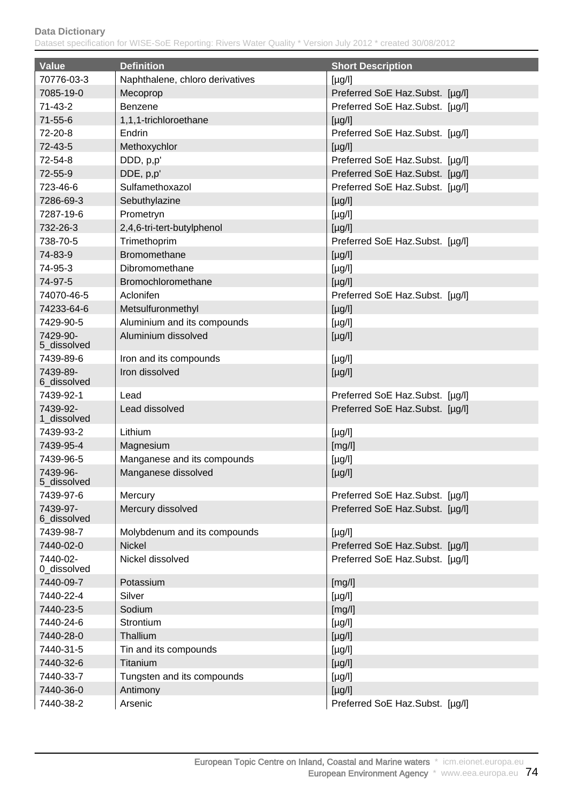| <b>Value</b>            | <b>Definition</b>               | <b>Short Description</b>        |
|-------------------------|---------------------------------|---------------------------------|
| 70776-03-3              | Naphthalene, chloro derivatives | $[\mu g/l]$                     |
| 7085-19-0               | Mecoprop                        | Preferred SoE Haz.Subst. [µg/l] |
| $71 - 43 - 2$           | Benzene                         | Preferred SoE Haz.Subst. [µg/l] |
| $71 - 55 - 6$           | 1,1,1-trichloroethane           | $[\mu g/l]$                     |
| 72-20-8                 | Endrin                          | Preferred SoE Haz.Subst. [µg/l] |
| 72-43-5                 | Methoxychlor                    | $[\mu g/l]$                     |
| 72-54-8                 | DDD, p,p'                       | Preferred SoE Haz.Subst. [µg/l] |
| 72-55-9                 | DDE, p,p'                       | Preferred SoE Haz.Subst. [µg/l] |
| 723-46-6                | Sulfamethoxazol                 | Preferred SoE Haz.Subst. [µg/l] |
| 7286-69-3               | Sebuthylazine                   | $[\mu g/l]$                     |
| 7287-19-6               | Prometryn                       | $[\mu g/l]$                     |
| 732-26-3                | 2,4,6-tri-tert-butylphenol      | $[\mu g/l]$                     |
| 738-70-5                | Trimethoprim                    | Preferred SoE Haz.Subst. [µg/l] |
| 74-83-9                 | <b>Bromomethane</b>             | $[\mu g/l]$                     |
| 74-95-3                 | Dibromomethane                  | $[\mu g/l]$                     |
| 74-97-5                 | Bromochloromethane              | $[\mu g/l]$                     |
| 74070-46-5              | Aclonifen                       | Preferred SoE Haz.Subst. [µg/l] |
| 74233-64-6              | Metsulfuronmethyl               | $[\mu g/l]$                     |
| 7429-90-5               | Aluminium and its compounds     | $[\mu g/l]$                     |
| 7429-90-<br>5 dissolved | Aluminium dissolved             | $[\mu g/l]$                     |
| 7439-89-6               | Iron and its compounds          | $[\mu g/l]$                     |
| 7439-89-<br>6_dissolved | Iron dissolved                  | $[\mu g/l]$                     |
| 7439-92-1               | Lead                            | Preferred SoE Haz.Subst. [µg/l] |
| 7439-92-<br>1 dissolved | Lead dissolved                  | Preferred SoE Haz.Subst. [µg/l] |
| 7439-93-2               | Lithium                         | $[\mu g/l]$                     |
| 7439-95-4               | Magnesium                       | [mg/l]                          |
| 7439-96-5               | Manganese and its compounds     | $[\mu g/l]$                     |
| 7439-96-<br>5_dissolved | Manganese dissolved             | $[\mu g/l]$                     |
| 7439-97-6               | Mercury                         | Preferred SoE Haz.Subst. [µg/l] |
| 7439-97-<br>6_dissolved | Mercury dissolved               | Preferred SoE Haz.Subst. [µg/l] |
| 7439-98-7               | Molybdenum and its compounds    | [µg/l]                          |
| 7440-02-0               | <b>Nickel</b>                   | Preferred SoE Haz.Subst. [µg/l] |
| 7440-02-<br>0_dissolved | Nickel dissolved                | Preferred SoE Haz.Subst. [µg/l] |
| 7440-09-7               | Potassium                       | [mg/l]                          |
| 7440-22-4               | Silver                          | $[\mu g/l]$                     |
| 7440-23-5               | Sodium                          | [mg/l]                          |
| 7440-24-6               | Strontium                       | $[\mu g/l]$                     |
| 7440-28-0               | Thallium                        | $[\mu g/l]$                     |
| 7440-31-5               | Tin and its compounds           | $[\mu g/l]$                     |
| 7440-32-6               | Titanium                        | $[\mu g/l]$                     |
| 7440-33-7               | Tungsten and its compounds      | $[\mu g/l]$                     |
| 7440-36-0               | Antimony                        | $[\mu g/l]$                     |
| 7440-38-2               | Arsenic                         | Preferred SoE Haz.Subst. [µg/l] |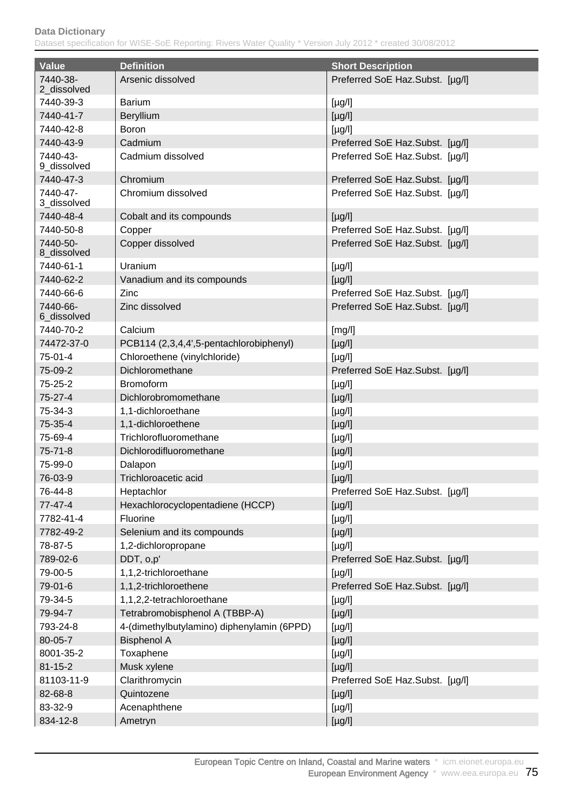| <b>Value</b>            | <b>Definition</b>                          | <b>Short Description</b>        |
|-------------------------|--------------------------------------------|---------------------------------|
| 7440-38-<br>2 dissolved | Arsenic dissolved                          | Preferred SoE Haz.Subst. [µg/l] |
| 7440-39-3               | <b>Barium</b>                              | $[\mu g/l]$                     |
| 7440-41-7               | <b>Beryllium</b>                           | $[\mu g/l]$                     |
| 7440-42-8               | <b>Boron</b>                               | $[\mu g/l]$                     |
| 7440-43-9               | Cadmium                                    | Preferred SoE Haz.Subst. [µg/l] |
| 7440-43-<br>9_dissolved | Cadmium dissolved                          | Preferred SoE Haz.Subst. [µg/l] |
| 7440-47-3               | Chromium                                   | Preferred SoE Haz.Subst. [µg/l] |
| 7440-47-<br>3_dissolved | Chromium dissolved                         | Preferred SoE Haz.Subst. [µg/l] |
| 7440-48-4               | Cobalt and its compounds                   | $[\mu g/l]$                     |
| 7440-50-8               | Copper                                     | Preferred SoE Haz.Subst. [µg/l] |
| 7440-50-<br>8_dissolved | Copper dissolved                           | Preferred SoE Haz.Subst. [µg/l] |
| 7440-61-1               | Uranium                                    | $[\mu g/l]$                     |
| 7440-62-2               | Vanadium and its compounds                 | $[\mu g/l]$                     |
| 7440-66-6               | Zinc                                       | Preferred SoE Haz.Subst. [µg/l] |
| 7440-66-<br>6_dissolved | Zinc dissolved                             | Preferred SoE Haz.Subst. [µg/l] |
| 7440-70-2               | Calcium                                    | [mg/l]                          |
| 74472-37-0              | PCB114 (2,3,4,4',5-pentachlorobiphenyl)    | $[\mu g/l]$                     |
| $75-01-4$               | Chloroethene (vinylchloride)               | $[\mu g/l]$                     |
| 75-09-2                 | Dichloromethane                            | Preferred SoE Haz.Subst. [µg/l] |
| 75-25-2                 | <b>Bromoform</b>                           | $[\mu g/l]$                     |
| $75 - 27 - 4$           | Dichlorobromomethane                       | $[\mu g/l]$                     |
| 75-34-3                 | 1,1-dichloroethane                         | $[\mu g/l]$                     |
| 75-35-4                 | 1,1-dichloroethene                         | $[\mu g/l]$                     |
| 75-69-4                 | Trichlorofluoromethane                     | $[\mu g/l]$                     |
| $75 - 71 - 8$           | Dichlorodifluoromethane                    | $[\mu g/l]$                     |
| 75-99-0                 | Dalapon                                    | $[\mu g/l]$                     |
| 76-03-9                 | Trichloroacetic acid                       | $[\mu g/l]$                     |
| 76-44-8                 | Heptachlor                                 | Preferred SoE Haz.Subst. [µg/l] |
| 77-47-4                 | Hexachlorocyclopentadiene (HCCP)           | $[\mu g/l]$                     |
| 7782-41-4               | <b>Fluorine</b>                            | $[\mu g/l]$                     |
| 7782-49-2               | Selenium and its compounds                 | [µg/l]                          |
| 78-87-5                 | 1,2-dichloropropane                        | $[\mu g/l]$                     |
| 789-02-6                | DDT, o,p'                                  | Preferred SoE Haz.Subst. [µg/l] |
| 79-00-5                 | 1,1,2-trichloroethane                      | $[\mu g/l]$                     |
| 79-01-6                 | 1,1,2-trichloroethene                      | Preferred SoE Haz.Subst. [µg/l] |
| 79-34-5                 | 1,1,2,2-tetrachloroethane                  | $[\mu g/l]$                     |
| 79-94-7                 | Tetrabromobisphenol A (TBBP-A)             | $[\mu g/l]$                     |
| 793-24-8                | 4-(dimethylbutylamino) diphenylamin (6PPD) | $[\mu g/l]$                     |
| 80-05-7                 | <b>Bisphenol A</b>                         | $[\mu g/l]$                     |
| 8001-35-2               | Toxaphene                                  | $[\mu g/l]$                     |
| $81 - 15 - 2$           | Musk xylene                                | $[\mu g/l]$                     |
| 81103-11-9              | Clarithromycin                             | Preferred SoE Haz.Subst. [µg/l] |
| 82-68-8                 | Quintozene                                 | $[\mu g/l]$                     |
| 83-32-9                 | Acenaphthene                               | $[\mu g/l]$                     |
| 834-12-8                | Ametryn                                    | $[\mu g/l]$                     |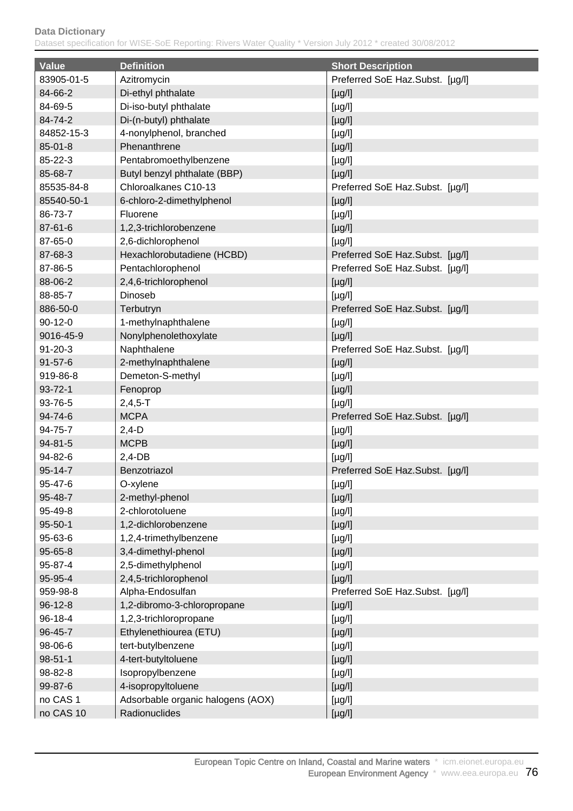| <b>Value</b>  | <b>Definition</b>                 | <b>Short Description</b>        |
|---------------|-----------------------------------|---------------------------------|
| 83905-01-5    | Azitromycin                       | Preferred SoE Haz.Subst. [µg/l] |
| 84-66-2       | Di-ethyl phthalate                | $[\mu g/l]$                     |
| 84-69-5       | Di-iso-butyl phthalate            | $[\mu g/l]$                     |
| 84-74-2       | Di-(n-butyl) phthalate            | $[\mu g/l]$                     |
| 84852-15-3    | 4-nonylphenol, branched           | $[\mu g/l]$                     |
| 85-01-8       | Phenanthrene                      | $[\mu g/l]$                     |
| 85-22-3       | Pentabromoethylbenzene            | $[\mu g/l]$                     |
| 85-68-7       | Butyl benzyl phthalate (BBP)      | $[\mu g/l]$                     |
| 85535-84-8    | Chloroalkanes C10-13              | Preferred SoE Haz.Subst. [µg/l] |
| 85540-50-1    | 6-chloro-2-dimethylphenol         | $[\mu g/l]$                     |
| 86-73-7       | Fluorene                          | $[\mu g/l]$                     |
| 87-61-6       | 1,2,3-trichlorobenzene            | $[\mu g/l]$                     |
| 87-65-0       | 2,6-dichlorophenol                | $[\mu g/l]$                     |
| 87-68-3       | Hexachlorobutadiene (HCBD)        | Preferred SoE Haz.Subst. [µg/l] |
| 87-86-5       | Pentachlorophenol                 | Preferred SoE Haz.Subst. [µg/l] |
| 88-06-2       | 2,4,6-trichlorophenol             | $[\mu g/l]$                     |
| 88-85-7       | Dinoseb                           | $[\mu g/l]$                     |
| 886-50-0      | Terbutryn                         | Preferred SoE Haz.Subst. [µg/l] |
| $90-12-0$     | 1-methylnaphthalene               | $[\mu g/l]$                     |
| 9016-45-9     | Nonylphenolethoxylate             | $[\mu g/l]$                     |
| $91 - 20 - 3$ | Naphthalene                       | Preferred SoE Haz.Subst. [µg/l] |
| $91 - 57 - 6$ | 2-methylnaphthalene               | $[\mu g/l]$                     |
| 919-86-8      | Demeton-S-methyl                  | $[\mu g/l]$                     |
| $93 - 72 - 1$ | Fenoprop                          | $[\mu g/l]$                     |
| 93-76-5       | $2,4,5 - T$                       | $[\mu g/l]$                     |
| 94-74-6       | <b>MCPA</b>                       | Preferred SoE Haz.Subst. [µg/l] |
| 94-75-7       | $2,4-D$                           | $[\mu g/l]$                     |
| 94-81-5       | <b>MCPB</b>                       | $[\mu g/l]$                     |
| 94-82-6       | $2,4-DB$                          | $[\mu g/l]$                     |
| 95-14-7       | Benzotriazol                      | Preferred SoE Haz.Subst. [µg/l] |
| 95-47-6       | O-xylene                          | $[\mu g/l]$                     |
| 95-48-7       | 2-methyl-phenol                   | $[\mu g/l]$                     |
| 95-49-8       | 2-chlorotoluene                   | [µg/l]                          |
| $95 - 50 - 1$ | 1,2-dichlorobenzene               | $[\mu g/l]$                     |
| 95-63-6       | 1,2,4-trimethylbenzene            | $[\mu g/l]$                     |
| 95-65-8       | 3,4-dimethyl-phenol               | $[\mu g/l]$                     |
| 95-87-4       | 2,5-dimethylphenol                | $[\mu g/l]$                     |
| 95-95-4       | 2,4,5-trichlorophenol             | $[\mu g/l]$                     |
| 959-98-8      | Alpha-Endosulfan                  | Preferred SoE Haz.Subst. [µg/l] |
| $96 - 12 - 8$ | 1,2-dibromo-3-chloropropane       | $[\mu g/l]$                     |
| 96-18-4       | 1,2,3-trichloropropane            | $[\mu g/l]$                     |
| 96-45-7       | Ethylenethiourea (ETU)            | $[\mu g/l]$                     |
| 98-06-6       | tert-butylbenzene                 | $[\mu g/l]$                     |
| $98 - 51 - 1$ | 4-tert-butyltoluene               | $[\mu g/l]$                     |
| 98-82-8       | Isopropylbenzene                  | $[\mu g/l]$                     |
| 99-87-6       | 4-isopropyltoluene                | $[\mu g/l]$                     |
| no CAS 1      | Adsorbable organic halogens (AOX) | $[\mu g/l]$                     |
| no CAS 10     | Radionuclides                     | $[\mu g/l]$                     |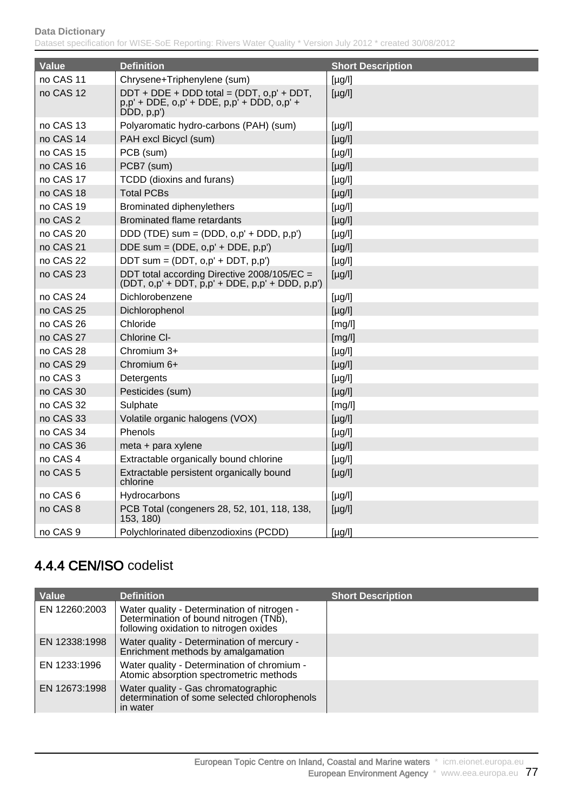| <b>Value</b>        | <b>Definition</b>                                                                                                              | <b>Short Description</b> |
|---------------------|--------------------------------------------------------------------------------------------------------------------------------|--------------------------|
| no CAS 11           | Chrysene+Triphenylene (sum)                                                                                                    | $[\mu g/l]$              |
| no CAS 12           | $DDT + DDE + DDD$ total = (DDT, $o, p' + DDT$ ,<br>$p, p' + DDE$ , $o, p' + DDE$ , $p, p' + DDD$ , $o, p' + DD$<br>DDD, p, p') | $[\mu g/l]$              |
| no CAS 13           | Polyaromatic hydro-carbons (PAH) (sum)                                                                                         | $[\mu g/l]$              |
| no CAS 14           | PAH excl Bicycl (sum)                                                                                                          | $[\mu g/l]$              |
| no CAS 15           | PCB (sum)                                                                                                                      | $[\mu g/l]$              |
| no CAS 16           | PCB7 (sum)                                                                                                                     | $[\mu g/l]$              |
| no CAS 17           | TCDD (dioxins and furans)                                                                                                      | $[\mu g/l]$              |
| no CAS 18           | <b>Total PCBs</b>                                                                                                              | $[\mu g/l]$              |
| no CAS 19           | <b>Brominated diphenylethers</b>                                                                                               | $[\mu g/l]$              |
| no CAS <sub>2</sub> | <b>Brominated flame retardants</b>                                                                                             | $[\mu g/l]$              |
| no CAS 20           | DDD (TDE) sum = (DDD, $o, p'$ + DDD, $p, p'$ )                                                                                 | $[\mu g/l]$              |
| no CAS 21           | DDE sum = $(DDE, o, p' + DDE, p, p')$                                                                                          | $[\mu g/l]$              |
| no CAS 22           | DDT sum = $(DDT, o, p' + DDT, p, p')$                                                                                          | $[\mu g/l]$              |
| no CAS 23           | DDT total according Directive 2008/105/EC =<br>$(DDT, o, p' + DDT, p, p' + DDE, p, p' + DDD, p, p')$                           | $[\mu g/l]$              |
| no CAS 24           | Dichlorobenzene                                                                                                                | $[\mu g/l]$              |
| no CAS 25           | Dichlorophenol                                                                                                                 | $[\mu g/l]$              |
| no CAS 26           | Chloride                                                                                                                       | [mg/l]                   |
| no CAS 27           | Chlorine CI-                                                                                                                   | [mg/l]                   |
| no CAS 28           | Chromium 3+                                                                                                                    | $[\mu g/l]$              |
| no CAS 29           | Chromium 6+                                                                                                                    | $[\mu g/l]$              |
| no CAS 3            | Detergents                                                                                                                     | $[\mu g/l]$              |
| no CAS 30           | Pesticides (sum)                                                                                                               | $[\mu g/l]$              |
| no CAS 32           | Sulphate                                                                                                                       | [mg/l]                   |
| no CAS 33           | Volatile organic halogens (VOX)                                                                                                | $[\mu g/l]$              |
| no CAS 34           | Phenols                                                                                                                        | $[\mu g/l]$              |
| no CAS 36           | meta + para xylene                                                                                                             | $[\mu g/l]$              |
| no CAS 4            | Extractable organically bound chlorine                                                                                         | $[\mu g/l]$              |
| no CAS <sub>5</sub> | Extractable persistent organically bound<br>chlorine                                                                           | $[\mu g/l]$              |
| no CAS 6            | Hydrocarbons                                                                                                                   | $[\mu g/l]$              |
| no CAS 8            | PCB Total (congeners 28, 52, 101, 118, 138,<br>153, 180)                                                                       | $[\mu g/l]$              |
| no CAS 9            | Polychlorinated dibenzodioxins (PCDD)                                                                                          | $[\mu g/l]$              |

# 4.4.4 CEN/ISO codelist

| Value         | <b>Definition</b>                                                                                                               | <b>Short Description</b> |
|---------------|---------------------------------------------------------------------------------------------------------------------------------|--------------------------|
| EN 12260:2003 | Water quality - Determination of nitrogen -<br>Determination of bound nitrogen (TNb),<br>following oxidation to nitrogen oxides |                          |
| EN 12338:1998 | Water quality - Determination of mercury -<br>Enrichment methods by amalgamation                                                |                          |
| EN 1233:1996  | Water quality - Determination of chromium -<br>Atomic absorption spectrometric methods                                          |                          |
| EN 12673:1998 | Water quality - Gas chromatographic<br>determination of some selected chlorophenols<br>in water                                 |                          |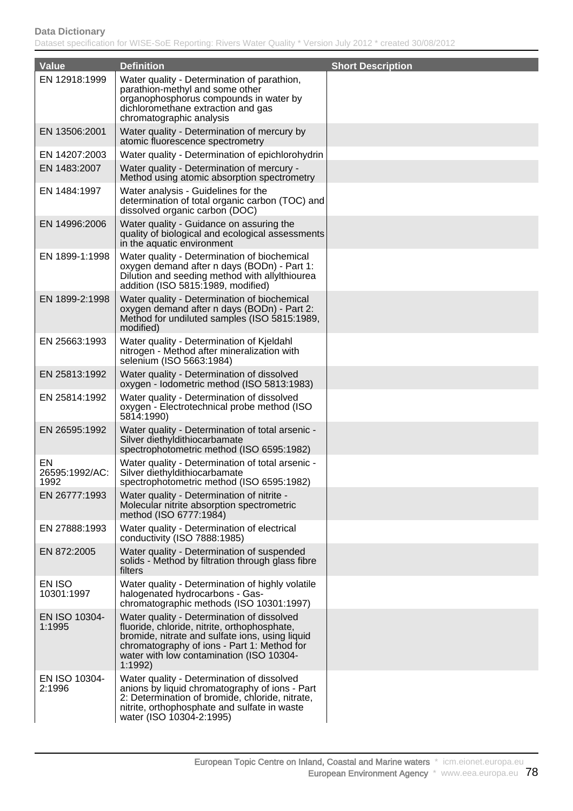| <b>Value</b>                 | <b>Definition</b>                                                                                                                                                                                                                                  | <b>Short Description</b> |
|------------------------------|----------------------------------------------------------------------------------------------------------------------------------------------------------------------------------------------------------------------------------------------------|--------------------------|
| EN 12918:1999                | Water quality - Determination of parathion,<br>parathion-methyl and some other<br>organophosphorus compounds in water by<br>dichloromethane extraction and gas<br>chromatographic analysis                                                         |                          |
| EN 13506:2001                | Water quality - Determination of mercury by<br>atomic fluorescence spectrometry                                                                                                                                                                    |                          |
| EN 14207:2003                | Water quality - Determination of epichlorohydrin                                                                                                                                                                                                   |                          |
| EN 1483:2007                 | Water quality - Determination of mercury -<br>Method using atomic absorption spectrometry                                                                                                                                                          |                          |
| EN 1484:1997                 | Water analysis - Guidelines for the<br>determination of total organic carbon (TOC) and<br>dissolved organic carbon (DOC)                                                                                                                           |                          |
| EN 14996:2006                | Water quality - Guidance on assuring the<br>quality of biological and ecological assessments<br>in the aquatic environment                                                                                                                         |                          |
| EN 1899-1:1998               | Water quality - Determination of biochemical<br>oxygen demand after n days (BODn) - Part 1:<br>Dilution and seeding method with allyIthiourea<br>addition (ISO 5815:1989, modified)                                                                |                          |
| EN 1899-2:1998               | Water quality - Determination of biochemical<br>oxygen demand after n days (BODn) - Part 2:<br>Method for undiluted samples (ISO 5815:1989,<br>modified)                                                                                           |                          |
| EN 25663:1993                | Water quality - Determination of Kjeldahl<br>nitrogen - Method after mineralization with<br>selenium (ISO 5663:1984)                                                                                                                               |                          |
| EN 25813:1992                | Water quality - Determination of dissolved<br>oxygen - Iodometric method (ISO 5813:1983)                                                                                                                                                           |                          |
| EN 25814:1992                | Water quality - Determination of dissolved<br>oxygen - Electrotechnical probe method (ISO<br>5814:1990)                                                                                                                                            |                          |
| EN 26595:1992                | Water quality - Determination of total arsenic -<br>Silver diethyldithiocarbamate<br>spectrophotometric method (ISO 6595:1982)                                                                                                                     |                          |
| EN<br>26595:1992/AC:<br>1992 | Water quality - Determination of total arsenic -<br>Silver diethyldithiocarbamate<br>spectrophotometric method (ISO 6595:1982)                                                                                                                     |                          |
| EN 26777:1993                | Water quality - Determination of nitrite -<br>Molecular nitrite absorption spectrometric<br>method (ISO 6777:1984)                                                                                                                                 |                          |
| EN 27888:1993                | Water quality - Determination of electrical<br>conductivity (ISO 7888:1985)                                                                                                                                                                        |                          |
| EN 872:2005                  | Water quality - Determination of suspended<br>solids - Method by filtration through glass fibre<br>filters                                                                                                                                         |                          |
| EN ISO<br>10301:1997         | Water quality - Determination of highly volatile<br>halogenated hydrocarbons - Gas-<br>chromatographic methods (ISO 10301:1997)                                                                                                                    |                          |
| EN ISO 10304-<br>1:1995      | Water quality - Determination of dissolved<br>fluoride, chloride, nitrite, orthophosphate,<br>bromide, nitrate and sulfate ions, using liquid<br>chromatography of ions - Part 1: Method for<br>water with low contamination (ISO 10304-<br>1:1992 |                          |
| EN ISO 10304-<br>2:1996      | Water quality - Determination of dissolved<br>anions by liquid chromatography of ions - Part<br>2: Determination of bromide, chloride, nitrate,<br>nitrite, orthophosphate and sulfate in waste<br>water (ISO 10304-2:1995)                        |                          |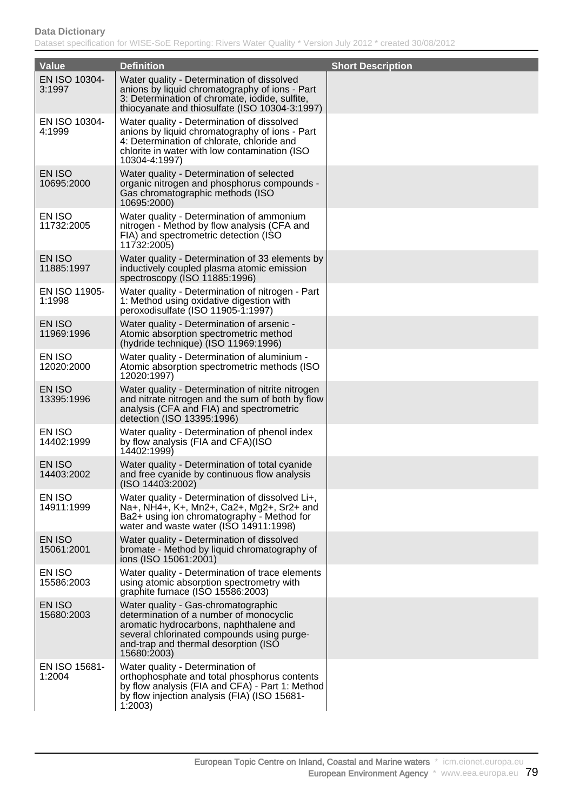| Value                           | <b>Definition</b>                                                                                                                                                                                                             | <b>Short Description</b> |
|---------------------------------|-------------------------------------------------------------------------------------------------------------------------------------------------------------------------------------------------------------------------------|--------------------------|
| EN ISO 10304-<br>3:1997         | Water quality - Determination of dissolved<br>anions by liquid chromatography of ions - Part<br>3: Determination of chromate, iodide, sulfite,<br>thiocyanate and thiosulfate (ISO 10304-3:1997)                              |                          |
| EN ISO 10304-<br>4:1999         | Water quality - Determination of dissolved<br>anions by liquid chromatography of ions - Part<br>4: Determination of chlorate, chloride and<br>chlorite in water with low contamination (ISO<br>10304-4:1997)                  |                          |
| EN <sub>ISO</sub><br>10695:2000 | Water quality - Determination of selected<br>organic nitrogen and phosphorus compounds -<br>Gas chromatographic methods (ISO<br>10695:2000)                                                                                   |                          |
| EN ISO<br>11732:2005            | Water quality - Determination of ammonium<br>nitrogen - Method by flow analysis (CFA and<br>FIA) and spectrometric detection (ISO<br>11732:2005)                                                                              |                          |
| EN ISO<br>11885:1997            | Water quality - Determination of 33 elements by<br>inductively coupled plasma atomic emission<br>spectroscopy (ISO 11885:1996)                                                                                                |                          |
| EN ISO 11905-<br>1:1998         | Water quality - Determination of nitrogen - Part<br>1: Method using oxidative digestion with<br>peroxodisulfate (ISO 11905-1:1997)                                                                                            |                          |
| EN ISO<br>11969:1996            | Water quality - Determination of arsenic -<br>Atomic absorption spectrometric method<br>(hydride technique) (ISO 11969:1996)                                                                                                  |                          |
| EN ISO<br>12020:2000            | Water quality - Determination of aluminium -<br>Atomic absorption spectrometric methods (ISO<br>12020:1997)                                                                                                                   |                          |
| EN ISO<br>13395:1996            | Water quality - Determination of nitrite nitrogen<br>and nitrate nitrogen and the sum of both by flow<br>analysis (CFA and FIA) and spectrometric<br>detection (ISO 13395:1996)                                               |                          |
| EN ISO<br>14402:1999            | Water quality - Determination of phenol index<br>by flow analysis (FIA and CFA)(ISO<br>14402:1999)                                                                                                                            |                          |
| EN ISO<br>14403:2002            | Water quality - Determination of total cyanide<br>and free cyanide by continuous flow analysis<br>(ISO 14403:2002)                                                                                                            |                          |
| EN ISO<br>14911:1999            | Water quality - Determination of dissolved Li+,<br>Na+, NH4+, K+, Mn2+, Ca2+, Mg2+, Sr2+ and<br>Ba2+ using ion chromatography - Method for<br>water and waste water (ISO 14911:1998)                                          |                          |
| EN ISO<br>15061:2001            | Water quality - Determination of dissolved<br>bromate - Method by liquid chromatography of<br>ions (ISO 15061:2001)                                                                                                           |                          |
| EN ISO<br>15586:2003            | Water quality - Determination of trace elements<br>using atomic absorption spectrometry with<br>graphite furnace (ISO 15586:2003)                                                                                             |                          |
| EN ISO<br>15680:2003            | Water quality - Gas-chromatographic<br>determination of a number of monocyclic<br>aromatic hydrocarbons, naphthalene and<br>several chlorinated compounds using purge-<br>and-trap and thermal desorption (ISO<br>15680:2003) |                          |
| EN ISO 15681-<br>1:2004         | Water quality - Determination of<br>orthophosphate and total phosphorus contents<br>by flow analysis (FIA and CFA) - Part 1: Method<br>by flow injection analysis (FIA) (ISO 15681-<br>1:2003                                 |                          |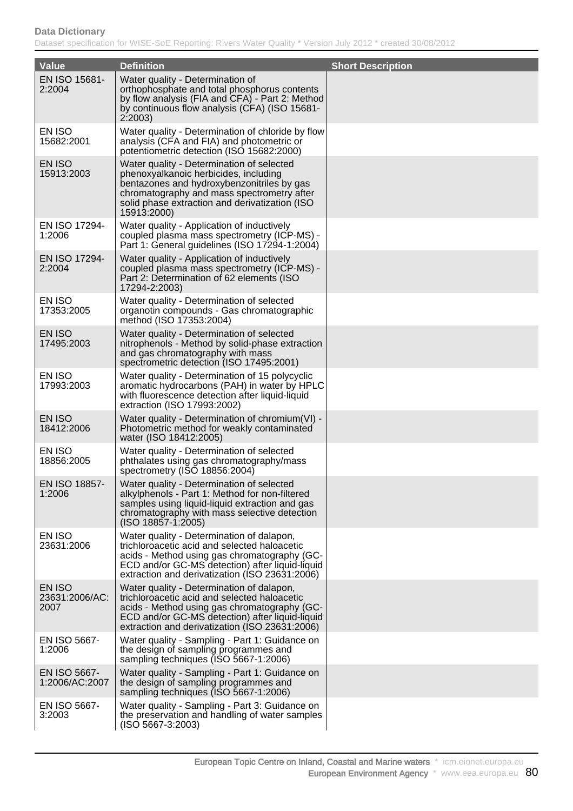| <b>Value</b>                     | <b>Definition</b>                                                                                                                                                                                                                               | <b>Short Description</b> |
|----------------------------------|-------------------------------------------------------------------------------------------------------------------------------------------------------------------------------------------------------------------------------------------------|--------------------------|
| EN ISO 15681-<br>2:2004          | Water quality - Determination of<br>orthophosphate and total phosphorus contents<br>by flow analysis (FIA and CFA) - Part 2: Method<br>by continuous flow analysis (CFA) (ISO 15681-<br>2:2003                                                  |                          |
| EN ISO<br>15682:2001             | Water quality - Determination of chloride by flow<br>analysis (CFA and FIA) and photometric or<br>potentiometric detection (ISO 15682:2000)                                                                                                     |                          |
| EN ISO<br>15913:2003             | Water quality - Determination of selected<br>phenoxyalkanoic herbicides, including<br>bentazones and hydroxybenzonitriles by gas<br>chromatography and mass spectrometry after<br>solid phase extraction and derivatization (ISO<br>15913:2000) |                          |
| EN ISO 17294-<br>1:2006          | Water quality - Application of inductively<br>coupled plasma mass spectrometry (ICP-MS) -<br>Part 1: General guidelines (ISO 17294-1:2004)                                                                                                      |                          |
| EN ISO 17294-<br>2:2004          | Water quality - Application of inductively<br>coupled plasma mass spectrometry (ICP-MS) -<br>Part 2: Determination of 62 elements (ISO<br>17294-2:2003)                                                                                         |                          |
| EN ISO<br>17353:2005             | Water quality - Determination of selected<br>organotin compounds - Gas chromatographic<br>method (ISO 17353:2004)                                                                                                                               |                          |
| EN ISO<br>17495:2003             | Water quality - Determination of selected<br>nitrophenols - Method by solid-phase extraction<br>and gas chromatography with mass<br>spectrometric detection (ISO 17495:2001)                                                                    |                          |
| EN ISO<br>17993:2003             | Water quality - Determination of 15 polycyclic<br>aromatic hydrocarbons (PAH) in water by HPLC<br>with fluorescence detection after liquid-liquid<br>extraction (ISO 17993:2002)                                                                |                          |
| EN ISO<br>18412:2006             | Water quality - Determination of chromium(VI) -<br>Photometric method for weakly contaminated<br>water (ISO 18412:2005)                                                                                                                         |                          |
| EN ISO<br>18856:2005             | Water quality - Determination of selected<br>phthalates using gas chromatography/mass<br>spectrometry (ISO 18856:2004)                                                                                                                          |                          |
| EN ISO 18857-<br>1:2006          | Water quality - Determination of selected<br>alkylphenols - Part 1: Method for non-filtered<br>samples using liquid-liquid extraction and gas<br>chromatography with mass selective detection<br>$(ISO 18857-1:2005)$                           |                          |
| EN ISO<br>23631:2006             | Water quality - Determination of dalapon,<br>trichloroacetic acid and selected haloacetic<br>acids - Method using gas chromatography (GC-<br>ECD and/or GC-MS detection) after liquid-liquid<br>extraction and derivatization (ISO 23631:2006)  |                          |
| EN ISO<br>23631:2006/AC:<br>2007 | Water quality - Determination of dalapon,<br>trichloroacetic acid and selected haloacetic<br>acids - Method using gas chromatography (GC-<br>ECD and/or GC-MS detection) after liquid-liquid<br>extraction and derivatization (ISO 23631:2006)  |                          |
| EN ISO 5667-<br>1:2006           | Water quality - Sampling - Part 1: Guidance on<br>the design of sampling programmes and<br>sampling techniques (ISO 5667-1:2006)                                                                                                                |                          |
| EN ISO 5667-<br>1:2006/AC:2007   | Water quality - Sampling - Part 1: Guidance on<br>the design of sampling programmes and<br>sampling techniques (ISO 5667-1:2006)                                                                                                                |                          |
| EN ISO 5667-<br>3:2003           | Water quality - Sampling - Part 3: Guidance on<br>the preservation and handling of water samples<br>$(ISO 5667-3:2003)$                                                                                                                         |                          |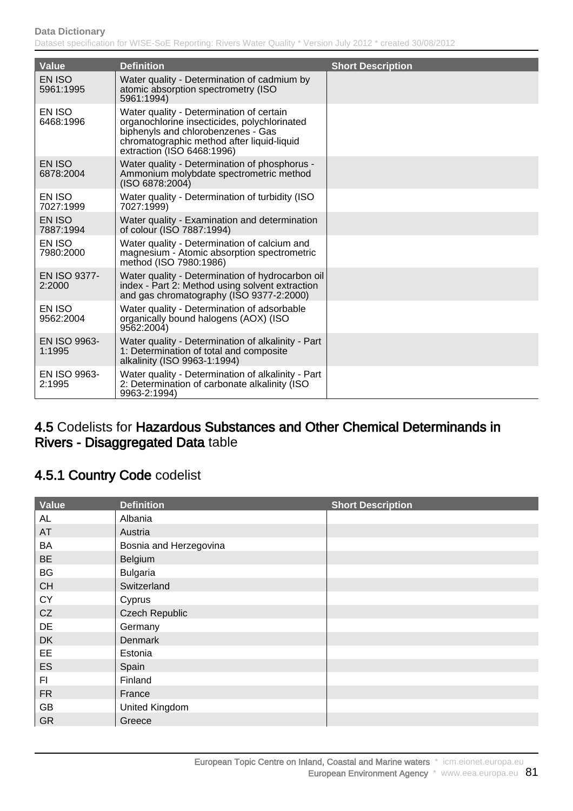| <b>Value</b>                  | <b>Definition</b>                                                                                                                                                                                          | <b>Short Description</b> |
|-------------------------------|------------------------------------------------------------------------------------------------------------------------------------------------------------------------------------------------------------|--------------------------|
| EN ISO<br>5961:1995           | Water quality - Determination of cadmium by<br>atomic absorption spectrometry (ISO<br>5961:1994)                                                                                                           |                          |
| EN ISO<br>6468:1996           | Water quality - Determination of certain<br>organochlorine insecticides, polychlorinated<br>biphenyls and chlorobenzenes - Gas<br>chromatographic method after liquid-liquid<br>extraction (ISO 6468:1996) |                          |
| EN ISO<br>6878:2004           | Water quality - Determination of phosphorus -<br>Ammonium molybdate spectrometric method<br>(ISO 6878:2004)                                                                                                |                          |
| EN ISO<br>7027:1999           | Water quality - Determination of turbidity (ISO<br>7027:1999)                                                                                                                                              |                          |
| EN ISO<br>7887:1994           | Water quality - Examination and determination<br>of colour (ISO 7887:1994)                                                                                                                                 |                          |
| EN ISO<br>7980:2000           | Water quality - Determination of calcium and<br>magnesium - Atomic absorption spectrometric<br>method (ISO 7980:1986)                                                                                      |                          |
| <b>EN ISO 9377-</b><br>2:2000 | Water quality - Determination of hydrocarbon oil<br>index - Part 2: Method using solvent extraction<br>and gas chromatography (ISO 9377-2:2000)                                                            |                          |
| EN ISO<br>9562:2004           | Water quality - Determination of adsorbable<br>organically bound halogens (AOX) (ISO<br>9562:2004)                                                                                                         |                          |
| <b>EN ISO 9963-</b><br>1:1995 | Water quality - Determination of alkalinity - Part<br>1: Determination of total and composite<br>alkalinity (ISO 9963-1:1994)                                                                              |                          |
| EN ISO 9963-<br>2:1995        | Water quality - Determination of alkalinity - Part<br>2: Determination of carbonate alkalinity (ISO<br>9963-2:1994)                                                                                        |                          |

### 4.5 Codelists for Hazardous Substances and Other Chemical Determinands in Rivers - Disaggregated Data table

# 4.5.1 Country Code codelist

| Value     | <b>Definition</b>      | <b>Short Description</b> |
|-----------|------------------------|--------------------------|
| <b>AL</b> | Albania                |                          |
| AT        | Austria                |                          |
| BA        | Bosnia and Herzegovina |                          |
| <b>BE</b> | Belgium                |                          |
| BG        | <b>Bulgaria</b>        |                          |
| CH        | Switzerland            |                          |
| <b>CY</b> | Cyprus                 |                          |
| CZ        | <b>Czech Republic</b>  |                          |
| DE        | Germany                |                          |
| DK        | Denmark                |                          |
| EE        | Estonia                |                          |
| ES        | Spain                  |                          |
| F1        | Finland                |                          |
| <b>FR</b> | France                 |                          |
| GB        | United Kingdom         |                          |
| GR        | Greece                 |                          |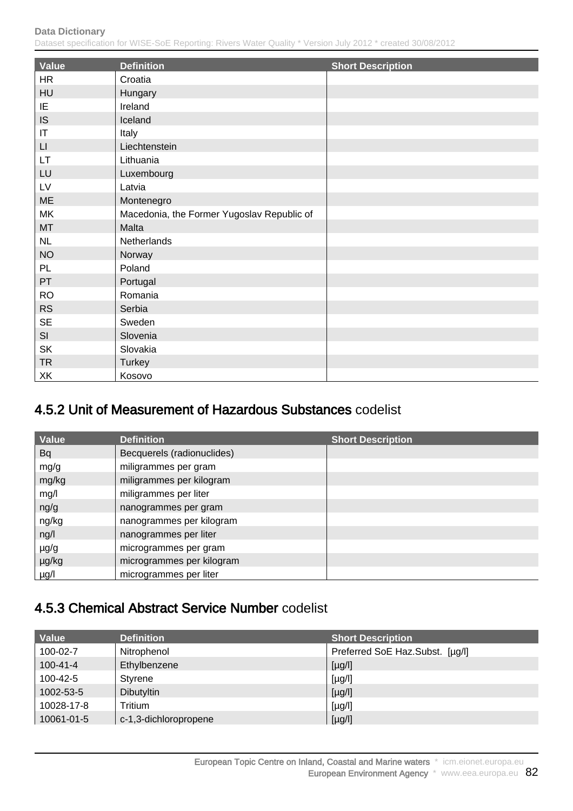Dataset specification for WISE-SoE Reporting: Rivers Water Quality \* Version July 2012 \* created 30/08/2012

| <b>Value</b>           | <b>Definition</b>                          | <b>Short Description</b> |
|------------------------|--------------------------------------------|--------------------------|
| <b>HR</b>              | Croatia                                    |                          |
| HU                     | Hungary                                    |                          |
| IE                     | Ireland                                    |                          |
| <b>IS</b>              | Iceland                                    |                          |
| $\sf IT$               | Italy                                      |                          |
| $\mathsf{L}\mathsf{L}$ | Liechtenstein                              |                          |
| LT                     | Lithuania                                  |                          |
| LU                     | Luxembourg                                 |                          |
| LV                     | Latvia                                     |                          |
| <b>ME</b>              | Montenegro                                 |                          |
| МK                     | Macedonia, the Former Yugoslav Republic of |                          |
| MT                     | Malta                                      |                          |
| NL                     | Netherlands                                |                          |
| <b>NO</b>              | Norway                                     |                          |
| PL                     | Poland                                     |                          |
| PT                     | Portugal                                   |                          |
| <b>RO</b>              | Romania                                    |                          |
| <b>RS</b>              | Serbia                                     |                          |
| <b>SE</b>              | Sweden                                     |                          |
| SI                     | Slovenia                                   |                          |
| SK                     | Slovakia                                   |                          |
| <b>TR</b>              | <b>Turkey</b>                              |                          |
| XK                     | Kosovo                                     |                          |

## 4.5.2 Unit of Measurement of Hazardous Substances codelist

| Value     | <b>Definition</b>          | <b>Short Description</b> |
|-----------|----------------------------|--------------------------|
| <b>Bq</b> | Becquerels (radionuclides) |                          |
| mg/g      | miligrammes per gram       |                          |
| mg/kg     | miligrammes per kilogram   |                          |
| mg/l      | miligrammes per liter      |                          |
| ng/g      | nanogrammes per gram       |                          |
| ng/kg     | nanogrammes per kilogram   |                          |
| ng/l      | nanogrammes per liter      |                          |
| $\mu$ g/g | microgrammes per gram      |                          |
| µg/kg     | microgrammes per kilogram  |                          |
| $\mu$ g/l | microgrammes per liter     |                          |

## 4.5.3 Chemical Abstract Service Number codelist

| Value          | <b>Definition</b>     | <b>Short Description</b>        |
|----------------|-----------------------|---------------------------------|
| 100-02-7       | Nitrophenol           | Preferred SoE Haz.Subst. [µg/l] |
| $100 - 41 - 4$ | Ethylbenzene          | $[\mu g/l]$                     |
| 100-42-5       | Styrene               | $[\mu g/l]$                     |
| 1002-53-5      | Dibutyltin            | $[\mu g/l]$                     |
| 10028-17-8     | Tritium               | $[\mu g/l]$                     |
| 10061-01-5     | c-1,3-dichloropropene | $[\mu g/l]$                     |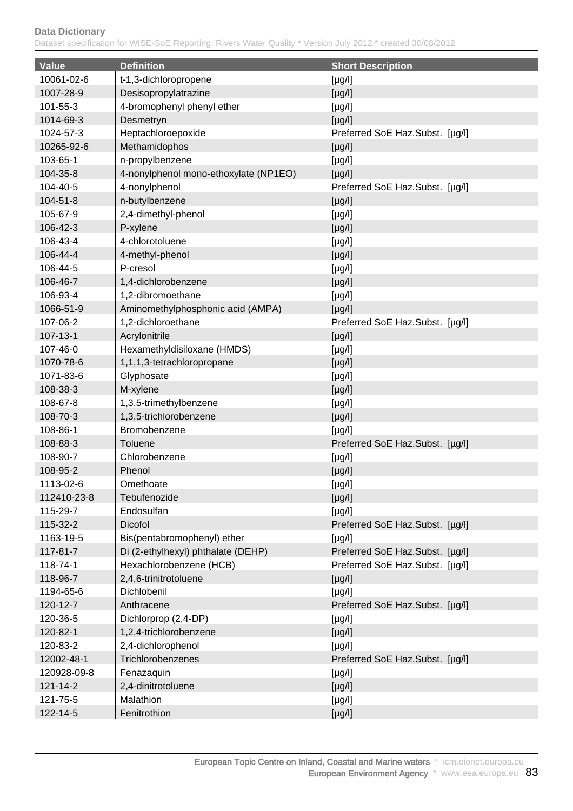| <b>Value</b>   | <b>Definition</b>                     | <b>Short Description</b>        |
|----------------|---------------------------------------|---------------------------------|
| 10061-02-6     | t-1,3-dichloropropene                 | $[\mu g/l]$                     |
| 1007-28-9      | Desisopropylatrazine                  | $[\mu g/l]$                     |
| 101-55-3       | 4-bromophenyl phenyl ether            | $[\mu g/l]$                     |
| 1014-69-3      | Desmetryn                             | $[\mu g/l]$                     |
| 1024-57-3      | Heptachloroepoxide                    | Preferred SoE Haz.Subst. [µg/l] |
| 10265-92-6     | Methamidophos                         | $[\mu g/l]$                     |
| 103-65-1       | n-propylbenzene                       | $[\mu g/l]$                     |
| 104-35-8       | 4-nonylphenol mono-ethoxylate (NP1EO) | $[\mu g/l]$                     |
| 104-40-5       | 4-nonylphenol                         | Preferred SoE Haz.Subst. [µg/l] |
| $104 - 51 - 8$ | n-butylbenzene                        | $[\mu g/l]$                     |
| 105-67-9       | 2,4-dimethyl-phenol                   | $[\mu g/l]$                     |
| 106-42-3       | P-xylene                              | $[\mu g/l]$                     |
| 106-43-4       | 4-chlorotoluene                       | $[\mu g/l]$                     |
| 106-44-4       | 4-methyl-phenol                       | $[\mu g/l]$                     |
| 106-44-5       | P-cresol                              | $[\mu g/l]$                     |
| 106-46-7       | 1,4-dichlorobenzene                   | $[\mu g/l]$                     |
| 106-93-4       | 1,2-dibromoethane                     | [µg/l]                          |
| 1066-51-9      | Aminomethylphosphonic acid (AMPA)     | $[\mu g/l]$                     |
| 107-06-2       | 1,2-dichloroethane                    | Preferred SoE Haz.Subst. [µg/l] |
| 107-13-1       | Acrylonitrile                         | $[\mu g/l]$                     |
| 107-46-0       | Hexamethyldisiloxane (HMDS)           | $[\mu g/l]$                     |
| 1070-78-6      | 1,1,1,3-tetrachloropropane            | $[\mu g/l]$                     |
| 1071-83-6      | Glyphosate                            | [µg/l]                          |
| 108-38-3       | M-xylene                              | $[\mu g/l]$                     |
| 108-67-8       | 1,3,5-trimethylbenzene                | $[\mu g/l]$                     |
| 108-70-3       | 1,3,5-trichlorobenzene                | $[\mu g/l]$                     |
| 108-86-1       | Bromobenzene                          | [yg/l]                          |
| 108-88-3       | Toluene                               | Preferred SoE Haz.Subst. [µg/l] |
| 108-90-7       | Chlorobenzene                         | [yg/l]                          |
| 108-95-2       | Phenol                                | $[\mu g/l]$                     |
| 1113-02-6      | Omethoate                             | $[\mu g/l]$                     |
| 112410-23-8    | Tebufenozide                          | $[\mu g/l]$                     |
| 115-29-7       | Endosulfan                            | $[\mu g/l]$                     |
| 115-32-2       | Dicofol                               | Preferred SoE Haz.Subst. [µg/l] |
| 1163-19-5      | Bis(pentabromophenyl) ether           | $[\mu g/l]$                     |
| 117-81-7       | Di (2-ethylhexyl) phthalate (DEHP)    | Preferred SoE Haz.Subst. [µg/l] |
| 118-74-1       | Hexachlorobenzene (HCB)               | Preferred SoE Haz.Subst. [µg/l] |
| 118-96-7       | 2,4,6-trinitrotoluene                 | $[\mu g/l]$                     |
| 1194-65-6      | Dichlobenil                           | $[\mu g/l]$                     |
| 120-12-7       | Anthracene                            | Preferred SoE Haz.Subst. [µg/l] |
| 120-36-5       | Dichlorprop (2,4-DP)                  | $[\mu g/l]$                     |
| 120-82-1       | 1,2,4-trichlorobenzene                | $[\mu g/l]$                     |
| 120-83-2       | 2,4-dichlorophenol                    | $[\mu g/l]$                     |
| 12002-48-1     | Trichlorobenzenes                     | Preferred SoE Haz.Subst. [µg/l] |
| 120928-09-8    | Fenazaquin                            |                                 |
| 121-14-2       | 2,4-dinitrotoluene                    | $[\mu g/l]$                     |
|                | Malathion                             | $[\mu g/l]$                     |
| 121-75-5       |                                       | [µg/l]                          |
| 122-14-5       | Fenitrothion                          | $[\mu g/l]$                     |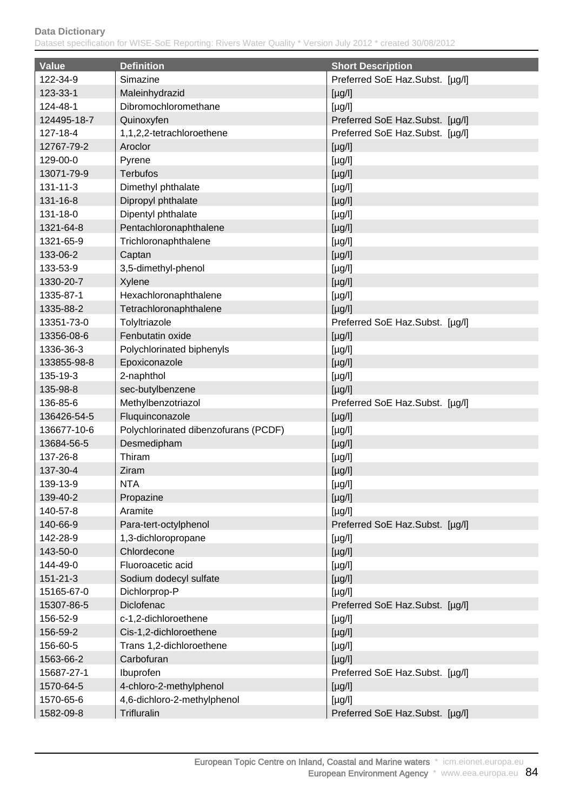| <b>Value</b>   | <b>Definition</b>                    | <b>Short Description</b>        |
|----------------|--------------------------------------|---------------------------------|
| 122-34-9       | Simazine                             | Preferred SoE Haz.Subst. [µg/l] |
| 123-33-1       | Maleinhydrazid                       | $[\mu g/l]$                     |
| 124-48-1       | Dibromochloromethane                 | $\lceil \mu g / I \rceil$       |
| 124495-18-7    | Quinoxyfen                           | Preferred SoE Haz.Subst. [µg/l] |
| 127-18-4       | 1,1,2,2-tetrachloroethene            | Preferred SoE Haz.Subst. [µg/l] |
| 12767-79-2     | Aroclor                              | $[\mu g/l]$                     |
| 129-00-0       | Pyrene                               | $[\mu g/l]$                     |
| 13071-79-9     | <b>Terbufos</b>                      | [µg/l]                          |
| $131 - 11 - 3$ | Dimethyl phthalate                   | $[\mu g/l]$                     |
| 131-16-8       | Dipropyl phthalate                   | $[\mu g/l]$                     |
| 131-18-0       | Dipentyl phthalate                   | $[\mu g/l]$                     |
| 1321-64-8      | Pentachloronaphthalene               | $[\mu g/l]$                     |
| 1321-65-9      | Trichloronaphthalene                 | $[\mu g/l]$                     |
| 133-06-2       | Captan                               | $[\mu g/l]$                     |
| 133-53-9       | 3,5-dimethyl-phenol                  | $[\mu g/l]$                     |
| 1330-20-7      | Xylene                               | $[\mu g/l]$                     |
| 1335-87-1      | Hexachloronaphthalene                | $[\mu g/l]$                     |
| 1335-88-2      | Tetrachloronaphthalene               | $[\mu g/l]$                     |
| 13351-73-0     | Tolyltriazole                        | Preferred SoE Haz.Subst. [µg/l] |
| 13356-08-6     | Fenbutatin oxide                     | $[\mu g/l]$                     |
| 1336-36-3      | Polychlorinated biphenyls            | $[\mu g/l]$                     |
| 133855-98-8    | Epoxiconazole                        | $[\mu g/l]$                     |
| 135-19-3       | 2-naphthol                           | $[\mu g/l]$                     |
| 135-98-8       | sec-butylbenzene                     | $[\mu g/l]$                     |
| 136-85-6       | Methylbenzotriazol                   | Preferred SoE Haz.Subst. [µg/l] |
| 136426-54-5    | Fluquinconazole                      | $[\mu g/l]$                     |
| 136677-10-6    | Polychlorinated dibenzofurans (PCDF) | $[\mu g/l]$                     |
| 13684-56-5     | Desmedipham                          | $[\mu g/l]$                     |
| 137-26-8       | Thiram                               | $[\mu g/l]$                     |
| 137-30-4       | Ziram                                | $[\mu g/l]$                     |
| 139-13-9       | <b>NTA</b>                           | $[\mu g/l]$                     |
| 139-40-2       | Propazine                            | $[\mu g/l]$                     |
| 140-57-8       | Aramite                              | $[\mu g/l]$                     |
| 140-66-9       | Para-tert-octylphenol                | Preferred SoE Haz.Subst. [µg/l] |
| 142-28-9       | 1,3-dichloropropane                  | [yg/l]                          |
| 143-50-0       | Chlordecone                          | $[\mu g/l]$                     |
| 144-49-0       | Fluoroacetic acid                    | $[\mu g/l]$                     |
| 151-21-3       | Sodium dodecyl sulfate               | $[\mu g/l]$                     |
| 15165-67-0     | Dichlorprop-P                        | $[\mu g/l]$                     |
| 15307-86-5     | Diclofenac                           | Preferred SoE Haz.Subst. [µg/l] |
| 156-52-9       | c-1,2-dichloroethene                 | $[\mu g/l]$                     |
| 156-59-2       | Cis-1,2-dichloroethene               | $[\mu g/l]$                     |
| 156-60-5       | Trans 1,2-dichloroethene             | $[\mu g/l]$                     |
| 1563-66-2      | Carbofuran                           | $[\mu g/l]$                     |
| 15687-27-1     | Ibuprofen                            | Preferred SoE Haz.Subst. [µg/l] |
| 1570-64-5      | 4-chloro-2-methylphenol              | $[\mu g/l]$                     |
| 1570-65-6      | 4,6-dichloro-2-methylphenol          | $[\mu g/l]$                     |
| 1582-09-8      | <b>Trifluralin</b>                   | Preferred SoE Haz.Subst. [µg/l] |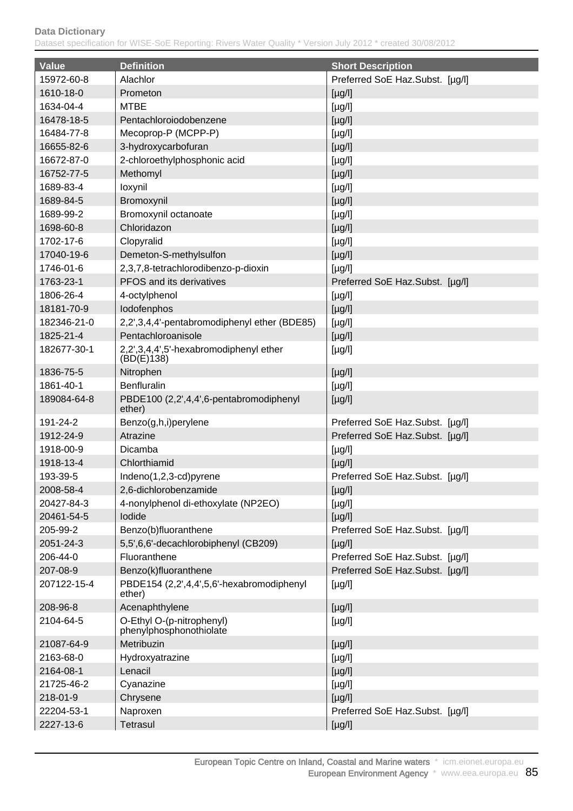| <b>Value</b> | <b>Definition</b>                                    | <b>Short Description</b>        |
|--------------|------------------------------------------------------|---------------------------------|
| 15972-60-8   | Alachlor                                             | Preferred SoE Haz.Subst. [µg/l] |
| 1610-18-0    | Prometon                                             | $[\mu g/l]$                     |
| 1634-04-4    | <b>MTBE</b>                                          | $[\mu g/l]$                     |
| 16478-18-5   | Pentachloroiodobenzene                               | $[\mu g/l]$                     |
| 16484-77-8   | Mecoprop-P (MCPP-P)                                  | $[\mu g/l]$                     |
| 16655-82-6   | 3-hydroxycarbofuran                                  | $[\mu g/l]$                     |
| 16672-87-0   | 2-chloroethylphosphonic acid                         | $[\mu g/l]$                     |
| 16752-77-5   | Methomyl                                             | $[\mu g/l]$                     |
| 1689-83-4    | loxynil                                              | $[\mu g/l]$                     |
| 1689-84-5    | Bromoxynil                                           | $[\mu g/l]$                     |
| 1689-99-2    | Bromoxynil octanoate                                 | $[\mu g/l]$                     |
| 1698-60-8    | Chloridazon                                          | $[\mu g/l]$                     |
| 1702-17-6    | Clopyralid                                           | $[\mu g/l]$                     |
| 17040-19-6   | Demeton-S-methylsulfon                               | $[\mu g/l]$                     |
| 1746-01-6    | 2,3,7,8-tetrachlorodibenzo-p-dioxin                  | $[\mu g/l]$                     |
| 1763-23-1    | PFOS and its derivatives                             | Preferred SoE Haz.Subst. [µg/l] |
| 1806-26-4    | 4-octylphenol                                        | $[\mu g/l]$                     |
| 18181-70-9   | lodofenphos                                          | $[\mu g/l]$                     |
| 182346-21-0  | 2,2',3,4,4'-pentabromodiphenyl ether (BDE85)         | $[\mu g/l]$                     |
| 1825-21-4    | Pentachloroanisole                                   | $[\mu g/l]$                     |
| 182677-30-1  | 2,2',3,4,4',5'-hexabromodiphenyl ether<br>(BD(E)138) | $[\mu g/l]$                     |
| 1836-75-5    | Nitrophen                                            | $[\mu g/l]$                     |
| 1861-40-1    | <b>Benfluralin</b>                                   | $[\mu g/l]$                     |
| 189084-64-8  | PBDE100 (2,2',4,4',6-pentabromodiphenyl<br>ether)    | $[\mu g/l]$                     |
| 191-24-2     | Benzo(g,h,i)perylene                                 | Preferred SoE Haz.Subst. [µg/l] |
| 1912-24-9    | Atrazine                                             | Preferred SoE Haz.Subst. [µg/l] |
| 1918-00-9    | Dicamba                                              | $[\mu g/l]$                     |
| 1918-13-4    | Chlorthiamid                                         | $[\mu g/l]$                     |
| 193-39-5     | Indeno(1,2,3-cd)pyrene                               | Preferred SoE Haz.Subst. [µg/l] |
| 2008-58-4    | 2,6-dichlorobenzamide                                | $[\mu g/l]$                     |
| 20427-84-3   | 4-nonylphenol di-ethoxylate (NP2EO)                  | $[\mu g/l]$                     |
| 20461-54-5   | lodide                                               | $[\mu g/l]$                     |
| 205-99-2     | Benzo(b)fluoranthene                                 | Preferred SoE Haz.Subst. [µg/l] |
| 2051-24-3    | 5,5',6,6'-decachlorobiphenyl (CB209)                 | $[\mu g/l]$                     |
| 206-44-0     | Fluoranthene                                         | Preferred SoE Haz.Subst. [µg/l] |
| 207-08-9     | Benzo(k)fluoranthene                                 | Preferred SoE Haz.Subst. [µg/l] |
| 207122-15-4  | PBDE154 (2,2',4,4',5,6'-hexabromodiphenyl<br>ether)  | $[\mu g/l]$                     |
| 208-96-8     | Acenaphthylene                                       | $[\mu g/l]$                     |
| 2104-64-5    | O-Ethyl O-(p-nitrophenyl)<br>phenylphosphonothiolate | $[\mu g/l]$                     |
| 21087-64-9   | Metribuzin                                           | $[\mu g/l]$                     |
| 2163-68-0    | Hydroxyatrazine                                      | $[\mu g/l]$                     |
| 2164-08-1    | Lenacil                                              | $[\mu g/l]$                     |
| 21725-46-2   | Cyanazine                                            | $[\mu g/l]$                     |
| 218-01-9     | Chrysene                                             | $[\mu g/l]$                     |
| 22204-53-1   | Naproxen                                             | Preferred SoE Haz.Subst. [µg/l] |
| 2227-13-6    | <b>Tetrasul</b>                                      | $[\mu g/l]$                     |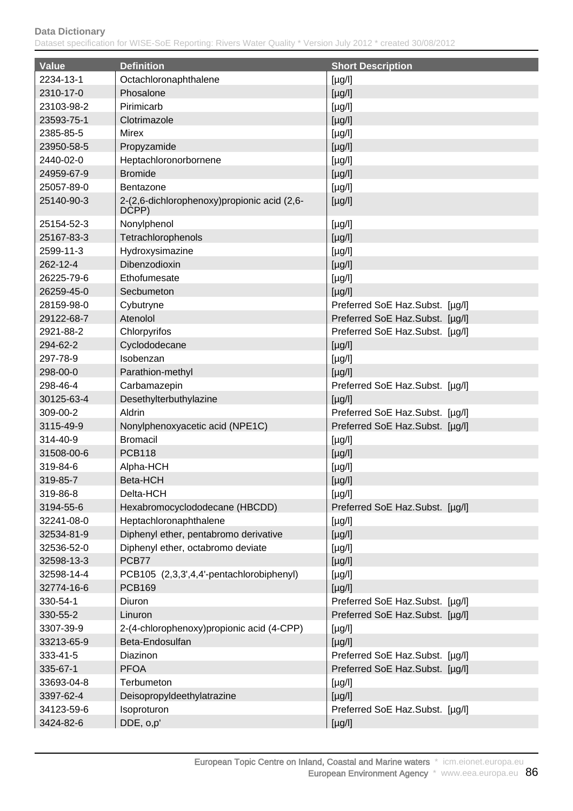| <b>Value</b> | <b>Definition</b>                                     | <b>Short Description</b>        |
|--------------|-------------------------------------------------------|---------------------------------|
| 2234-13-1    | Octachloronaphthalene                                 | $[\mu g/l]$                     |
| 2310-17-0    | Phosalone                                             | [µg/l]                          |
| 23103-98-2   | Pirimicarb                                            | $[\mu g/l]$                     |
| 23593-75-1   | Clotrimazole                                          | $[\mu g/l]$                     |
| 2385-85-5    | <b>Mirex</b>                                          | $[\mu g/l]$                     |
| 23950-58-5   | Propyzamide                                           | $[\mu g/l]$                     |
| 2440-02-0    | Heptachloronorbornene                                 | $[\mu g/l]$                     |
| 24959-67-9   | <b>Bromide</b>                                        | [µg/l]                          |
| 25057-89-0   | Bentazone                                             | $[\mu g/l]$                     |
| 25140-90-3   | 2-(2,6-dichlorophenoxy) propionic acid (2,6-<br>DCPP) | $[\mu g/l]$                     |
| 25154-52-3   | Nonylphenol                                           | $[\mu g/l]$                     |
| 25167-83-3   | Tetrachlorophenols                                    | [µg/l]                          |
| 2599-11-3    | Hydroxysimazine                                       | $[\mu g/l]$                     |
| 262-12-4     | Dibenzodioxin                                         | $[\mu g/l]$                     |
| 26225-79-6   | Ethofumesate                                          | $[\mu g/l]$                     |
| 26259-45-0   | Secbumeton                                            | $[\mu g/l]$                     |
| 28159-98-0   | Cybutryne                                             | Preferred SoE Haz.Subst. [µg/l] |
| 29122-68-7   | Atenolol                                              | Preferred SoE Haz.Subst. [µg/l] |
| 2921-88-2    | Chlorpyrifos                                          | Preferred SoE Haz.Subst. [µg/l] |
| 294-62-2     | Cyclododecane                                         | $[\mu g/l]$                     |
| 297-78-9     | Isobenzan                                             | $[\mu g/l]$                     |
| 298-00-0     | Parathion-methyl                                      | $[\mu g/l]$                     |
| 298-46-4     | Carbamazepin                                          | Preferred SoE Haz.Subst. [µg/l] |
| 30125-63-4   | Desethylterbuthylazine                                | $[\mu g/l]$                     |
| 309-00-2     | Aldrin                                                | Preferred SoE Haz.Subst. [µg/l] |
| 3115-49-9    | Nonylphenoxyacetic acid (NPE1C)                       | Preferred SoE Haz.Subst. [µg/l] |
| 314-40-9     | <b>Bromacil</b>                                       | $[\mu g/l]$                     |
| 31508-00-6   | <b>PCB118</b>                                         | $[\mu g/l]$                     |
| 319-84-6     | Alpha-HCH                                             | $[\mu g/l]$                     |
| 319-85-7     | <b>Beta-HCH</b>                                       | $[\mu g/l]$                     |
| 319-86-8     | Delta-HCH                                             | $[\mu g/l]$                     |
| 3194-55-6    | Hexabromocyclododecane (HBCDD)                        | Preferred SoE Haz.Subst. [µg/l] |
| 32241-08-0   | Heptachloronaphthalene                                | $[\mu g/l]$                     |
| 32534-81-9   | Diphenyl ether, pentabromo derivative                 | $[\mu g/l]$                     |
| 32536-52-0   | Diphenyl ether, octabromo deviate                     | $[\mu g/l]$                     |
| 32598-13-3   | PCB77                                                 | $[\mu g/l]$                     |
| 32598-14-4   | PCB105 (2,3,3',4,4'-pentachlorobiphenyl)              | $[\mu g/l]$                     |
| 32774-16-6   | <b>PCB169</b>                                         | $[\mu g/l]$                     |
| 330-54-1     | Diuron                                                | Preferred SoE Haz.Subst. [µg/l] |
| 330-55-2     | Linuron                                               | Preferred SoE Haz.Subst. [µg/l] |
| 3307-39-9    | 2-(4-chlorophenoxy) propionic acid (4-CPP)            | $[\mu g/l]$                     |
| 33213-65-9   | Beta-Endosulfan                                       | $[\mu g/l]$                     |
| 333-41-5     | Diazinon                                              | Preferred SoE Haz.Subst. [µg/l] |
| 335-67-1     | <b>PFOA</b>                                           | Preferred SoE Haz.Subst. [µg/l] |
| 33693-04-8   | Terbumeton                                            | $[\mu g/l]$                     |
| 3397-62-4    | Deisopropyldeethylatrazine                            | $[\mu g/l]$                     |
| 34123-59-6   | Isoproturon                                           | Preferred SoE Haz.Subst. [µg/l] |
| 3424-82-6    | DDE, o,p'                                             | $[\mu g/l]$                     |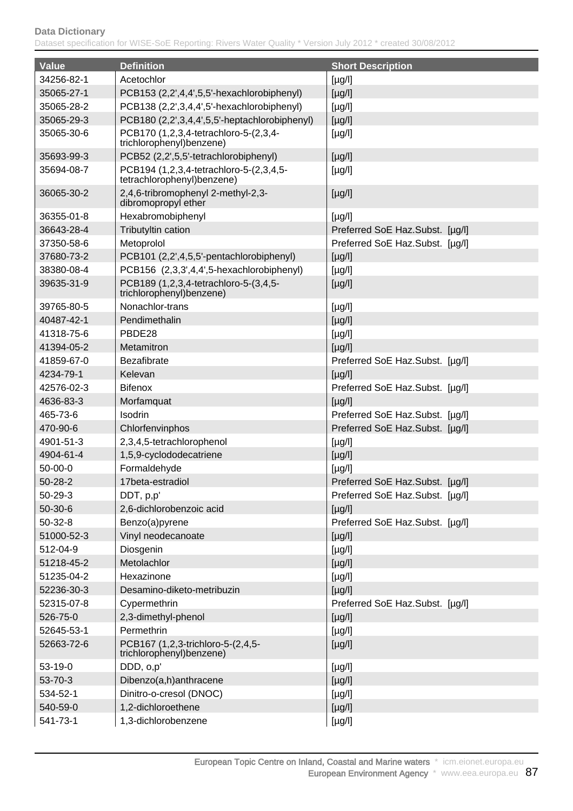| <b>Value</b>  | <b>Definition</b>                                                      | <b>Short Description</b>        |
|---------------|------------------------------------------------------------------------|---------------------------------|
| 34256-82-1    | Acetochlor                                                             | $[\mu g/l]$                     |
| 35065-27-1    | PCB153 (2,2',4,4',5,5'-hexachlorobiphenyl)                             | $[\mu g/l]$                     |
| 35065-28-2    | PCB138 (2,2',3,4,4',5'-hexachlorobiphenyl)                             | $[\mu g/l]$                     |
| 35065-29-3    | PCB180 (2,2',3,4,4',5,5'-heptachlorobiphenyl)                          | $[\mu g/l]$                     |
| 35065-30-6    | PCB170 (1,2,3,4-tetrachloro-5-(2,3,4-<br>trichlorophenyl) benzene)     | $[\mu g/l]$                     |
| 35693-99-3    | PCB52 (2,2',5,5'-tetrachlorobiphenyl)                                  | $[\mu g/l]$                     |
| 35694-08-7    | PCB194 (1,2,3,4-tetrachloro-5-(2,3,4,5-<br>tetrachlorophenyl) benzene) | $[\mu g/l]$                     |
| 36065-30-2    | 2,4,6-tribromophenyl 2-methyl-2,3-<br>dibromopropyl ether              | $[\mu g/l]$                     |
| 36355-01-8    | Hexabromobiphenyl                                                      | $[\mu g/l]$                     |
| 36643-28-4    | Tributyltin cation                                                     | Preferred SoE Haz.Subst. [µg/l] |
| 37350-58-6    | Metoprolol                                                             | Preferred SoE Haz.Subst. [µg/l] |
| 37680-73-2    | PCB101 (2,2',4,5,5'-pentachlorobiphenyl)                               | $[\mu g/l]$                     |
| 38380-08-4    | PCB156 (2,3,3',4,4',5-hexachlorobiphenyl)                              | $[\mu g/l]$                     |
| 39635-31-9    | PCB189 (1,2,3,4-tetrachloro-5-(3,4,5-<br>trichlorophenyl)benzene)      | $[\mu g/l]$                     |
| 39765-80-5    | Nonachlor-trans                                                        | $[\mu g/l]$                     |
| 40487-42-1    | Pendimethalin                                                          | $[\mu g/l]$                     |
| 41318-75-6    | PBDE28                                                                 | $[\mu g/l]$                     |
| 41394-05-2    | Metamitron                                                             | $[\mu g/l]$                     |
| 41859-67-0    | Bezafibrate                                                            | Preferred SoE Haz.Subst. [µg/l] |
| 4234-79-1     | Kelevan                                                                | $[\mu g/l]$                     |
| 42576-02-3    | <b>Bifenox</b>                                                         | Preferred SoE Haz.Subst. [µg/l] |
| 4636-83-3     | Morfamquat                                                             | $[\mu g/l]$                     |
| 465-73-6      | <b>Isodrin</b>                                                         | Preferred SoE Haz.Subst. [µg/l] |
| 470-90-6      | Chlorfenvinphos                                                        | Preferred SoE Haz.Subst. [µg/l] |
| 4901-51-3     | 2,3,4,5-tetrachlorophenol                                              | $[\mu g/l]$                     |
| 4904-61-4     | 1,5,9-cyclododecatriene                                                | $[\mu g/l]$                     |
| 50-00-0       | Formaldehyde                                                           | $[\mu g/l]$                     |
| $50 - 28 - 2$ | 17beta-estradiol                                                       | Preferred SoE Haz.Subst. [µg/l] |
| 50-29-3       | DDT, p,p'                                                              | Preferred SoE Haz.Subst. [µg/l] |
| $50 - 30 - 6$ | 2,6-dichlorobenzoic acid                                               | $[\mu g/l]$                     |
| $50 - 32 - 8$ | Benzo(a)pyrene                                                         | Preferred SoE Haz.Subst. [µg/l] |
| 51000-52-3    | Vinyl neodecanoate                                                     | $[\mu g/l]$                     |
| 512-04-9      | Diosgenin                                                              | $[\mu g/l]$                     |
| 51218-45-2    | Metolachlor                                                            | $[\mu g/l]$                     |
| 51235-04-2    | Hexazinone                                                             | $[\mu g/l]$                     |
| 52236-30-3    | Desamino-diketo-metribuzin                                             | $[\mu g/l]$                     |
| 52315-07-8    | Cypermethrin                                                           | Preferred SoE Haz.Subst. [µg/l] |
| 526-75-0      | 2,3-dimethyl-phenol                                                    | $[\mu g/l]$                     |
| 52645-53-1    | Permethrin                                                             | $[\mu g/l]$                     |
| 52663-72-6    | PCB167 (1,2,3-trichloro-5-(2,4,5-<br>trichlorophenyl) benzene)         | $[\mu g/l]$                     |
| 53-19-0       | DDD, o,p'                                                              | $[\mu g/l]$                     |
| 53-70-3       | Dibenzo(a,h)anthracene                                                 | $[\mu g/l]$                     |
| 534-52-1      | Dinitro-o-cresol (DNOC)                                                | $[\mu g/l]$                     |
| 540-59-0      | 1,2-dichloroethene                                                     | $[\mu g/l]$                     |
| 541-73-1      | 1,3-dichlorobenzene                                                    | $[\mu g/l]$                     |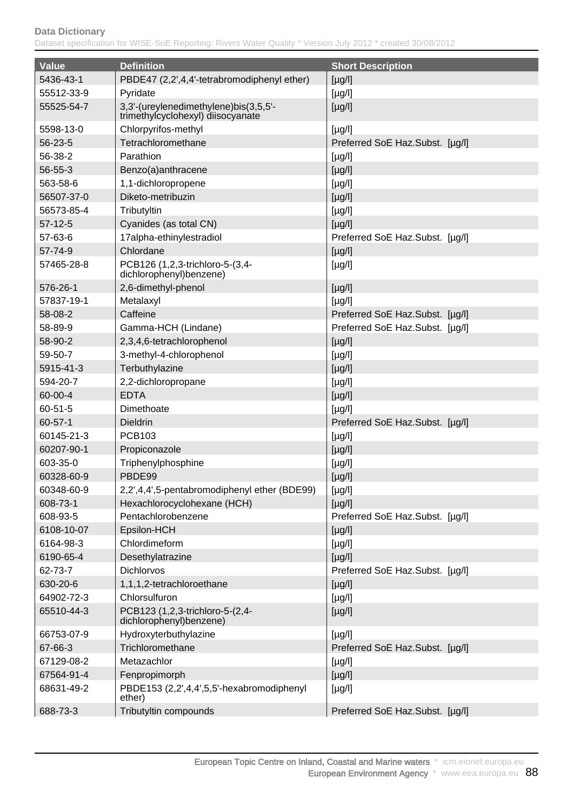| <b>Value</b>  | <b>Definition</b>                                                          | <b>Short Description</b>        |
|---------------|----------------------------------------------------------------------------|---------------------------------|
| 5436-43-1     | PBDE47 (2,2',4,4'-tetrabromodiphenyl ether)                                | $[\mu g/l]$                     |
| 55512-33-9    | Pyridate                                                                   | $[\mu g/l]$                     |
| 55525-54-7    | 3,3'-(ureylenedimethylene)bis(3,5,5'-<br>trimethylcyclohexyl) diisocyanate | $[\mu g/l]$                     |
| 5598-13-0     | Chlorpyrifos-methyl                                                        | $[\mu g/l]$                     |
| 56-23-5       | Tetrachloromethane                                                         | Preferred SoE Haz.Subst. [µg/l] |
| 56-38-2       | Parathion                                                                  | $[\mu g/l]$                     |
| 56-55-3       | Benzo(a)anthracene                                                         | $[\mu g/l]$                     |
| 563-58-6      | 1,1-dichloropropene                                                        | $[\mu g/l]$                     |
| 56507-37-0    | Diketo-metribuzin                                                          | $[\mu g/l]$                     |
| 56573-85-4    | Tributyltin                                                                | $[\mu g/l]$                     |
| $57-12-5$     | Cyanides (as total CN)                                                     | $[\mu g/l]$                     |
| 57-63-6       | 17alpha-ethinylestradiol                                                   | Preferred SoE Haz.Subst. [µg/l] |
| 57-74-9       | Chlordane                                                                  | $[\mu g/l]$                     |
| 57465-28-8    | PCB126 (1,2,3-trichloro-5-(3,4-<br>dichlorophenyl) benzene)                | $[\mu g/l]$                     |
| 576-26-1      | 2,6-dimethyl-phenol                                                        | $[\mu g/l]$                     |
| 57837-19-1    | Metalaxyl                                                                  | $[\mu g/l]$                     |
| 58-08-2       | Caffeine                                                                   | Preferred SoE Haz.Subst. [µg/l] |
| 58-89-9       | Gamma-HCH (Lindane)                                                        | Preferred SoE Haz.Subst. [µg/l] |
| 58-90-2       | 2,3,4,6-tetrachlorophenol                                                  | $[\mu g/l]$                     |
| 59-50-7       | 3-methyl-4-chlorophenol                                                    | $[\mu g/l]$                     |
| 5915-41-3     | Terbuthylazine                                                             | $[\mu g/l]$                     |
| 594-20-7      | 2,2-dichloropropane                                                        | $[\mu g/l]$                     |
| 60-00-4       | <b>EDTA</b>                                                                | $[\mu g/l]$                     |
| $60 - 51 - 5$ | Dimethoate                                                                 | $[\mu g/l]$                     |
| $60 - 57 - 1$ | <b>Dieldrin</b>                                                            | Preferred SoE Haz.Subst. [µg/l] |
| 60145-21-3    | <b>PCB103</b>                                                              | $[\mu g/l]$                     |
| 60207-90-1    | Propiconazole                                                              | $[\mu g/l]$                     |
| 603-35-0      | Triphenylphosphine                                                         | $[\mu g/l]$                     |
| 60328-60-9    | PBDE99                                                                     | $[\mu g/l]$                     |
| 60348-60-9    | 2,2',4,4',5-pentabromodiphenyl ether (BDE99)                               | $[\mu g/l]$                     |
| 608-73-1      | Hexachlorocyclohexane (HCH)                                                | $[\mu g/l]$                     |
| 608-93-5      | Pentachlorobenzene                                                         | Preferred SoE Haz.Subst. [µg/l] |
| 6108-10-07    | Epsilon-HCH                                                                | $[\mu g/l]$                     |
| 6164-98-3     | Chlordimeform                                                              | $[\mu g/l]$                     |
| 6190-65-4     | Desethylatrazine                                                           | $[\mu g/l]$                     |
| 62-73-7       | Dichlorvos                                                                 | Preferred SoE Haz.Subst. [µg/l] |
| 630-20-6      | 1,1,1,2-tetrachloroethane                                                  | $[\mu g/l]$                     |
| 64902-72-3    | Chlorsulfuron                                                              | [yg/l]                          |
| 65510-44-3    | PCB123 (1,2,3-trichloro-5-(2,4-<br>dichlorophenyl)benzene)                 | $[\mu g/l]$                     |
| 66753-07-9    | Hydroxyterbuthylazine                                                      | $[\mu g/l]$                     |
| 67-66-3       | Trichloromethane                                                           | Preferred SoE Haz.Subst. [µg/l] |
| 67129-08-2    | Metazachlor                                                                | $[\mu g/l]$                     |
| 67564-91-4    | Fenpropimorph                                                              | $[\mu g/l]$                     |
| 68631-49-2    | PBDE153 (2,2',4,4',5,5'-hexabromodiphenyl<br>ether)                        | $[\mu g/l]$                     |
| 688-73-3      | Tributyltin compounds                                                      | Preferred SoE Haz.Subst. [µg/l] |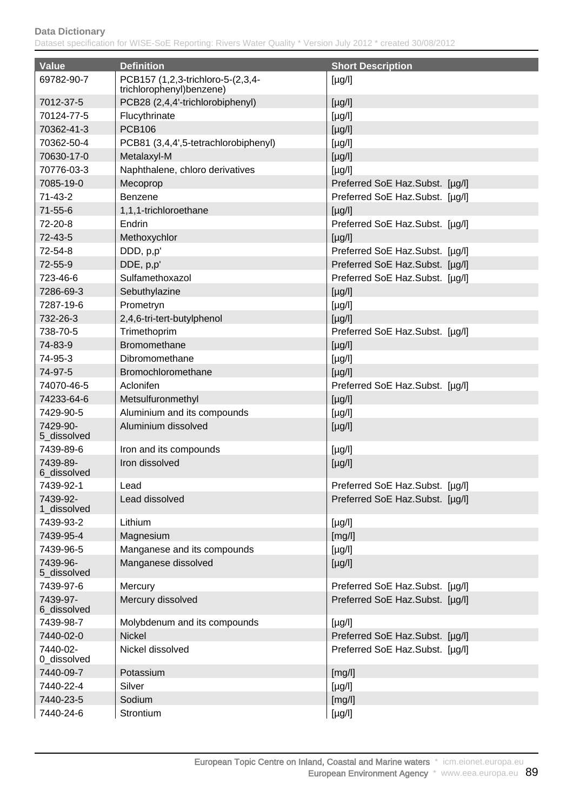| <b>Value</b>            | <b>Definition</b>                                             | <b>Short Description</b>        |
|-------------------------|---------------------------------------------------------------|---------------------------------|
| 69782-90-7              | PCB157 (1,2,3-trichloro-5-(2,3,4-<br>trichlorophenyl)benzene) | $[\mu g/l]$                     |
| 7012-37-5               | PCB28 (2,4,4'-trichlorobiphenyl)                              | $[\mu g/l]$                     |
| 70124-77-5              | Flucythrinate                                                 | $[\mu g/l]$                     |
| 70362-41-3              | <b>PCB106</b>                                                 | $[\mu g/l]$                     |
| 70362-50-4              | PCB81 (3,4,4',5-tetrachlorobiphenyl)                          | $[\mu g/l]$                     |
| 70630-17-0              | Metalaxyl-M                                                   | $[\mu g/l]$                     |
| 70776-03-3              | Naphthalene, chloro derivatives                               | $[\mu g/l]$                     |
| 7085-19-0               | Mecoprop                                                      | Preferred SoE Haz.Subst. [µg/l] |
| $71-43-2$               | Benzene                                                       | Preferred SoE Haz.Subst. [µg/l] |
| $71 - 55 - 6$           | 1,1,1-trichloroethane                                         | $[\mu g/l]$                     |
| 72-20-8                 | Endrin                                                        | Preferred SoE Haz.Subst. [µg/l] |
| 72-43-5                 | Methoxychlor                                                  | $[\mu g/l]$                     |
| 72-54-8                 | DDD, p,p'                                                     | Preferred SoE Haz.Subst. [µg/l] |
| 72-55-9                 | DDE, p,p'                                                     | Preferred SoE Haz.Subst. [µg/l] |
| 723-46-6                | Sulfamethoxazol                                               | Preferred SoE Haz.Subst. [µg/l] |
| 7286-69-3               | Sebuthylazine                                                 | $[\mu g/l]$                     |
| 7287-19-6               | Prometryn                                                     | $[\mu g/l]$                     |
| 732-26-3                | 2,4,6-tri-tert-butylphenol                                    | $[\mu g/l]$                     |
| 738-70-5                | Trimethoprim                                                  | Preferred SoE Haz.Subst. [µg/l] |
| 74-83-9                 | <b>Bromomethane</b>                                           | $[\mu g/l]$                     |
| 74-95-3                 | Dibromomethane                                                | $[\mu g/l]$                     |
| 74-97-5                 | Bromochloromethane                                            | $[\mu g/l]$                     |
| 74070-46-5              | Aclonifen                                                     | Preferred SoE Haz.Subst. [µg/l] |
| 74233-64-6              | Metsulfuronmethyl                                             | $[\mu g/l]$                     |
| 7429-90-5               | Aluminium and its compounds                                   | $[\mu g/l]$                     |
| 7429-90-<br>5_dissolved | Aluminium dissolved                                           | $[\mu g/l]$                     |
| 7439-89-6               | Iron and its compounds                                        | $[\mu g/l]$                     |
| 7439-89-<br>6_dissolved | Iron dissolved                                                | $[\mu g/l]$                     |
| 7439-92-1               | Lead                                                          | Preferred SoE Haz.Subst. [µg/l] |
| 7439-92-<br>1_dissolved | Lead dissolved                                                | Preferred SoE Haz.Subst. [µg/l] |
| 7439-93-2               | Lithium                                                       | $[\mu g/l]$                     |
| 7439-95-4               | Magnesium                                                     | [mg/l]                          |
| 7439-96-5               | Manganese and its compounds                                   | $[\mu g/l]$                     |
| 7439-96-<br>5_dissolved | Manganese dissolved                                           | $[\mu g/l]$                     |
| 7439-97-6               | Mercury                                                       | Preferred SoE Haz.Subst. [µg/l] |
| 7439-97-<br>6_dissolved | Mercury dissolved                                             | Preferred SoE Haz.Subst. [µg/l] |
| 7439-98-7               | Molybdenum and its compounds                                  | $[\mu g/l]$                     |
| 7440-02-0               | <b>Nickel</b>                                                 | Preferred SoE Haz.Subst. [µg/l] |
| 7440-02-<br>0_dissolved | Nickel dissolved                                              | Preferred SoE Haz.Subst. [µg/l] |
| 7440-09-7               | Potassium                                                     | [mg/l]                          |
| 7440-22-4               | Silver                                                        | $[\mu g/l]$                     |
| 7440-23-5               | Sodium                                                        | [mg/l]                          |
| 7440-24-6               | Strontium                                                     | $[\mu g/l]$                     |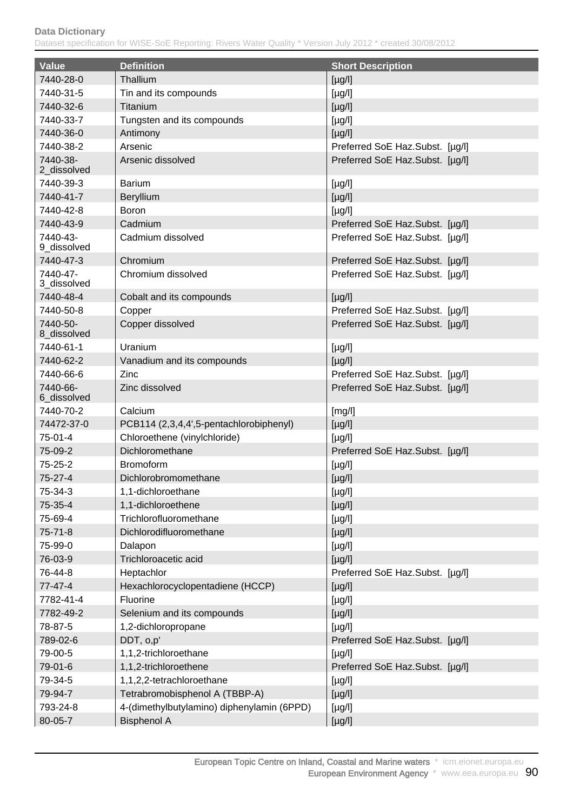| <b>Value</b>            | <b>Definition</b>                          | <b>Short Description</b>        |
|-------------------------|--------------------------------------------|---------------------------------|
| 7440-28-0               | Thallium                                   | $[\mu g/l]$                     |
| 7440-31-5               | Tin and its compounds                      | $[\mu g/l]$                     |
| 7440-32-6               | Titanium                                   | $[\mu g/l]$                     |
| 7440-33-7               | Tungsten and its compounds                 | $[\mu g/l]$                     |
| 7440-36-0               | Antimony                                   | $[\mu g/l]$                     |
| 7440-38-2               | Arsenic                                    | Preferred SoE Haz.Subst. [µg/l] |
| 7440-38-<br>2 dissolved | Arsenic dissolved                          | Preferred SoE Haz.Subst. [µg/l] |
| 7440-39-3               | Barium                                     | $[\mu g/l]$                     |
| 7440-41-7               | <b>Beryllium</b>                           | $[\mu g/l]$                     |
| 7440-42-8               | <b>Boron</b>                               | $[\mu g/l]$                     |
| 7440-43-9               | Cadmium                                    | Preferred SoE Haz.Subst. [µg/l] |
| 7440-43-<br>9_dissolved | Cadmium dissolved                          | Preferred SoE Haz.Subst. [µg/l] |
| 7440-47-3               | Chromium                                   | Preferred SoE Haz.Subst. [µg/l] |
| 7440-47-<br>3 dissolved | Chromium dissolved                         | Preferred SoE Haz.Subst. [µg/l] |
| 7440-48-4               | Cobalt and its compounds                   | [µq/l]                          |
| 7440-50-8               | Copper                                     | Preferred SoE Haz.Subst. [µg/l] |
| 7440-50-<br>8 dissolved | Copper dissolved                           | Preferred SoE Haz.Subst. [µg/l] |
| 7440-61-1               | Uranium                                    | $[\mu g/l]$                     |
| 7440-62-2               | Vanadium and its compounds                 | $[\mu g/l]$                     |
| 7440-66-6               | Zinc                                       | Preferred SoE Haz.Subst. [µg/l] |
| 7440-66-<br>6 dissolved | Zinc dissolved                             | Preferred SoE Haz.Subst. [µg/l] |
| 7440-70-2               | Calcium                                    | [mg/l]                          |
| 74472-37-0              | PCB114 (2,3,4,4',5-pentachlorobiphenyl)    | $[\mu g/l]$                     |
| $75-01-4$               | Chloroethene (vinylchloride)               | $[\mu g/l]$                     |
| 75-09-2                 | Dichloromethane                            | Preferred SoE Haz.Subst. [µg/l] |
| $75 - 25 - 2$           | <b>Bromoform</b>                           | $[\mu g/l]$                     |
| $75 - 27 - 4$           | Dichlorobromomethane                       | $[\mu g/l]$                     |
| 75-34-3                 | 1,1-dichloroethane                         | [µg/l]                          |
| 75-35-4                 | 1,1-dichloroethene                         | $[\mu g/l]$                     |
| 75-69-4                 | Trichlorofluoromethane                     | $[\mu g/l]$                     |
| $75 - 71 - 8$           | Dichlorodifluoromethane                    | $[\mu g/l]$                     |
| 75-99-0                 | Dalapon                                    | $[\mu g/l]$                     |
| 76-03-9                 | Trichloroacetic acid                       | $[\mu g/l]$                     |
| 76-44-8                 | Heptachlor                                 | Preferred SoE Haz.Subst. [µg/l] |
| 77-47-4                 | Hexachlorocyclopentadiene (HCCP)           | $[\mu g/l]$                     |
| 7782-41-4               | Fluorine                                   | $[\mu g/l]$                     |
| 7782-49-2               | Selenium and its compounds                 | $[\mu g/l]$                     |
| 78-87-5                 | 1,2-dichloropropane                        | $[\mu g/l]$                     |
| 789-02-6                | DDT, o,p'                                  | Preferred SoE Haz.Subst. [µg/l] |
| 79-00-5                 | 1,1,2-trichloroethane                      | $[\mu g/l]$                     |
| 79-01-6                 | 1,1,2-trichloroethene                      | Preferred SoE Haz.Subst. [µg/l] |
| 79-34-5                 | 1,1,2,2-tetrachloroethane                  | $[\mu g/l]$                     |
| 79-94-7                 | Tetrabromobisphenol A (TBBP-A)             | $[\mu g/l]$                     |
| 793-24-8                | 4-(dimethylbutylamino) diphenylamin (6PPD) | $[\mu g/l]$                     |
| 80-05-7                 | <b>Bisphenol A</b>                         | $[\mu g/l]$                     |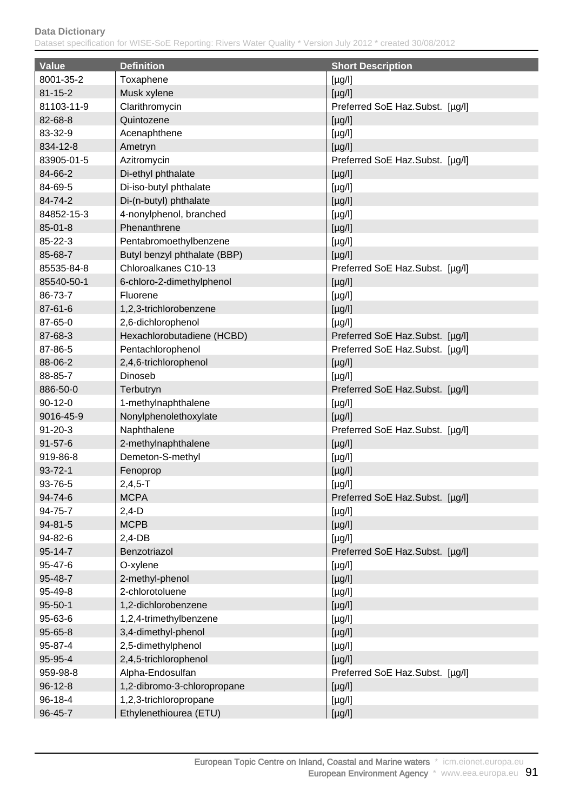| <b>Value</b>  | <b>Definition</b>            | <b>Short Description</b>        |
|---------------|------------------------------|---------------------------------|
| 8001-35-2     | Toxaphene                    | $[\mu g/l]$                     |
| $81 - 15 - 2$ | Musk xylene                  | $[\mu g/l]$                     |
| 81103-11-9    | Clarithromycin               | Preferred SoE Haz.Subst. [µg/l] |
| 82-68-8       | Quintozene                   | $[\mu g/l]$                     |
| 83-32-9       | Acenaphthene                 | $[\mu g/l]$                     |
| 834-12-8      | Ametryn                      | $[\mu g/l]$                     |
| 83905-01-5    | Azitromycin                  | Preferred SoE Haz.Subst. [µg/l] |
| 84-66-2       | Di-ethyl phthalate           | $[\mu g/l]$                     |
| 84-69-5       | Di-iso-butyl phthalate       | $[\mu g/l]$                     |
| 84-74-2       | Di-(n-butyl) phthalate       | $[\mu g/l]$                     |
| 84852-15-3    | 4-nonylphenol, branched      | $[\mu g/l]$                     |
| 85-01-8       | Phenanthrene                 | $[\mu g/l]$                     |
| 85-22-3       | Pentabromoethylbenzene       | $[\mu g/l]$                     |
| 85-68-7       | Butyl benzyl phthalate (BBP) | [µg/l]                          |
| 85535-84-8    | Chloroalkanes C10-13         | Preferred SoE Haz.Subst. [µg/l] |
| 85540-50-1    | 6-chloro-2-dimethylphenol    | $[\mu g/l]$                     |
| 86-73-7       | Fluorene                     | $[\mu g/l]$                     |
| 87-61-6       | 1,2,3-trichlorobenzene       | $[\mu g/l]$                     |
| 87-65-0       | 2,6-dichlorophenol           | $[\mu g/l]$                     |
| 87-68-3       | Hexachlorobutadiene (HCBD)   | Preferred SoE Haz.Subst. [µg/l] |
| 87-86-5       | Pentachlorophenol            | Preferred SoE Haz.Subst. [µg/l] |
| 88-06-2       | 2,4,6-trichlorophenol        | $[\mu g/l]$                     |
| 88-85-7       | Dinoseb                      | $[\mu g/l]$                     |
| 886-50-0      | Terbutryn                    | Preferred SoE Haz.Subst. [µg/l] |
| $90 - 12 - 0$ | 1-methylnaphthalene          | $[\mu g/l]$                     |
| 9016-45-9     | Nonylphenolethoxylate        | $[\mu g/l]$                     |
| $91 - 20 - 3$ | Naphthalene                  | Preferred SoE Haz.Subst. [µg/l] |
| $91 - 57 - 6$ | 2-methylnaphthalene          | $[\mu g/l]$                     |
| 919-86-8      | Demeton-S-methyl             | $[\mu g/l]$                     |
| 93-72-1       | Fenoprop                     | $[\mu g/l]$                     |
| 93-76-5       | $2,4,5 - T$                  | $[\mu g/l]$                     |
| $94 - 74 - 6$ | <b>MCPA</b>                  | Preferred SoE Haz.Subst. [µg/l] |
| 94-75-7       | $2,4-D$                      | $[\mu g/l]$                     |
| 94-81-5       | <b>MCPB</b>                  | $[\mu g/l]$                     |
| 94-82-6       | $2,4$ -DB                    | $[\mu g/l]$                     |
| 95-14-7       | Benzotriazol                 | Preferred SoE Haz.Subst. [µg/l] |
| 95-47-6       | O-xylene                     | $[\mu g/l]$                     |
| 95-48-7       | 2-methyl-phenol              | $[\mu g/l]$                     |
| 95-49-8       | 2-chlorotoluene              | [yg/l]                          |
| $95 - 50 - 1$ | 1,2-dichlorobenzene          | $[\mu g/l]$                     |
| 95-63-6       | 1,2,4-trimethylbenzene       | [yg/l]                          |
| 95-65-8       | 3,4-dimethyl-phenol          | $[\mu g/l]$                     |
| 95-87-4       | 2,5-dimethylphenol           | $[\mu g/l]$                     |
| 95-95-4       | 2,4,5-trichlorophenol        | $[\mu g/l]$                     |
| 959-98-8      | Alpha-Endosulfan             | Preferred SoE Haz.Subst. [µg/l] |
| $96 - 12 - 8$ | 1,2-dibromo-3-chloropropane  | $[\mu g/l]$                     |
| 96-18-4       | 1,2,3-trichloropropane       | [yg/l]                          |
| 96-45-7       | Ethylenethiourea (ETU)       | $[\mu g/l]$                     |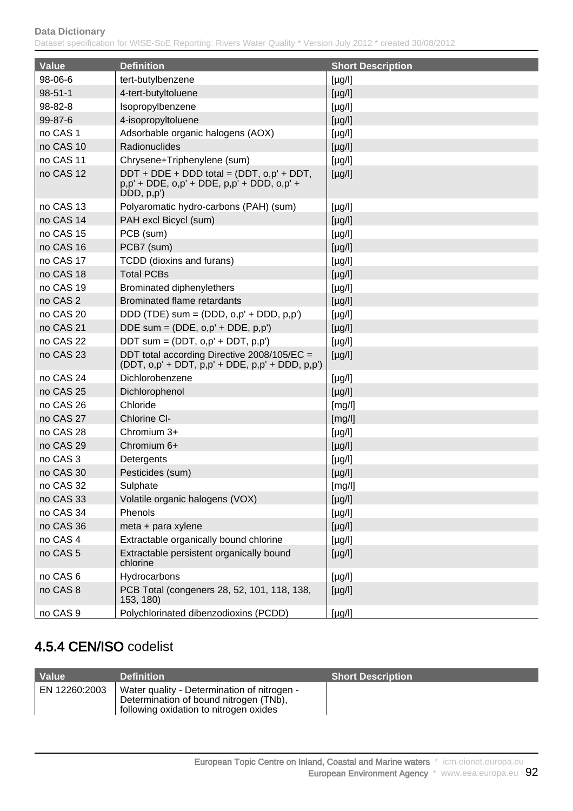| <b>Value</b>        | <b>Definition</b>                                                                                                        | <b>Short Description</b> |
|---------------------|--------------------------------------------------------------------------------------------------------------------------|--------------------------|
| 98-06-6             | tert-butylbenzene                                                                                                        | $[\mu g/l]$              |
| $98 - 51 - 1$       | 4-tert-butyltoluene                                                                                                      | $[\mu g/l]$              |
| 98-82-8             | Isopropylbenzene                                                                                                         | $[\mu g/l]$              |
| 99-87-6             | 4-isopropyltoluene                                                                                                       | $[\mu g/l]$              |
| no CAS 1            | Adsorbable organic halogens (AOX)                                                                                        | $[\mu g/l]$              |
| no CAS 10           | Radionuclides                                                                                                            | $[\mu g/l]$              |
| no CAS 11           | Chrysene+Triphenylene (sum)                                                                                              | $[\mu g/l]$              |
| no CAS 12           | $DDT + DDE + DDD$ total = (DDT, $o, p' + DDT$ ,<br>$p, p'$ + DDE, $o, p'$ + DDE, $p, p'$ + DDD, $o, p'$ +<br>DDD, p, p') | $[\mu g/l]$              |
| no CAS 13           | Polyaromatic hydro-carbons (PAH) (sum)                                                                                   | $[\mu g/l]$              |
| no CAS 14           | PAH excl Bicycl (sum)                                                                                                    | $[\mu g/l]$              |
| no CAS 15           | PCB (sum)                                                                                                                | [µg/l]                   |
| no CAS 16           | PCB7 (sum)                                                                                                               | $[\mu g/l]$              |
| no CAS 17           | TCDD (dioxins and furans)                                                                                                | [µg/l]                   |
| no CAS 18           | <b>Total PCBs</b>                                                                                                        | $[\mu g/l]$              |
| no CAS 19           | <b>Brominated diphenylethers</b>                                                                                         | $[\mu g/l]$              |
| no CAS <sub>2</sub> | <b>Brominated flame retardants</b>                                                                                       | $[\mu g/l]$              |
| no CAS 20           | DDD (TDE) sum = (DDD, $o, p'$ + DDD, $p, p'$ )                                                                           | $[\mu g/l]$              |
| no CAS 21           | DDE sum = $(DDE, o, p' + DDE, p, p')$                                                                                    | $[\mu g/l]$              |
| no CAS 22           | DDT sum = $(DDT, o, p' + DDT, p, p')$                                                                                    | $[\mu g/l]$              |
| no CAS 23           | DDT total according Directive 2008/105/EC =<br>$(DDT, o, p' + DDT, p, p' + DDE, p, p' + DDD, p, p')$                     | $[\mu g/l]$              |
| no CAS 24           | Dichlorobenzene                                                                                                          | [µg/l]                   |
| no CAS 25           | Dichlorophenol                                                                                                           | $[\mu g/l]$              |
| no CAS 26           | Chloride                                                                                                                 | [mg/l]                   |
| no CAS 27           | <b>Chlorine CI-</b>                                                                                                      | [mg/l]                   |
| no CAS 28           | Chromium 3+                                                                                                              | $[\mu g/l]$              |
| no CAS 29           | Chromium 6+                                                                                                              | $[\mu g/l]$              |
| no CAS <sub>3</sub> | Detergents                                                                                                               | $[\mu g/l]$              |
| no CAS 30           | Pesticides (sum)                                                                                                         | $[\mu g/l]$              |
| no CAS 32           | Sulphate                                                                                                                 | [mg/l]                   |
| no CAS 33           | Volatile organic halogens (VOX)                                                                                          | $[\mu g/l]$              |
| no CAS 34           | Phenols                                                                                                                  | [µg/l]                   |
| no CAS 36           | meta + para xylene                                                                                                       | $[\mu g/l]$              |
| no CAS 4            | Extractable organically bound chlorine                                                                                   | $[\mu g/l]$              |
| no CAS 5            | Extractable persistent organically bound<br>chlorine                                                                     | $[\mu g/l]$              |
| no CAS 6            | Hydrocarbons                                                                                                             | $[\mu g/l]$              |
| no CAS 8            | PCB Total (congeners 28, 52, 101, 118, 138,<br>153, 180)                                                                 | $[\mu g/l]$              |
| no CAS 9            | Polychlorinated dibenzodioxins (PCDD)                                                                                    | [µg/l]                   |

# 4.5.4 CEN/ISO codelist

| <b>Value</b>  | <b>Definition</b>                                                                                                               | <b>Short Description</b> |
|---------------|---------------------------------------------------------------------------------------------------------------------------------|--------------------------|
| EN 12260:2003 | Water quality - Determination of nitrogen -<br>Determination of bound nitrogen (TNb),<br>following oxidation to nitrogen oxides |                          |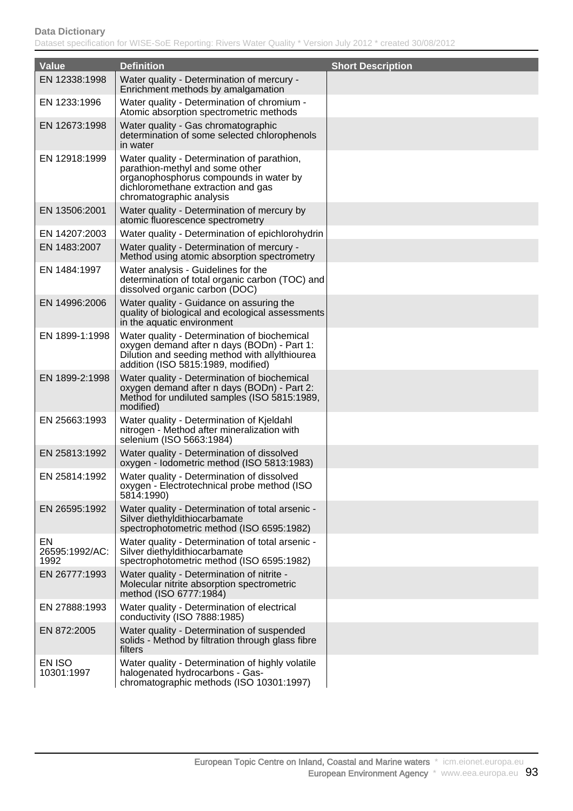| <b>Value</b>                 | <b>Definition</b>                                                                                                                                                                          |                          |
|------------------------------|--------------------------------------------------------------------------------------------------------------------------------------------------------------------------------------------|--------------------------|
|                              |                                                                                                                                                                                            | <b>Short Description</b> |
| EN 12338:1998                | Water quality - Determination of mercury -<br>Enrichment methods by amalgamation                                                                                                           |                          |
| EN 1233:1996                 | Water quality - Determination of chromium -<br>Atomic absorption spectrometric methods                                                                                                     |                          |
| EN 12673:1998                | Water quality - Gas chromatographic<br>determination of some selected chlorophenols<br>in water                                                                                            |                          |
| EN 12918:1999                | Water quality - Determination of parathion,<br>parathion-methyl and some other<br>organophosphorus compounds in water by<br>dichloromethane extraction and gas<br>chromatographic analysis |                          |
| EN 13506:2001                | Water quality - Determination of mercury by<br>atomic fluorescence spectrometry                                                                                                            |                          |
| EN 14207:2003                | Water quality - Determination of epichlorohydrin                                                                                                                                           |                          |
| EN 1483:2007                 | Water quality - Determination of mercury -<br>Method using atomic absorption spectrometry                                                                                                  |                          |
| EN 1484:1997                 | Water analysis - Guidelines for the<br>determination of total organic carbon (TOC) and<br>dissolved organic carbon (DOC)                                                                   |                          |
| EN 14996:2006                | Water quality - Guidance on assuring the<br>quality of biological and ecological assessments<br>in the aquatic environment                                                                 |                          |
| EN 1899-1:1998               | Water quality - Determination of biochemical<br>oxygen demand after n days (BODn) - Part 1:<br>Dilution and seeding method with ally thiourea<br>addition (ISO 5815:1989, modified)        |                          |
| EN 1899-2:1998               | Water quality - Determination of biochemical<br>oxygen demand after n days (BODn) - Part 2:<br>Method for undiluted samples (ISO 5815:1989,<br>modified)                                   |                          |
| EN 25663:1993                | Water quality - Determination of Kjeldahl<br>nitrogen - Method after mineralization with<br>selenium (ISO 5663:1984)                                                                       |                          |
| EN 25813:1992                | Water quality - Determination of dissolved<br>oxygen - Iodometric method (ISO 5813:1983)                                                                                                   |                          |
| EN 25814:1992                | Water quality - Determination of dissolved<br>oxygen - Electrotechnical probe method (ISO<br>5814:1990)                                                                                    |                          |
| EN 26595:1992                | Water quality - Determination of total arsenic -<br>Silver diethyldithiocarbamate<br>spectrophotometric method (ISO 6595:1982)                                                             |                          |
| EN<br>26595:1992/AC:<br>1992 | Water quality - Determination of total arsenic -<br>Silver diethyldithiocarbamate<br>spectrophotometric method (ISO 6595:1982)                                                             |                          |
| EN 26777:1993                | Water quality - Determination of nitrite -<br>Molecular nitrite absorption spectrometric<br>method (ISO 6777:1984)                                                                         |                          |
| EN 27888:1993                | Water quality - Determination of electrical<br>conductivity (ISO 7888:1985)                                                                                                                |                          |
| EN 872:2005                  | Water quality - Determination of suspended<br>solids - Method by filtration through glass fibre<br>filters                                                                                 |                          |
| EN ISO<br>10301:1997         | Water quality - Determination of highly volatile<br>halogenated hydrocarbons - Gas-<br>chromatographic methods (ISO 10301:1997)                                                            |                          |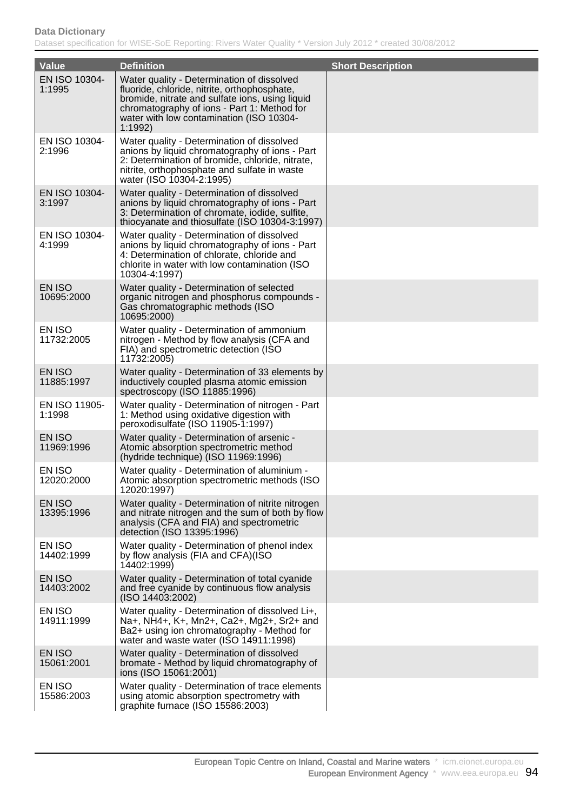| Value                       | <b>Definition</b>                                                                                                                                                                                                                                   | <b>Short Description</b> |
|-----------------------------|-----------------------------------------------------------------------------------------------------------------------------------------------------------------------------------------------------------------------------------------------------|--------------------------|
| EN ISO 10304-<br>1:1995     | Water quality - Determination of dissolved<br>fluoride, chloride, nitrite, orthophosphate,<br>bromide, nitrate and sulfate ions, using liquid<br>chromatography of ions - Part 1: Method for<br>water with low contamination (ISO 10304-<br>1:1992) |                          |
| EN ISO 10304-<br>2:1996     | Water quality - Determination of dissolved<br>anions by liquid chromatography of ions - Part<br>2: Determination of bromide, chloride, nitrate,<br>nitrite, orthophosphate and sulfate in waste<br>water (ISO 10304-2:1995)                         |                          |
| EN ISO 10304-<br>3:1997     | Water quality - Determination of dissolved<br>anions by liquid chromatography of ions - Part<br>3: Determination of chromate, iodide, sulfite,<br>thiocyanate and thiosulfate (ISO 10304-3:1997)                                                    |                          |
| EN ISO 10304-<br>4:1999     | Water quality - Determination of dissolved<br>anions by liquid chromatography of ions - Part<br>4: Determination of chlorate, chloride and<br>chlorite in water with low contamination (ISO<br>10304-4:1997)                                        |                          |
| EN ISO<br>10695:2000        | Water quality - Determination of selected<br>organic nitrogen and phosphorus compounds -<br>Gas chromatographic methods (ISO<br>10695:2000)                                                                                                         |                          |
| EN ISO<br>11732:2005        | Water quality - Determination of ammonium<br>nitrogen - Method by flow analysis (CFA and<br>FIA) and spectrometric detection (ISO<br>11732:2005)                                                                                                    |                          |
| EN ISO<br>11885:1997        | Water quality - Determination of 33 elements by<br>inductively coupled plasma atomic emission<br>spectroscopy (ISO 11885:1996)                                                                                                                      |                          |
| EN ISO 11905-<br>1:1998     | Water quality - Determination of nitrogen - Part<br>1: Method using oxidative digestion with<br>peroxodisulfate (ISO 11905-1:1997)                                                                                                                  |                          |
| <b>EN ISO</b><br>11969:1996 | Water quality - Determination of arsenic -<br>Atomic absorption spectrometric method<br>(hydride technique) (ISO 11969:1996)                                                                                                                        |                          |
| EN ISO<br>12020:2000        | Water quality - Determination of aluminium -<br>Atomic absorption spectrometric methods (ISO<br>12020:1997)                                                                                                                                         |                          |
| EN ISO<br>13395:1996        | Water quality - Determination of nitrite nitrogen<br>and nitrate nitrogen and the sum of both by flow<br>analysis (CFA and FIA) and spectrometric<br>detection (ISO 13395:1996)                                                                     |                          |
| EN ISO<br>14402:1999        | Water quality - Determination of phenol index<br>by flow analysis (FIA and CFA)(ISO<br>14402:1999)                                                                                                                                                  |                          |
| <b>EN ISO</b><br>14403:2002 | Water quality - Determination of total cyanide<br>and free cyanide by continuous flow analysis<br>(ISO 14403:2002)                                                                                                                                  |                          |
| EN ISO<br>14911:1999        | Water quality - Determination of dissolved Li+,<br>Na+, NH4+, K+, Mn2+, Ca2+, Mg2+, Sr2+ and<br>Ba2+ using ion chromatography - Method for<br>water and waste water (ISO 14911:1998)                                                                |                          |
| EN ISO<br>15061:2001        | Water quality - Determination of dissolved<br>bromate - Method by liquid chromatography of<br>ions (ISO 15061:2001)                                                                                                                                 |                          |
| EN ISO<br>15586:2003        | Water quality - Determination of trace elements<br>using atomic absorption spectrometry with<br>graphite furnace (ISO 15586:2003)                                                                                                                   |                          |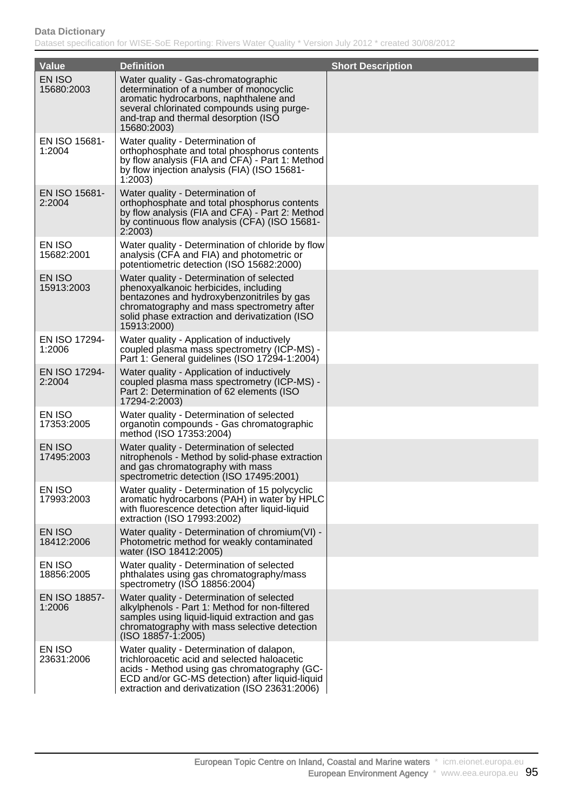| <b>Value</b>                   | <b>Definition</b>                                                                                                                                                                                                                               | <b>Short Description</b> |
|--------------------------------|-------------------------------------------------------------------------------------------------------------------------------------------------------------------------------------------------------------------------------------------------|--------------------------|
| EN ISO<br>15680:2003           | Water quality - Gas-chromatographic<br>determination of a number of monocyclic<br>aromatic hydrocarbons, naphthalene and<br>several chlorinated compounds using purge-<br>and-trap and thermal desorption (ISO<br>15680:2003)                   |                          |
| EN ISO 15681-<br>1:2004        | Water quality - Determination of<br>orthophosphate and total phosphorus contents<br>by flow analysis (FIA and CFA) - Part 1: Method<br>by flow injection analysis (FIA) (ISO 15681-<br>1:2003                                                   |                          |
| EN ISO 15681-<br>2:2004        | Water quality - Determination of<br>orthophosphate and total phosphorus contents<br>by flow analysis (FIA and CFA) - Part 2: Method<br>by continuous flow analysis (CFA) (ISO 15681-<br>2:2003                                                  |                          |
| EN ISO<br>15682:2001           | Water quality - Determination of chloride by flow<br>analysis (CFA and FIA) and photometric or<br>potentiometric detection (ISO 15682:2000)                                                                                                     |                          |
| EN ISO<br>15913:2003           | Water quality - Determination of selected<br>phenoxyalkanoic herbicides, including<br>bentazones and hydroxybenzonitriles by gas<br>chromatography and mass spectrometry after<br>solid phase extraction and derivatization (ISO<br>15913:2000) |                          |
| EN ISO 17294-<br>1:2006        | Water quality - Application of inductively<br>coupled plasma mass spectrometry (ICP-MS) -<br>Part 1: General guidelines (ISO 17294-1:2004)                                                                                                      |                          |
| <b>EN ISO 17294-</b><br>2:2004 | Water quality - Application of inductively<br>coupled plasma mass spectrometry (ICP-MS) -<br>Part 2: Determination of 62 elements (ISO<br>17294-2:2003)                                                                                         |                          |
| EN ISO<br>17353:2005           | Water quality - Determination of selected<br>organotin compounds - Gas chromatographic<br>method (ISO 17353:2004)                                                                                                                               |                          |
| EN ISO<br>17495:2003           | Water quality - Determination of selected<br>nitrophenols - Method by solid-phase extraction<br>and gas chromatography with mass<br>spectrometric detection (ISO 17495:2001)                                                                    |                          |
| EN ISO<br>17993:2003           | Water quality - Determination of 15 polycyclic<br>aromatic hydrocarbons (PAH) in water by HPLC<br>with fluorescence detection after liquid-liquid<br>extraction (ISO 17993:2002)                                                                |                          |
| EN ISO<br>18412:2006           | Water quality - Determination of chromium(VI) -<br>Photometric method for weakly contaminated<br>water (ISO 18412:2005)                                                                                                                         |                          |
| EN ISO<br>18856:2005           | Water quality - Determination of selected<br>phthalates using gas chromatography/mass<br>spectrometry (ISO 18856:2004)                                                                                                                          |                          |
| EN ISO 18857-<br>1:2006        | Water quality - Determination of selected<br>alkylphenols - Part 1: Method for non-filtered<br>samples using liquid-liquid extraction and gas<br>chromatography with mass selective detection<br>$(ISO 18857-1:2005)$                           |                          |
| EN ISO<br>23631:2006           | Water quality - Determination of dalapon,<br>trichloroacetic acid and selected haloacetic<br>acids - Method using gas chromatography (GC-<br>ECD and/or GC-MS detection) after liquid-liquid<br>extraction and derivatization (ISO 23631:2006)  |                          |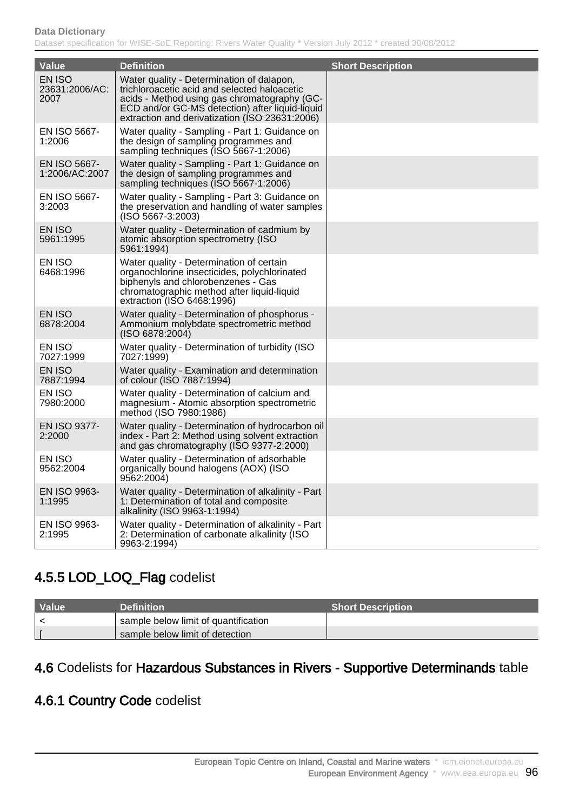| Value                            | <b>Definition</b>                                                                                                                                                                                                                              | <b>Short Description</b> |
|----------------------------------|------------------------------------------------------------------------------------------------------------------------------------------------------------------------------------------------------------------------------------------------|--------------------------|
| EN ISO<br>23631:2006/AC:<br>2007 | Water quality - Determination of dalapon,<br>trichloroacetic acid and selected haloacetic<br>acids - Method using gas chromatography (GC-<br>ECD and/or GC-MS detection) after liquid-liquid<br>extraction and derivatization (ISO 23631:2006) |                          |
| EN ISO 5667-<br>1:2006           | Water quality - Sampling - Part 1: Guidance on<br>the design of sampling programmes and<br>sampling techniques (ISO 5667-1:2006)                                                                                                               |                          |
| EN ISO 5667-<br>1:2006/AC:2007   | Water quality - Sampling - Part 1: Guidance on<br>the design of sampling programmes and<br>sampling techniques (ISO 5667-1:2006)                                                                                                               |                          |
| EN ISO 5667-<br>3:2003           | Water quality - Sampling - Part 3: Guidance on<br>the preservation and handling of water samples<br>$(ISO 5667-3:2003)$                                                                                                                        |                          |
| EN ISO<br>5961:1995              | Water quality - Determination of cadmium by<br>atomic absorption spectrometry (ISO<br>5961:1994)                                                                                                                                               |                          |
| EN ISO<br>6468:1996              | Water quality - Determination of certain<br>organochlorine insecticides, polychlorinated<br>biphenyls and chlorobenzenes - Gas<br>chromatographic method after liquid-liquid<br>extraction (ISO 6468:1996)                                     |                          |
| EN ISO<br>6878:2004              | Water quality - Determination of phosphorus -<br>Ammonium molybdate spectrometric method<br>(ISO 6878:2004)                                                                                                                                    |                          |
| EN ISO<br>7027:1999              | Water quality - Determination of turbidity (ISO<br>7027:1999)                                                                                                                                                                                  |                          |
| EN ISO<br>7887:1994              | Water quality - Examination and determination<br>of colour (ISO 7887:1994)                                                                                                                                                                     |                          |
| EN ISO<br>7980:2000              | Water quality - Determination of calcium and<br>magnesium - Atomic absorption spectrometric<br>method (ISO 7980:1986)                                                                                                                          |                          |
| EN ISO 9377-<br>2:2000           | Water quality - Determination of hydrocarbon oil<br>index - Part 2: Method using solvent extraction<br>and gas chromatography (ISO 9377-2:2000)                                                                                                |                          |
| EN ISO<br>9562:2004              | Water quality - Determination of adsorbable<br>organically bound halogens (AOX) (ISO<br>9562:2004)                                                                                                                                             |                          |
| <b>EN ISO 9963-</b><br>1:1995    | Water quality - Determination of alkalinity - Part<br>1: Determination of total and composite<br>alkalinity (ISO 9963-1:1994)                                                                                                                  |                          |
| EN ISO 9963-<br>2:1995           | Water quality - Determination of alkalinity - Part<br>2: Determination of carbonate alkalinity (ISO<br>9963-2:1994)                                                                                                                            |                          |

## 4.5.5 LOD\_LOQ\_Flag codelist

| Definition                           | <b>Short Description</b> |
|--------------------------------------|--------------------------|
| sample below limit of quantification |                          |
| sample below limit of detection      |                          |

### 4.6 Codelists for Hazardous Substances in Rivers - Supportive Determinands table

### 4.6.1 Country Code codelist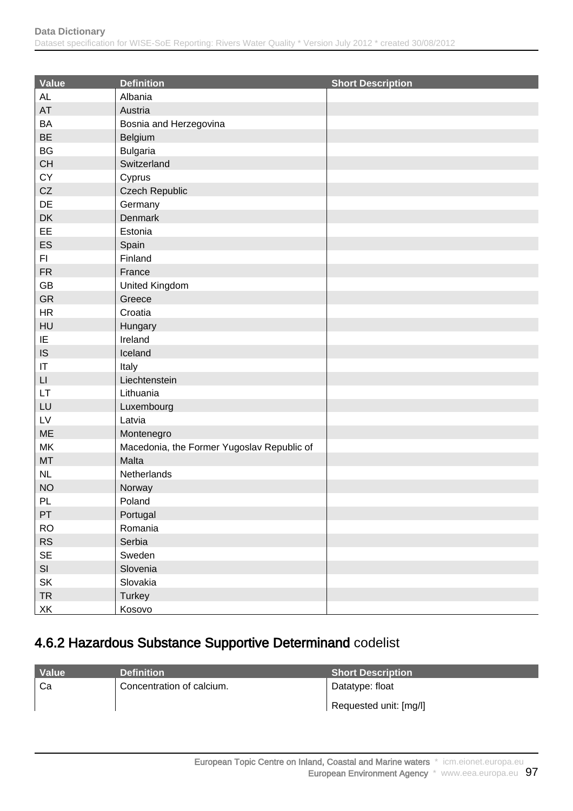| <b>Value</b>           | <b>Definition</b>                          | <b>Short Description</b> |
|------------------------|--------------------------------------------|--------------------------|
| AL                     | Albania                                    |                          |
| AT                     | Austria                                    |                          |
| BA                     | Bosnia and Herzegovina                     |                          |
| <b>BE</b>              | Belgium                                    |                          |
| BG                     | <b>Bulgaria</b>                            |                          |
| CH                     | Switzerland                                |                          |
| CY                     | Cyprus                                     |                          |
| CZ                     | <b>Czech Republic</b>                      |                          |
| DE                     | Germany                                    |                          |
| DK                     | Denmark                                    |                          |
| EE                     | Estonia                                    |                          |
| ES                     | Spain                                      |                          |
| F1                     | Finland                                    |                          |
| ${\sf FR}$             | France                                     |                          |
| GB                     | United Kingdom                             |                          |
| <b>GR</b>              | Greece                                     |                          |
| HR                     | Croatia                                    |                          |
| HU                     | Hungary                                    |                          |
| IE                     | Ireland                                    |                          |
| IS                     | Iceland                                    |                          |
| $\mathsf{I}\mathsf{T}$ | Italy                                      |                          |
| $\mathsf{L}\mathsf{I}$ | Liechtenstein                              |                          |
| LT.                    | Lithuania                                  |                          |
| LU                     | Luxembourg                                 |                          |
| LV                     | Latvia                                     |                          |
| ME                     | Montenegro                                 |                          |
| MK                     | Macedonia, the Former Yugoslav Republic of |                          |
| MT                     | Malta                                      |                          |
| NL                     | Netherlands                                |                          |
| <b>NO</b>              | Norway                                     |                          |
| PL                     | Poland                                     |                          |
| PT                     | Portugal                                   |                          |
| <b>RO</b>              | Romania                                    |                          |
| RS                     | Serbia                                     |                          |
| $\sf SE$               | Sweden                                     |                          |
| SI                     | Slovenia                                   |                          |
| SK                     | Slovakia                                   |                          |
| <b>TR</b>              | Turkey                                     |                          |
| <b>XK</b>              | Kosovo                                     |                          |

# 4.6.2 Hazardous Substance Supportive Determinand codelist

| Value | <b>Definition</b>         | <b>Short Description</b> |
|-------|---------------------------|--------------------------|
| Ca    | Concentration of calcium. | Datatype: float          |
|       |                           | Requested unit: [mg/l]   |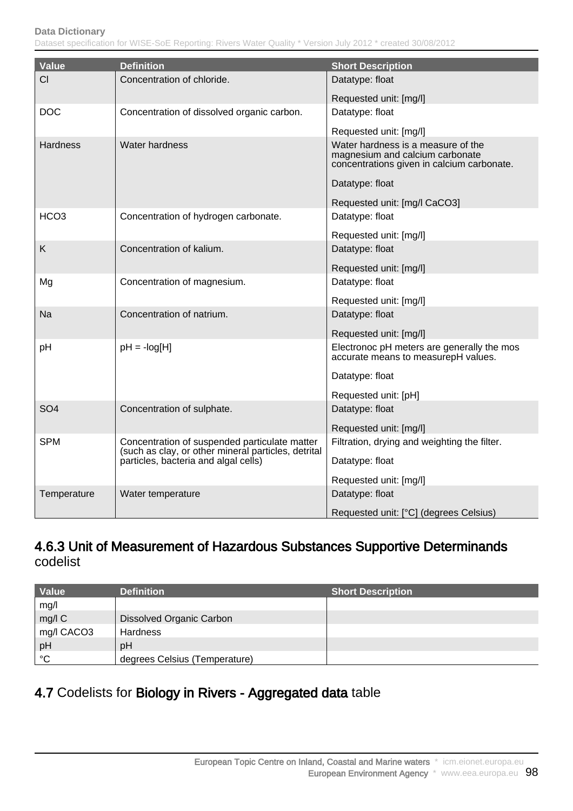Dataset specification for WISE-SoE Reporting: Rivers Water Quality \* Version July 2012 \* created 30/08/2012

| <b>Value</b>     | <b>Definition</b>                                                                           | <b>Short Description</b>                                                                                            |
|------------------|---------------------------------------------------------------------------------------------|---------------------------------------------------------------------------------------------------------------------|
| CI               | Concentration of chloride.                                                                  | Datatype: float                                                                                                     |
|                  |                                                                                             | Requested unit: [mg/l]                                                                                              |
| <b>DOC</b>       | Concentration of dissolved organic carbon.                                                  | Datatype: float                                                                                                     |
|                  |                                                                                             | Requested unit: [mg/l]                                                                                              |
| <b>Hardness</b>  | Water hardness                                                                              | Water hardness is a measure of the<br>magnesium and calcium carbonate<br>concentrations given in calcium carbonate. |
|                  |                                                                                             | Datatype: float                                                                                                     |
|                  |                                                                                             | Requested unit: [mg/l CaCO3]                                                                                        |
| HCO <sub>3</sub> | Concentration of hydrogen carbonate.                                                        | Datatype: float                                                                                                     |
|                  |                                                                                             | Requested unit: [mg/l]                                                                                              |
| K                | Concentration of kalium.                                                                    | Datatype: float                                                                                                     |
|                  |                                                                                             | Requested unit: [mg/l]                                                                                              |
| Mg               | Concentration of magnesium.                                                                 | Datatype: float                                                                                                     |
|                  |                                                                                             | Requested unit: [mg/l]                                                                                              |
| <b>Na</b>        | Concentration of natrium.                                                                   | Datatype: float                                                                                                     |
|                  |                                                                                             | Requested unit: [mg/l]                                                                                              |
| pH               | $pH = -log[H]$                                                                              | Electronoc pH meters are generally the mos<br>accurate means to measurepH values.                                   |
|                  |                                                                                             | Datatype: float                                                                                                     |
|                  |                                                                                             | Requested unit: [pH]                                                                                                |
| SO <sub>4</sub>  | Concentration of sulphate.                                                                  | Datatype: float                                                                                                     |
|                  |                                                                                             | Requested unit: [mg/l]                                                                                              |
| <b>SPM</b>       | Concentration of suspended particulate matter                                               | Filtration, drying and weighting the filter.                                                                        |
|                  | (such as clay, or other mineral particles, detrital<br>particles, bacteria and algal cells) | Datatype: float                                                                                                     |
|                  |                                                                                             | Requested unit: [mg/l]                                                                                              |
| Temperature      | Water temperature                                                                           | Datatype: float                                                                                                     |
|                  |                                                                                             | Requested unit: [°C] (degrees Celsius)                                                                              |

### 4.6.3 Unit of Measurement of Hazardous Substances Supportive Determinands codelist

| Value      | <b>Definition</b>             | <b>Short Description</b> |
|------------|-------------------------------|--------------------------|
| mg/l       |                               |                          |
| mg/l C     | Dissolved Organic Carbon      |                          |
| mg/l CACO3 | <b>Hardness</b>               |                          |
| pH         | pH                            |                          |
| °C         | degrees Celsius (Temperature) |                          |

## 4.7 Codelists for Biology in Rivers - Aggregated data table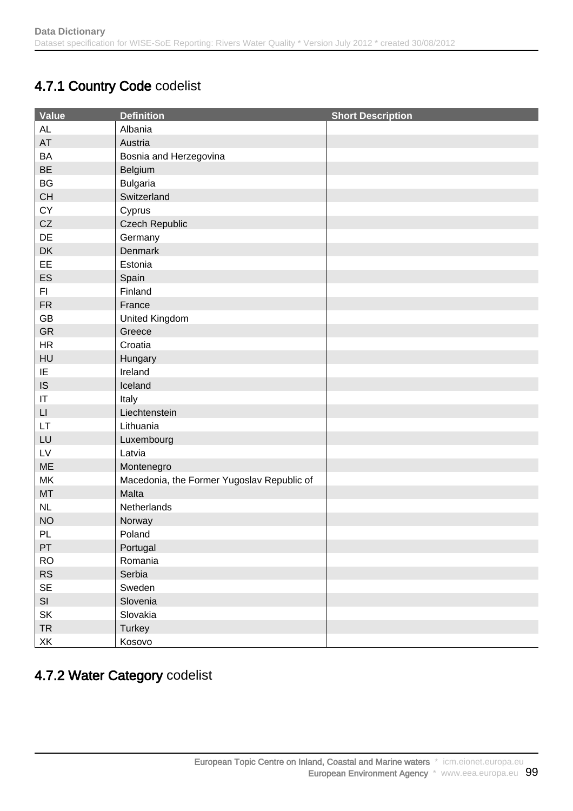# 4.7.1 Country Code codelist

| Value                  | <b>Definition</b>                          | <b>Short Description</b> |
|------------------------|--------------------------------------------|--------------------------|
| <b>AL</b>              | Albania                                    |                          |
| AT                     | Austria                                    |                          |
| <b>BA</b>              | Bosnia and Herzegovina                     |                          |
| <b>BE</b>              | Belgium                                    |                          |
| BG                     | <b>Bulgaria</b>                            |                          |
| CH                     | Switzerland                                |                          |
| CY                     | Cyprus                                     |                          |
| CZ                     | <b>Czech Republic</b>                      |                          |
| DE                     | Germany                                    |                          |
| DK                     | Denmark                                    |                          |
| EE                     | Estonia                                    |                          |
| ES                     | Spain                                      |                          |
| FI.                    | Finland                                    |                          |
| <b>FR</b>              | France                                     |                          |
| GB                     | United Kingdom                             |                          |
| GR                     | Greece                                     |                          |
| HR                     | Croatia                                    |                          |
| HU                     | Hungary                                    |                          |
| IE                     | Ireland                                    |                          |
| IS                     | Iceland                                    |                          |
| $\mathsf{I}\mathsf{T}$ | Italy                                      |                          |
| $\mathsf{L}\mathsf{I}$ | Liechtenstein                              |                          |
| LT.                    | Lithuania                                  |                          |
| LU                     | Luxembourg                                 |                          |
| LV                     | Latvia                                     |                          |
| ME                     | Montenegro                                 |                          |
| MK                     | Macedonia, the Former Yugoslav Republic of |                          |
| MT                     | Malta                                      |                          |
| NL                     | Netherlands                                |                          |
| <b>NO</b>              | Norway                                     |                          |
| PL                     | Poland                                     |                          |
| PT                     | Portugal                                   |                          |
| <b>RO</b>              | Romania                                    |                          |
| RS                     | Serbia                                     |                          |
| <b>SE</b>              | Sweden                                     |                          |
| SI                     | Slovenia                                   |                          |
| SK                     | Slovakia                                   |                          |
| ${\sf TR}$             | Turkey                                     |                          |
| <b>XK</b>              | Kosovo                                     |                          |

# 4.7.2 Water Category codelist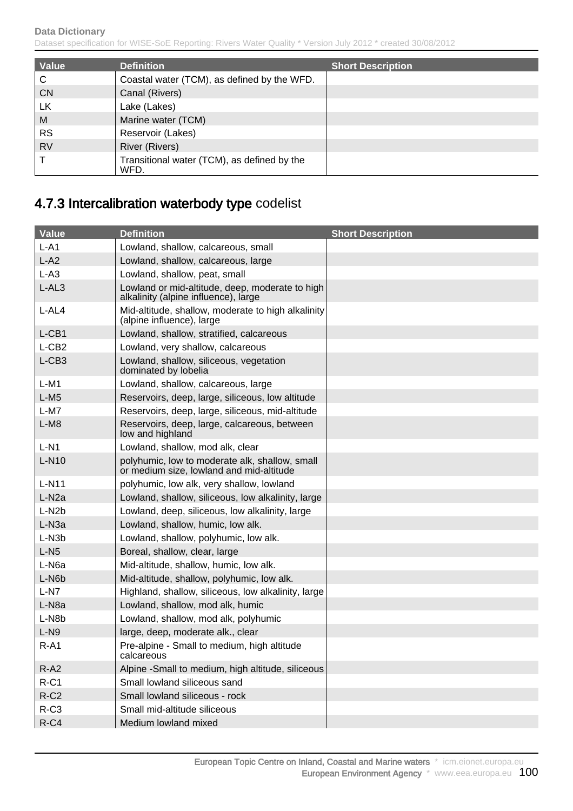| Value     | <b>Definition</b>                                   | <b>Short Description</b> |
|-----------|-----------------------------------------------------|--------------------------|
| C         | Coastal water (TCM), as defined by the WFD.         |                          |
| CN        | Canal (Rivers)                                      |                          |
| LK        | Lake (Lakes)                                        |                          |
| M         | Marine water (TCM)                                  |                          |
| <b>RS</b> | Reservoir (Lakes)                                   |                          |
| <b>RV</b> | <b>River (Rivers)</b>                               |                          |
|           | Transitional water (TCM), as defined by the<br>WFD. |                          |

## 4.7.3 Intercalibration waterbody type codelist

| <b>Value</b>       | <b>Definition</b>                                                                          | <b>Short Description</b> |
|--------------------|--------------------------------------------------------------------------------------------|--------------------------|
| $L-A1$             | Lowland, shallow, calcareous, small                                                        |                          |
| $L-A2$             | Lowland, shallow, calcareous, large                                                        |                          |
| $L-A3$             | Lowland, shallow, peat, small                                                              |                          |
| L-AL3              | Lowland or mid-altitude, deep, moderate to high<br>alkalinity (alpine influence), large    |                          |
| L-AL4              | Mid-altitude, shallow, moderate to high alkalinity<br>(alpine influence), large            |                          |
| L-CB1              | Lowland, shallow, stratified, calcareous                                                   |                          |
| L-CB <sub>2</sub>  | Lowland, very shallow, calcareous                                                          |                          |
| L-CB3              | Lowland, shallow, siliceous, vegetation<br>dominated by lobelia                            |                          |
| $L-M1$             | Lowland, shallow, calcareous, large                                                        |                          |
| $L-M5$             | Reservoirs, deep, large, siliceous, low altitude                                           |                          |
| $L-M7$             | Reservoirs, deep, large, siliceous, mid-altitude                                           |                          |
| $L-M8$             | Reservoirs, deep, large, calcareous, between<br>low and highland                           |                          |
| $L-N1$             | Lowland, shallow, mod alk, clear                                                           |                          |
| L-N10              | polyhumic, low to moderate alk, shallow, small<br>or medium size, lowland and mid-altitude |                          |
| $L-N11$            | polyhumic, low alk, very shallow, lowland                                                  |                          |
| L-N <sub>2</sub> a | Lowland, shallow, siliceous, low alkalinity, large                                         |                          |
| $L-N2b$            | Lowland, deep, siliceous, low alkalinity, large                                            |                          |
| L-N <sub>3</sub> a | Lowland, shallow, humic, low alk.                                                          |                          |
| L-N <sub>3</sub> b | Lowland, shallow, polyhumic, low alk.                                                      |                          |
| $L-N5$             | Boreal, shallow, clear, large                                                              |                          |
| L-N <sub>6a</sub>  | Mid-altitude, shallow, humic, low alk.                                                     |                          |
| L-N6b              | Mid-altitude, shallow, polyhumic, low alk.                                                 |                          |
| $L-N7$             | Highland, shallow, siliceous, low alkalinity, large                                        |                          |
| L-N <sub>8</sub> a | Lowland, shallow, mod alk, humic                                                           |                          |
| L-N8b              | Lowland, shallow, mod alk, polyhumic                                                       |                          |
| $L-N9$             | large, deep, moderate alk., clear                                                          |                          |
| $R-A1$             | Pre-alpine - Small to medium, high altitude<br>calcareous                                  |                          |
| $R-A2$             | Alpine -Small to medium, high altitude, siliceous                                          |                          |
| $R-C1$             | Small lowland siliceous sand                                                               |                          |
| $R-C2$             | Small lowland siliceous - rock                                                             |                          |
| $R-C3$             | Small mid-altitude siliceous                                                               |                          |
| $R-C4$             | Medium lowland mixed                                                                       |                          |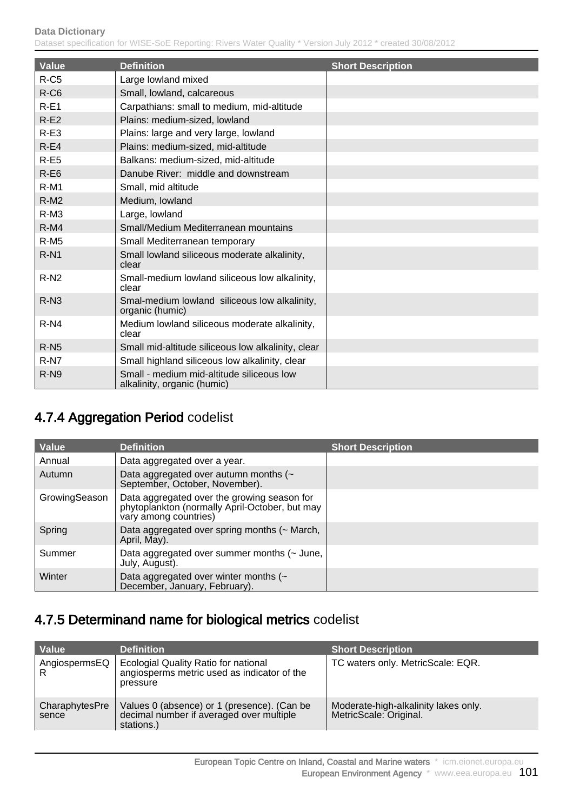| <b>Value</b> | <b>Definition</b>                                                        | <b>Short Description</b> |
|--------------|--------------------------------------------------------------------------|--------------------------|
| $R-C5$       | Large lowland mixed                                                      |                          |
| $R-C6$       | Small, lowland, calcareous                                               |                          |
| $R-E1$       | Carpathians: small to medium, mid-altitude                               |                          |
| $R-E2$       | Plains: medium-sized, lowland                                            |                          |
| $R-E3$       | Plains: large and very large, lowland                                    |                          |
| $R-E4$       | Plains: medium-sized, mid-altitude                                       |                          |
| $R-E5$       | Balkans: medium-sized, mid-altitude                                      |                          |
| $R-E6$       | Danube River: middle and downstream                                      |                          |
| $R-M1$       | Small, mid altitude                                                      |                          |
| $R-M2$       | Medium, lowland                                                          |                          |
| $R-M3$       | Large, lowland                                                           |                          |
| $R-M4$       | Small/Medium Mediterranean mountains                                     |                          |
| $R-M5$       | Small Mediterranean temporary                                            |                          |
| $R-N1$       | Small lowland siliceous moderate alkalinity,<br>clear                    |                          |
| $R-N2$       | Small-medium lowland siliceous low alkalinity,<br>clear                  |                          |
| $R-N3$       | Smal-medium lowland siliceous low alkalinity,<br>organic (humic)         |                          |
| $R-N4$       | Medium lowland siliceous moderate alkalinity,<br>clear                   |                          |
| $R-N5$       | Small mid-altitude siliceous low alkalinity, clear                       |                          |
| R-N7         | Small highland siliceous low alkalinity, clear                           |                          |
| R-N9         | Small - medium mid-altitude siliceous low<br>alkalinity, organic (humic) |                          |

# 4.7.4 Aggregation Period codelist

| <b>Value</b>  | <b>Definition</b>                                                                                                      | <b>Short Description</b> |
|---------------|------------------------------------------------------------------------------------------------------------------------|--------------------------|
| Annual        | Data aggregated over a year.                                                                                           |                          |
| Autumn        | Data aggregated over autumn months (~<br>September, October, November).                                                |                          |
| GrowingSeason | Data aggregated over the growing season for<br>phytoplankton (normally April-October, but may<br>vary among countries) |                          |
| Spring        | Data aggregated over spring months (~ March,<br>April, May).                                                           |                          |
| Summer        | Data aggregated over summer months (~ June,<br>July, August).                                                          |                          |
| Winter        | Data aggregated over winter months (~<br>December, January, February).                                                 |                          |

# 4.7.5 Determinand name for biological metrics codelist

| Value                   | <b>Definition</b>                                                                                     | <b>Short Description</b>                                       |
|-------------------------|-------------------------------------------------------------------------------------------------------|----------------------------------------------------------------|
| AngiospermsEQ           | Ecologial Quality Ratio for national<br>angiosperms metric used as indicator of the<br>pressure       | TC waters only. MetricScale: EQR.                              |
| CharaphytesPre<br>sence | Values 0 (absence) or 1 (presence). (Can be<br>decimal number if averaged over multiple<br>stations.) | Moderate-high-alkalinity lakes only.<br>MetricScale: Original. |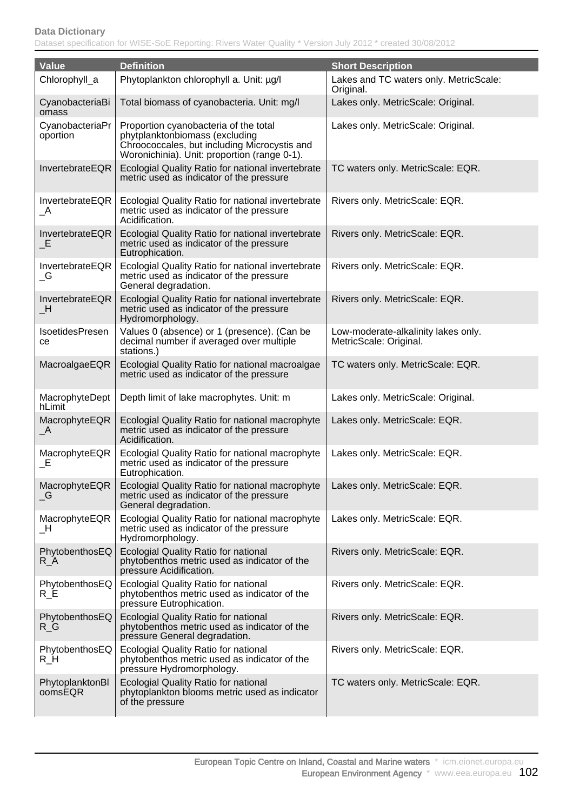| <b>Value</b>                                | <b>Definition</b>                                                                                                                                                       | <b>Short Description</b>                                      |
|---------------------------------------------|-------------------------------------------------------------------------------------------------------------------------------------------------------------------------|---------------------------------------------------------------|
| Chlorophyll_a                               | Phytoplankton chlorophyll a. Unit: µg/l                                                                                                                                 | Lakes and TC waters only. MetricScale:<br>Original.           |
| CyanobacteriaBi<br>omass                    | Total biomass of cyanobacteria. Unit: mg/l                                                                                                                              | Lakes only. MetricScale: Original.                            |
| CyanobacteriaPr<br>oportion                 | Proportion cyanobacteria of the total<br>phytplanktonbiomass (excluding<br>Chroococcales, but including Microcystis and<br>Woronichinia). Unit: proportion (range 0-1). | Lakes only. MetricScale: Original.                            |
| InvertebrateEQR                             | Ecologial Quality Ratio for national invertebrate<br>metric used as indicator of the pressure                                                                           | TC waters only. MetricScale: EQR.                             |
| InvertebrateEQR<br>$\overline{\phantom{a}}$ | Ecologial Quality Ratio for national invertebrate<br>metric used as indicator of the pressure<br>Acidification.                                                         | Rivers only. MetricScale: EQR.                                |
| InvertebrateEQR<br>E                        | Ecologial Quality Ratio for national invertebrate<br>metric used as indicator of the pressure<br>Eutrophication.                                                        | Rivers only. MetricScale: EQR.                                |
| InvertebrateEQR<br>_G                       | Ecologial Quality Ratio for national invertebrate<br>metric used as indicator of the pressure<br>General degradation.                                                   | Rivers only. MetricScale: EQR.                                |
| InvertebrateEQR<br>$\mathsf{H}$             | Ecologial Quality Ratio for national invertebrate<br>metric used as indicator of the pressure<br>Hydromorphology.                                                       | Rivers only. MetricScale: EQR.                                |
| IsoetidesPresen<br>ce                       | Values 0 (absence) or 1 (presence). (Can be<br>decimal number if averaged over multiple<br>stations.)                                                                   | Low-moderate-alkalinity lakes only.<br>MetricScale: Original. |
| MacroalgaeEQR                               | Ecologial Quality Ratio for national macroalgae<br>metric used as indicator of the pressure                                                                             | TC waters only. MetricScale: EQR.                             |
| MacrophyteDept<br>hLimit                    | Depth limit of lake macrophytes. Unit: m                                                                                                                                | Lakes only. MetricScale: Original.                            |
| MacrophyteEQR<br>$\overline{\phantom{a}}$   | Ecologial Quality Ratio for national macrophyte<br>metric used as indicator of the pressure<br>Acidification.                                                           | Lakes only. MetricScale: EQR.                                 |
| MacrophyteEQR<br>$\_E$                      | Ecologial Quality Ratio for national macrophyte<br>metric used as indicator of the pressure<br>Eutrophication.                                                          | Lakes only. MetricScale: EQR.                                 |
| MacrophyteEQR<br>$\_{\rm G}$                | Ecologial Quality Ratio for national macrophyte   Lakes only. MetricScale: EQR.<br>metric used as indicator of the pressure<br>General degradation.                     |                                                               |
| MacrophyteEQR<br>$\mathsf{H}_-$             | Ecologial Quality Ratio for national macrophyte<br>metric used as indicator of the pressure<br>Hydromorphology.                                                         | Lakes only. MetricScale: EQR.                                 |
| PhytobenthosEQ<br>R_A                       | <b>Ecologial Quality Ratio for national</b><br>phytobenthos metric used as indicator of the<br>pressure Acidification.                                                  | Rivers only. MetricScale: EQR.                                |
| PhytobenthosEQ<br>$R_E$                     | <b>Ecologial Quality Ratio for national</b><br>phytobenthos metric used as indicator of the<br>pressure Eutrophication.                                                 | Rivers only. MetricScale: EQR.                                |
| PhytobenthosEQ<br>$R_G$                     | <b>Ecologial Quality Ratio for national</b><br>phytobenthos metric used as indicator of the<br>pressure General degradation.                                            | Rivers only. MetricScale: EQR.                                |
| PhytobenthosEQ<br>$R_H$                     | Ecologial Quality Ratio for national<br>phytobenthos metric used as indicator of the<br>pressure Hydromorphology.                                                       | Rivers only. MetricScale: EQR.                                |
| PhytoplanktonBl<br>oomsEQR                  | <b>Ecologial Quality Ratio for national</b><br>phytoplankton blooms metric used as indicator<br>of the pressure                                                         | TC waters only. MetricScale: EQR.                             |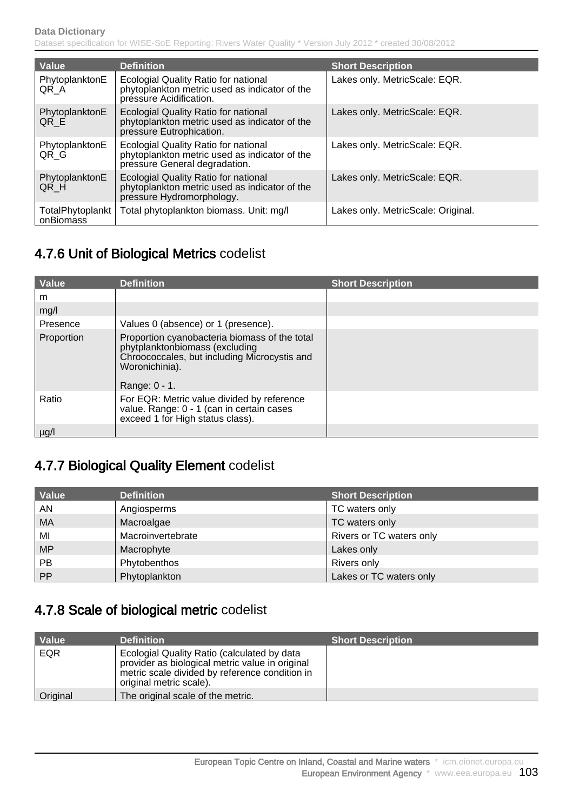| <b>Value</b>                  | <b>Definition</b>                                                                                                         | <b>Short Description</b>           |
|-------------------------------|---------------------------------------------------------------------------------------------------------------------------|------------------------------------|
| PhytoplanktonE<br>QR A        | <b>Ecologial Quality Ratio for national</b><br>phytoplankton metric used as indicator of the<br>pressure Acidification.   | Lakes only. MetricScale: EQR.      |
| PhytoplanktonE<br>QR E        | Ecologial Quality Ratio for national<br>phytoplankton metric used as indicator of the<br>pressure Eutrophication.         | Lakes only. MetricScale: EQR.      |
| PhytoplanktonE<br>QR G        | Ecologial Quality Ratio for national<br>phytoplankton metric used as indicator of the<br>pressure General degradation.    | Lakes only. MetricScale: EQR.      |
| PhytoplanktonE<br>QR H        | <b>Ecologial Quality Ratio for national</b><br>phytoplankton metric used as indicator of the<br>pressure Hydromorphology. | Lakes only. MetricScale: EQR.      |
| TotalPhytoplankt<br>onBiomass | Total phytoplankton biomass. Unit: mg/l                                                                                   | Lakes only. MetricScale: Original. |

# 4.7.6 Unit of Biological Metrics codelist

| Value      | <b>Definition</b>                                                                                                                                                  | <b>Short Description</b> |
|------------|--------------------------------------------------------------------------------------------------------------------------------------------------------------------|--------------------------|
| m          |                                                                                                                                                                    |                          |
| mg/l       |                                                                                                                                                                    |                          |
| Presence   | Values 0 (absence) or 1 (presence).                                                                                                                                |                          |
| Proportion | Proportion cyanobacteria biomass of the total<br>phytplanktonbiomass (excluding<br>Chroococcales, but including Microcystis and<br>Woronichinia).<br>Range: 0 - 1. |                          |
| Ratio      | For EQR: Metric value divided by reference<br>value. Range: 0 - 1 (can in certain cases<br>exceed 1 for High status class).                                        |                          |
| $\mu$ g/l  |                                                                                                                                                                    |                          |

# 4.7.7 Biological Quality Element codelist

| Value     | <b>Definition</b> | <b>Short Description</b> |
|-----------|-------------------|--------------------------|
| AN        | Angiosperms       | TC waters only           |
| <b>MA</b> | Macroalgae        | TC waters only           |
| MI        | Macroinvertebrate | Rivers or TC waters only |
| <b>MP</b> | Macrophyte        | Lakes only               |
| <b>PB</b> | Phytobenthos      | Rivers only              |
| <b>PP</b> | Phytoplankton     | Lakes or TC waters only  |

# 4.7.8 Scale of biological metric codelist

| Value    | <b>Definition</b>                                                                                                                                                           | <b>Short Description</b> |
|----------|-----------------------------------------------------------------------------------------------------------------------------------------------------------------------------|--------------------------|
| EQR      | Ecologial Quality Ratio (calculated by data<br>provider as biological metric value in original<br>metric scale divided by reference condition in<br>original metric scale). |                          |
| Original | The original scale of the metric.                                                                                                                                           |                          |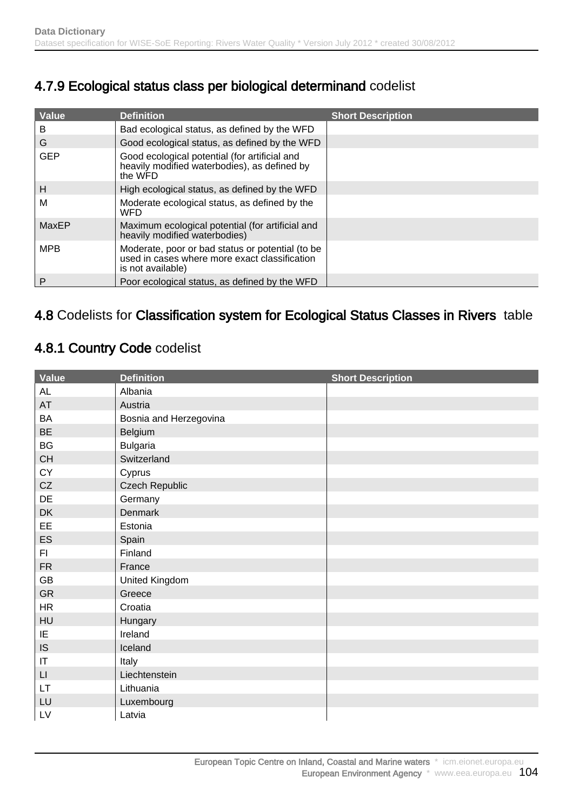# 4.7.9 Ecological status class per biological determinand codelist

| Value      | <b>Definition</b>                                                                                                      | <b>Short Description</b> |
|------------|------------------------------------------------------------------------------------------------------------------------|--------------------------|
| B          | Bad ecological status, as defined by the WFD                                                                           |                          |
| G          | Good ecological status, as defined by the WFD                                                                          |                          |
| <b>GEP</b> | Good ecological potential (for artificial and<br>heavily modified waterbodies), as defined by<br>the WFD               |                          |
| H          | High ecological status, as defined by the WFD                                                                          |                          |
| M          | Moderate ecological status, as defined by the<br><b>WFD</b>                                                            |                          |
| MaxEP      | Maximum ecological potential (for artificial and<br>heavily modified waterbodies)                                      |                          |
| <b>MPB</b> | Moderate, poor or bad status or potential (to be<br>used in cases where more exact classification<br>is not available) |                          |
| P          | Poor ecological status, as defined by the WFD                                                                          |                          |

### 4.8 Codelists for Classification system for Ecological Status Classes in Rivers table

### 4.8.1 Country Code codelist

| <b>Value</b>           | <b>Definition</b>      | <b>Short Description</b> |
|------------------------|------------------------|--------------------------|
| AL                     | Albania                |                          |
| AT                     | Austria                |                          |
| BA                     | Bosnia and Herzegovina |                          |
| <b>BE</b>              | Belgium                |                          |
| BG                     | <b>Bulgaria</b>        |                          |
| CH                     | Switzerland            |                          |
| CY                     | Cyprus                 |                          |
| CZ                     | <b>Czech Republic</b>  |                          |
| DE                     | Germany                |                          |
| DK                     | Denmark                |                          |
| EE                     | Estonia                |                          |
| ES                     | Spain                  |                          |
| FI.                    | Finland                |                          |
| <b>FR</b>              | France                 |                          |
| GB                     | United Kingdom         |                          |
| GR                     | Greece                 |                          |
| HR                     | Croatia                |                          |
| HU                     | Hungary                |                          |
| IE                     | Ireland                |                          |
| <b>IS</b>              | Iceland                |                          |
| $\mathsf{I}\mathsf{T}$ | Italy                  |                          |
| $\mathsf{L}\mathsf{I}$ | Liechtenstein          |                          |
| LT.                    | Lithuania              |                          |
| LU                     | Luxembourg             |                          |
| LV                     | Latvia                 |                          |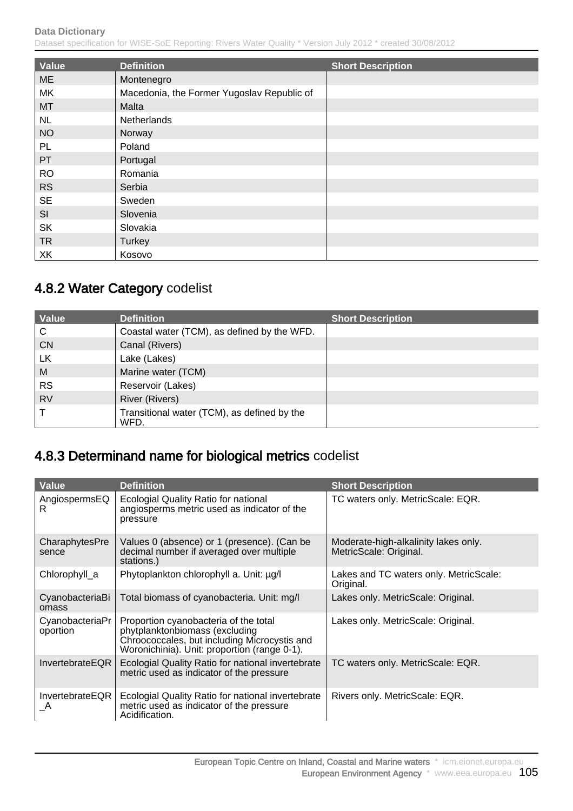#### **Data Dictionary** Dataset specification for WISE-SoE Reporting: Rivers Water Quality \* Version July 2012 \* created 30/08/2012

| Value     | <b>Definition</b>                          | <b>Short Description</b> |
|-----------|--------------------------------------------|--------------------------|
| <b>ME</b> | Montenegro                                 |                          |
| MK        | Macedonia, the Former Yugoslav Republic of |                          |
| <b>MT</b> | Malta                                      |                          |
| <b>NL</b> | Netherlands                                |                          |
| <b>NO</b> | Norway                                     |                          |
| PL        | Poland                                     |                          |
| PT        | Portugal                                   |                          |
| <b>RO</b> | Romania                                    |                          |
| <b>RS</b> | Serbia                                     |                          |
| <b>SE</b> | Sweden                                     |                          |
| SI        | Slovenia                                   |                          |
| <b>SK</b> | Slovakia                                   |                          |
| <b>TR</b> | Turkey                                     |                          |
| XK        | Kosovo                                     |                          |

# 4.8.2 Water Category codelist

| Value     | <b>Definition</b>                                   | <b>Short Description</b> |
|-----------|-----------------------------------------------------|--------------------------|
| C         | Coastal water (TCM), as defined by the WFD.         |                          |
| <b>CN</b> | Canal (Rivers)                                      |                          |
| <b>LK</b> | Lake (Lakes)                                        |                          |
| M         | Marine water (TCM)                                  |                          |
| <b>RS</b> | Reservoir (Lakes)                                   |                          |
| <b>RV</b> | <b>River (Rivers)</b>                               |                          |
|           | Transitional water (TCM), as defined by the<br>WFD. |                          |

# 4.8.3 Determinand name for biological metrics codelist

| <b>Value</b>                                | <b>Definition</b>                                                                                                                                                       | <b>Short Description</b>                                       |
|---------------------------------------------|-------------------------------------------------------------------------------------------------------------------------------------------------------------------------|----------------------------------------------------------------|
| AngiospermsEQ<br>R.                         | <b>Ecologial Quality Ratio for national</b><br>angiosperms metric used as indicator of the<br>pressure                                                                  | TC waters only. MetricScale: EQR.                              |
| CharaphytesPre<br>sence                     | Values 0 (absence) or 1 (presence). (Can be<br>decimal number if averaged over multiple<br>stations.)                                                                   | Moderate-high-alkalinity lakes only.<br>MetricScale: Original. |
| Chlorophyll_a                               | Phytoplankton chlorophyll a. Unit: µg/l                                                                                                                                 | Lakes and TC waters only. MetricScale:<br>Original.            |
| CyanobacteriaBi<br>omass                    | Total biomass of cyanobacteria. Unit: mg/l                                                                                                                              | Lakes only. MetricScale: Original.                             |
| CyanobacteriaPr<br>oportion                 | Proportion cyanobacteria of the total<br>phytplanktonbiomass (excluding<br>Chroococcales, but including Microcystis and<br>Woronichinia). Unit: proportion (range 0-1). | Lakes only. MetricScale: Original.                             |
| InvertebrateEQR                             | Ecologial Quality Ratio for national invertebrate<br>metric used as indicator of the pressure                                                                           | TC waters only. MetricScale: EQR.                              |
| InvertebrateEQR<br>$\overline{\phantom{a}}$ | Ecologial Quality Ratio for national invertebrate<br>metric used as indicator of the pressure<br>Acidification.                                                         | Rivers only. MetricScale: EQR.                                 |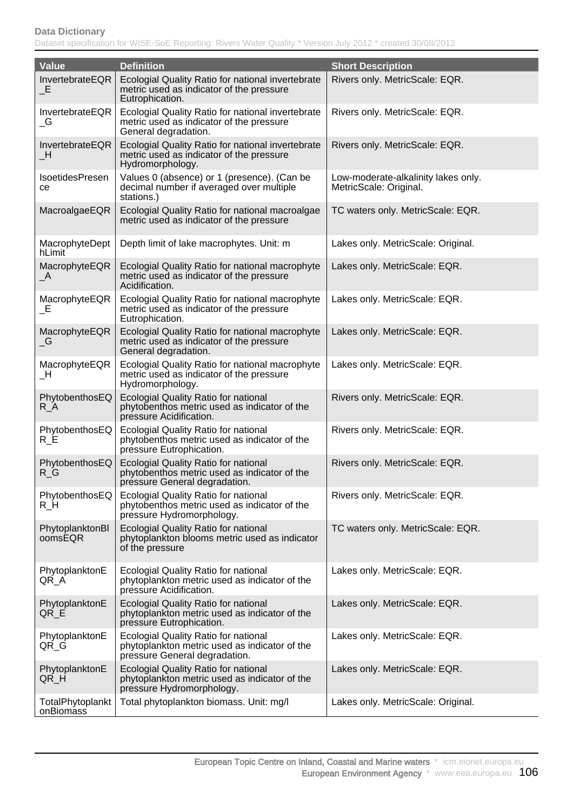| <b>Value</b>                                           | <b>Definition</b>                                                                                                            | <b>Short Description</b>                                      |
|--------------------------------------------------------|------------------------------------------------------------------------------------------------------------------------------|---------------------------------------------------------------|
| InvertebrateEQR<br>$\_E$                               | Ecologial Quality Ratio for national invertebrate<br>metric used as indicator of the pressure<br>Eutrophication.             | Rivers only. MetricScale: EQR.                                |
| InvertebrateEQR<br>_G                                  | Ecologial Quality Ratio for national invertebrate<br>metric used as indicator of the pressure<br>General degradation.        | Rivers only. MetricScale: EQR.                                |
| InvertebrateEQR<br>$\mathsf{H}_\mathsf{L}$             | Ecologial Quality Ratio for national invertebrate<br>metric used as indicator of the pressure<br>Hydromorphology.            | Rivers only. MetricScale: EQR.                                |
| IsoetidesPresen<br>ce                                  | Values 0 (absence) or 1 (presence). (Can be<br>decimal number if averaged over multiple<br>stations.)                        | Low-moderate-alkalinity lakes only.<br>MetricScale: Original. |
| MacroalgaeEQR                                          | Ecologial Quality Ratio for national macroalgae<br>metric used as indicator of the pressure                                  | TC waters only. MetricScale: EQR.                             |
| MacrophyteDept<br>hLimit                               | Depth limit of lake macrophytes. Unit: m                                                                                     | Lakes only. MetricScale: Original.                            |
| MacrophyteEQR<br>$\overline{\phantom{a}}^{\mathsf{A}}$ | Ecologial Quality Ratio for national macrophyte<br>metric used as indicator of the pressure<br>Acidification.                | Lakes only. MetricScale: EQR.                                 |
| MacrophyteEQR<br>_E                                    | Ecologial Quality Ratio for national macrophyte<br>metric used as indicator of the pressure<br>Eutrophication.               | Lakes only. MetricScale: EQR.                                 |
| MacrophyteEQR<br>_G                                    | Ecologial Quality Ratio for national macrophyte<br>metric used as indicator of the pressure<br>General degradation.          | Lakes only. MetricScale: EQR.                                 |
| MacrophyteEQR<br>$\mathsf{H}_\mathsf{L}$               | Ecologial Quality Ratio for national macrophyte<br>metric used as indicator of the pressure<br>Hydromorphology.              | Lakes only. MetricScale: EQR.                                 |
| PhytobenthosEQ<br>$R_A$                                | <b>Ecologial Quality Ratio for national</b><br>phytobenthos metric used as indicator of the<br>pressure Acidification.       | Rivers only. MetricScale: EQR.                                |
| PhytobenthosEQ<br>$R_E$                                | <b>Ecologial Quality Ratio for national</b><br>phytobenthos metric used as indicator of the<br>pressure Eutrophication.      | Rivers only. MetricScale: EQR.                                |
| PhytobenthosEQ<br>$R_G$                                | <b>Ecologial Quality Ratio for national</b><br>phytobenthos metric used as indicator of the<br>pressure General degradation. | Rivers only. MetricScale: EQR.                                |
| PhytobenthosEQ<br>R_H                                  | Ecologial Quality Ratio for national<br>phytobenthos metric used as indicator of the<br>pressure Hydromorphology.            | Rivers only. MetricScale: EQR.                                |
| PhytoplanktonBI<br>oomsEQR                             | <b>Ecologial Quality Ratio for national</b><br>phytoplankton blooms metric used as indicator<br>of the pressure              | TC waters only. MetricScale: EQR.                             |
| PhytoplanktonE<br>QR_A                                 | <b>Ecologial Quality Ratio for national</b><br>phytoplankton metric used as indicator of the<br>pressure Acidification.      | Lakes only. MetricScale: EQR.                                 |
| PhytoplanktonE<br>QR E                                 | <b>Ecologial Quality Ratio for national</b><br>phytoplankton metric used as indicator of the<br>pressure Eutrophication.     | Lakes only. MetricScale: EQR.                                 |
| PhytoplanktonE<br>QR_G                                 | Ecologial Quality Ratio for national<br>phytoplankton metric used as indicator of the<br>pressure General degradation.       | Lakes only. MetricScale: EQR.                                 |
| PhytoplanktonE<br>QR_H                                 | <b>Ecologial Quality Ratio for national</b><br>phytoplankton metric used as indicator of the<br>pressure Hydromorphology.    | Lakes only. MetricScale: EQR.                                 |
| TotalPhytoplankt<br>onBiomass                          | Total phytoplankton biomass. Unit: mg/l                                                                                      | Lakes only. MetricScale: Original.                            |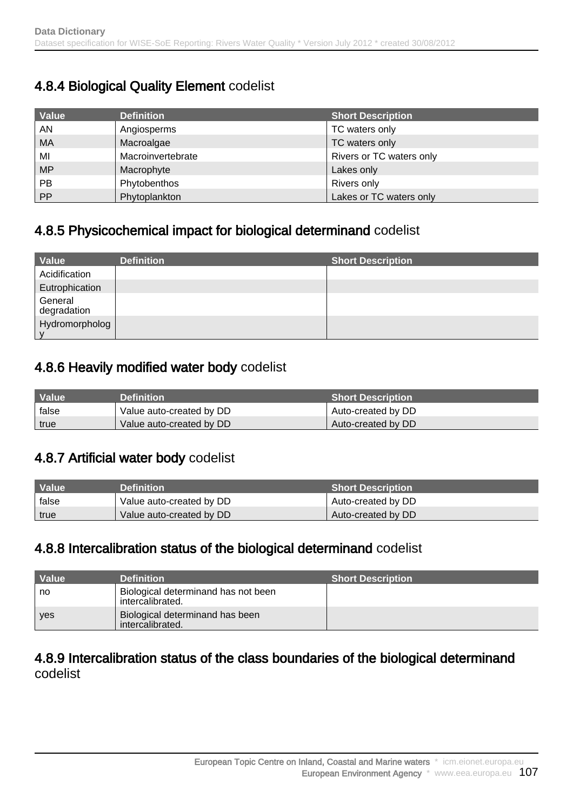## 4.8.4 Biological Quality Element codelist

| <b>Value</b> | <b>Definition</b> | <b>Short Description</b> |
|--------------|-------------------|--------------------------|
| AN           | Angiosperms       | TC waters only           |
| <b>MA</b>    | Macroalgae        | TC waters only           |
| MI           | Macroinvertebrate | Rivers or TC waters only |
| <b>MP</b>    | Macrophyte        | Lakes only               |
| PB           | Phytobenthos      | Rivers only              |
| PP           | Phytoplankton     | Lakes or TC waters only  |

# 4.8.5 Physicochemical impact for biological determinand codelist

| Value                  | <b>Definition</b> | <b>Short Description</b> |
|------------------------|-------------------|--------------------------|
| Acidification          |                   |                          |
| Eutrophication         |                   |                          |
| General<br>degradation |                   |                          |
| Hydromorpholog         |                   |                          |

### 4.8.6 Heavily modified water body codelist

| Value | <b>Definition</b>        | <b>Short Description</b> |
|-------|--------------------------|--------------------------|
| false | Value auto-created by DD | Auto-created by DD       |
| true  | Value auto-created by DD | Auto-created by DD       |

### 4.8.7 Artificial water body codelist

| <b>Value</b> | <b>Definition</b>        | <b>Short Description</b> |
|--------------|--------------------------|--------------------------|
| false        | Value auto-created by DD | Auto-created by DD       |
| true         | Value auto-created by DD | Auto-created by DD       |

### 4.8.8 Intercalibration status of the biological determinand codelist

| Value | <b>Definition</b>                                       | <b>Short Description</b> |
|-------|---------------------------------------------------------|--------------------------|
| no    | Biological determinand has not been<br>intercalibrated. |                          |
| yes   | Biological determinand has been<br>intercalibrated.     |                          |

### 4.8.9 Intercalibration status of the class boundaries of the biological determinand codelist